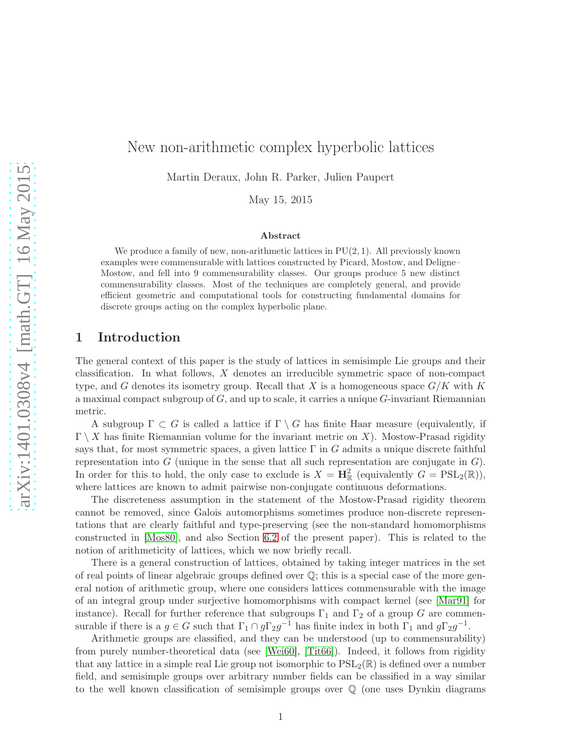# New non-arithmetic complex hyperbolic lattices

Martin Deraux, John R. Parker, Julien Paupert

May 15, 2015

#### Abstract

We produce a family of new, non-arithmetic lattices in  $PU(2, 1)$ . All previously known examples were commensurable with lattices constructed by Picard, Mostow, and Deligne– Mostow, and fell into 9 commensurability classes. Our groups produce 5 new distinct commensurability classes. Most of the techniques are completely general, and provide efficient geometric and computational tools for constructing fundamental domains for discrete groups acting on the complex hyperbolic plane.

# 1 Introduction

The general context of this paper is the study of lattices in semisimple Lie groups and their classification. In what follows, X denotes an irreducible symmetric space of non-compact type, and G denotes its isometry group. Recall that X is a homogeneous space  $G/K$  with K a maximal compact subgroup of  $G$ , and up to scale, it carries a unique  $G$ -invariant Riemannian metric.

A subgroup  $\Gamma \subset G$  is called a lattice if  $\Gamma \setminus G$  has finite Haar measure (equivalently, if  $\Gamma \setminus X$  has finite Riemannian volume for the invariant metric on X). Mostow-Prasad rigidity says that, for most symmetric spaces, a given lattice  $\Gamma$  in G admits a unique discrete faithful representation into G (unique in the sense that all such representation are conjugate in  $G$ ). In order for this to hold, the only case to exclude is  $X = \mathbf{H}_{\mathbb{R}}^2$  (equivalently  $G = \text{PSL}_2(\mathbb{R})$ ), where lattices are known to admit pairwise non-conjugate continuous deformations.

The discreteness assumption in the statement of the Mostow-Prasad rigidity theorem cannot be removed, since Galois automorphisms sometimes produce non-discrete representations that are clearly faithful and type-preserving (see the non-standard homomorphisms constructed in [\[Mos80\]](#page-76-0), and also Section [6.2](#page-71-0) of the present paper). This is related to the notion of arithmeticity of lattices, which we now briefly recall.

There is a general construction of lattices, obtained by taking integer matrices in the set of real points of linear algebraic groups defined over  $\mathbb{Q}$ ; this is a special case of the more general notion of arithmetic group, where one considers lattices commensurable with the image of an integral group under surjective homomorphisms with compact kernel (see [\[Mar91\]](#page-75-0) for instance). Recall for further reference that subgroups  $\Gamma_1$  and  $\Gamma_2$  of a group G are commensurable if there is a  $g \in G$  such that  $\Gamma_1 \cap g\Gamma_2 g^{-1}$  has finite index in both  $\Gamma_1$  and  $g\Gamma_2 g^{-1}$ .

Arithmetic groups are classified, and they can be understood (up to commensurability) from purely number-theoretical data (see [\[Wei60\]](#page-77-0), [\[Tit66\]](#page-77-1)). Indeed, it follows from rigidity that any lattice in a simple real Lie group not isomorphic to  $PSL_2(\mathbb{R})$  is defined over a number field, and semisimple groups over arbitrary number fields can be classified in a way similar to the well known classification of semisimple groups over Q (one uses Dynkin diagrams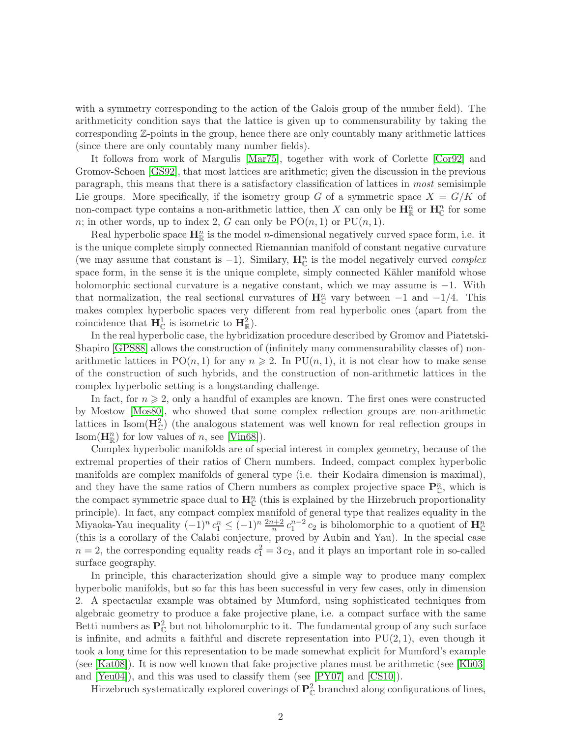with a symmetry corresponding to the action of the Galois group of the number field). The arithmeticity condition says that the lattice is given up to commensurability by taking the corresponding Z-points in the group, hence there are only countably many arithmetic lattices (since there are only countably many number fields).

It follows from work of Margulis [\[Mar75\]](#page-75-1), together with work of Corlette [\[Cor92\]](#page-74-0) and Gromov-Schoen [\[GS92\]](#page-75-2), that most lattices are arithmetic; given the discussion in the previous paragraph, this means that there is a satisfactory classification of lattices in most semisimple Lie groups. More specifically, if the isometry group G of a symmetric space  $X = G/K$  of non-compact type contains a non-arithmetic lattice, then X can only be  $\mathbf{H}_{\mathbb{R}}^n$  or  $\mathbf{H}_{\mathbb{C}}^n$  for some n; in other words, up to index 2, G can only be  $PO(n, 1)$  or  $PU(n, 1)$ .

Real hyperbolic space  $\mathbf{H}_{\mathbb{R}}^n$  is the model *n*-dimensional negatively curved space form, i.e. it is the unique complete simply connected Riemannian manifold of constant negative curvature (we may assume that constant is -1). Similary,  $\mathbf{H}_{\mathbb{C}}^{n}$  is the model negatively curved *complex* space form, in the sense it is the unique complete, simply connected Kähler manifold whose holomorphic sectional curvature is a negative constant, which we may assume is −1. With that normalization, the real sectional curvatures of  $\mathbf{H}_{\mathbb{C}}^n$  vary between -1 and -1/4. This makes complex hyperbolic spaces very different from real hyperbolic ones (apart from the coincidence that  $\mathbf{H}_{\mathbb{C}}^{1}$  is isometric to  $\mathbf{H}_{\mathbb{R}}^{2}$ ).

In the real hyperbolic case, the hybridization procedure described by Gromov and Piatetski-Shapiro [\[GPS88\]](#page-75-3) allows the construction of (infinitely many commensurability classes of) nonarithmetic lattices in  $PO(n, 1)$  for any  $n \ge 2$ . In  $PU(n, 1)$ , it is not clear how to make sense of the construction of such hybrids, and the construction of non-arithmetic lattices in the complex hyperbolic setting is a longstanding challenge.

In fact, for  $n \geq 2$ , only a handful of examples are known. The first ones were constructed by Mostow [\[Mos80\]](#page-76-0), who showed that some complex reflection groups are non-arithmetic lattices in Isom $(\mathbf{H}_{\mathbb{C}}^2)$  (the analogous statement was well known for real reflection groups in Isom( $\mathbf{H}_{\mathbb{R}}^n$ ) for low values of n, see [\[Vin68\]](#page-77-2)).

Complex hyperbolic manifolds are of special interest in complex geometry, because of the extremal properties of their ratios of Chern numbers. Indeed, compact complex hyperbolic manifolds are complex manifolds of general type (i.e. their Kodaira dimension is maximal), and they have the same ratios of Chern numbers as complex projective space  $\mathbf{P}_{\mathbb{C}}^n$ , which is the compact symmetric space dual to  $\mathbf{H}_{\mathbb{C}}^n$  (this is explained by the Hirzebruch proportionality principle). In fact, any compact complex manifold of general type that realizes equality in the Miyaoka-Yau inequality  $(-1)^n c_1^n \leq (-1)^n \frac{2n+2}{n} c_1^{n-2} c_2$  is biholomorphic to a quotient of  $\mathbf{H}_{\mathbb{C}}^n$ (this is a corollary of the Calabi conjecture, proved by Aubin and Yau). In the special case  $n=2$ , the corresponding equality reads  $c_1^2=3c_2$ , and it plays an important role in so-called surface geography.

In principle, this characterization should give a simple way to produce many complex hyperbolic manifolds, but so far this has been successful in very few cases, only in dimension 2. A spectacular example was obtained by Mumford, using sophisticated techniques from algebraic geometry to produce a fake projective plane, i.e. a compact surface with the same Betti numbers as  $\mathbf{P}_{\mathbb{C}}^2$  but not biholomorphic to it. The fundamental group of any such surface is infinite, and admits a faithful and discrete representation into  $PU(2,1)$ , even though it took a long time for this representation to be made somewhat explicit for Mumford's example (see [\[Kat08\]](#page-75-4)). It is now well known that fake projective planes must be arithmetic (see [\[Kli03\]](#page-75-5) and [\[Yeu04\]](#page-77-3)), and this was used to classify them (see [\[PY07\]](#page-76-1) and [\[CS10\]](#page-74-1)).

Hirzebruch systematically explored coverings of  $\mathbf{P}_{\mathbb{C}}^2$  branched along configurations of lines,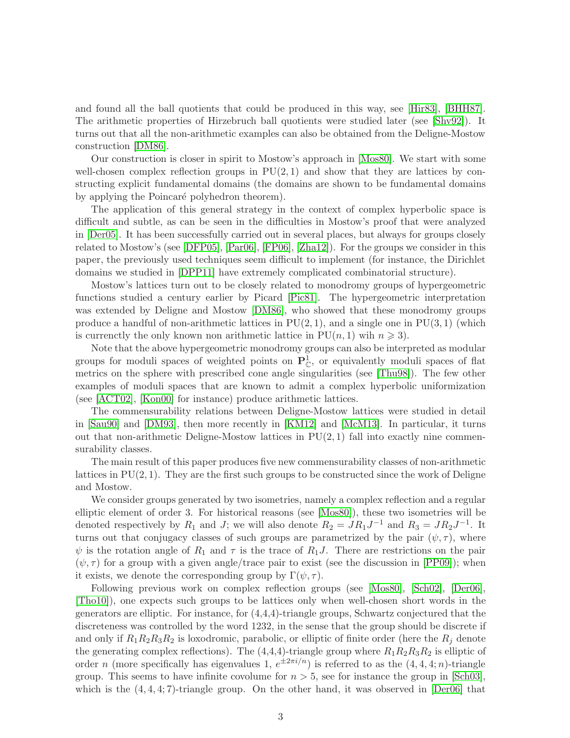and found all the ball quotients that could be produced in this way, see [\[Hir83\]](#page-75-6), [\[BHH87\]](#page-74-2). The arithmetic properties of Hirzebruch ball quotients were studied later (see [\[Shv92\]](#page-76-2)). It turns out that all the non-arithmetic examples can also be obtained from the Deligne-Mostow construction [\[DM86\]](#page-74-3).

Our construction is closer in spirit to Mostow's approach in [\[Mos80\]](#page-76-0). We start with some well-chosen complex reflection groups in  $PU(2, 1)$  and show that they are lattices by constructing explicit fundamental domains (the domains are shown to be fundamental domains by applying the Poincaré polyhedron theorem).

The application of this general strategy in the context of complex hyperbolic space is difficult and subtle, as can be seen in the difficulties in Mostow's proof that were analyzed in [\[Der05\]](#page-74-4). It has been successfully carried out in several places, but always for groups closely related to Mostow's (see [\[DFP05\]](#page-74-5), [\[Par06\]](#page-76-3), [\[FP06\]](#page-75-7), [\[Zha12\]](#page-77-4)). For the groups we consider in this paper, the previously used techniques seem difficult to implement (for instance, the Dirichlet domains we studied in [\[DPP11\]](#page-75-8) have extremely complicated combinatorial structure).

Mostow's lattices turn out to be closely related to monodromy groups of hypergeometric functions studied a century earlier by Picard [\[Pic81\]](#page-76-4). The hypergeometric interpretation was extended by Deligne and Mostow [\[DM86\]](#page-74-3), who showed that these monodromy groups produce a handful of non-arithmetic lattices in  $PU(2, 1)$ , and a single one in  $PU(3, 1)$  (which is currenctly the only known non arithmetic lattice in  $PU(n, 1)$  wih  $n \geq 3$ .

Note that the above hypergeometric monodromy groups can also be interpreted as modular groups for moduli spaces of weighted points on  $\mathbf{P}^1_{\mathbb{C}}$ , or equivalently moduli spaces of flat metrics on the sphere with prescribed cone angle singularities (see [\[Thu98\]](#page-77-5)). The few other examples of moduli spaces that are known to admit a complex hyperbolic uniformization (see [\[ACT02\]](#page-74-6), [\[Kon00\]](#page-75-9) for instance) produce arithmetic lattices.

The commensurability relations between Deligne-Mostow lattices were studied in detail in [\[Sau90\]](#page-76-5) and [\[DM93\]](#page-74-7), then more recently in [\[KM12\]](#page-75-10) and [\[McM13\]](#page-75-11). In particular, it turns out that non-arithmetic Deligne-Mostow lattices in  $PU(2, 1)$  fall into exactly nine commensurability classes.

The main result of this paper produces five new commensurability classes of non-arithmetic lattices in  $PU(2, 1)$ . They are the first such groups to be constructed since the work of Deligne and Mostow.

We consider groups generated by two isometries, namely a complex reflection and a regular elliptic element of order 3. For historical reasons (see [\[Mos80\]](#page-76-0)), these two isometries will be denoted respectively by  $R_1$  and J; we will also denote  $R_2 = J R_1 J^{-1}$  and  $R_3 = J R_2 J^{-1}$ . It turns out that conjugacy classes of such groups are parametrized by the pair  $(\psi, \tau)$ , where  $\psi$  is the rotation angle of  $R_1$  and  $\tau$  is the trace of  $R_1J$ . There are restrictions on the pair  $(\psi, \tau)$  for a group with a given angle/trace pair to exist (see the discussion in [\[PP09\]](#page-76-6)); when it exists, we denote the corresponding group by  $\Gamma(\psi, \tau)$ .

Following previous work on complex reflection groups (see [\[Mos80\]](#page-76-0), [\[Sch02\]](#page-76-7), [\[Der06\]](#page-74-8), [\[Tho10\]](#page-76-8)), one expects such groups to be lattices only when well-chosen short words in the generators are elliptic. For instance, for (4,4,4)-triangle groups, Schwartz conjectured that the discreteness was controlled by the word 1232, in the sense that the group should be discrete if and only if  $R_1R_2R_3R_2$  is loxodromic, parabolic, or elliptic of finite order (here the  $R_j$  denote the generating complex reflections). The  $(4,4,4)$ -triangle group where  $R_1R_2R_3R_2$  is elliptic of order n (more specifically has eigenvalues 1,  $e^{\pm 2\pi i/n}$ ) is referred to as the  $(4, 4, 4; n)$ -triangle group. This seems to have infinite covolume for  $n > 5$ , see for instance the group in [\[Sch03\]](#page-76-9), which is the  $(4, 4, 4, 7)$ -triangle group. On the other hand, it was observed in  $\text{[Der}06]$  that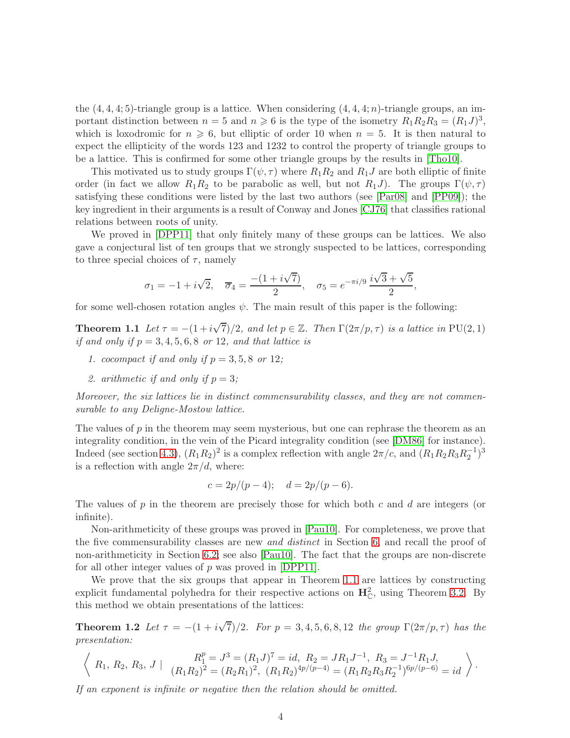the  $(4, 4, 4, 5)$ -triangle group is a lattice. When considering  $(4, 4, 4; n)$ -triangle groups, an important distinction between  $n=5$  and  $n \geq 6$  is the type of the isometry  $R_1R_2R_3 = (R_1J)^3$ , which is loxodromic for  $n \geq 6$ , but elliptic of order 10 when  $n = 5$ . It is then natural to expect the ellipticity of the words 123 and 1232 to control the property of triangle groups to be a lattice. This is confirmed for some other triangle groups by the results in [\[Tho10\]](#page-76-8).

This motivated us to study groups  $\Gamma(\psi, \tau)$  where  $R_1R_2$  and  $R_1J$  are both elliptic of finite order (in fact we allow  $R_1R_2$  to be parabolic as well, but not  $R_1J$ ). The groups  $\Gamma(\psi, \tau)$ satisfying these conditions were listed by the last two authors (see [\[Par08\]](#page-76-10) and [\[PP09\]](#page-76-6)); the key ingredient in their arguments is a result of Conway and Jones [\[CJ76\]](#page-74-9) that classifies rational relations between roots of unity.

We proved in [\[DPP11\]](#page-75-8) that only finitely many of these groups can be lattices. We also gave a conjectural list of ten groups that we strongly suspected to be lattices, corresponding to three special choices of  $\tau$ , namely

$$
\sigma_1 = -1 + i\sqrt{2}, \quad \overline{\sigma}_4 = \frac{-(1 + i\sqrt{7})}{2}, \quad \sigma_5 = e^{-\pi i/9} \frac{i\sqrt{3} + \sqrt{5}}{2},
$$

<span id="page-3-0"></span>for some well-chosen rotation angles  $\psi$ . The main result of this paper is the following:

**Theorem 1.1** Let  $\tau = -(1 + i\sqrt{7})/2$ , and let  $p \in \mathbb{Z}$ . Then  $\Gamma(2\pi/p, \tau)$  is a lattice in PU(2, 1) if and only if  $p = 3, 4, 5, 6, 8$  or 12, and that lattice is

- 1. cocompact if and only if  $p = 3, 5, 8$  or 12;
- 2. arithmetic if and only if  $p = 3$ ;

Moreover, the six lattices lie in distinct commensurability classes, and they are not commensurable to any Deligne-Mostow lattice.

The values of  $p$  in the theorem may seem mysterious, but one can rephrase the theorem as an integrality condition, in the vein of the Picard integrality condition (see [\[DM86\]](#page-74-3) for instance). Indeed (see section [4.3\)](#page-22-0),  $(R_1R_2)^2$  is a complex reflection with angle  $2\pi/c$ , and  $(R_1R_2R_3R_2^{-1})^3$ is a reflection with angle  $2\pi/d$ , where:

$$
c = 2p/(p-4);
$$
  $d = 2p/(p-6).$ 

The values of p in the theorem are precisely those for which both c and d are integers (or infinite).

Non-arithmeticity of these groups was proved in [\[Pau10\]](#page-76-11). For completeness, we prove that the five commensurability classes are new *and distinct* in Section [6,](#page-70-0) and recall the proof of non-arithmeticity in Section [6.2;](#page-71-0) see also [\[Pau10\]](#page-76-11). The fact that the groups are non-discrete for all other integer values of  $p$  was proved in [\[DPP11\]](#page-75-8).

We prove that the six groups that appear in Theorem [1.1](#page-3-0) are lattices by constructing explicit fundamental polyhedra for their respective actions on  $\mathbf{H}_{\mathbb{C}}^2$ , using Theorem [3.2.](#page-16-0) By this method we obtain presentations of the lattices:

**Theorem 1.2** Let  $\tau = -(1 + i\sqrt{7})/2$ . For  $p = 3, 4, 5, 6, 8, 12$  the group  $\Gamma(2\pi/p, \tau)$  has the presentation:

$$
\left\langle R_1, R_2, R_3, J \mid \begin{array}{c} R_1^p = J^3 = (R_1 J)^7 = id, R_2 = J R_1 J^{-1}, R_3 = J^{-1} R_1 J, \\ (R_1 R_2)^2 = (R_2 R_1)^2, (R_1 R_2)^{4p/(p-4)} = (R_1 R_2 R_3 R_2^{-1})^{6p/(p-6)} = id \end{array} \right\rangle.
$$

If an exponent is infinite or negative then the relation should be omitted.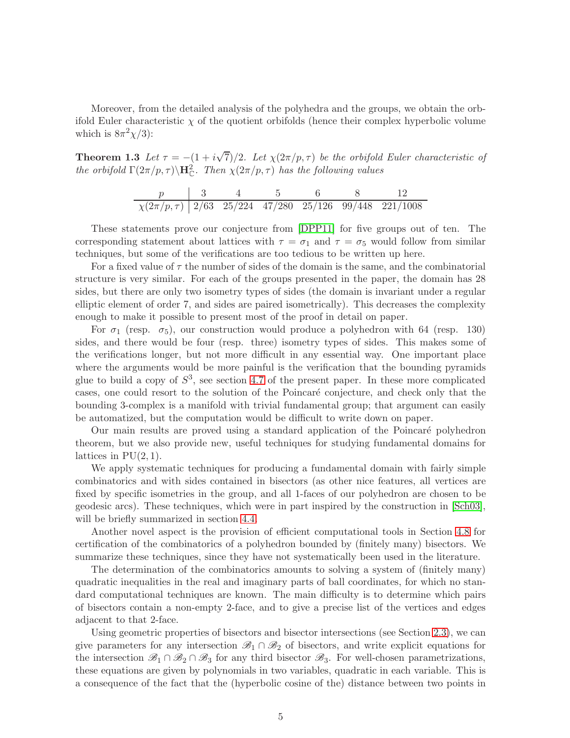Moreover, from the detailed analysis of the polyhedra and the groups, we obtain the orbifold Euler characteristic  $\chi$  of the quotient orbifolds (hence their complex hyperbolic volume which is  $8\pi^2\chi/3$ :

**Theorem 1.3** Let  $\tau = -(1 + i\sqrt{7})/2$ . Let  $\chi(2\pi/p, \tau)$  be the orbifold Euler characteristic of the orbifold  $\Gamma(2\pi/p, \tau) \backslash \mathbf{H}_{\mathbb{C}}^2$ . Then  $\chi(2\pi/p, \tau)$  has the following values

| $\chi(2\pi/p, \tau)$ 2/63 25/224 47/280 25/126 99/448 221/1008 |  |  |  |
|----------------------------------------------------------------|--|--|--|

These statements prove our conjecture from [\[DPP11\]](#page-75-8) for five groups out of ten. The corresponding statement about lattices with  $\tau = \sigma_1$  and  $\tau = \sigma_5$  would follow from similar techniques, but some of the verifications are too tedious to be written up here.

For a fixed value of  $\tau$  the number of sides of the domain is the same, and the combinatorial structure is very similar. For each of the groups presented in the paper, the domain has 28 sides, but there are only two isometry types of sides (the domain is invariant under a regular elliptic element of order 7, and sides are paired isometrically). This decreases the complexity enough to make it possible to present most of the proof in detail on paper.

For  $\sigma_1$  (resp.  $\sigma_5$ ), our construction would produce a polyhedron with 64 (resp. 130) sides, and there would be four (resp. three) isometry types of sides. This makes some of the verifications longer, but not more difficult in any essential way. One important place where the arguments would be more painful is the verification that the bounding pyramids glue to build a copy of  $S^3$ , see section [4.7](#page-37-0) of the present paper. In these more complicated cases, one could resort to the solution of the Poincar´e conjecture, and check only that the bounding 3-complex is a manifold with trivial fundamental group; that argument can easily be automatized, but the computation would be difficult to write down on paper.

Our main results are proved using a standard application of the Poincar´e polyhedron theorem, but we also provide new, useful techniques for studying fundamental domains for lattices in  $PU(2, 1)$ .

We apply systematic techniques for producing a fundamental domain with fairly simple combinatorics and with sides contained in bisectors (as other nice features, all vertices are fixed by specific isometries in the group, and all 1-faces of our polyhedron are chosen to be geodesic arcs). These techniques, which were in part inspired by the construction in [\[Sch03\]](#page-76-9), will be briefly summarized in section [4.4.](#page-25-0)

Another novel aspect is the provision of efficient computational tools in Section [4.8](#page-42-0) for certification of the combinatorics of a polyhedron bounded by (finitely many) bisectors. We summarize these techniques, since they have not systematically been used in the literature.

The determination of the combinatorics amounts to solving a system of (finitely many) quadratic inequalities in the real and imaginary parts of ball coordinates, for which no standard computational techniques are known. The main difficulty is to determine which pairs of bisectors contain a non-empty 2-face, and to give a precise list of the vertices and edges adjacent to that 2-face.

Using geometric properties of bisectors and bisector intersections (see Section [2.3\)](#page-7-0), we can give parameters for any intersection  $\mathscr{B}_1 \cap \mathscr{B}_2$  of bisectors, and write explicit equations for the intersection  $\mathscr{B}_1 \cap \mathscr{B}_2 \cap \mathscr{B}_3$  for any third bisector  $\mathscr{B}_3$ . For well-chosen parametrizations, these equations are given by polynomials in two variables, quadratic in each variable. This is a consequence of the fact that the (hyperbolic cosine of the) distance between two points in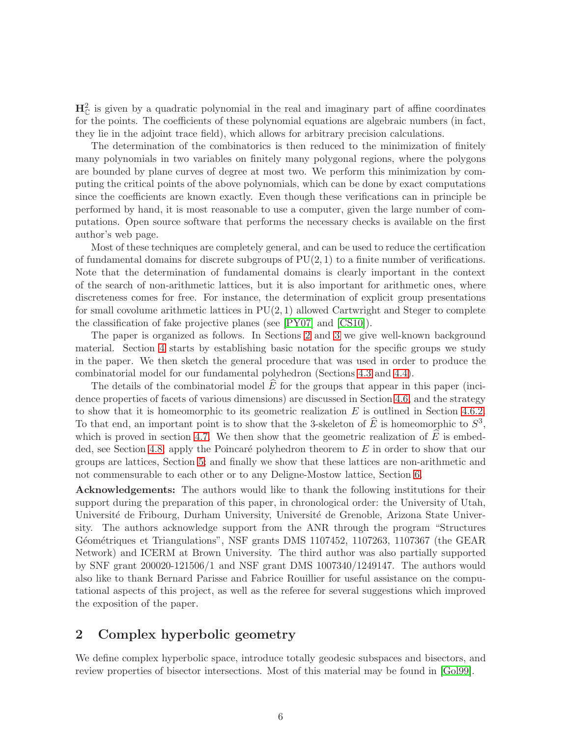$H_C^2$  is given by a quadratic polynomial in the real and imaginary part of affine coordinates for the points. The coefficients of these polynomial equations are algebraic numbers (in fact, they lie in the adjoint trace field), which allows for arbitrary precision calculations.

The determination of the combinatorics is then reduced to the minimization of finitely many polynomials in two variables on finitely many polygonal regions, where the polygons are bounded by plane curves of degree at most two. We perform this minimization by computing the critical points of the above polynomials, which can be done by exact computations since the coefficients are known exactly. Even though these verifications can in principle be performed by hand, it is most reasonable to use a computer, given the large number of computations. Open source software that performs the necessary checks is available on the first author's web page.

Most of these techniques are completely general, and can be used to reduce the certification of fundamental domains for discrete subgroups of  $PU(2, 1)$  to a finite number of verifications. Note that the determination of fundamental domains is clearly important in the context of the search of non-arithmetic lattices, but it is also important for arithmetic ones, where discreteness comes for free. For instance, the determination of explicit group presentations for small covolume arithmetic lattices in  $PU(2, 1)$  allowed Cartwright and Steger to complete the classification of fake projective planes (see [\[PY07\]](#page-76-1) and [\[CS10\]](#page-74-1)).

The paper is organized as follows. In Sections [2](#page-5-0) and [3](#page-12-0) we give well-known background material. Section [4](#page-20-0) starts by establishing basic notation for the specific groups we study in the paper. We then sketch the general procedure that was used in order to produce the combinatorial model for our fundamental polyhedron (Sections [4.3](#page-22-0) and [4.4\)](#page-25-0).

The details of the combinatorial model  $\hat{E}$  for the groups that appear in this paper (incidence properties of facets of various dimensions) are discussed in Section [4.6,](#page-31-0) and the strategy to show that it is homeomorphic to its geometric realization  $E$  is outlined in Section [4.6.2.](#page-35-0) To that end, an important point is to show that the 3-skeleton of  $\hat{E}$  is homeomorphic to  $S^3$ , which is proved in section [4.7.](#page-37-0) We then show that the geometric realization of  $\hat{E}$  is embed-ded, see Section [4.8;](#page-42-0) apply the Poincaré polyhedron theorem to E in order to show that our groups are lattices, Section [5;](#page-59-0) and finally we show that these lattices are non-arithmetic and not commensurable to each other or to any Deligne-Mostow lattice, Section [6.](#page-70-0)

Acknowledgements: The authors would like to thank the following institutions for their support during the preparation of this paper, in chronological order: the University of Utah, Université de Fribourg, Durham University, Université de Grenoble, Arizona State University. The authors acknowledge support from the ANR through the program "Structures Géométriques et Triangulations", NSF grants DMS 1107452, 1107263, 1107367 (the GEAR Network) and ICERM at Brown University. The third author was also partially supported by SNF grant 200020-121506/1 and NSF grant DMS 1007340/1249147. The authors would also like to thank Bernard Parisse and Fabrice Rouillier for useful assistance on the computational aspects of this project, as well as the referee for several suggestions which improved the exposition of the paper.

# <span id="page-5-0"></span>2 Complex hyperbolic geometry

We define complex hyperbolic space, introduce totally geodesic subspaces and bisectors, and review properties of bisector intersections. Most of this material may be found in [\[Gol99\]](#page-75-12).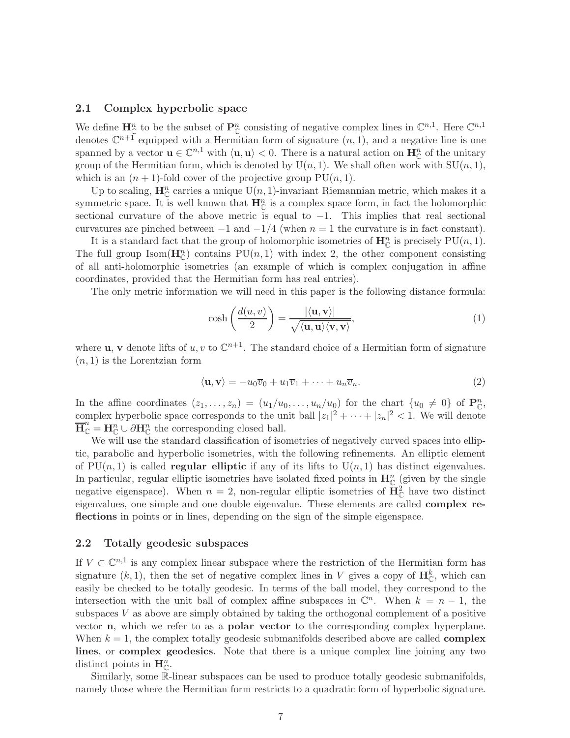#### 2.1 Complex hyperbolic space

We define  $\mathbf{H}_{\mathbb{C}}^n$  to be the subset of  $\mathbf{P}_{\mathbb{C}}^n$  consisting of negative complex lines in  $\mathbb{C}^{n,1}$ . Here  $\mathbb{C}^{n,1}$ denotes  $\mathbb{C}^{n+1}$  equipped with a Hermitian form of signature  $(n,1)$ , and a negative line is one spanned by a vector  $\mathbf{u} \in \mathbb{C}^{n,1}$  with  $\langle \mathbf{u}, \mathbf{u} \rangle < 0$ . There is a natural action on  $\mathbf{H}_{\mathbb{C}}^n$  of the unitary group of the Hermitian form, which is denoted by  $U(n, 1)$ . We shall often work with  $SU(n, 1)$ , which is an  $(n + 1)$ -fold cover of the projective group  $PU(n, 1)$ .

Up to scaling,  $\mathbf{H}_{\mathbb{C}}^n$  carries a unique U(n, 1)-invariant Riemannian metric, which makes it a symmetric space. It is well known that  $\mathbf{H}_{\mathbb{C}}^{n}$  is a complex space form, in fact the holomorphic sectional curvature of the above metric is equal to  $-1$ . This implies that real sectional curvatures are pinched between  $-1$  and  $-1/4$  (when  $n = 1$  the curvature is in fact constant).

It is a standard fact that the group of holomorphic isometries of  $\mathbf{H}_{\mathbb{C}}^{n}$  is precisely  $PU(n, 1)$ . The full group  $\text{Isom}(\mathbf{H}_{\mathbb{C}}^n)$  contains  $PU(n, 1)$  with index 2, the other component consisting of all anti-holomorphic isometries (an example of which is complex conjugation in affine coordinates, provided that the Hermitian form has real entries).

The only metric information we will need in this paper is the following distance formula:

$$
\cosh\left(\frac{d(u,v)}{2}\right) = \frac{|\langle \mathbf{u}, \mathbf{v} \rangle|}{\sqrt{\langle \mathbf{u}, \mathbf{u} \rangle \langle \mathbf{v}, \mathbf{v} \rangle}},\tag{1}
$$

where **u**, **v** denote lifts of u, v to  $\mathbb{C}^{n+1}$ . The standard choice of a Hermitian form of signature  $(n, 1)$  is the Lorentzian form

$$
\langle \mathbf{u}, \mathbf{v} \rangle = -u_0 \overline{v}_0 + u_1 \overline{v}_1 + \dots + u_n \overline{v}_n. \tag{2}
$$

In the affine coordinates  $(z_1, \ldots, z_n) = (u_1/u_0, \ldots, u_n/u_0)$  for the chart  $\{u_0 \neq 0\}$  of  $\mathbf{P}_{\mathbb{C}}^n$ , complex hyperbolic space corresponds to the unit ball  $|z_1|^2 + \cdots + |z_n|^2 < 1$ . We will denote  $\overline{\mathbf{H}}_{\mathbb{C}}^{n} = \mathbf{H}_{\mathbb{C}}^{n} \cup \partial \mathbf{H}_{\mathbb{C}}^{n}$  the corresponding closed ball.

We will use the standard classification of isometries of negatively curved spaces into elliptic, parabolic and hyperbolic isometries, with the following refinements. An elliptic element of  $PU(n, 1)$  is called **regular elliptic** if any of its lifts to  $U(n, 1)$  has distinct eigenvalues. In particular, regular elliptic isometries have isolated fixed points in  $\mathbf{H}_{\mathbb{C}}^{n}$  (given by the single negative eigenspace). When  $n = 2$ , non-regular elliptic isometries of  $\mathbf{H}_{\mathbb{C}}^2$  have two distinct eigenvalues, one simple and one double eigenvalue. These elements are called complex reflections in points or in lines, depending on the sign of the simple eigenspace.

#### <span id="page-6-0"></span>2.2 Totally geodesic subspaces

If  $V \subset \mathbb{C}^{n,1}$  is any complex linear subspace where the restriction of the Hermitian form has signature  $(k, 1)$ , then the set of negative complex lines in V gives a copy of  $\mathbf{H}_{\mathbb{C}}^{k}$ , which can easily be checked to be totally geodesic. In terms of the ball model, they correspond to the intersection with the unit ball of complex affine subspaces in  $\mathbb{C}^n$ . When  $k = n - 1$ , the subspaces  $V$  as above are simply obtained by taking the orthogonal complement of a positive vector **n**, which we refer to as a **polar vector** to the corresponding complex hyperplane. When  $k = 1$ , the complex totally geodesic submanifolds described above are called **complex** lines, or complex geodesics. Note that there is a unique complex line joining any two distinct points in  $\mathbf{H}_{\mathbb{C}}^n$ .

Similarly, some R-linear subspaces can be used to produce totally geodesic submanifolds, namely those where the Hermitian form restricts to a quadratic form of hyperbolic signature.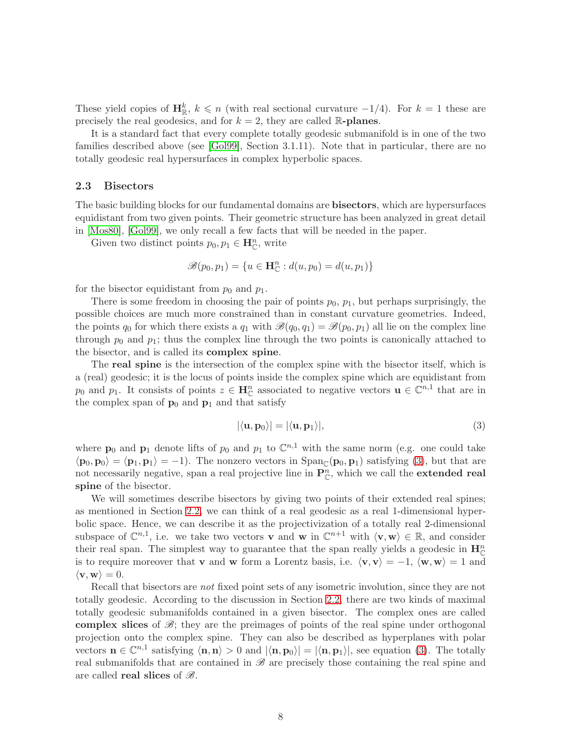These yield copies of  $\mathbf{H}_{\mathbb{R}}^k$ ,  $k \leq n$  (with real sectional curvature  $-1/4$ ). For  $k = 1$  these are precisely the real geodesics, and for  $k = 2$ , they are called R-planes.

It is a standard fact that every complete totally geodesic submanifold is in one of the two families described above (see [\[Gol99\]](#page-75-12), Section 3.1.11). Note that in particular, there are no totally geodesic real hypersurfaces in complex hyperbolic spaces.

#### <span id="page-7-0"></span>2.3 Bisectors

The basic building blocks for our fundamental domains are bisectors, which are hypersurfaces equidistant from two given points. Their geometric structure has been analyzed in great detail in [\[Mos80\]](#page-76-0), [\[Gol99\]](#page-75-12), we only recall a few facts that will be needed in the paper.

Given two distinct points  $p_0, p_1 \in \mathbf{H}_{\mathbb{C}}^n$ , write

$$
\mathscr{B}(p_0, p_1) = \{u \in \mathbf{H}_{\mathbb{C}}^n : d(u, p_0) = d(u, p_1)\}\
$$

for the bisector equidistant from  $p_0$  and  $p_1$ .

There is some freedom in choosing the pair of points  $p_0$ ,  $p_1$ , but perhaps surprisingly, the possible choices are much more constrained than in constant curvature geometries. Indeed, the points  $q_0$  for which there exists a  $q_1$  with  $\mathscr{B}(q_0, q_1) = \mathscr{B}(p_0, p_1)$  all lie on the complex line through  $p_0$  and  $p_1$ ; thus the complex line through the two points is canonically attached to the bisector, and is called its complex spine.

The real spine is the intersection of the complex spine with the bisector itself, which is a (real) geodesic; it is the locus of points inside the complex spine which are equidistant from  $p_0$  and  $p_1$ . It consists of points  $z \in \mathbf{H}_{\mathbb{C}}^n$  associated to negative vectors  $\mathbf{u} \in \mathbb{C}^{n,1}$  that are in the complex span of  $\mathbf{p}_0$  and  $\mathbf{p}_1$  and that satisfy

<span id="page-7-1"></span>
$$
|\langle \mathbf{u}, \mathbf{p}_0 \rangle| = |\langle \mathbf{u}, \mathbf{p}_1 \rangle|, \tag{3}
$$

where  $\mathbf{p}_0$  and  $\mathbf{p}_1$  denote lifts of  $p_0$  and  $p_1$  to  $\mathbb{C}^{n,1}$  with the same norm (e.g. one could take  $\langle \mathbf{p}_0, \mathbf{p}_0 \rangle = \langle \mathbf{p}_1, \mathbf{p}_1 \rangle = -1$ . The nonzero vectors in  $\text{Span}_{\mathbb{C}}(\mathbf{p}_0, \mathbf{p}_1)$  satisfying [\(3\)](#page-7-1), but that are not necessarily negative, span a real projective line in  $\mathbf{P}_{\mathbb{C}}^n$ , which we call the **extended real** spine of the bisector.

We will sometimes describe bisectors by giving two points of their extended real spines; as mentioned in Section [2.2,](#page-6-0) we can think of a real geodesic as a real 1-dimensional hyperbolic space. Hence, we can describe it as the projectivization of a totally real 2-dimensional subspace of  $\mathbb{C}^{n,1}$ , i.e. we take two vectors **v** and **w** in  $\mathbb{C}^{n+1}$  with  $\langle \mathbf{v}, \mathbf{w} \rangle \in \mathbb{R}$ , and consider their real span. The simplest way to guarantee that the span really yields a geodesic in  $\mathbf{H}_{\mathbb{C}}^{n}$ is to require moreover that v and w form a Lorentz basis, i.e.  $\langle v, v \rangle = -1$ ,  $\langle w, w \rangle = 1$  and  $\langle \mathbf{v}, \mathbf{w} \rangle = 0.$ 

Recall that bisectors are *not* fixed point sets of any isometric involution, since they are not totally geodesic. According to the discussion in Section [2.2,](#page-6-0) there are two kinds of maximal totally geodesic submanifolds contained in a given bisector. The complex ones are called complex slices of  $\mathcal{B}$ ; they are the preimages of points of the real spine under orthogonal projection onto the complex spine. They can also be described as hyperplanes with polar vectors  $\mathbf{n} \in \mathbb{C}^{n,1}$  satisfying  $\langle \mathbf{n}, \mathbf{n} \rangle > 0$  and  $|\langle \mathbf{n}, \mathbf{p}_0 \rangle| = |\langle \mathbf{n}, \mathbf{p}_1 \rangle|$ , see equation [\(3\)](#page-7-1). The totally real submanifolds that are contained in  $\mathscr B$  are precisely those containing the real spine and are called **real slices** of  $\mathscr{B}$ .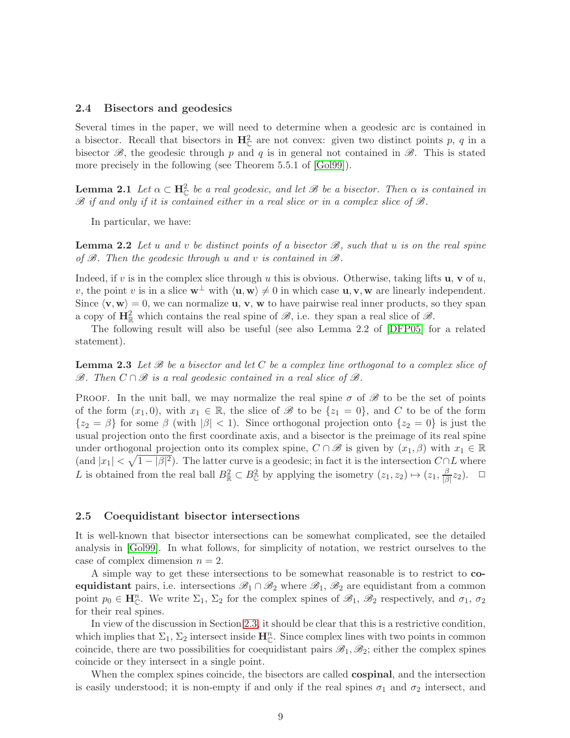#### 2.4 Bisectors and geodesics

Several times in the paper, we will need to determine when a geodesic arc is contained in a bisector. Recall that bisectors in  $\mathbf{H}_{\mathbb{C}}^2$  are not convex: given two distinct points p, q in a bisector  $\mathscr{B}$ , the geodesic through p and q is in general not contained in  $\mathscr{B}$ . This is stated more precisely in the following (see Theorem 5.5.1 of [\[Gol99\]](#page-75-12)).

**Lemma 2.1** Let  $\alpha \subset \mathbf{H}_{\mathbb{C}}^2$  be a real geodesic, and let  $\mathscr{B}$  be a bisector. Then  $\alpha$  is contained in  $\mathscr{B}$  if and only if it is contained either in a real slice or in a complex slice of  $\mathscr{B}$ .

In particular, we have:

**Lemma 2.2** Let u and v be distinct points of a bisector  $\mathcal{B}$ , such that u is on the real spine of  $\mathscr{B}$ . Then the geodesic through u and v is contained in  $\mathscr{B}$ .

Indeed, if v is in the complex slice through u this is obvious. Otherwise, taking lifts **u**, **v** of u, v, the point v is in a slice  $\mathbf{w}^{\perp}$  with  $\langle \mathbf{u}, \mathbf{w} \rangle \neq 0$  in which case  $\mathbf{u}, \mathbf{v}, \mathbf{w}$  are linearly independent. Since  $\langle v, w \rangle = 0$ , we can normalize **u**, **v**, **w** to have pairwise real inner products, so they span a copy of  $\mathbf{H}_{\mathbb{R}}^2$  which contains the real spine of  $\mathscr{B}$ , i.e. they span a real slice of  $\mathscr{B}$ .

<span id="page-8-0"></span>The following result will also be useful (see also Lemma 2.2 of [\[DFP05\]](#page-74-5) for a related statement).

**Lemma 2.3** Let  $\mathscr B$  be a bisector and let  $C$  be a complex line orthogonal to a complex slice of  $\mathscr{B}$ . Then  $C \cap \mathscr{B}$  is a real geodesic contained in a real slice of  $\mathscr{B}$ .

PROOF. In the unit ball, we may normalize the real spine  $\sigma$  of  $\mathscr{B}$  to be the set of points of the form  $(x_1, 0)$ , with  $x_1 \in \mathbb{R}$ , the slice of  $\mathscr{B}$  to be  $\{z_1 = 0\}$ , and C to be of the form  ${z_2 = \beta}$  for some  $\beta$  (with  $|\beta| < 1$ ). Since orthogonal projection onto  ${z_2 = 0}$  is just the usual projection onto the first coordinate axis, and a bisector is the preimage of its real spine under orthogonal projection onto its complex spine,  $C \cap \mathscr{B}$  is given by  $(x_1, \beta)$  with  $x_1 \in \mathbb{R}$ (and  $|x_1| < \sqrt{1-|\beta|^2}$ ). The latter curve is a geodesic; in fact it is the intersection  $C \cap L$  where L is obtained from the real ball  $B^2_{\mathbb{R}} \subset B^2_{\mathbb{C}}$  by applying the isometry  $(z_1, z_2) \mapsto (z_1, \frac{\beta}{\beta})$  $\frac{\beta}{|\beta|}z_2$ ).  $\Box$ 

#### 2.5 Coequidistant bisector intersections

It is well-known that bisector intersections can be somewhat complicated, see the detailed analysis in [\[Gol99\]](#page-75-12). In what follows, for simplicity of notation, we restrict ourselves to the case of complex dimension  $n = 2$ .

A simple way to get these intersections to be somewhat reasonable is to restrict to coequidistant pairs, i.e. intersections  $\mathscr{B}_1 \cap \mathscr{B}_2$  where  $\mathscr{B}_1, \mathscr{B}_2$  are equidistant from a common point  $p_0 \in \mathbf{H}_{\mathbb{C}}^n$ . We write  $\Sigma_1$ ,  $\Sigma_2$  for the complex spines of  $\mathscr{B}_1$ ,  $\mathscr{B}_2$  respectively, and  $\sigma_1$ ,  $\sigma_2$ for their real spines.

In view of the discussion in Section [2.3,](#page-7-0) it should be clear that this is a restrictive condition, which implies that  $\Sigma_1$ ,  $\Sigma_2$  intersect inside  $\mathbf{H}_{\mathbb{C}}^n$ . Since complex lines with two points in common coincide, there are two possibilities for coequidistant pairs  $\mathscr{B}_1, \mathscr{B}_2$ ; either the complex spines coincide or they intersect in a single point.

When the complex spines coincide, the bisectors are called **cospinal**, and the intersection is easily understood; it is non-empty if and only if the real spines  $\sigma_1$  and  $\sigma_2$  intersect, and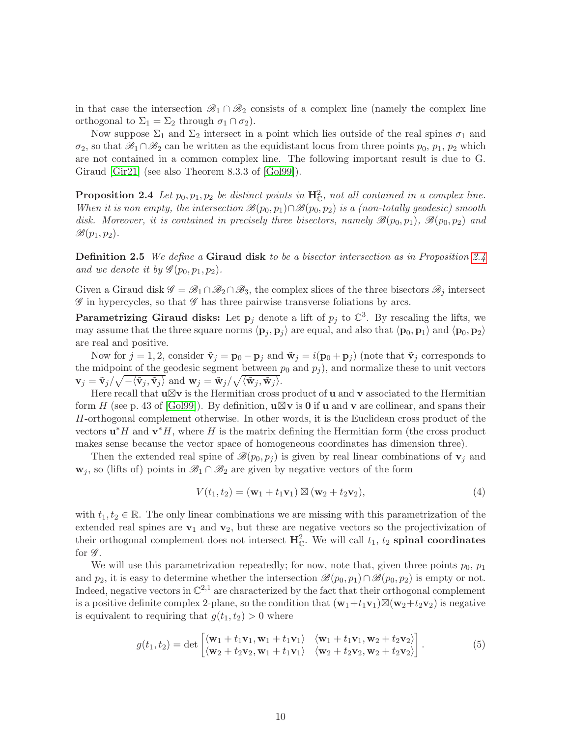in that case the intersection  $\mathscr{B}_1 \cap \mathscr{B}_2$  consists of a complex line (namely the complex line orthogonal to  $\Sigma_1 = \Sigma_2$  through  $\sigma_1 \cap \sigma_2$ ).

Now suppose  $\Sigma_1$  and  $\Sigma_2$  intersect in a point which lies outside of the real spines  $\sigma_1$  and  $\sigma_2$ , so that  $\mathscr{B}_1 \cap \mathscr{B}_2$  can be written as the equidistant locus from three points  $p_0, p_1, p_2$  which are not contained in a common complex line. The following important result is due to G. Giraud [\[Gir21\]](#page-75-13) (see also Theorem 8.3.3 of [\[Gol99\]](#page-75-12)).

<span id="page-9-0"></span>**Proposition 2.4** Let  $p_0, p_1, p_2$  be distinct points in  $\mathbf{H}_{\mathbb{C}}^2$ , not all contained in a complex line. When it is non empty, the intersection  $\mathscr{B}(p_0, p_1) \cap \mathscr{B}(p_0, p_2)$  is a (non-totally geodesic) smooth disk. Moreover, it is contained in precisely three bisectors, namely  $\mathscr{B}(p_0, p_1)$ ,  $\mathscr{B}(p_0, p_2)$  and  $\mathscr{B}(p_1, p_2)$ .

Definition 2.5 We define a Giraud disk to be a bisector intersection as in Proposition [2.4](#page-9-0) and we denote it by  $\mathscr{G}(p_0, p_1, p_2)$ .

Given a Giraud disk  $\mathscr{G} = \mathscr{B}_1 \cap \mathscr{B}_2 \cap \mathscr{B}_3$ , the complex slices of the three bisectors  $\mathscr{B}_i$  intersect  $\mathscr G$  in hypercycles, so that  $\mathscr G$  has three pairwise transverse foliations by arcs.

Parametrizing Giraud disks: Let  $p_j$  denote a lift of  $p_j$  to  $\mathbb{C}^3$ . By rescaling the lifts, we may assume that the three square norms  $\langle \mathbf{p}_j, \mathbf{p}_j \rangle$  are equal, and also that  $\langle \mathbf{p}_0, \mathbf{p}_1 \rangle$  and  $\langle \mathbf{p}_0, \mathbf{p}_2 \rangle$ are real and positive.

Now for  $j = 1, 2$ , consider  $\tilde{\mathbf{v}}_j = \mathbf{p}_0 - \mathbf{p}_j$  and  $\tilde{\mathbf{w}}_j = i(\mathbf{p}_0 + \mathbf{p}_j)$  (note that  $\tilde{\mathbf{v}}_j$  corresponds to the midpoint of the geodesic segment between  $p_0$  and  $p_j$ ), and normalize these to unit vectors  $\mathbf{v}_j = \tilde{\mathbf{v}}_j / \sqrt{-\langle \tilde{\mathbf{v}}_j, \tilde{\mathbf{v}}_j \rangle}$  and  $\mathbf{w}_j = \tilde{\mathbf{w}}_j / \sqrt{\langle \tilde{\mathbf{w}}_j, \tilde{\mathbf{w}}_j \rangle}$ .

Here recall that  $u\boxtimes v$  is the Hermitian cross product of u and v associated to the Hermitian form H (see p. 43 of [\[Gol99\]](#page-75-12)). By definition,  $\mathbf{u} \boxtimes \mathbf{v}$  is 0 if u and v are collinear, and spans their H-orthogonal complement otherwise. In other words, it is the Euclidean cross product of the vectors  $\mathbf{u}^* H$  and  $\mathbf{v}^* H$ , where H is the matrix defining the Hermitian form (the cross product makes sense because the vector space of homogeneous coordinates has dimension three).

Then the extended real spine of  $\mathscr{B}(p_0, p_i)$  is given by real linear combinations of  $\mathbf{v}_i$  and  $\mathbf{w}_j$ , so (lifts of) points in  $\mathscr{B}_1 \cap \mathscr{B}_2$  are given by negative vectors of the form

$$
V(t_1, t_2) = (\mathbf{w}_1 + t_1 \mathbf{v}_1) \boxtimes (\mathbf{w}_2 + t_2 \mathbf{v}_2), \tag{4}
$$

with  $t_1, t_2 \in \mathbb{R}$ . The only linear combinations we are missing with this parametrization of the extended real spines are  $v_1$  and  $v_2$ , but these are negative vectors so the projectivization of their orthogonal complement does not intersect  $\mathbf{H}_{\mathbb{C}}^2$ . We will call  $t_1$ ,  $t_2$  spinal coordinates for  $\mathscr G$ .

We will use this parametrization repeatedly; for now, note that, given three points  $p_0$ ,  $p_1$ and  $p_2$ , it is easy to determine whether the intersection  $\mathscr{B}(p_0, p_1) \cap \mathscr{B}(p_0, p_2)$  is empty or not. Indeed, negative vectors in  $\mathbb{C}^{2,1}$  are characterized by the fact that their orthogonal complement is a positive definite complex 2-plane, so the condition that  $(\mathbf{w}_1+t_1\mathbf{v}_1)\boxtimes(\mathbf{w}_2+t_2\mathbf{v}_2)$  is negative is equivalent to requiring that  $g(t_1, t_2) > 0$  where

$$
g(t_1, t_2) = \det \begin{bmatrix} \langle \mathbf{w}_1 + t_1 \mathbf{v}_1, \mathbf{w}_1 + t_1 \mathbf{v}_1 \rangle & \langle \mathbf{w}_1 + t_1 \mathbf{v}_1, \mathbf{w}_2 + t_2 \mathbf{v}_2 \rangle \\ \langle \mathbf{w}_2 + t_2 \mathbf{v}_2, \mathbf{w}_1 + t_1 \mathbf{v}_1 \rangle & \langle \mathbf{w}_2 + t_2 \mathbf{v}_2, \mathbf{w}_2 + t_2 \mathbf{v}_2 \rangle \end{bmatrix} . \tag{5}
$$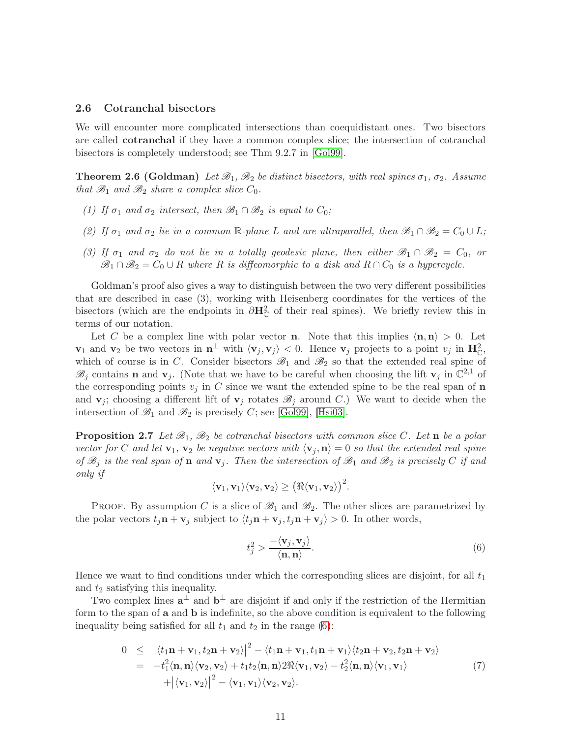#### 2.6 Cotranchal bisectors

We will encounter more complicated intersections than coequidistant ones. Two bisectors are called cotranchal if they have a common complex slice; the intersection of cotranchal bisectors is completely understood; see Thm 9.2.7 in [\[Gol99\]](#page-75-12).

**Theorem 2.6 (Goldman)** Let  $\mathscr{B}_1$ ,  $\mathscr{B}_2$  be distinct bisectors, with real spines  $\sigma_1$ ,  $\sigma_2$ . Assume that  $\mathscr{B}_1$  and  $\mathscr{B}_2$  share a complex slice  $C_0$ .

- (1) If  $\sigma_1$  and  $\sigma_2$  intersect, then  $\mathscr{B}_1 \cap \mathscr{B}_2$  is equal to  $C_0$ ;
- (2) If  $\sigma_1$  and  $\sigma_2$  lie in a common R-plane L and are ultraparallel, then  $\mathscr{B}_1 \cap \mathscr{B}_2 = C_0 \cup L$ ;
- (3) If  $\sigma_1$  and  $\sigma_2$  do not lie in a totally geodesic plane, then either  $\mathscr{B}_1 \cap \mathscr{B}_2 = C_0$ , or  $\mathscr{B}_1 \cap \mathscr{B}_2 = C_0 \cup R$  where R is diffeomorphic to a disk and  $R \cap C_0$  is a hypercycle.

Goldman's proof also gives a way to distinguish between the two very different possibilities that are described in case (3), working with Heisenberg coordinates for the vertices of the bisectors (which are the endpoints in  $\partial \mathbf{H}_{\mathbb{C}}^2$  of their real spines). We briefly review this in terms of our notation.

Let C be a complex line with polar vector **n**. Note that this implies  $\langle \mathbf{n}, \mathbf{n} \rangle > 0$ . Let  $\mathbf{v}_1$  and  $\mathbf{v}_2$  be two vectors in  $\mathbf{n}^{\perp}$  with  $\langle \mathbf{v}_j, \mathbf{v}_j \rangle < 0$ . Hence  $\mathbf{v}_j$  projects to a point  $v_j$  in  $\mathbf{H}_{\mathbb{C}}^2$ , which of course is in C. Consider bisectors  $\mathscr{B}_1$  and  $\mathscr{B}_2$  so that the extended real spine of  $\mathscr{B}_j$  contains **n** and **v**<sub>j</sub>. (Note that we have to be careful when choosing the lift **v**<sub>j</sub> in  $\mathbb{C}^{2,1}$  of the corresponding points  $v_i$  in C since we want the extended spine to be the real span of n and  $\mathbf{v}_j$ ; choosing a different lift of  $\mathbf{v}_j$  rotates  $\mathscr{B}_j$  around C.) We want to decide when the intersection of  $\mathscr{B}_1$  and  $\mathscr{B}_2$  is precisely C; see [\[Gol99\]](#page-75-12), [\[Hsi03\]](#page-75-14).

**Proposition 2.7** Let  $\mathcal{B}_1$ ,  $\mathcal{B}_2$  be cotranchal bisectors with common slice C. Let **n** be a polar vector for C and let  $\mathbf{v}_1, \mathbf{v}_2$  be negative vectors with  $\langle \mathbf{v}_i, \mathbf{n} \rangle = 0$  so that the extended real spine of  $\mathscr{B}_i$  is the real span of **n** and  $\mathbf{v}_i$ . Then the intersection of  $\mathscr{B}_1$  and  $\mathscr{B}_2$  is precisely C if and only if

$$
\langle \mathbf{v}_1, \mathbf{v}_1 \rangle \langle \mathbf{v}_2, \mathbf{v}_2 \rangle \geq \big( \Re \langle \mathbf{v}_1, \mathbf{v}_2 \rangle \big)^2.
$$

PROOF. By assumption C is a slice of  $\mathscr{B}_1$  and  $\mathscr{B}_2$ . The other slices are parametrized by the polar vectors  $t_i$ **n** + **v**<sub>j</sub> subject to  $\langle t_j$ **n** + **v**<sub>j</sub>,  $t_j$ **n** + **v**<sub>j</sub> $\rangle > 0$ . In other words,

<span id="page-10-0"></span>
$$
t_j^2 > \frac{-\langle \mathbf{v}_j, \mathbf{v}_j \rangle}{\langle \mathbf{n}, \mathbf{n} \rangle}.\tag{6}
$$

Hence we want to find conditions under which the corresponding slices are disjoint, for all  $t_1$ and  $t_2$  satisfying this inequality.

Two complex lines  $a^{\perp}$  and  $b^{\perp}$  are disjoint if and only if the restriction of the Hermitian form to the span of a and b is indefinite, so the above condition is equivalent to the following inequality being satisfied for all  $t_1$  and  $t_2$  in the range [\(6\)](#page-10-0):

<span id="page-10-1"></span>
$$
0 \leq \left| \langle t_1 \mathbf{n} + \mathbf{v}_1, t_2 \mathbf{n} + \mathbf{v}_2 \rangle \right|^2 - \langle t_1 \mathbf{n} + \mathbf{v}_1, t_1 \mathbf{n} + \mathbf{v}_1 \rangle \langle t_2 \mathbf{n} + \mathbf{v}_2, t_2 \mathbf{n} + \mathbf{v}_2 \rangle
$$
  
\n
$$
= -t_1^2 \langle \mathbf{n}, \mathbf{n} \rangle \langle \mathbf{v}_2, \mathbf{v}_2 \rangle + t_1 t_2 \langle \mathbf{n}, \mathbf{n} \rangle 2 \Re \langle \mathbf{v}_1, \mathbf{v}_2 \rangle - t_2^2 \langle \mathbf{n}, \mathbf{n} \rangle \langle \mathbf{v}_1, \mathbf{v}_1 \rangle
$$
  
\n
$$
+ \left| \langle \mathbf{v}_1, \mathbf{v}_2 \rangle \right|^2 - \langle \mathbf{v}_1, \mathbf{v}_1 \rangle \langle \mathbf{v}_2, \mathbf{v}_2 \rangle.
$$
 (7)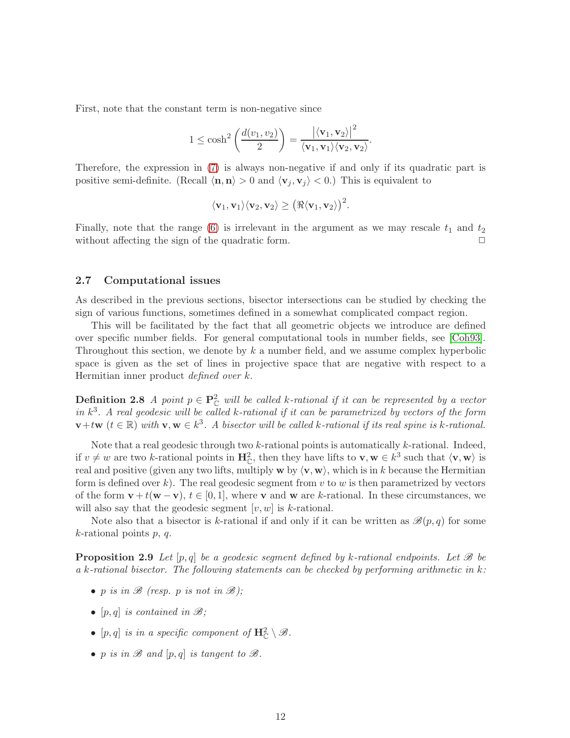First, note that the constant term is non-negative since

$$
1 \leq \cosh^2\left(\frac{d(v_1, v_2)}{2}\right) = \frac{\left|\langle \mathbf{v}_1, \mathbf{v}_2\rangle\right|^2}{\langle \mathbf{v}_1, \mathbf{v}_1\rangle \langle \mathbf{v}_2, \mathbf{v}_2\rangle}.
$$

Therefore, the expression in [\(7\)](#page-10-1) is always non-negative if and only if its quadratic part is positive semi-definite. (Recall  $\langle \mathbf{n}, \mathbf{n} \rangle > 0$  and  $\langle \mathbf{v}_i, \mathbf{v}_j \rangle < 0$ .) This is equivalent to

$$
\langle \mathbf{v}_1, \mathbf{v}_1 \rangle \langle \mathbf{v}_2, \mathbf{v}_2 \rangle \ge (\Re \langle \mathbf{v}_1, \mathbf{v}_2 \rangle)^2.
$$

Finally, note that the range [\(6\)](#page-10-0) is irrelevant in the argument as we may rescale  $t_1$  and  $t_2$ without affecting the sign of the quadratic form.  $\Box$ 

#### 2.7 Computational issues

As described in the previous sections, bisector intersections can be studied by checking the sign of various functions, sometimes defined in a somewhat complicated compact region.

This will be facilitated by the fact that all geometric objects we introduce are defined over specific number fields. For general computational tools in number fields, see [\[Coh93\]](#page-74-10). Throughout this section, we denote by k a number field, and we assume complex hyperbolic space is given as the set of lines in projective space that are negative with respect to a Hermitian inner product defined over k.

**Definition 2.8** A point  $p \in \mathbb{P}_{\mathbb{C}}^2$  will be called k-rational if it can be represented by a vector in  $k^3$ . A real geodesic will be called k-rational if it can be parametrized by vectors of the form  $\mathbf{v}+t\mathbf{w}$   $(t \in \mathbb{R})$  with  $\mathbf{v}, \mathbf{w} \in k^3$ . A bisector will be called k-rational if its real spine is k-rational.

Note that a real geodesic through two  $k$ -rational points is automatically  $k$ -rational. Indeed, if  $v \neq w$  are two k-rational points in  $\mathbf{H}_{\mathbb{C}}^2$ , then they have lifts to  $\mathbf{v}, \mathbf{w} \in k^3$  such that  $\langle \mathbf{v}, \mathbf{w} \rangle$  is real and positive (given any two lifts, multiply  $w$  by  $\langle v, w \rangle$ , which is in k because the Hermitian form is defined over k). The real geodesic segment from  $v$  to  $w$  is then parametrized by vectors of the form  $\mathbf{v} + t(\mathbf{w} - \mathbf{v}), t \in [0, 1],$  where  $\mathbf{v}$  and  $\mathbf{w}$  are k-rational. In these circumstances, we will also say that the geodesic segment  $[v, w]$  is k-rational.

Note also that a bisector is k-rational if and only if it can be written as  $\mathscr{B}(p,q)$  for some  $k$ -rational points  $p, q$ .

**Proposition 2.9** Let  $[p,q]$  be a geodesic segment defined by k-rational endpoints. Let  $\mathcal{B}$  be a k-rational bisector. The following statements can be checked by performing arithmetic in  $k$ :

- p is in  $\mathscr{B}$  (resp. p is not in  $\mathscr{B}$ );
- [p, q] is contained in  $\mathscr{B}$ ;
- [p, q] is in a specific component of  $\mathbf{H}_{\mathbb{C}}^2 \setminus \mathscr{B}$ .
- p is in  $\mathscr B$  and  $[p,q]$  is tangent to  $\mathscr B$ .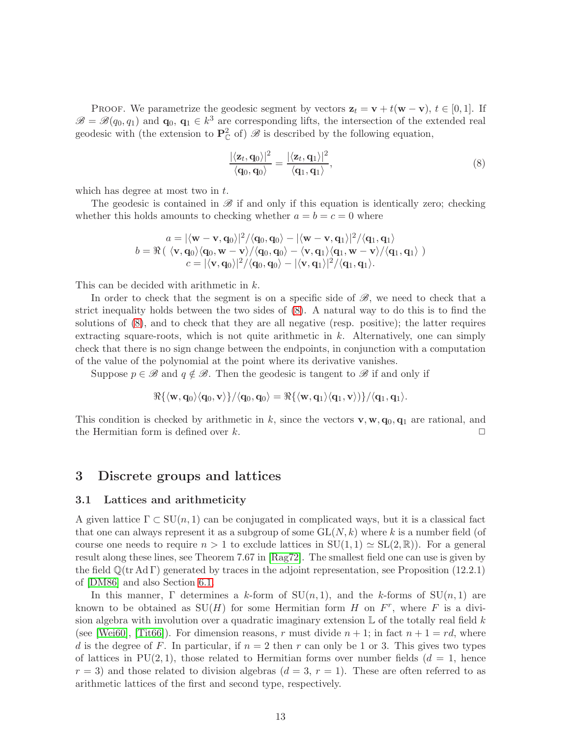PROOF. We parametrize the geodesic segment by vectors  $z_t = v + t(w - v)$ ,  $t \in [0, 1]$ . If  $\mathscr{B} = \mathscr{B}(q_0, q_1)$  and  $\mathbf{q}_0, \mathbf{q}_1 \in k^3$  are corresponding lifts, the intersection of the extended real geodesic with (the extension to  $\mathbf{P}_{\mathbb{C}}^2$  of)  $\mathscr{B}$  is described by the following equation,

<span id="page-12-1"></span>
$$
\frac{|\langle \mathbf{z}_t, \mathbf{q}_0 \rangle|^2}{\langle \mathbf{q}_0, \mathbf{q}_0 \rangle} = \frac{|\langle \mathbf{z}_t, \mathbf{q}_1 \rangle|^2}{\langle \mathbf{q}_1, \mathbf{q}_1 \rangle},\tag{8}
$$

which has degree at most two in t.

The geodesic is contained in  $\mathscr B$  if and only if this equation is identically zero; checking whether this holds amounts to checking whether  $a = b = c = 0$  where

$$
a = |\langle \mathbf{w} - \mathbf{v}, \mathbf{q}_0 \rangle|^2 / \langle \mathbf{q}_0, \mathbf{q}_0 \rangle - |\langle \mathbf{w} - \mathbf{v}, \mathbf{q}_1 \rangle|^2 / \langle \mathbf{q}_1, \mathbf{q}_1 \rangle
$$
  
\n
$$
b = \Re \left( \langle \mathbf{v}, \mathbf{q}_0 \rangle \langle \mathbf{q}_0, \mathbf{w} - \mathbf{v} \rangle / \langle \mathbf{q}_0, \mathbf{q}_0 \rangle - \langle \mathbf{v}, \mathbf{q}_1 \rangle \langle \mathbf{q}_1, \mathbf{w} - \mathbf{v} \rangle / \langle \mathbf{q}_1, \mathbf{q}_1 \rangle \right)
$$
  
\n
$$
c = |\langle \mathbf{v}, \mathbf{q}_0 \rangle|^2 / \langle \mathbf{q}_0, \mathbf{q}_0 \rangle - |\langle \mathbf{v}, \mathbf{q}_1 \rangle|^2 / \langle \mathbf{q}_1, \mathbf{q}_1 \rangle.
$$

This can be decided with arithmetic in k.

In order to check that the segment is on a specific side of  $\mathscr{B}$ , we need to check that a strict inequality holds between the two sides of [\(8\)](#page-12-1). A natural way to do this is to find the solutions of [\(8\)](#page-12-1), and to check that they are all negative (resp. positive); the latter requires extracting square-roots, which is not quite arithmetic in  $k$ . Alternatively, one can simply check that there is no sign change between the endpoints, in conjunction with a computation of the value of the polynomial at the point where its derivative vanishes.

Suppose  $p \in \mathscr{B}$  and  $q \notin \mathscr{B}$ . Then the geodesic is tangent to  $\mathscr{B}$  if and only if

$$
\Re{\{\langle \mathbf{w}, \mathbf{q}_0 \rangle \langle \mathbf{q}_0, \mathbf{v} \rangle\}} / \langle \mathbf{q}_0, \mathbf{q}_0 \rangle = \Re{\{\langle \mathbf{w}, \mathbf{q}_1 \rangle \langle \mathbf{q}_1, \mathbf{v} \rangle\}} / \langle \mathbf{q}_1, \mathbf{q}_1 \rangle.
$$

This condition is checked by arithmetic in k, since the vectors **v**, **w**,  $q_0$ ,  $q_1$  are rational, and the Hermitian form is defined over k.  $\Box$ 

## <span id="page-12-0"></span>3 Discrete groups and lattices

#### 3.1 Lattices and arithmeticity

A given lattice  $\Gamma \subset SU(n,1)$  can be conjugated in complicated ways, but it is a classical fact that one can always represent it as a subgroup of some  $GL(N, k)$  where k is a number field (of course one needs to require  $n > 1$  to exclude lattices in  $SU(1, 1) \simeq SL(2, \mathbb{R})$ . For a general result along these lines, see Theorem 7.67 in [\[Rag72\]](#page-76-12). The smallest field one can use is given by the field  $\mathbb{O}(\text{tr } \text{Ad } \Gamma)$  generated by traces in the adjoint representation, see Proposition (12.2.1) of [\[DM86\]](#page-74-3) and also Section [6.1.](#page-70-1)

In this manner,  $\Gamma$  determines a k-form of  $SU(n,1)$ , and the k-forms of  $SU(n,1)$  are known to be obtained as  $SU(H)$  for some Hermitian form H on  $F^r$ , where F is a division algebra with involution over a quadratic imaginary extension  $\mathbb{L}$  of the totally real field k (see [\[Wei60\]](#page-77-0), [\[Tit66\]](#page-77-1)). For dimension reasons, r must divide  $n + 1$ ; in fact  $n + 1 = rd$ , where d is the degree of F. In particular, if  $n = 2$  then r can only be 1 or 3. This gives two types of lattices in  $PU(2, 1)$ , those related to Hermitian forms over number fields  $(d = 1,$  hence  $r = 3$ ) and those related to division algebras  $(d = 3, r = 1)$ . These are often referred to as arithmetic lattices of the first and second type, respectively.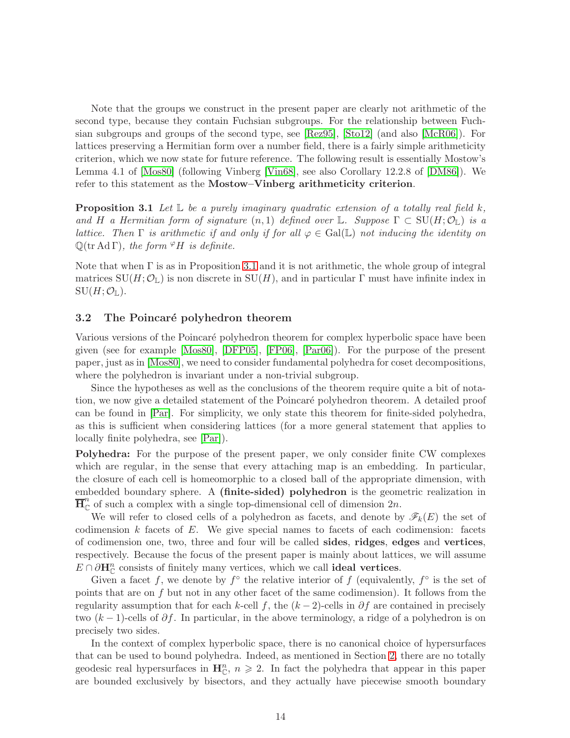Note that the groups we construct in the present paper are clearly not arithmetic of the second type, because they contain Fuchsian subgroups. For the relationship between Fuchsian subgroups and groups of the second type, see [\[Rez95\]](#page-76-13), [\[Sto12\]](#page-76-14) (and also [\[McR06\]](#page-76-15)). For lattices preserving a Hermitian form over a number field, there is a fairly simple arithmeticity criterion, which we now state for future reference. The following result is essentially Mostow's Lemma 4.1 of [\[Mos80\]](#page-76-0) (following Vinberg [\[Vin68\]](#page-77-2), see also Corollary 12.2.8 of [\[DM86\]](#page-74-3)). We refer to this statement as the Mostow–Vinberg arithmeticity criterion.

<span id="page-13-0"></span>**Proposition 3.1** Let  $\mathbb{L}$  be a purely imaginary quadratic extension of a totally real field k, and H a Hermitian form of signature  $(n,1)$  defined over L. Suppose  $\Gamma \subset \mathrm{SU}(H;\mathcal{O}_{\mathbb{L}})$  is a lattice. Then  $\Gamma$  is arithmetic if and only if for all  $\varphi \in \text{Gal}(\mathbb{L})$  not inducing the identity on  $\mathbb{Q}(\text{tr} \, \text{Ad} \, \Gamma)$ , the form  $\mathscr{P}H$  is definite.

Note that when  $\Gamma$  is as in Proposition [3.1](#page-13-0) and it is not arithmetic, the whole group of integral matrices  $SU(H; \mathcal{O}_\mathbb{L})$  is non discrete in  $SU(H)$ , and in particular  $\Gamma$  must have infinite index in  $SU(H; \mathcal{O}_\mathbb{L}).$ 

#### <span id="page-13-1"></span>3.2 The Poincaré polyhedron theorem

Various versions of the Poincaré polyhedron theorem for complex hyperbolic space have been given (see for example [\[Mos80\]](#page-76-0), [\[DFP05\]](#page-74-5), [\[FP06\]](#page-75-7), [\[Par06\]](#page-76-3)). For the purpose of the present paper, just as in [\[Mos80\]](#page-76-0), we need to consider fundamental polyhedra for coset decompositions, where the polyhedron is invariant under a non-trivial subgroup.

Since the hypotheses as well as the conclusions of the theorem require quite a bit of notation, we now give a detailed statement of the Poincar´e polyhedron theorem. A detailed proof can be found in [\[Par\]](#page-76-16). For simplicity, we only state this theorem for finite-sided polyhedra, as this is sufficient when considering lattices (for a more general statement that applies to locally finite polyhedra, see [\[Par\]](#page-76-16)).

Polyhedra: For the purpose of the present paper, we only consider finite CW complexes which are regular, in the sense that every attaching map is an embedding. In particular, the closure of each cell is homeomorphic to a closed ball of the appropriate dimension, with embedded boundary sphere. A (finite-sided) polyhedron is the geometric realization in  $\overline{\mathbf{H}}_{\mathbb{C}}^{n}$  of such a complex with a single top-dimensional cell of dimension  $2n$ .

We will refer to closed cells of a polyhedron as facets, and denote by  $\mathscr{F}_k(E)$  the set of codimension  $k$  facets of  $E$ . We give special names to facets of each codimension: facets of codimension one, two, three and four will be called sides, ridges, edges and vertices, respectively. Because the focus of the present paper is mainly about lattices, we will assume  $E \cap \partial \mathbf{H}_{\mathbb{C}}^n$  consists of finitely many vertices, which we call **ideal vertices**.

Given a facet f, we denote by  $f^{\circ}$  the relative interior of f (equivalently,  $f^{\circ}$  is the set of points that are on f but not in any other facet of the same codimension). It follows from the regularity assumption that for each k-cell f, the  $(k-2)$ -cells in  $\partial f$  are contained in precisely two  $(k-1)$ -cells of  $\partial f$ . In particular, in the above terminology, a ridge of a polyhedron is on precisely two sides.

In the context of complex hyperbolic space, there is no canonical choice of hypersurfaces that can be used to bound polyhedra. Indeed, as mentioned in Section [2,](#page-5-0) there are no totally geodesic real hypersurfaces in  $\mathbf{H}_{\mathbb{C}}^n$ ,  $n \geq 2$ . In fact the polyhedra that appear in this paper are bounded exclusively by bisectors, and they actually have piecewise smooth boundary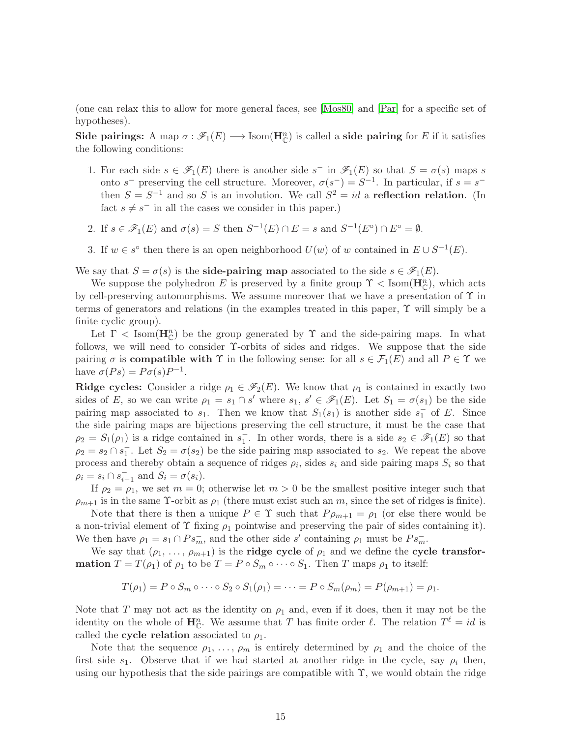(one can relax this to allow for more general faces, see [\[Mos80\]](#page-76-0) and [\[Par\]](#page-76-16) for a specific set of hypotheses).

Side pairings: A map  $\sigma : \mathscr{F}_1(E) \longrightarrow \text{Isom}(\mathbf{H}_{\mathbb{C}}^n)$  is called a side pairing for E if it satisfies the following conditions:

- 1. For each side  $s \in \mathscr{F}_1(E)$  there is another side  $s^-$  in  $\mathscr{F}_1(E)$  so that  $S = \sigma(s)$  maps s onto s<sup>-</sup> preserving the cell structure. Moreover,  $\sigma(s^-) = S^{-1}$ . In particular, if  $s = s^$ then  $S = S^{-1}$  and so S is an involution. We call  $S^2 = id$  a reflection relation. (In fact  $s \neq s^-$  in all the cases we consider in this paper.)
- 2. If  $s \in \mathscr{F}_1(E)$  and  $\sigma(s) = S$  then  $S^{-1}(E) \cap E = s$  and  $S^{-1}(E^{\circ}) \cap E^{\circ} = \emptyset$ .
- 3. If  $w \in s^{\circ}$  then there is an open neighborhood  $U(w)$  of w contained in  $E \cup S^{-1}(E)$ .

We say that  $S = \sigma(s)$  is the **side-pairing map** associated to the side  $s \in \mathcal{F}_1(E)$ .

We suppose the polyhedron E is preserved by a finite group  $\Upsilon <$  Isom $(\mathbf{H}_{\mathbb{C}}^n)$ , which acts by cell-preserving automorphisms. We assume moreover that we have a presentation of  $\Upsilon$  in terms of generators and relations (in the examples treated in this paper, Υ will simply be a finite cyclic group).

Let  $\Gamma$  < Isom( $\mathbf{H}_{\mathbb{C}}^n$ ) be the group generated by  $\Upsilon$  and the side-pairing maps. In what follows, we will need to consider Υ-orbits of sides and ridges. We suppose that the side pairing  $\sigma$  is **compatible with**  $\Upsilon$  in the following sense: for all  $s \in \mathcal{F}_1(E)$  and all  $P \in \Upsilon$  we have  $\sigma(Ps) = P\sigma(s)P^{-1}$ .

**Ridge cycles:** Consider a ridge  $\rho_1 \in \mathcal{F}_2(E)$ . We know that  $\rho_1$  is contained in exactly two sides of E, so we can write  $\rho_1 = s_1 \cap s'$  where  $s_1, s' \in \mathscr{F}_1(E)$ . Let  $S_1 = \sigma(s_1)$  be the side pairing map associated to  $s_1$ . Then we know that  $S_1(s_1)$  is another side  $s_1^-$  of E. Since the side pairing maps are bijections preserving the cell structure, it must be the case that  $\rho_2 = S_1(\rho_1)$  is a ridge contained in  $s_1^-$ . In other words, there is a side  $s_2 \in \mathscr{F}_1(E)$  so that  $\rho_2 = s_2 \cap s_1^-$ . Let  $S_2 = \sigma(s_2)$  be the side pairing map associated to  $s_2$ . We repeat the above process and thereby obtain a sequence of ridges  $\rho_i$ , sides  $s_i$  and side pairing maps  $S_i$  so that  $\rho_i = s_i \cap s_{i-1}^-$  and  $S_i = \sigma(s_i)$ .

If  $\rho_2 = \rho_1$ , we set  $m = 0$ ; otherwise let  $m > 0$  be the smallest positive integer such that  $\rho_{m+1}$  is in the same Y-orbit as  $\rho_1$  (there must exist such an m, since the set of ridges is finite).

Note that there is then a unique  $P \in \Upsilon$  such that  $P \rho_{m+1} = \rho_1$  (or else there would be a non-trivial element of  $\Upsilon$  fixing  $\rho_1$  pointwise and preserving the pair of sides containing it). We then have  $\rho_1 = s_1 \cap Ps_m^-$ , and the other side s' containing  $\rho_1$  must be  $Ps_m^-$ .

We say that  $(\rho_1, \ldots, \rho_{m+1})$  is the **ridge cycle** of  $\rho_1$  and we define the **cycle transformation**  $T = T(\rho_1)$  of  $\rho_1$  to be  $T = P \circ S_m \circ \cdots \circ S_1$ . Then T maps  $\rho_1$  to itself:

$$
T(\rho_1) = P \circ S_m \circ \cdots \circ S_2 \circ S_1(\rho_1) = \cdots = P \circ S_m(\rho_m) = P(\rho_{m+1}) = \rho_1.
$$

Note that T may not act as the identity on  $\rho_1$  and, even if it does, then it may not be the identity on the whole of  $\mathbf{H}_{\mathbb{C}}^n$ . We assume that T has finite order  $\ell$ . The relation  $T^{\ell} = id$  is called the **cycle relation** associated to  $\rho_1$ .

Note that the sequence  $\rho_1, \ldots, \rho_m$  is entirely determined by  $\rho_1$  and the choice of the first side  $s_1$ . Observe that if we had started at another ridge in the cycle, say  $\rho_i$  then, using our hypothesis that the side pairings are compatible with  $\Upsilon$ , we would obtain the ridge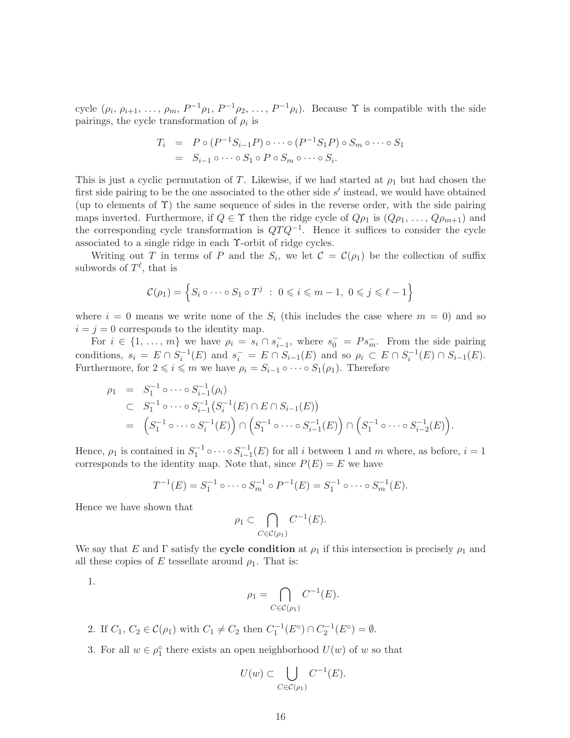cycle  $(\rho_i, \rho_{i+1}, \ldots, \rho_m, P^{-1}\rho_1, P^{-1}\rho_2, \ldots, P^{-1}\rho_i)$ . Because  $\Upsilon$  is compatible with the side pairings, the cycle transformation of  $\rho_i$  is

$$
T_i = P \circ (P^{-1}S_{i-1}P) \circ \cdots \circ (P^{-1}S_1P) \circ S_m \circ \cdots \circ S_1
$$
  
=  $S_{i-1} \circ \cdots \circ S_1 \circ P \circ S_m \circ \cdots \circ S_i$ .

This is just a cyclic permutation of T. Likewise, if we had started at  $\rho_1$  but had chosen the first side pairing to be the one associated to the other side s' instead, we would have obtained (up to elements of  $\Upsilon$ ) the same sequence of sides in the reverse order, with the side pairing maps inverted. Furthermore, if  $Q \in \Upsilon$  then the ridge cycle of  $Q\rho_1$  is  $(Q\rho_1, \ldots, Q\rho_{m+1})$  and the corresponding cycle transformation is  $QTQ^{-1}$ . Hence it suffices to consider the cycle associated to a single ridge in each Υ-orbit of ridge cycles.

Writing out T in terms of P and the  $S_i$ , we let  $\mathcal{C} = \mathcal{C}(\rho_1)$  be the collection of suffix subwords of  $T^{\ell}$ , that is

$$
\mathcal{C}(\rho_1) = \left\{ S_i \circ \cdots \circ S_1 \circ T^j \ : \ 0 \leqslant i \leqslant m-1, \ 0 \leqslant j \leqslant \ell - 1 \right\}
$$

where  $i = 0$  means we write none of the  $S_i$  (this includes the case where  $m = 0$ ) and so  $i = j = 0$  corresponds to the identity map.

For  $i \in \{1, \ldots, m\}$  we have  $\rho_i = s_i \cap \overline{s_{i-1}}$ , where  $s_0^- = Ps_m^-$ . From the side pairing conditions,  $s_i = E \cap S_i^{-1}(E)$  and  $s_i^- = E \cap S_{i-1}(E)$  and so  $\rho_i \subset E \cap S_i^{-1}(E) \cap S_{i-1}(E)$ . Furthermore, for  $2 \leq i \leq m$  we have  $\rho_i = S_{i-1} \circ \cdots \circ S_1(\rho_1)$ . Therefore

$$
\rho_1 = S_1^{-1} \circ \cdots \circ S_{i-1}^{-1}(\rho_i)
$$
  
\n
$$
\subset S_1^{-1} \circ \cdots \circ S_{i-1}^{-1} (S_i^{-1}(E) \cap E \cap S_{i-1}(E))
$$
  
\n
$$
= (S_1^{-1} \circ \cdots \circ S_i^{-1}(E)) \cap (S_1^{-1} \circ \cdots \circ S_{i-1}^{-1}(E)) \cap (S_1^{-1} \circ \cdots \circ S_{i-2}^{-1}(E)).
$$

Hence,  $\rho_1$  is contained in  $S_1^{-1} \circ \cdots \circ S_{i-1}^{-1}(E)$  for all *i* between 1 and *m* where, as before,  $i = 1$ corresponds to the identity map. Note that, since  $P(E) = E$  we have

$$
T^{-1}(E) = S_1^{-1} \circ \cdots \circ S_m^{-1} \circ P^{-1}(E) = S_1^{-1} \circ \cdots \circ S_m^{-1}(E).
$$

Hence we have shown that

$$
\rho_1 \subset \bigcap_{C \in \mathcal{C}(\rho_1)} C^{-1}(E).
$$

We say that E and  $\Gamma$  satisfy the **cycle condition** at  $\rho_1$  if this intersection is precisely  $\rho_1$  and all these copies of E tessellate around  $\rho_1$ . That is:

1.

$$
\rho_1 = \bigcap_{C \in \mathcal{C}(\rho_1)} C^{-1}(E).
$$

- 2. If  $C_1, C_2 \in \mathcal{C}(\rho_1)$  with  $C_1 \neq C_2$  then  $C_1^{-1}(E^{\circ}) \cap C_2^{-1}(E^{\circ}) = \emptyset$ .
- 3. For all  $w \in \rho_1^{\circ}$  there exists an open neighborhood  $U(w)$  of w so that

$$
U(w) \subset \bigcup_{C \in \mathcal{C}(\rho_1)} C^{-1}(E).
$$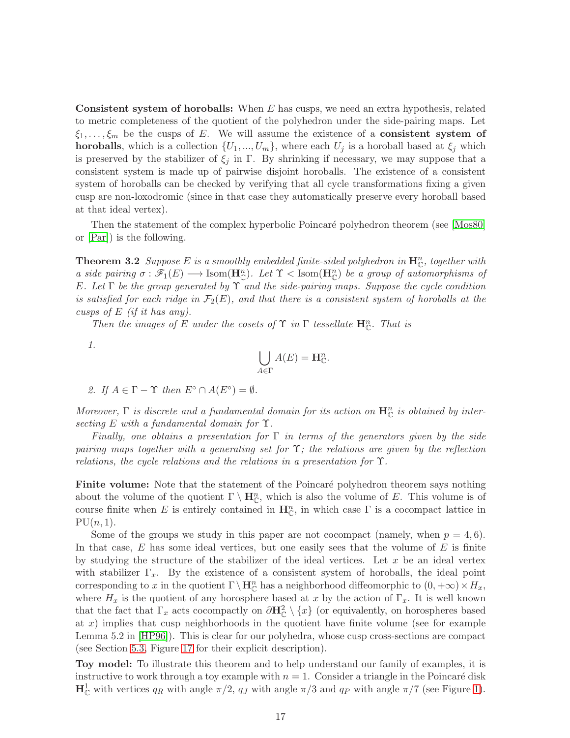**Consistent system of horoballs:** When  $E$  has cusps, we need an extra hypothesis, related to metric completeness of the quotient of the polyhedron under the side-pairing maps. Let  $\xi_1, \ldots, \xi_m$  be the cusps of E. We will assume the existence of a **consistent system of horoballs**, which is a collection  $\{U_1, ..., U_m\}$ , where each  $U_j$  is a horoball based at  $\xi_j$  which is preserved by the stabilizer of  $\xi_i$  in Γ. By shrinking if necessary, we may suppose that a consistent system is made up of pairwise disjoint horoballs. The existence of a consistent system of horoballs can be checked by verifying that all cycle transformations fixing a given cusp are non-loxodromic (since in that case they automatically preserve every horoball based at that ideal vertex).

<span id="page-16-0"></span>Then the statement of the complex hyperbolic Poincaré polyhedron theorem (see [\[Mos80\]](#page-76-0) or [\[Par\]](#page-76-16)) is the following.

**Theorem 3.2** Suppose E is a smoothly embedded finite-sided polyhedron in  $\mathbf{H}_{\mathbb{C}}^n$ , together with a side pairing  $\sigma : \mathscr{F}_1(E) \longrightarrow \text{Isom}(\mathbf{H}_{\mathbb{C}}^n)$ . Let  $\Upsilon$  < Isom $(\mathbf{H}_{\mathbb{C}}^n)$  be a group of automorphisms of E. Let  $\Gamma$  be the group generated by  $\Upsilon$  and the side-pairing maps. Suppose the cycle condition is satisfied for each ridge in  $\mathcal{F}_2(E)$ , and that there is a consistent system of horoballs at the cusps of  $E$  (if it has any).

Then the images of E under the cosets of  $\Upsilon$  in  $\Gamma$  tessellate  $\mathbf{H}_{\mathbb{C}}^{n}$ . That is

1.

$$
\bigcup_{A\in\Gamma}A(E)=\mathbf{H}_{\mathbb{C}}^{n}.
$$

2. If  $A \in \Gamma - \Upsilon$  then  $E^{\circ} \cap A(E^{\circ}) = \emptyset$ .

Moreover,  $\Gamma$  is discrete and a fundamental domain for its action on  $\mathbf{H}_{\mathbb{C}}^n$  is obtained by intersecting E with a fundamental domain for  $\Upsilon$ .

Finally, one obtains a presentation for  $\Gamma$  in terms of the generators given by the side pairing maps together with a generating set for  $\Upsilon$ ; the relations are given by the reflection relations, the cycle relations and the relations in a presentation for  $\Upsilon$ .

**Finite volume:** Note that the statement of the Poincaré polyhedron theorem says nothing about the volume of the quotient  $\Gamma \setminus \mathbf{H}_{\mathbb{C}}^n$ , which is also the volume of E. This volume is of course finite when E is entirely contained in  $\mathbf{H}_{\mathbb{C}}^n$ , in which case  $\Gamma$  is a cocompact lattice in  $PU(n, 1)$ .

Some of the groups we study in this paper are not cocompact (namely, when  $p = 4, 6$ ). In that case,  $E$  has some ideal vertices, but one easily sees that the volume of  $E$  is finite by studying the structure of the stabilizer of the ideal vertices. Let  $x$  be an ideal vertex with stabilizer  $\Gamma_x$ . By the existence of a consistent system of horoballs, the ideal point corresponding to x in the quotient  $\Gamma \setminus \mathbf{H}_{\mathbb{C}}^n$  has a neighborhood diffeomorphic to  $(0, +\infty) \times H_x$ , where  $H_x$  is the quotient of any horosphere based at x by the action of  $\Gamma_x$ . It is well known that the fact that  $\Gamma_x$  acts cocompactly on  $\partial \mathbf{H}_{\mathbb{C}}^2 \setminus \{x\}$  (or equivalently, on horospheres based at x) implies that cusp neighborhoods in the quotient have finite volume (see for example Lemma 5.2 in [\[HP96\]](#page-75-15)). This is clear for our polyhedra, whose cusp cross-sections are compact (see Section [5.3,](#page-63-0) Figure [17](#page-66-0) for their explicit description).

Toy model: To illustrate this theorem and to help understand our family of examples, it is instructive to work through a toy example with  $n = 1$ . Consider a triangle in the Poincaré disk  $\mathbf{H}_{\mathbb{C}}^1$  with vertices  $q_R$  with angle  $\pi/2$ ,  $q_J$  with angle  $\pi/3$  and  $q_P$  with angle  $\pi/7$  (see Figure [1\)](#page-17-0).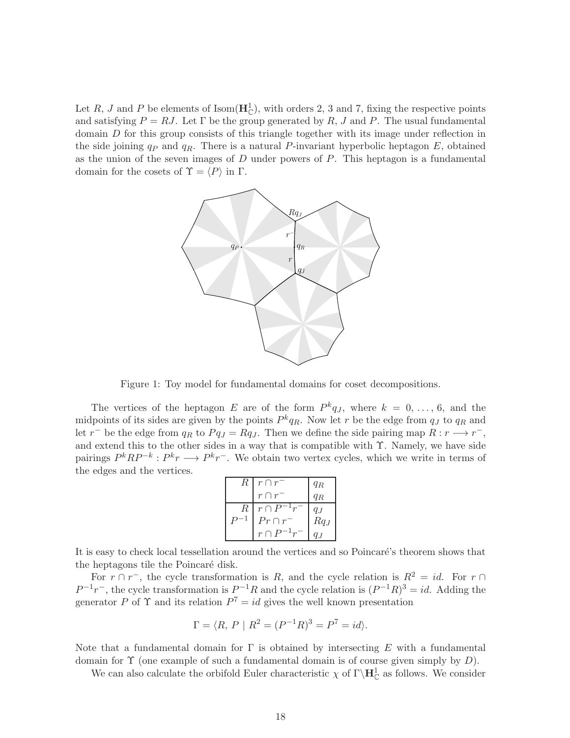Let R, J and P be elements of Isom $(\mathbf{H}_{\mathbb{C}}^1)$ , with orders 2, 3 and 7, fixing the respective points and satisfying  $P = RJ$ . Let  $\Gamma$  be the group generated by R, J and P. The usual fundamental domain D for this group consists of this triangle together with its image under reflection in the side joining  $q_P$  and  $q_R$ . There is a natural P-invariant hyperbolic heptagon E, obtained as the union of the seven images of  $D$  under powers of  $P$ . This heptagon is a fundamental domain for the cosets of  $\Upsilon = \langle P \rangle$  in Γ.



<span id="page-17-0"></span>Figure 1: Toy model for fundamental domains for coset decompositions.

The vertices of the heptagon E are of the form  $P^k q_J$ , where  $k = 0, \ldots, 6$ , and the midpoints of its sides are given by the points  $P^k q_R$ . Now let r be the edge from  $q_J$  to  $q_R$  and let  $r^-$  be the edge from  $q_R$  to  $Pq_J = Rq_J$ . Then we define the side pairing map  $R: r \longrightarrow r^-$ , and extend this to the other sides in a way that is compatible with  $\Upsilon$ . Namely, we have side pairings  $P^kRP^{-k}: P^kr \longrightarrow P^kr^-$ . We obtain two vertex cycles, which we write in terms of the edges and the vertices.

| $R_{\parallel}$ | $r \cap r$       | $q_R$   |
|-----------------|------------------|---------|
|                 | $r \cap r^-$     | $q_R$   |
| $R_{\parallel}$ | $r \cap P^{-1}r$ | $q_{J}$ |
|                 | $Pr \cap r^{-}$  | $Rq_J$  |
|                 | $r \cap P^{-1}r$ |         |

It is easy to check local tessellation around the vertices and so Poincaré's theorem shows that the heptagons tile the Poincaré disk.

For  $r \cap r^-$ , the cycle transformation is R, and the cycle relation is  $R^2 = id$ . For  $r \cap$  $P^{-1}r^{-}$ , the cycle transformation is  $P^{-1}R$  and the cycle relation is  $(P^{-1}R)^3 = id$ . Adding the generator P of  $\Upsilon$  and its relation  $P^7 = id$  gives the well known presentation

$$
\Gamma = \langle R, P \mid R^2 = (P^{-1}R)^3 = P^7 = id \rangle.
$$

Note that a fundamental domain for  $\Gamma$  is obtained by intersecting E with a fundamental domain for  $\Upsilon$  (one example of such a fundamental domain is of course given simply by D).

We can also calculate the orbifold Euler characteristic  $\chi$  of  $\Gamma\backslash\mathbf{H}_{\mathbb{C}}^1$  as follows. We consider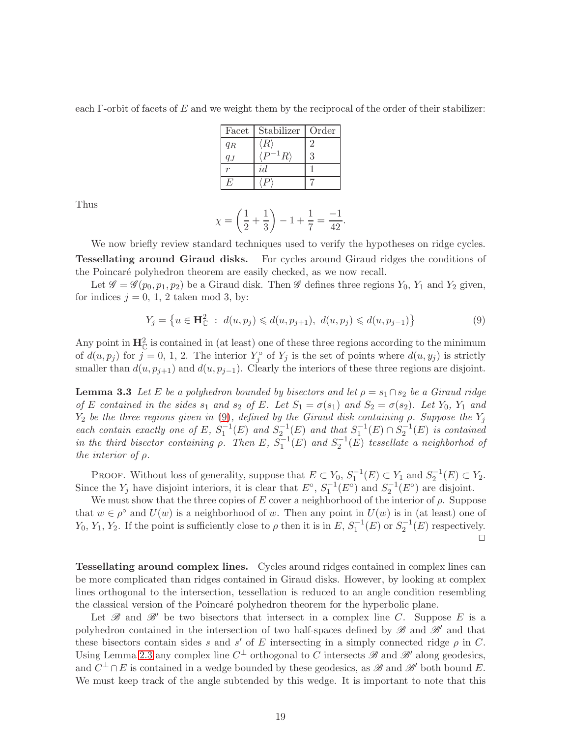each Γ-orbit of facets of E and we weight them by the reciprocal of the order of their stabilizer:

| Facet | Stabilizer         | Order |
|-------|--------------------|-------|
| $q_R$ | $\langle R\rangle$ |       |
|       | $^{1}R\rangle$     | 3     |
|       | id                 |       |
| Η,    |                    |       |

Thus

$$
\chi = \left(\frac{1}{2} + \frac{1}{3}\right) - 1 + \frac{1}{7} = \frac{-1}{42}.
$$

We now briefly review standard techniques used to verify the hypotheses on ridge cycles. Tessellating around Giraud disks. For cycles around Giraud ridges the conditions of the Poincaré polyhedron theorem are easily checked, as we now recall.

Let  $\mathscr{G} = \mathscr{G}(p_0, p_1, p_2)$  be a Giraud disk. Then  $\mathscr{G}$  defines three regions  $Y_0, Y_1$  and  $Y_2$  given, for indices  $j = 0, 1, 2$  taken mod 3, by:

<span id="page-18-0"></span>
$$
Y_j = \{ u \in \mathbf{H}_{\mathbb{C}}^2 : d(u, p_j) \leq d(u, p_{j+1}), d(u, p_j) \leq d(u, p_{j-1}) \}
$$
\n(9)

Any point in  $\mathbf{H}_{\mathbb{C}}^2$  is contained in (at least) one of these three regions according to the minimum of  $d(u, p_j)$  for  $j = 0, 1, 2$ . The interior  $Y_j^{\circ}$  of  $Y_j$  is the set of points where  $d(u, y_j)$  is strictly smaller than  $d(u, p_{j+1})$  and  $d(u, p_{j-1})$ . Clearly the interiors of these three regions are disjoint.

**Lemma 3.3** Let E be a polyhedron bounded by bisectors and let  $\rho = s_1 \cap s_2$  be a Giraud ridge of E contained in the sides  $s_1$  and  $s_2$  of E. Let  $S_1 = \sigma(s_1)$  and  $S_2 = \sigma(s_2)$ . Let  $Y_0$ ,  $Y_1$  and  $Y_2$  be the three regions given in [\(9\)](#page-18-0), defined by the Giraud disk containing  $\rho$ . Suppose the  $Y_j$ each contain exactly one of E,  $S_1^{-1}(E)$  and  $S_2^{-1}(E)$  and that  $S_1^{-1}(E) \cap S_2^{-1}(E)$  is contained in the third bisector containing  $\rho$ . Then E,  $S_1^{-1}(E)$  and  $S_2^{-1}(E)$  tessellate a neighborhod of the interior of  $\rho$ .

PROOF. Without loss of generality, suppose that  $E \subset Y_0$ ,  $S_1^{-1}(E) \subset Y_1$  and  $S_2^{-1}(E) \subset Y_2$ . Since the  $Y_j$  have disjoint interiors, it is clear that  $E^{\circ}$ ,  $S_1^{-1}(E^{\circ})$  and  $S_2^{-1}(E^{\circ})$  are disjoint.

We must show that the three copies of E cover a neighborhood of the interior of  $\rho$ . Suppose that  $w \in \rho^{\circ}$  and  $U(w)$  is a neighborhood of w. Then any point in  $U(w)$  is in (at least) one of  $Y_0, Y_1, Y_2$ . If the point is sufficiently close to  $\rho$  then it is in E,  $S_1^{-1}(E)$  or  $S_2^{-1}(E)$  respectively.  $\Box$ 

Tessellating around complex lines. Cycles around ridges contained in complex lines can be more complicated than ridges contained in Giraud disks. However, by looking at complex lines orthogonal to the intersection, tessellation is reduced to an angle condition resembling the classical version of the Poincaré polyhedron theorem for the hyperbolic plane.

Let  $\mathscr{B}$  and  $\mathscr{B}'$  be two bisectors that intersect in a complex line C. Suppose E is a polyhedron contained in the intersection of two half-spaces defined by  $\mathscr{B}$  and  $\mathscr{B}'$  and that these bisectors contain sides s and s' of E intersecting in a simply connected ridge  $\rho$  in C. Using Lemma [2.3](#page-8-0) any complex line  $C^{\perp}$  orthogonal to C intersects  $\mathscr{B}$  and  $\mathscr{B}'$  along geodesics, and  $C^{\perp} \cap E$  is contained in a wedge bounded by these geodesics, as  $\mathscr{B}$  and  $\mathscr{B}'$  both bound E. We must keep track of the angle subtended by this wedge. It is important to note that this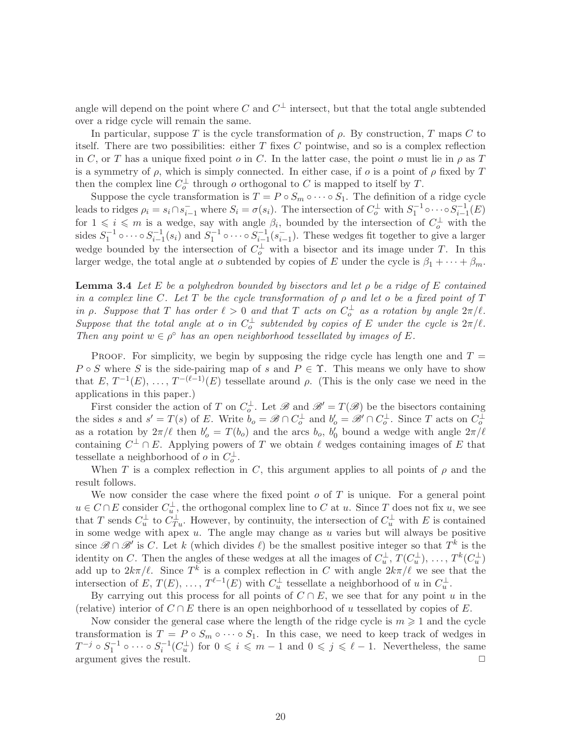angle will depend on the point where C and  $C^{\perp}$  intersect, but that the total angle subtended over a ridge cycle will remain the same.

In particular, suppose T is the cycle transformation of  $\rho$ . By construction, T maps C to itself. There are two possibilities: either  $T$  fixes  $C$  pointwise, and so is a complex reflection in C, or T has a unique fixed point o in C. In the latter case, the point o must lie in  $\rho$  as T is a symmetry of  $\rho$ , which is simply connected. In either case, if  $\rho$  is a point of  $\rho$  fixed by T then the complex line  $C_o^{\perp}$  through o orthogonal to C is mapped to itself by T.

Suppose the cycle transformation is  $T = P \circ S_m \circ \cdots \circ S_1$ . The definition of a ridge cycle leads to ridges  $\rho_i = s_i \cap \bar{s}_{i-1}$  where  $S_i = \sigma(s_i)$ . The intersection of  $C_o^{\perp}$  with  $S_1^{-1} \circ \cdots \circ S_{i-1}^{-1}(E)$ for  $1 \leq i \leq m$  is a wedge, say with angle  $\beta_i$ , bounded by the intersection of  $C_o^{\perp}$  with the sides  $S_1^{-1} \circ \cdots \circ S_{i-1}^{-1}(s_i)$  and  $S_1^{-1} \circ \cdots \circ S_{i-1}^{-1}(s_{i-1})$ . These wedges fit together to give a larger wedge bounded by the intersection of  $C_o^{\perp}$  with a bisector and its image under T. In this larger wedge, the total angle at o subtended by copies of E under the cycle is  $\beta_1 + \cdots + \beta_m$ .

**Lemma 3.4** Let E be a polyhedron bounded by bisectors and let  $\rho$  be a ridge of E contained in a complex line C. Let T be the cycle transformation of  $\rho$  and let  $o$  be a fixed point of T in  $\rho$ . Suppose that T has order  $\ell > 0$  and that T acts on  $C_o^{\perp}$  as a rotation by angle  $2\pi/\ell$ . Suppose that the total angle at o in  $C_o^{\perp}$  subtended by copies of E under the cycle is  $2\pi/l$ . Then any point  $w \in \rho^{\circ}$  has an open neighborhood tessellated by images of E.

PROOF. For simplicity, we begin by supposing the ridge cycle has length one and  $T =$  $P \circ S$  where S is the side-pairing map of s and  $P \in \Upsilon$ . This means we only have to show that  $E, T^{-1}(E), \ldots, T^{-(\ell-1)}(E)$  tessellate around  $\rho$ . (This is the only case we need in the applications in this paper.)

First consider the action of T on  $C_o^{\perp}$ . Let  $\mathscr{B}$  and  $\mathscr{B}' = T(\mathscr{B})$  be the bisectors containing the sides s and  $s' = T(s)$  of E. Write  $b_o = \mathscr{B} \cap C_o^{\perp}$  and  $b'_o = \mathscr{B}' \cap C_o^{\perp}$ . Since T acts on  $C_o^{\perp}$ as a rotation by  $2\pi/\ell$  then  $b'_o = T(b_o)$  and the arcs  $b_o$ ,  $b'_0$  bound a wedge with angle  $2\pi/\ell$ containing  $C^{\perp} \cap E$ . Applying powers of T we obtain  $\ell$  wedges containing images of E that tessellate a neighborhood of  $o$  in  $C_o^{\perp}$ .

When T is a complex reflection in C, this argument applies to all points of  $\rho$  and the result follows.

We now consider the case where the fixed point  $o$  of  $T$  is unique. For a general point  $u \in C \cap E$  consider  $C_u^{\perp}$ , the orthogonal complex line to C at u. Since T does not fix u, we see that T sends  $C_u^{\perp}$  to  $C_{Tu}^{\perp}$ . However, by continuity, the intersection of  $C_u^{\perp}$  with E is contained in some wedge with apex  $u$ . The angle may change as  $u$  varies but will always be positive since  $\mathscr{B} \cap \mathscr{B}'$  is C. Let k (which divides  $\ell$ ) be the smallest positive integer so that  $T^k$  is the identity on C. Then the angles of these wedges at all the images of  $C_u^{\perp}$ ,  $T(C_u^{\perp})$ , ...,  $T^k(C_u^{\perp})$ add up to  $2k\pi/\ell$ . Since  $T^k$  is a complex reflection in C with angle  $2k\pi/\ell$  we see that the intersection of E,  $T(E), \ldots, T^{\ell-1}(E)$  with  $C_u^{\perp}$  tessellate a neighborhood of u in  $C_u^{\perp}$ .

By carrying out this process for all points of  $C \cap E$ , we see that for any point u in the (relative) interior of  $C \cap E$  there is an open neighborhood of u tessellated by copies of E.

Now consider the general case where the length of the ridge cycle is  $m \geq 1$  and the cycle transformation is  $T = P \circ S_m \circ \cdots \circ S_1$ . In this case, we need to keep track of wedges in  $T^{-j} \circ S_1^{-1} \circ \cdots \circ S_i^{-1}(C_u^{\perp})$  for  $0 \leq i \leq m-1$  and  $0 \leq j \leq \ell-1$ . Nevertheless, the same argument gives the result.  $\Box$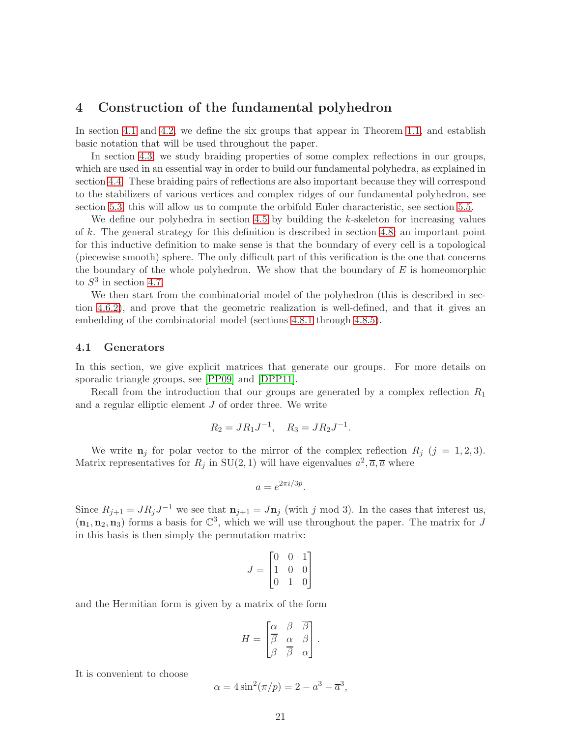## <span id="page-20-0"></span>4 Construction of the fundamental polyhedron

In section [4.1](#page-20-1) and [4.2,](#page-22-1) we define the six groups that appear in Theorem [1.1,](#page-3-0) and establish basic notation that will be used throughout the paper.

In section [4.3,](#page-22-0) we study braiding properties of some complex reflections in our groups, which are used in an essential way in order to build our fundamental polyhedra, as explained in section [4.4.](#page-25-0) These braiding pairs of reflections are also important because they will correspond to the stabilizers of various vertices and complex ridges of our fundamental polyhedron, see section [5.3;](#page-63-0) this will allow us to compute the orbifold Euler characteristic, see section [5.5.](#page-67-0)

We define our polyhedra in section [4.5](#page-27-0) by building the  $k$ -skeleton for increasing values of k. The general strategy for this definition is described in section [4.8;](#page-42-0) an important point for this inductive definition to make sense is that the boundary of every cell is a topological (piecewise smooth) sphere. The only difficult part of this verification is the one that concerns the boundary of the whole polyhedron. We show that the boundary of  $E$  is homeomorphic to  $S^3$  in section [4.7.](#page-37-0)

We then start from the combinatorial model of the polyhedron (this is described in section [4.6.2\)](#page-35-0), and prove that the geometric realization is well-defined, and that it gives an embedding of the combinatorial model (sections [4.8.1](#page-42-1) through [4.8.5\)](#page-58-0).

#### <span id="page-20-1"></span>4.1 Generators

In this section, we give explicit matrices that generate our groups. For more details on sporadic triangle groups, see [\[PP09\]](#page-76-6) and [\[DPP11\]](#page-75-8).

Recall from the introduction that our groups are generated by a complex reflection  $R_1$ and a regular elliptic element  $J$  of order three. We write

$$
R_2 = JR_1J^{-1}
$$
,  $R_3 = JR_2J^{-1}$ .

We write  $n_j$  for polar vector to the mirror of the complex reflection  $R_j$  (j = 1,2,3). Matrix representatives for  $R_j$  in SU(2, 1) will have eigenvalues  $a^2, \overline{a}, \overline{a}$  where

$$
a = e^{2\pi i/3p}.
$$

Since  $R_{j+1} = JR_jJ^{-1}$  we see that  $\mathbf{n}_{j+1} = J\mathbf{n}_j$  (with j mod 3). In the cases that interest us,  $(n_1, n_2, n_3)$  forms a basis for  $\mathbb{C}^3$ , which we will use throughout the paper. The matrix for J in this basis is then simply the permutation matrix:

$$
J = \begin{bmatrix} 0 & 0 & 1 \\ 1 & 0 & 0 \\ 0 & 1 & 0 \end{bmatrix}
$$

and the Hermitian form is given by a matrix of the form

$$
H = \begin{bmatrix} \alpha & \beta & \overline{\beta} \\ \overline{\beta} & \alpha & \beta \\ \beta & \overline{\beta} & \alpha \end{bmatrix}.
$$

It is convenient to choose

$$
\alpha = 4\sin^2(\pi/p) = 2 - a^3 - \overline{a}^3,
$$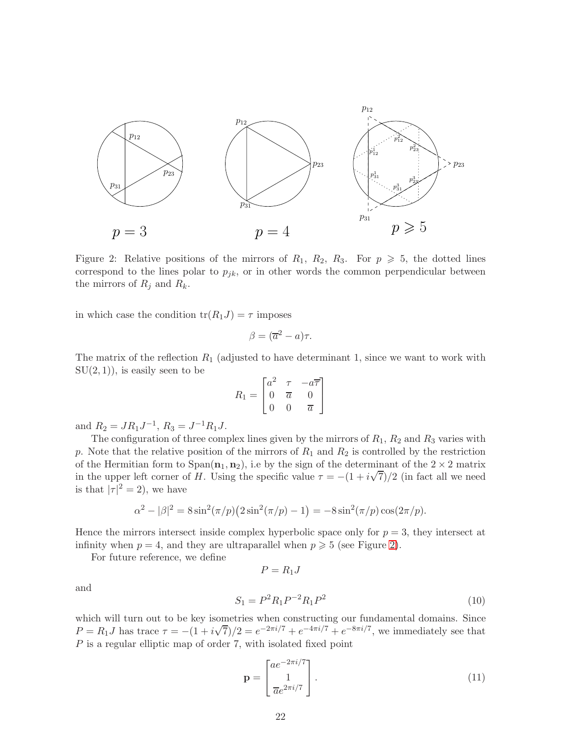

<span id="page-21-0"></span>Figure 2: Relative positions of the mirrors of  $R_1$ ,  $R_2$ ,  $R_3$ . For  $p \geq 5$ , the dotted lines correspond to the lines polar to  $p_{ik}$ , or in other words the common perpendicular between the mirrors of  $R_j$  and  $R_k$ .

in which case the condition  $tr(R_1J) = \tau$  imposes

$$
\beta = (\overline{a}^2 - a)\tau.
$$

The matrix of the reflection  $R_1$  (adjusted to have determinant 1, since we want to work with  $SU(2,1)$ , is easily seen to be

$$
R_1 = \begin{bmatrix} a^2 & \tau & -a\overline{\tau} \\ 0 & \overline{a} & 0 \\ 0 & 0 & \overline{a} \end{bmatrix}
$$

and  $R_2 = JR_1J^{-1}$ ,  $R_3 = J^{-1}R_1J$ .

The configuration of three complex lines given by the mirrors of  $R_1$ ,  $R_2$  and  $R_3$  varies with p. Note that the relative position of the mirrors of  $R_1$  and  $R_2$  is controlled by the restriction of the Hermitian form to  $Span(n_1, n_2)$ , i.e by the sign of the determinant of the  $2 \times 2$  matrix in the upper left corner of H. Using the specific value  $\tau = -(1 + i\sqrt{7})/2$  (in fact all we need is that  $|\tau|^2 = 2$ , we have

$$
\alpha^2 - |\beta|^2 = 8\sin^2(\pi/p)(2\sin^2(\pi/p) - 1) = -8\sin^2(\pi/p)\cos(2\pi/p).
$$

Hence the mirrors intersect inside complex hyperbolic space only for  $p = 3$ , they intersect at infinity when  $p = 4$ , and they are ultraparallel when  $p \geq 5$  (see Figure [2\)](#page-21-0).

 $P = R_1J$ 

For future reference, we define

<span id="page-21-1"></span>
$$
S_1 = P^2 R_1 P^{-2} R_1 P^2 \tag{10}
$$

and

which will turn out to be key isometries when constructing our fundamental domains. Since  $P = R_1 J$  has trace  $\tau = -(1 + i\sqrt{7})/2 = e^{-2\pi i/7} + e^{-4\pi i/7} + e^{-8\pi i/7}$ , we immediately see that P is a regular elliptic map of order 7, with isolated fixed point

$$
\mathbf{p} = \begin{bmatrix} a e^{-2\pi i/7} \\ 1 \\ \overline{a} e^{2\pi i/7} \end{bmatrix} . \tag{11}
$$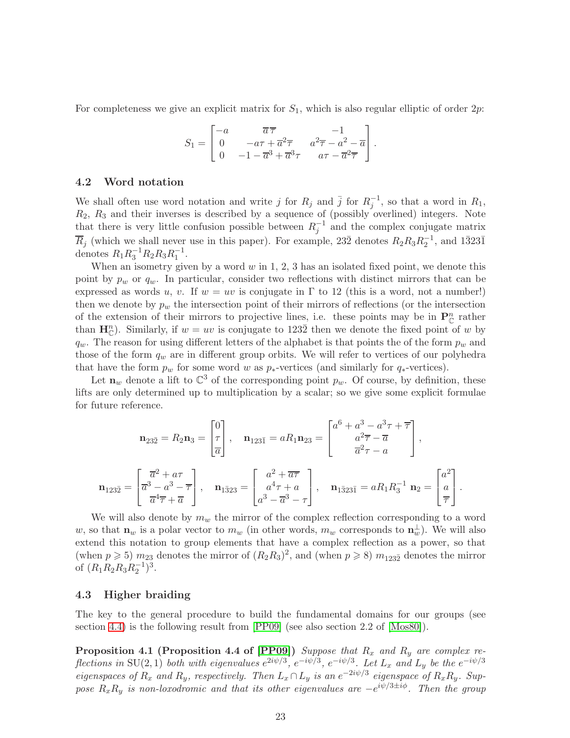For completeness we give an explicit matrix for  $S_1$ , which is also regular elliptic of order 2p:

$$
S_1 = \begin{bmatrix} -a & \overline{a}\overline{\tau} & -1 \\ 0 & -a\tau + \overline{a}^2\overline{\tau} & a^2\overline{\tau} - a^2 - \overline{a} \\ 0 & -1 - \overline{a}^3 + \overline{a}^3\tau & a\tau - \overline{a}^2\overline{\tau} \end{bmatrix}.
$$

#### <span id="page-22-1"></span>4.2 Word notation

We shall often use word notation and write j for  $R_j$  and  $\bar{j}$  for  $R_j^{-1}$ , so that a word in  $R_1$ ,  $R_2$ ,  $R_3$  and their inverses is described by a sequence of (possibly overlined) integers. Note that there is very little confusion possible between  $R_j^{-1}$  and the complex conjugate matrix  $\overline{R}_j$  (which we shall never use in this paper). For example, 232 denotes  $R_2R_3R_2^{-1}$ , and 13231 denotes  $R_1R_3^{-1}R_2R_3R_1^{-1}$ .

When an isometry given by a word  $w$  in 1, 2, 3 has an isolated fixed point, we denote this point by  $p_w$  or  $q_w$ . In particular, consider two reflections with distinct mirrors that can be expressed as words u, v. If  $w = uv$  is conjugate in  $\Gamma$  to 12 (this is a word, not a number!) then we denote by  $p_w$  the intersection point of their mirrors of reflections (or the intersection of the extension of their mirrors to projective lines, i.e. these points may be in  $\mathbf{P}_{\mathbb{C}}^n$  rather than  $\mathbf{H}_{\mathbb{C}}^{n}$ ). Similarly, if  $w = uv$  is conjugate to 1232 then we denote the fixed point of w by  $q_w$ . The reason for using different letters of the alphabet is that points the of the form  $p_w$  and those of the form  $q_w$  are in different group orbits. We will refer to vertices of our polyhedra that have the form  $p_w$  for some word w as  $p_*$ -vertices (and similarly for  $q_*$ -vertices).

Let  $\mathbf{n}_w$  denote a lift to  $\mathbb{C}^3$  of the corresponding point  $p_w$ . Of course, by definition, these lifts are only determined up to multiplication by a scalar; so we give some explicit formulae for future reference.

$$
\mathbf{n}_{23\bar{2}} = R_2 \mathbf{n}_3 = \begin{bmatrix} 0 \\ \tau \\ \overline{a} \end{bmatrix}, \quad \mathbf{n}_{123\bar{1}} = aR_1 \mathbf{n}_{23} = \begin{bmatrix} a^6 + a^3 - a^3 \tau + \overline{\tau} \\ a^2 \overline{\tau} - \overline{a} \\ \overline{a}^2 \tau - a \end{bmatrix},
$$

$$
\mathbf{n}_{123\bar{2}} = \begin{bmatrix} \overline{a}^2 + a\tau \\ \overline{a}^3 - a^3 - \overline{\tau} \\ \overline{a}^4 \overline{\tau} + \overline{a} \end{bmatrix}, \quad \mathbf{n}_{1\bar{3}23} = \begin{bmatrix} a^2 + \overline{a}\overline{\tau} \\ a^4 \tau + a \\ a^3 - \overline{a}^3 - \tau \end{bmatrix}, \quad \mathbf{n}_{1\bar{3}23\bar{1}} = aR_1 R_3^{-1} \mathbf{n}_2 = \begin{bmatrix} a^2 \\ a \\ \overline{\tau} \end{bmatrix}.
$$

We will also denote by  $m_w$  the mirror of the complex reflection corresponding to a word w, so that  $\mathbf{n}_w$  is a polar vector to  $m_w$  (in other words,  $m_w$  corresponds to  $\mathbf{n}_w^{\perp}$ ). We will also extend this notation to group elements that have a complex reflection as a power, so that (when  $p \ge 5$ )  $m_{23}$  denotes the mirror of  $(R_2R_3)^2$ , and (when  $p \ge 8$ )  $m_{123\overline{2}}$  denotes the mirror of  $(R_1R_2R_3R_2^{-1})^3$ .

#### <span id="page-22-0"></span>4.3 Higher braiding

The key to the general procedure to build the fundamental domains for our groups (see section [4.4\)](#page-25-0) is the following result from [\[PP09\]](#page-76-6) (see also section 2.2 of [\[Mos80\]](#page-76-0)).

**Proposition 4.1 (Proposition 4.4 of [\[PP09\]](#page-76-6))** Suppose that  $R_x$  and  $R_y$  are complex reflections in SU(2,1) both with eigenvalues  $e^{2i\psi/3}$ ,  $e^{-i\psi/3}$ ,  $e^{-i\psi/3}$ . Let  $L_x$  and  $L_y$  be the  $e^{-i\psi/3}$ eigenspaces of  $R_x$  and  $R_y$ , respectively. Then  $L_x \cap L_y$  is an  $e^{-2i\psi/3}$  eigenspace of  $R_xR_y$ . Suppose  $R_xR_y$  is non-loxodromic and that its other eigenvalues are  $-e^{i\psi/3\pm i\phi}$ . Then the group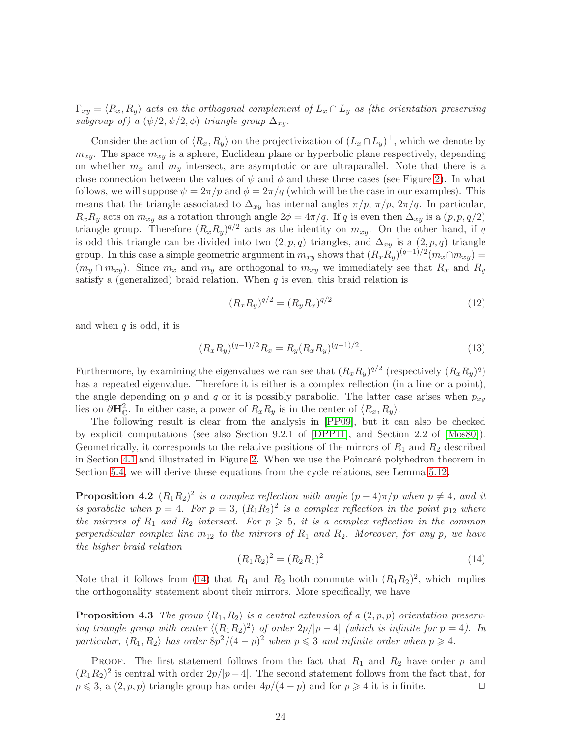$\Gamma_{xy} = \langle R_x, R_y \rangle$  acts on the orthogonal complement of  $L_x \cap L_y$  as (the orientation preserving subgroup of) a  $(\psi/2, \psi/2, \phi)$  triangle group  $\Delta_{xy}$ .

Consider the action of  $\langle R_x, R_y \rangle$  on the projectivization of  $(L_x \cap L_y)^{\perp}$ , which we denote by  $m_{xy}$ . The space  $m_{xy}$  is a sphere, Euclidean plane or hyperbolic plane respectively, depending on whether  $m_x$  and  $m_y$  intersect, are asymptotic or are ultraparallel. Note that there is a close connection between the values of  $\psi$  and  $\phi$  and these three cases (see Figure [2\)](#page-21-0). In what follows, we will suppose  $\psi = 2\pi/p$  and  $\phi = 2\pi/q$  (which will be the case in our examples). This means that the triangle associated to  $\Delta_{xy}$  has internal angles  $\pi/p$ ,  $\pi/p$ ,  $2\pi/q$ . In particular,  $R_xR_y$  acts on  $m_{xy}$  as a rotation through angle  $2\phi = 4\pi/q$ . If q is even then  $\Delta_{xy}$  is a  $(p, p, q/2)$ triangle group. Therefore  $(R_x R_y)^{q/2}$  acts as the identity on  $m_{xy}$ . On the other hand, if q is odd this triangle can be divided into two  $(2, p, q)$  triangles, and  $\Delta_{x_i}$  is a  $(2, p, q)$  triangle group. In this case a simple geometric argument in  $m_{xy}$  shows that  $(R_x R_y)^{(q-1)/2} (m_x \cap m_{xy}) =$  $(m_y \cap m_{xy})$ . Since  $m_x$  and  $m_y$  are orthogonal to  $m_{xy}$  we immediately see that  $R_x$  and  $R_y$ satisfy a (generalized) braid relation. When  $q$  is even, this braid relation is

<span id="page-23-1"></span>
$$
(R_x R_y)^{q/2} = (R_y R_x)^{q/2} \tag{12}
$$

and when  $q$  is odd, it is

<span id="page-23-2"></span>
$$
(R_x R_y)^{(q-1)/2} R_x = R_y (R_x R_y)^{(q-1)/2}.
$$
\n(13)

Furthermore, by examining the eigenvalues we can see that  $(R_x R_y)^{q/2}$  (respectively  $(R_x R_y)^q$ ) has a repeated eigenvalue. Therefore it is either is a complex reflection (in a line or a point), the angle depending on p and q or it is possibly parabolic. The latter case arises when  $p_{xy}$ lies on  $\partial \mathbf{H}_{\mathbb{C}}^2$ . In either case, a power of  $R_x R_y$  is in the center of  $\langle R_x, R_y \rangle$ .

The following result is clear from the analysis in [\[PP09\]](#page-76-6), but it can also be checked by explicit computations (see also Section 9.2.1 of [\[DPP11\]](#page-75-8), and Section 2.2 of [\[Mos80\]](#page-76-0)). Geometrically, it corresponds to the relative positions of the mirrors of  $R_1$  and  $R_2$  described in Section [4.1](#page-20-1) and illustrated in Figure [2.](#page-21-0) When we use the Poincaré polyhedron theorem in Section [5.4,](#page-66-1) we will derive these equations from the cycle relations, see Lemma [5.12.](#page-67-1)

**Proposition 4.2**  $(R_1R_2)^2$  is a complex reflection with angle  $(p-4)\pi/p$  when  $p \neq 4$ , and it is parabolic when  $p = 4$ . For  $p = 3$ ,  $(R_1R_2)^2$  is a complex reflection in the point  $p_{12}$  where the mirrors of  $R_1$  and  $R_2$  intersect. For  $p \geq 5$ , it is a complex reflection in the common perpendicular complex line  $m_{12}$  to the mirrors of  $R_1$  and  $R_2$ . Moreover, for any p, we have the higher braid relation

<span id="page-23-0"></span>
$$
(R_1 R_2)^2 = (R_2 R_1)^2 \tag{14}
$$

Note that it follows from [\(14\)](#page-23-0) that  $R_1$  and  $R_2$  both commute with  $(R_1R_2)^2$ , which implies the orthogonality statement about their mirrors. More specifically, we have

**Proposition 4.3** The group  $\langle R_1, R_2 \rangle$  is a central extension of a  $(2, p, p)$  orientation preserving triangle group with center  $\langle (R_1R_2)^2 \rangle$  of order  $2p/|p-4|$  (which is infinite for  $p = 4$ ). In particular,  $\langle R_1, R_2 \rangle$  has order  $8p^2/(4-p)^2$  when  $p \leq 3$  and infinite order when  $p \geq 4$ .

PROOF. The first statement follows from the fact that  $R_1$  and  $R_2$  have order p and  $(R_1R_2)^2$  is central with order  $2p/|p-4|$ . The second statement follows from the fact that, for  $p \leq 3$ , a  $(2, p, p)$  triangle group has order  $4p/(4-p)$  and for  $p \geq 4$  it is infinite.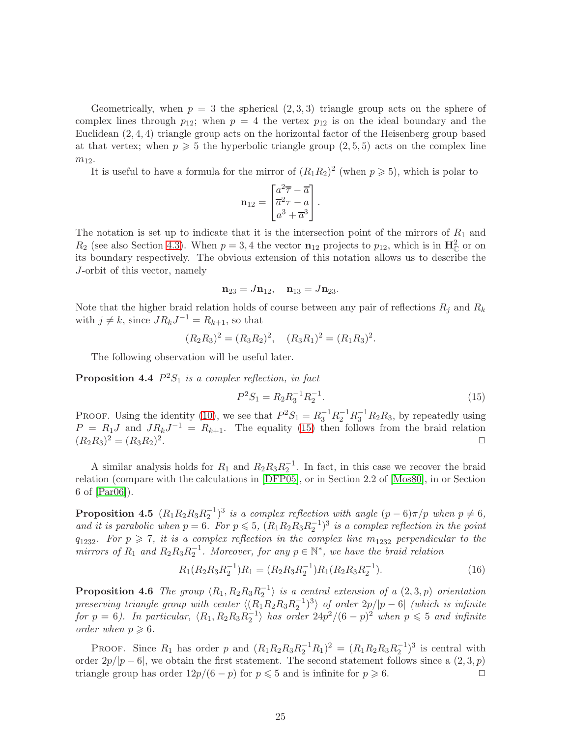Geometrically, when  $p = 3$  the spherical  $(2, 3, 3)$  triangle group acts on the sphere of complex lines through  $p_{12}$ ; when  $p = 4$  the vertex  $p_{12}$  is on the ideal boundary and the Euclidean (2, 4, 4) triangle group acts on the horizontal factor of the Heisenberg group based at that vertex; when  $p \geqslant 5$  the hyperbolic triangle group  $(2, 5, 5)$  acts on the complex line  $m_{12}$ .

It is useful to have a formula for the mirror of  $(R_1R_2)^2$  (when  $p \ge 5$ ), which is polar to

$$
\mathbf{n}_{12} = \begin{bmatrix} a^2 \overline{\tau} - \overline{a} \\ \overline{a}^2 \tau - a \\ a^3 + \overline{a}^3 \end{bmatrix}.
$$

The notation is set up to indicate that it is the intersection point of the mirrors of  $R_1$  and  $R_2$  (see also Section [4.3\)](#page-22-0). When  $p = 3, 4$  the vector  $\mathbf{n}_{12}$  projects to  $p_{12}$ , which is in  $\mathbf{H}_{\mathbb{C}}^2$  or on its boundary respectively. The obvious extension of this notation allows us to describe the J-orbit of this vector, namely

$$
\mathbf{n}_{23}=J\mathbf{n}_{12},\quad \mathbf{n}_{13}=J\mathbf{n}_{23}.
$$

Note that the higher braid relation holds of course between any pair of reflections  $R_j$  and  $R_k$ with  $j \neq k$ , since  $JR_kJ^{-1} = R_{k+1}$ , so that

$$
(R_2R_3)^2 = (R_3R_2)^2, \quad (R_3R_1)^2 = (R_1R_3)^2.
$$

The following observation will be useful later.

**Proposition 4.4**  $P^2S_1$  is a complex reflection, in fact

<span id="page-24-0"></span>
$$
P^2 S_1 = R_2 R_3^{-1} R_2^{-1}.
$$
\n(15)

PROOF. Using the identity [\(10\)](#page-21-1), we see that  $P^2S_1 = R_3^{-1}R_2^{-1}R_3^{-1}R_2R_3$ , by repeatedly using  $P = R_1J$  and  $JR_kJ^{-1} = R_{k+1}$ . The equality [\(15\)](#page-24-0) then follows from the braid relation  $(R_2R_3)^2 = (R_3R_2)^2$ . The contract of the contract of the contract of the contract of the contract of the contract of the contract of the contract of the contract of the contract of the contract of the contract of the contract of the contrac

A similar analysis holds for  $R_1$  and  $R_2R_3R_2^{-1}$ . In fact, in this case we recover the braid relation (compare with the calculations in [\[DFP05\]](#page-74-5), or in Section 2.2 of [\[Mos80\]](#page-76-0), in or Section 6 of [\[Par06\]](#page-76-3)).

**Proposition 4.5**  $(R_1R_2R_3R_2^{-1})^3$  is a complex reflection with angle  $(p-6)\pi/p$  when  $p \neq 6$ , and it is parabolic when  $p = 6$ . For  $p \le 5$ ,  $(R_1R_2R_3R_2^{-1})^3$  is a complex reflection in the point  $q_{123\bar{2}}$ . For  $p \geq 7$ , it is a complex reflection in the complex line  $m_{123\bar{2}}$  perpendicular to the mirrors of  $R_1$  and  $R_2R_3R_2^{-1}$ . Moreover, for any  $p \in \mathbb{N}^*$ , we have the braid relation

$$
R_1(R_2R_3R_2^{-1})R_1 = (R_2R_3R_2^{-1})R_1(R_2R_3R_2^{-1}).
$$
\n(16)

**Proposition 4.6** The group  $\langle R_1, R_2R_3R_2^{-1} \rangle$  is a central extension of a  $(2,3,p)$  orientation preserving triangle group with center  $\langle (R_1R_2R_3R_2^{-1})^3 \rangle$  of order  $2p/|p-6|$  (which is infinite for  $p = 6$ ). In particular,  $\langle R_1, R_2 R_3 R_2^{-1} \rangle$  has order  $24p^2/(6-p)^2$  when  $p \leq 5$  and infinite order when  $p \geqslant 6$ .

PROOF. Since  $R_1$  has order p and  $(R_1R_2R_3R_2^{-1}R_1)^2 = (R_1R_2R_3R_2^{-1})^3$  is central with order  $2p/|p-6|$ , we obtain the first statement. The second statement follows since a  $(2,3,p)$ <br>triangle group has order  $12n/(6-n)$  for  $n \le 5$  and is infinite for  $n \ge 6$ triangle group has order  $12p/(6-p)$  for  $p \le 5$  and is infinite for  $p \ge 6$ .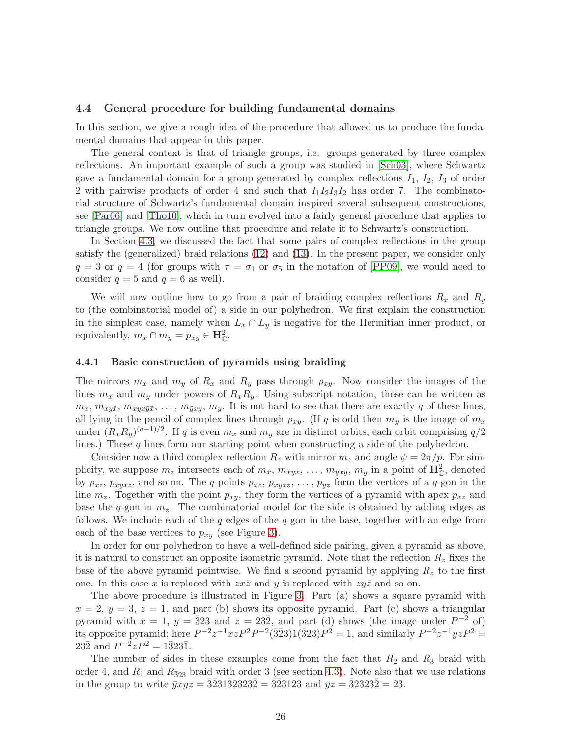#### <span id="page-25-0"></span>4.4 General procedure for building fundamental domains

In this section, we give a rough idea of the procedure that allowed us to produce the fundamental domains that appear in this paper.

The general context is that of triangle groups, i.e. groups generated by three complex reflections. An important example of such a group was studied in [\[Sch03\]](#page-76-9), where Schwartz gave a fundamental domain for a group generated by complex reflections  $I_1$ ,  $I_2$ ,  $I_3$  of order 2 with pairwise products of order 4 and such that  $I_1I_2I_3I_2$  has order 7. The combinatorial structure of Schwartz's fundamental domain inspired several subsequent constructions, see [\[Par06\]](#page-76-3) and [\[Tho10\]](#page-76-8), which in turn evolved into a fairly general procedure that applies to triangle groups. We now outline that procedure and relate it to Schwartz's construction.

In Section [4.3,](#page-22-0) we discussed the fact that some pairs of complex reflections in the group satisfy the (generalized) braid relations [\(12\)](#page-23-1) and [\(13\)](#page-23-2). In the present paper, we consider only  $q = 3$  or  $q = 4$  (for groups with  $\tau = \sigma_1$  or  $\sigma_5$  in the notation of [\[PP09\]](#page-76-6), we would need to consider  $q = 5$  and  $q = 6$  as well).

We will now outline how to go from a pair of braiding complex reflections  $R_x$  and  $R_y$ to (the combinatorial model of) a side in our polyhedron. We first explain the construction in the simplest case, namely when  $L_x \cap L_y$  is negative for the Hermitian inner product, or equivalently,  $m_x \cap m_y = p_{xy} \in \mathbf{H}_{\mathbb{C}}^2$ .

#### 4.4.1 Basic construction of pyramids using braiding

The mirrors  $m_x$  and  $m_y$  of  $R_x$  and  $R_y$  pass through  $p_{xy}$ . Now consider the images of the lines  $m_x$  and  $m_y$  under powers of  $R_xR_y$ . Using subscript notation, these can be written as  $m_x, m_{xy\bar{x}}, m_{xyx\bar{y}\bar{x}}, \ldots, m_{\bar{y}xy}, m_y$ . It is not hard to see that there are exactly q of these lines, all lying in the pencil of complex lines through  $p_{xy}$ . (If q is odd then  $m_y$  is the image of  $m_x$ under  $(R_x R_y)^{(q-1)/2}$ . If q is even  $m_x$  and  $m_y$  are in distinct orbits, each orbit comprising  $q/2$ lines.) These  $q$  lines form our starting point when constructing a side of the polyhedron.

Consider now a third complex reflection  $R_z$  with mirror  $m_z$  and angle  $\psi = 2\pi/p$ . For simplicity, we suppose  $m_z$  intersects each of  $m_x$ ,  $m_{xy\bar{x}}, \ldots, m_{\bar{y}xy}, m_y$  in a point of  $\mathbf{H}_{\mathbb{C}}^2$ , denoted by  $p_{xz}, p_{xy\bar{x}z}$ , and so on. The q points  $p_{xz}, p_{xy\bar{x}z}, \ldots, p_{yz}$  form the vertices of a q-gon in the line  $m_z$ . Together with the point  $p_{xy}$ , they form the vertices of a pyramid with apex  $p_{xz}$  and base the q-gon in  $m_z$ . The combinatorial model for the side is obtained by adding edges as follows. We include each of the  $q$  edges of the  $q$ -gon in the base, together with an edge from each of the base vertices to  $p_{xy}$  (see Figure [3\)](#page-26-0).

In order for our polyhedron to have a well-defined side pairing, given a pyramid as above, it is natural to construct an opposite isometric pyramid. Note that the reflection  $R<sub>z</sub>$  fixes the base of the above pyramid pointwise. We find a second pyramid by applying  $R<sub>z</sub>$  to the first one. In this case x is replaced with  $z\overline{z}$  and y is replaced with  $zy\overline{z}$  and so on.

The above procedure is illustrated in Figure [3.](#page-26-0) Part (a) shows a square pyramid with  $x = 2$ ,  $y = 3$ ,  $z = 1$ , and part (b) shows its opposite pyramid. Part (c) shows a triangular pyramid with  $x = 1$ ,  $y = \overline{3}23$  and  $z = 23\overline{2}$ , and part (d) shows (the image under  $P^{-2}$  of) its opposite pyramid; here  $P^{-2}z^{-1}xzP^{2}P^{-2}(\bar{3}\bar{2}3)1(\bar{3}23)P^{2}=1$ , and similarly  $P^{-2}z^{-1}yzP^{2}=1$  $23\overline{2}$  and  $P^{-2}zP^2 = 1\overline{3}23\overline{1}$ .

The number of sides in these examples come from the fact that  $R_2$  and  $R_3$  braid with order 4, and  $R_1$  and  $R_{\bar{3}23}$  braid with order 3 (see section [4.3\)](#page-22-0). Note also that we use relations in the group to write  $\bar{y}xyz = \bar{3}\bar{2}31\bar{3}2323\bar{2} = \bar{3}\bar{2}3123$  and  $yz = \bar{3}2323\bar{2} = 23$ .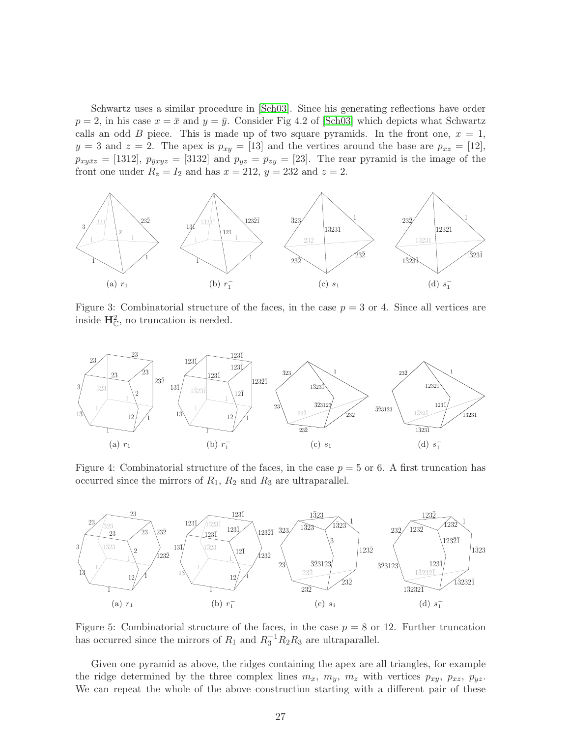Schwartz uses a similar procedure in [\[Sch03\]](#page-76-9). Since his generating reflections have order  $p = 2$ , in his case  $x = \bar{x}$  and  $y = \bar{y}$ . Consider Fig 4.2 of [\[Sch03\]](#page-76-9) which depicts what Schwartz calls an odd B piece. This is made up of two square pyramids. In the front one,  $x = 1$ ,  $y = 3$  and  $z = 2$ . The apex is  $p_{xy} = [13]$  and the vertices around the base are  $p_{xz} = [12]$ ,  $p_{xy\bar{x}z} = [1312], p_{\bar{y}xyz} = [3132]$  and  $p_{yz} = p_{zy} = [23].$  The rear pyramid is the image of the front one under  $R_z = I_2$  and has  $x = 212$ ,  $y = 232$  and  $z = 2$ .



<span id="page-26-0"></span>Figure 3: Combinatorial structure of the faces, in the case  $p = 3$  or 4. Since all vertices are inside  $H_{\mathbb{C}}^2$ , no truncation is needed.



<span id="page-26-1"></span>Figure 4: Combinatorial structure of the faces, in the case  $p = 5$  or 6. A first truncation has occurred since the mirrors of  $R_1$ ,  $R_2$  and  $R_3$  are ultraparallel.



<span id="page-26-2"></span>Figure 5: Combinatorial structure of the faces, in the case  $p = 8$  or 12. Further truncation has occurred since the mirrors of  $R_1$  and  $R_3^{-1}R_2R_3$  are ultraparallel.

Given one pyramid as above, the ridges containing the apex are all triangles, for example the ridge determined by the three complex lines  $m_x$ ,  $m_y$ ,  $m_z$  with vertices  $p_{xy}$ ,  $p_{xz}$ ,  $p_{yz}$ . We can repeat the whole of the above construction starting with a different pair of these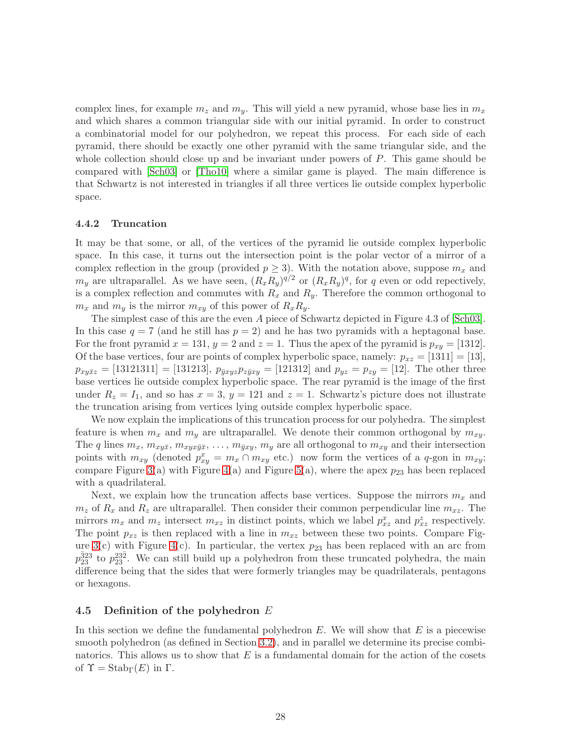complex lines, for example  $m_z$  and  $m_y$ . This will yield a new pyramid, whose base lies in  $m_x$ and which shares a common triangular side with our initial pyramid. In order to construct a combinatorial model for our polyhedron, we repeat this process. For each side of each pyramid, there should be exactly one other pyramid with the same triangular side, and the whole collection should close up and be invariant under powers of P. This game should be compared with [\[Sch03\]](#page-76-9) or [\[Tho10\]](#page-76-8) where a similar game is played. The main difference is that Schwartz is not interested in triangles if all three vertices lie outside complex hyperbolic space.

#### 4.4.2 Truncation

It may be that some, or all, of the vertices of the pyramid lie outside complex hyperbolic space. In this case, it turns out the intersection point is the polar vector of a mirror of a complex reflection in the group (provided  $p \geq 3$ ). With the notation above, suppose  $m_x$  and  $m_y$  are ultraparallel. As we have seen,  $(R_x R_y)^{q/2}$  or  $(R_x R_y)^q$ , for q even or odd repectively, is a complex reflection and commutes with  $R_x$  and  $R_y$ . Therefore the common orthogonal to  $m_x$  and  $m_y$  is the mirror  $m_{xy}$  of this power of  $R_xR_y$ .

The simplest case of this are the even A piece of Schwartz depicted in Figure 4.3 of [\[Sch03\]](#page-76-9). In this case  $q = 7$  (and he still has  $p = 2$ ) and he has two pyramids with a heptagonal base. For the front pyramid  $x = 131$ ,  $y = 2$  and  $z = 1$ . Thus the apex of the pyramid is  $p_{xy} = [1312]$ . Of the base vertices, four are points of complex hyperbolic space, namely:  $p_{xz} = [1311] = [13]$ ,  $p_{xy\bar{x}z} = [13121311] = [131213], p_{\bar{y}xyz}p_{\bar{z}\bar{y}xy} = [121312] \text{ and } p_{yz} = p_{zy} = [12].$  The other three base vertices lie outside complex hyperbolic space. The rear pyramid is the image of the first under  $R_z = I_1$ , and so has  $x = 3$ ,  $y = 121$  and  $z = 1$ . Schwartz's picture does not illustrate the truncation arising from vertices lying outside complex hyperbolic space.

We now explain the implications of this truncation process for our polyhedra. The simplest feature is when  $m_x$  and  $m_y$  are ultraparallel. We denote their common orthogonal by  $m_{xy}$ . The q lines  $m_x$ ,  $m_{xy\bar{x}}$ ,  $m_{xy\bar{y}\bar{x}}$ , ...,  $m_{\bar{y}xy}$ ,  $m_y$  are all orthogonal to  $m_{xy}$  and their intersection points with  $m_{xy}$  (denoted  $p_{xy}^x = m_x \cap m_{xy}$  etc.) now form the vertices of a q-gon in  $m_{xy}$ ; compare Figure [3\(](#page-26-0)a) with Figure [4\(](#page-26-1)a) and Figure [5\(](#page-26-2)a), where the apex  $p_{23}$  has been replaced with a quadrilateral.

Next, we explain how the truncation affects base vertices. Suppose the mirrors  $m_x$  and  $m_z$  of  $R_x$  and  $R_z$  are ultraparallel. Then consider their common perpendicular line  $m_{xz}$ . The mirrors  $m_x$  and  $m_z$  intersect  $m_{xz}$  in distinct points, which we label  $p_{xz}^x$  and  $p_{xz}^z$  respectively. The point  $p_{xz}$  is then replaced with a line in  $m_{xz}$  between these two points. Compare Fig-ure [3\(](#page-26-0)c) with Figure [4\(](#page-26-1)c). In particular, the vertex  $p_{23}$  has been replaced with an arc from  $p_{23}^{\bar{3}23}$  to  $p_{23}^{23\bar{2}}$ . We can still build up a polyhedron from these truncated polyhedra, the main difference being that the sides that were formerly triangles may be quadrilaterals, pentagons or hexagons.

#### <span id="page-27-0"></span>4.5 Definition of the polyhedron  $E$

In this section we define the fundamental polyhedron  $E$ . We will show that  $E$  is a piecewise smooth polyhedron (as defined in Section [3.2\)](#page-13-1), and in parallel we determine its precise combinatorics. This allows us to show that  $E$  is a fundamental domain for the action of the cosets of  $\Upsilon = \text{Stab}_{\Gamma}(E)$  in  $\Gamma$ .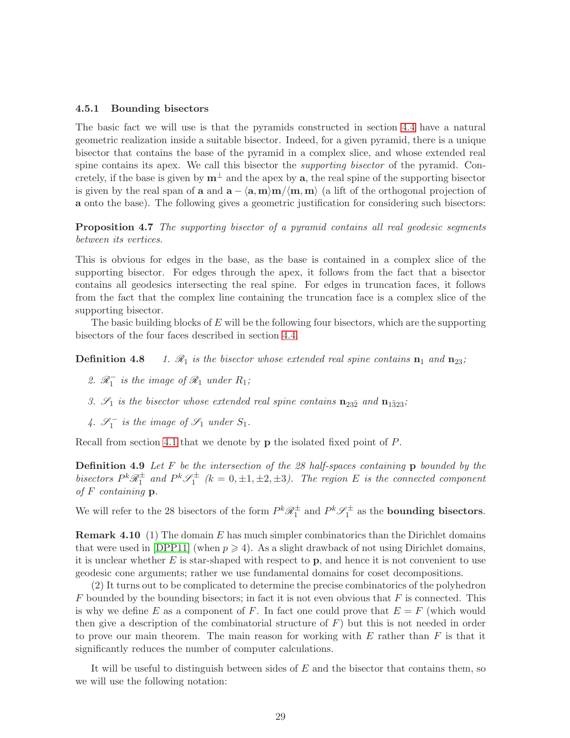#### 4.5.1 Bounding bisectors

The basic fact we will use is that the pyramids constructed in section [4.4](#page-25-0) have a natural geometric realization inside a suitable bisector. Indeed, for a given pyramid, there is a unique bisector that contains the base of the pyramid in a complex slice, and whose extended real spine contains its apex. We call this bisector the supporting bisector of the pyramid. Concretely, if the base is given by  $m^{\perp}$  and the apex by a, the real spine of the supporting bisector is given by the real span of a and  $\mathbf{a} - \langle \mathbf{a}, \mathbf{m} \rangle \langle \mathbf{m}, \mathbf{m} \rangle$  (a lift of the orthogonal projection of a onto the base). The following gives a geometric justification for considering such bisectors:

**Proposition 4.7** The supporting bisector of a pyramid contains all real geodesic segments between its vertices.

This is obvious for edges in the base, as the base is contained in a complex slice of the supporting bisector. For edges through the apex, it follows from the fact that a bisector contains all geodesics intersecting the real spine. For edges in truncation faces, it follows from the fact that the complex line containing the truncation face is a complex slice of the supporting bisector.

<span id="page-28-0"></span>The basic building blocks of  $E$  will be the following four bisectors, which are the supporting bisectors of the four faces described in section [4.4.](#page-25-0)

**Definition 4.8** 1.  $\mathcal{R}_1$  is the bisector whose extended real spine contains  $\mathbf{n}_1$  and  $\mathbf{n}_{23}$ ;

- 2.  $\mathcal{R}_1^-$  is the image of  $\mathcal{R}_1$  under  $R_1$ ;
- 3.  $\mathcal{S}_1$  is the bisector whose extended real spine contains  $\mathbf{n}_{23\bar{2}}$  and  $\mathbf{n}_{1\bar{3}23}$ ;
- 4.  $\mathscr{S}_1^-$  is the image of  $\mathscr{S}_1$  under  $S_1$ .

Recall from section [4.1](#page-20-1) that we denote by p the isolated fixed point of P.

**Definition 4.9** Let  $F$  be the intersection of the 28 half-spaces containing  $p$  bounded by the bisectors  $P^k \mathcal{R}_1^{\pm}$  and  $P^k \mathcal{S}_1^{\pm}$  (k = 0,  $\pm 1, \pm 2, \pm 3$ ). The region E is the connected component of  $F$  containing  $p$ .

We will refer to the 28 bisectors of the form  $P^k \mathcal{R}_1^{\pm}$  and  $P^k \mathcal{S}_1^{\pm}$  as the **bounding bisectors**.

**Remark 4.10** (1) The domain  $E$  has much simpler combinatorics than the Dirichlet domains that were used in [\[DPP11\]](#page-75-8) (when  $p \geq 4$ ). As a slight drawback of not using Dirichlet domains, it is unclear whether  $E$  is star-shaped with respect to  $\bf{p}$ , and hence it is not convenient to use geodesic cone arguments; rather we use fundamental domains for coset decompositions.

(2) It turns out to be complicated to determine the precise combinatorics of the polyhedron  $F$  bounded by the bounding bisectors; in fact it is not even obvious that  $F$  is connected. This is why we define E as a component of F. In fact one could prove that  $E = F$  (which would then give a description of the combinatorial structure of  $F$ ) but this is not needed in order to prove our main theorem. The main reason for working with  $E$  rather than  $F$  is that it significantly reduces the number of computer calculations.

It will be useful to distinguish between sides of  $E$  and the bisector that contains them, so we will use the following notation: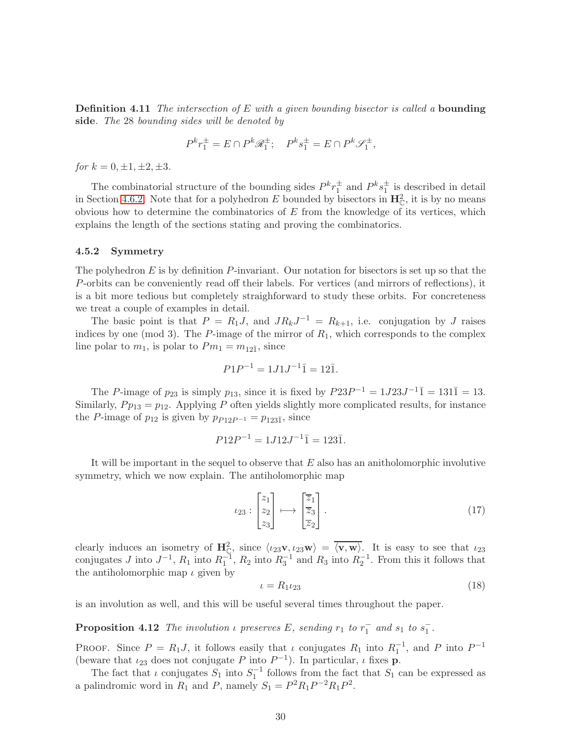**Definition 4.11** The intersection of  $E$  with a given bounding bisector is called a **bounding** side. The 28 bounding sides will be denoted by

$$
P^k r_1^{\pm} = E \cap P^k \mathcal{R}_1^{\pm}; \quad P^k s_1^{\pm} = E \cap P^k \mathcal{S}_1^{\pm},
$$

for  $k = 0, \pm 1, \pm 2, \pm 3.$ 

The combinatorial structure of the bounding sides  $P^k r_1^{\pm}$  and  $P^k s_1^{\pm}$  is described in detail in Section [4.6.2.](#page-35-0) Note that for a polyhedron E bounded by bisectors in  $\mathbf{H}_{\mathbb{C}}^2$ , it is by no means obvious how to determine the combinatorics of  $E$  from the knowledge of its vertices, which explains the length of the sections stating and proving the combinatorics.

#### <span id="page-29-1"></span>4.5.2 Symmetry

The polyhedron  $E$  is by definition  $P$ -invariant. Our notation for bisectors is set up so that the P-orbits can be conveniently read off their labels. For vertices (and mirrors of reflections), it is a bit more tedious but completely straighforward to study these orbits. For concreteness we treat a couple of examples in detail.

The basic point is that  $P = R_1 J$ , and  $J R_k J^{-1} = R_{k+1}$ , i.e. conjugation by J raises indices by one (mod 3). The  $P$ -image of the mirror of  $R_1$ , which corresponds to the complex line polar to  $m_1$ , is polar to  $Pm_1 = m_{12\overline{1}}$ , since

$$
P1P^{-1} = 1J1J^{-1}\bar{1} = 12\bar{1}.
$$

The P-image of  $p_{23}$  is simply  $p_{13}$ , since it is fixed by  $P23P^{-1} = 1J23J^{-1}\overline{1} = 131\overline{1} = 13.$ Similarly,  $P p_{13} = p_{12}$ . Applying P often yields slightly more complicated results, for instance the P-image of  $p_{12}$  is given by  $p_{P12P^{-1}} = p_{123\bar{1}}$ , since

$$
P12P^{-1} = 1J12J^{-1}\bar{1} = 123\bar{1}.
$$

It will be important in the sequel to observe that  $E$  also has an anitholomorphic involutive symmetry, which we now explain. The antiholomorphic map

<span id="page-29-0"></span>
$$
\iota_{23}: \begin{bmatrix} z_1 \\ z_2 \\ z_3 \end{bmatrix} \longmapsto \begin{bmatrix} \overline{z}_1 \\ \overline{z}_3 \\ \overline{z}_2 \end{bmatrix} . \tag{17}
$$

clearly induces an isometry of  $\mathbf{H}_{\mathbb{C}}^2$ , since  $\langle \iota_{23}\mathbf{v}, \iota_{23}\mathbf{w} \rangle = \overline{\langle \mathbf{v}, \mathbf{w} \rangle}$ . It is easy to see that  $\iota_{23}$ conjugates J into  $J^{-1}$ ,  $R_1$  into  $R_1^{-1}$ ,  $R_2$  into  $R_3^{-1}$  and  $R_3$  into  $R_2^{-1}$ . From this it follows that the antiholomorphic map  $\iota$  given by

$$
\iota = R_1 \iota_{23} \tag{18}
$$

is an involution as well, and this will be useful several times throughout the paper.

**Proposition 4.12** The involution  $\iota$  preserves E, sending  $r_1$  to  $r_1^-$  and  $s_1$  to  $s_1^-$ .

PROOF. Since  $P = R_1 J$ , it follows easily that  $\iota$  conjugates  $R_1$  into  $R_1^{-1}$ , and P into  $P^{-1}$ (beware that  $\iota_{23}$  does not conjugate P into  $P^{-1}$ ). In particular,  $\iota$  fixes **p**.

The fact that  $\iota$  conjugates  $S_1$  into  $S_1^{-1}$  follows from the fact that  $S_1$  can be expressed as a palindromic word in  $R_1$  and P, namely  $S_1 = P^2 R_1 P^{-2} R_1 P^2$ .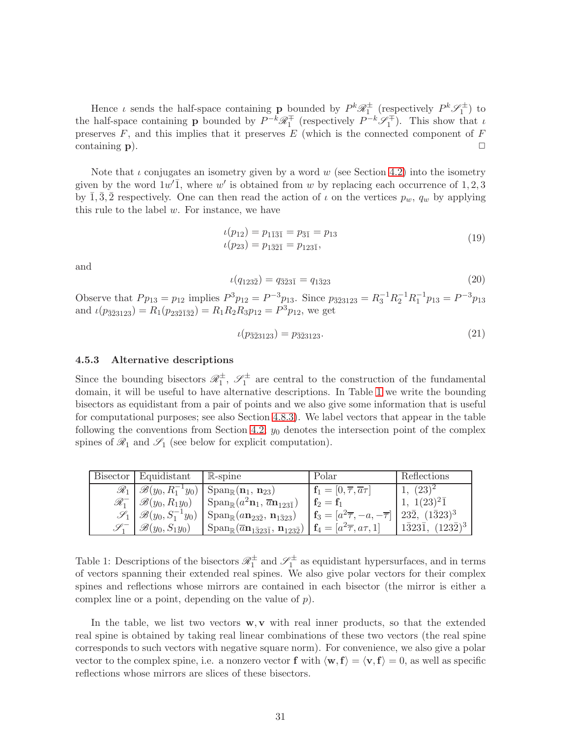Hence  $\iota$  sends the half-space containing **p** bounded by  $P^k \mathcal{R}_1^{\pm}$  (respectively  $P^k \mathcal{S}_1^{\pm}$ ) to the half-space containing **p** bounded by  $P^{-k}\mathscr{R}_1^{\mp}$  (respectively  $P^{-k}\mathscr{S}_1^{\mp}$ ). This show that  $\iota$ preserves  $F$ , and this implies that it preserves  $E$  (which is the connected component of  $F$ containing  $\bf{p}$ ).

Note that  $\iota$  conjugates an isometry given by a word w (see Section [4.2\)](#page-22-1) into the isometry given by the word  $1w'$ , where w' is obtained from w by replacing each occurrence of 1, 2, 3 by 1, 3, 2 respectively. One can then read the action of  $\iota$  on the vertices  $p_w$ ,  $q_w$  by applying this rule to the label  $w$ . For instance, we have

$$
\begin{aligned} \iota(p_{12}) &= p_{1\bar{1}\bar{3}\bar{1}} = p_{\bar{3}\bar{1}} = p_{13} \\ \iota(p_{23}) &= p_{1\bar{3}\bar{2}\bar{1}} = p_{123\bar{1}}, \end{aligned} \tag{19}
$$

and

$$
\iota(q_{123\bar{2}}) = q_{\bar{3}\bar{2}3\bar{1}} = q_{1\bar{3}23} \tag{20}
$$

Observe that  $Pp_{13} = p_{12}$  implies  $P^3p_{12} = P^{-3}p_{13}$ . Since  $p_{\bar{3}23123} = R_3^{-1}R_2^{-1}R_1^{-1}p_{13} = P^{-3}p_{13}$ and  $\iota(p_{\overline{32}3123}) = R_1(p_{23\overline{21}\overline{32}}) = R_1R_2R_3p_{12} = P^3p_{12}$ , we get

$$
\iota(p_{\bar{3}\bar{2}3123}) = p_{\bar{3}\bar{2}3123}.\tag{21}
$$

#### 4.5.3 Alternative descriptions

Since the bounding bisectors  $\mathscr{R}_1^{\pm}$ ,  $\mathscr{S}_1^{\pm}$  are central to the construction of the fundamental domain, it will be useful to have alternative descriptions. In Table [1](#page-30-0) we write the bounding bisectors as equidistant from a pair of points and we also give some information that is useful for computational purposes; see also Section [4.8.3\)](#page-48-0). We label vectors that appear in the table following the conventions from Section [4.2;](#page-22-1)  $y_0$  denotes the intersection point of the complex spines of  $\mathscr{R}_1$  and  $\mathscr{S}_1$  (see below for explicit computation).

| Bisector          | Equidistant                     | $\mathbb{R}$ -spine                                                                                | Polar                                                       | Reflections                               |
|-------------------|---------------------------------|----------------------------------------------------------------------------------------------------|-------------------------------------------------------------|-------------------------------------------|
| $\mathscr{R}_1$   |                                 | $\mathscr{B}(y_0, R_1^{-1}y_0)$ Span <sub>R</sub> $(\mathbf{n}_1, \mathbf{n}_{23})$                | $\mathbf{f}_1 = [0, \overline{\tau}, \overline{a}\tau]$     | $(23)^2$                                  |
| $\mathscr{R}_1^-$ | $\mathscr{B}(y_0, R_1y_0)$      | $\sin \left( \frac{a^2 n_1}{\sqrt{a}} \right)$                                                     | $f_2 = f_1$                                                 | $1(23)^2\overline{1}$                     |
| $\mathscr{S}_1$   | $\mathscr{B}(y_0, S_1^{-1}y_0)$ | $\mathrm{Span}_{\mathbb{R}}(a\mathbf{n}_{23\bar{2}}, \mathbf{n}_{1\bar{3}23})$                     | $\mathbf{f}_3 = [a^2\overline{\tau}, -a, -\overline{\tau}]$ | $\sqrt{232}$ , $(1\bar{3}23)^3$           |
|                   | $\mathscr{B}(y_0, S_1y_0)$      | $\mathrm{Span}_{\mathbb{R}}(\overline{a}\mathbf{n}_{1\bar{3}23\bar{1}},\,\mathbf{n}_{123\bar{2}})$ | $\mathbf{f}_4 = [a^2 \overline{\tau}, a\tau, 1]$            | $(123\bar{2})^3$<br>$1\bar{3}23\bar{1}$ , |

<span id="page-30-0"></span>Table 1: Descriptions of the bisectors  $\mathcal{R}_1^{\pm}$  and  $\mathcal{S}_1^{\pm}$  as equidistant hypersurfaces, and in terms of vectors spanning their extended real spines. We also give polar vectors for their complex spines and reflections whose mirrors are contained in each bisector (the mirror is either a complex line or a point, depending on the value of  $p$ ).

In the table, we list two vectors  $\mathbf{w}, \mathbf{v}$  with real inner products, so that the extended real spine is obtained by taking real linear combinations of these two vectors (the real spine corresponds to such vectors with negative square norm). For convenience, we also give a polar vector to the complex spine, i.e. a nonzero vector f with  $\langle \mathbf{w}, \mathbf{f} \rangle = \langle \mathbf{v}, \mathbf{f} \rangle = 0$ , as well as specific reflections whose mirrors are slices of these bisectors.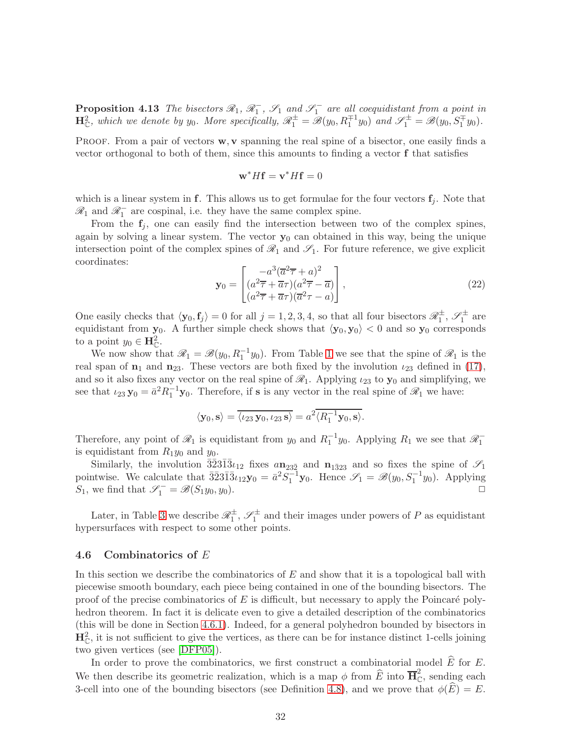**Proposition 4.13** The bisectors  $\mathcal{R}_1$ ,  $\mathcal{R}_1^-$ ,  $\mathcal{S}_1$  and  $\mathcal{S}_1^-$  are all coequidistant from a point in  $\mathbf{H}_{\mathbb{C}}^2$ , which we denote by  $y_0$ . More specifically,  $\mathscr{R}_1^{\pm} = \mathscr{B}(y_0, R_1^{\mp 1}y_0)$  and  $\mathscr{S}_1^{\pm} = \mathscr{B}(y_0, S_1^{\mp}y_0)$ .

PROOF. From a pair of vectors  $w, v$  spanning the real spine of a bisector, one easily finds a vector orthogonal to both of them, since this amounts to finding a vector f that satisfies

$$
\mathbf{w}^* H \mathbf{f} = \mathbf{v}^* H \mathbf{f} = 0
$$

which is a linear system in f. This allows us to get formulae for the four vectors  $f_i$ . Note that  $\mathcal{R}_1$  and  $\mathcal{R}_1^-$  are cospinal, i.e. they have the same complex spine.

From the  $f_i$ , one can easily find the intersection between two of the complex spines, again by solving a linear system. The vector  $y_0$  can obtained in this way, being the unique intersection point of the complex spines of  $\mathcal{R}_1$  and  $\mathcal{S}_1$ . For future reference, we give explicit coordinates:

$$
\mathbf{y}_0 = \begin{bmatrix} -a^3(\overline{a}^2 \overline{\tau} + a)^2\\ (a^2 \overline{\tau} + \overline{a}\tau)(a^2 \overline{\tau} - \overline{a})\\ (a^2 \overline{\tau} + \overline{a}\tau)(\overline{a}^2 \tau - a) \end{bmatrix},
$$
(22)

One easily checks that  $\langle y_0, f_j \rangle = 0$  for all  $j = 1, 2, 3, 4$ , so that all four bisectors  $\mathscr{R}_1^{\pm}$ ,  $\mathscr{S}_1^{\pm}$  are equidistant from  $y_0$ . A further simple check shows that  $\langle y_0, y_0 \rangle < 0$  and so  $y_0$  corresponds to a point  $y_0 \in \mathbf{H}_{\mathbb{C}}^2$ .

We now show that  $\mathscr{R}_1 = \mathscr{B}(y_0, R_1^{-1}y_0)$ . From Table [1](#page-30-0) we see that the spine of  $\mathscr{R}_1$  is the real span of  $n_1$  and  $n_{23}$ . These vectors are both fixed by the involution  $\iota_{23}$  defined in [\(17\)](#page-29-0), and so it also fixes any vector on the real spine of  $\mathcal{R}_1$ . Applying  $\iota_{23}$  to  $\mathbf{y}_0$  and simplifying, we see that  $\iota_{23} \mathbf{y}_0 = \bar{a}^2 R_1^{-1} \mathbf{y}_0$ . Therefore, if **s** is any vector in the real spine of  $\mathcal{R}_1$  we have:

$$
\langle \mathbf{y}_0, \mathbf{s} \rangle = \overline{\langle \iota_{23} \mathbf{y}_0, \iota_{23} \mathbf{s} \rangle} = a^2 \overline{\langle R_1^{-1} \mathbf{y}_0, \mathbf{s} \rangle}.
$$

Therefore, any point of  $\mathcal{R}_1$  is equidistant from  $y_0$  and  $R_1^{-1}y_0$ . Applying  $R_1$  we see that  $\mathcal{R}_1^{-1}$ is equidistant from  $R_1y_0$  and  $y_0$ .

Similarly, the involution  $\overline{3}\overline{2}3\overline{1}\overline{3}\iota_{12}$  fixes  $a\mathbf{n}_{23\overline{2}}$  and  $\mathbf{n}_{1\overline{3}23}$  and so fixes the spine of  $\mathscr{S}_1$ pointwise. We calculate that  $\overline{3}\overline{2}3\overline{1}3\overline{1}_{2}\mathbf{y}_{0} = \overline{a}^{2}S_{1}^{-1}\mathbf{y}_{0}$ . Hence  $\mathscr{S}_{1} = \mathscr{B}(y_{0}, S_{1}^{-1}y_{0})$ . Applying S<sub>1</sub>, we find that  $\mathscr{S}_1^- = \mathscr{B}(S_1y_0, y_0)$ .

Later, in Table [3](#page-50-0) we describe  $\mathcal{R}_1^{\pm}$ ,  $\mathcal{S}_1^{\pm}$  and their images under powers of P as equidistant hypersurfaces with respect to some other points.

#### <span id="page-31-0"></span>4.6 Combinatorics of E

In this section we describe the combinatorics of  $E$  and show that it is a topological ball with piecewise smooth boundary, each piece being contained in one of the bounding bisectors. The proof of the precise combinatorics of  $E$  is difficult, but necessary to apply the Poincaré polyhedron theorem. In fact it is delicate even to give a detailed description of the combinatorics (this will be done in Section [4.6.1\)](#page-32-0). Indeed, for a general polyhedron bounded by bisectors in  $\mathbf{H}_{\mathbb{C}}^2$ , it is not sufficient to give the vertices, as there can be for instance distinct 1-cells joining two given vertices (see [\[DFP05\]](#page-74-5)).

In order to prove the combinatorics, we first construct a combinatorial model  $\widehat{E}$  for E. We then describe its geometric realization, which is a map  $\phi$  from  $\widehat{E}$  into  $\overline{H}_{\mathbb{C}}^2$ , sending each 3-cell into one of the bounding bisectors (see Definition [4.8\)](#page-28-0), and we prove that  $\phi(\hat{E}) = E$ .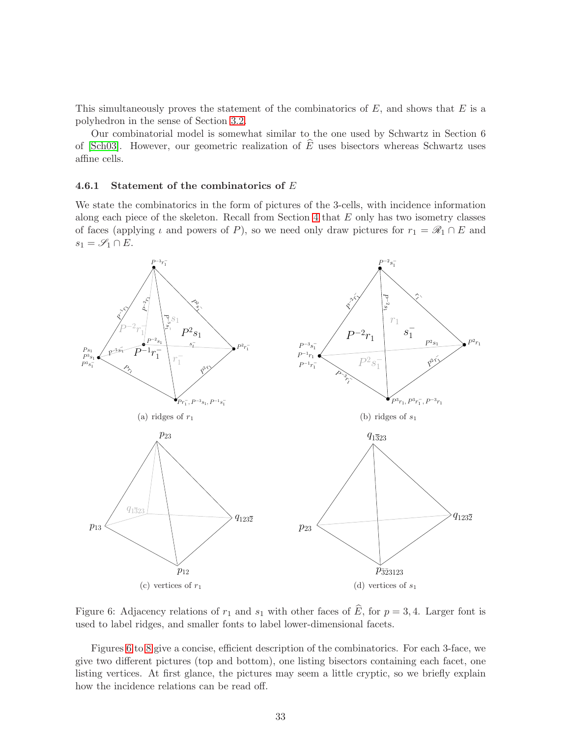This simultaneously proves the statement of the combinatorics of  $E$ , and shows that  $E$  is a polyhedron in the sense of Section [3.2.](#page-13-1)

Our combinatorial model is somewhat similar to the one used by Schwartz in Section 6 of [\[Sch03\]](#page-76-9). However, our geometric realization of  $\widehat{E}$  uses bisectors whereas Schwartz uses affine cells.

#### <span id="page-32-0"></span>4.6.1 Statement of the combinatorics of E

We state the combinatorics in the form of pictures of the 3-cells, with incidence information along each piece of the skeleton. Recall from Section  $4$  that  $E$  only has two isometry classes of faces (applying  $\iota$  and powers of P), so we need only draw pictures for  $r_1 = \mathscr{R}_1 \cap E$  and  $s_1 = \mathscr{S}_1 \cap E.$ 



<span id="page-32-1"></span>Figure 6: Adjacency relations of  $r_1$  and  $s_1$  with other faces of  $\widehat{E}$ , for  $p = 3, 4$ . Larger font is used to label ridges, and smaller fonts to label lower-dimensional facets.

Figures [6](#page-32-1) to [8](#page-34-0) give a concise, efficient description of the combinatorics. For each 3-face, we give two different pictures (top and bottom), one listing bisectors containing each facet, one listing vertices. At first glance, the pictures may seem a little cryptic, so we briefly explain how the incidence relations can be read off.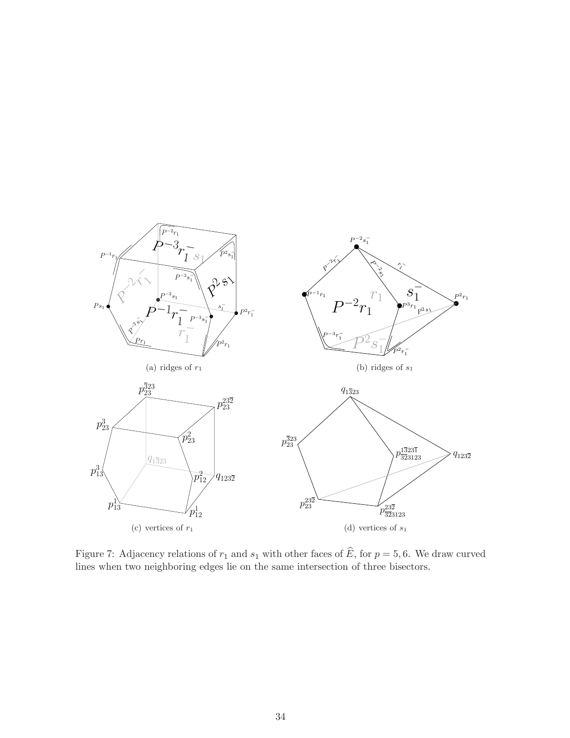

Figure 7: Adjacency relations of  $r_1$  and  $s_1$  with other faces of  $\widehat{E}$ , for  $p = 5, 6$ . We draw curved lines when two neighboring edges lie on the same intersection of three bisectors.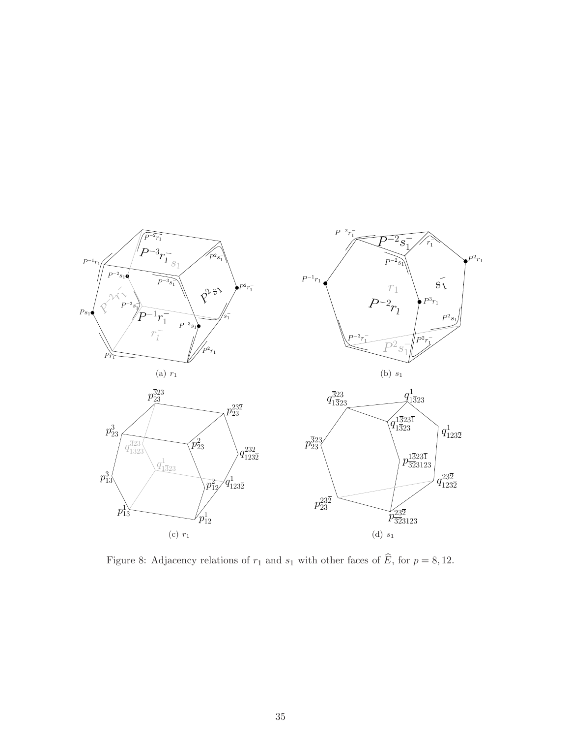

<span id="page-34-0"></span>Figure 8: Adjacency relations of  $r_1$  and  $s_1$  with other faces of  $\widehat{E}$ , for  $p = 8, 12$ .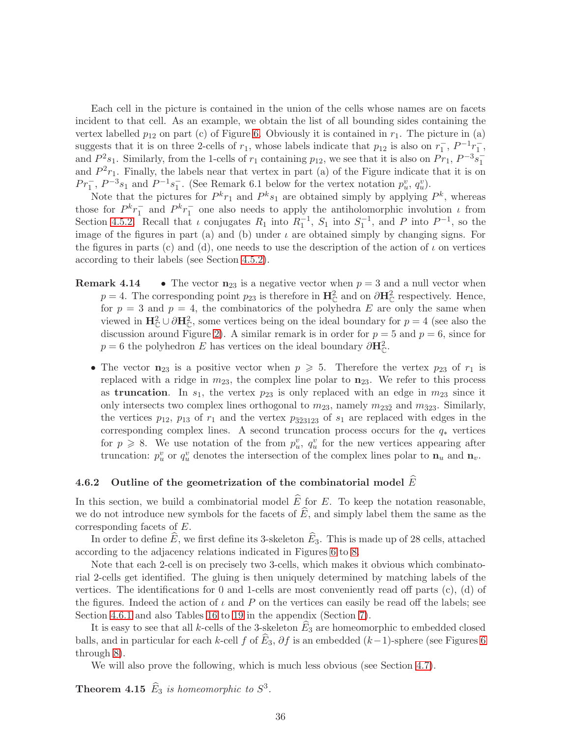Each cell in the picture is contained in the union of the cells whose names are on facets incident to that cell. As an example, we obtain the list of all bounding sides containing the vertex labelled  $p_{12}$  on part (c) of Figure [6.](#page-32-1) Obviously it is contained in  $r_1$ . The picture in (a) suggests that it is on three 2-cells of  $r_1$ , whose labels indicate that  $p_{12}$  is also on  $r_1^-, P^{-1}r_1^-,$ and  $P^2s_1$ . Similarly, from the 1-cells of  $r_1$  containing  $p_{12}$ , we see that it is also on  $Pr_1, P^{-3}s_1^{-}$ and  $P^2r_1$ . Finally, the labels near that vertex in part (a) of the Figure indicate that it is on  $Pr_1^-$ ,  $P^{-3}s_1$  and  $P^{-1}s_1^-$ . (See Remark 6.1 below for the vertex notation  $p_u^v, q_u^v$ ).

Note that the pictures for  $P^k r_1$  and  $P^k s_1$  are obtained simply by applying  $P^k$ , whereas those for  $P^k r_1^-$  and  $P^k r_1^-$  one also needs to apply the antiholomorphic involution  $\iota$  from Section [4.5.2.](#page-29-1) Recall that  $\iota$  conjugates  $R_1$  into  $R_1^{-1}$ ,  $S_1$  into  $S_1^{-1}$ , and P into  $P^{-1}$ , so the image of the figures in part (a) and (b) under  $\iota$  are obtained simply by changing signs. For the figures in parts (c) and (d), one needs to use the description of the action of  $\iota$  on vertices according to their labels (see Section [4.5.2\)](#page-29-1).

- **Remark 4.14** The vector  $n_{23}$  is a negative vector when  $p = 3$  and a null vector when  $p = 4$ . The corresponding point  $p_{23}$  is therefore in  $\mathbf{H}_{\mathbb{C}}^2$  and on  $\partial \mathbf{H}_{\mathbb{C}}^2$  respectively. Hence, for  $p = 3$  and  $p = 4$ , the combinatorics of the polyhedra E are only the same when viewed in  $\mathbf{H}_{\mathbb{C}}^2 \cup \partial \mathbf{H}_{\mathbb{C}}^2$ , some vertices being on the ideal boundary for  $p = 4$  (see also the discussion around Figure [2\)](#page-21-0). A similar remark is in order for  $p = 5$  and  $p = 6$ , since for  $p = 6$  the polyhedron E has vertices on the ideal boundary  $\partial \mathbf{H}_{\mathbb{C}}^2$ .
	- The vector  $n_{23}$  is a positive vector when  $p \geqslant 5$ . Therefore the vertex  $p_{23}$  of  $r_1$  is replaced with a ridge in  $m_{23}$ , the complex line polar to  $n_{23}$ . We refer to this process as **truncation**. In  $s_1$ , the vertex  $p_{23}$  is only replaced with an edge in  $m_{23}$  since it only intersects two complex lines orthogonal to  $m_{23}$ , namely  $m_{23\overline{2}}$  and  $m_{\overline{3}23}$ . Similarly, the vertices  $p_{12}$ ,  $p_{13}$  of  $r_1$  and the vertex  $p_{323123}$  of  $s_1$  are replaced with edges in the corresponding complex lines. A second truncation process occurs for the  $q_*$  vertices for  $p \ge 8$ . We use notation of the from  $p_u^v$ ,  $q_u^v$  for the new vertices appearing after truncation:  $p_u^v$  or  $q_u^v$  denotes the intersection of the complex lines polar to  $\mathbf{n}_u$  and  $\mathbf{n}_v$ .

### <span id="page-35-0"></span>4.6.2 Outline of the geometrization of the combinatorial model  $\widehat{E}$

In this section, we build a combinatorial model  $\widehat{E}$  for E. To keep the notation reasonable, we do not introduce new symbols for the facets of  $\widehat{E}$ , and simply label them the same as the corresponding facets of E.

In order to define  $\widehat{E}$ , we first define its 3-skeleton  $\widehat{E}_3$ . This is made up of 28 cells, attached according to the adjacency relations indicated in Figures [6](#page-32-1) to [8.](#page-34-0)

Note that each 2-cell is on precisely two 3-cells, which makes it obvious which combinatorial 2-cells get identified. The gluing is then uniquely determined by matching labels of the vertices. The identifications for 0 and 1-cells are most conveniently read off parts  $(c)$ ,  $(d)$  of the figures. Indeed the action of  $\iota$  and P on the vertices can easily be read off the labels; see Section [4.6.1](#page-32-0) and also Tables [16](#page-73-0) to [19](#page-74-11) in the appendix (Section [7\)](#page-73-1).

It is easy to see that all k-cells of the 3-skeleton  $E_3$  are homeomorphic to embedded closed balls, and in particular for each k-cell f of  $\hat{E}_3$ ,  $\partial f$  is an embedded (k–1)-sphere (see Figures [6](#page-32-1) through [8\)](#page-34-0).

We will also prove the following, which is much less obvious (see Section [4.7\)](#page-37-0).

**Theorem 4.15**  $\widehat{E}_3$  is homeomorphic to  $S^3$ .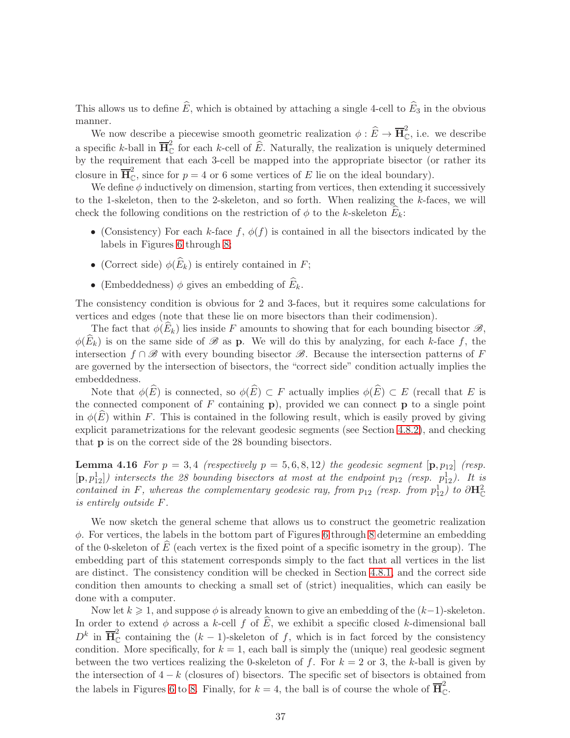This allows us to define  $\widehat{E}$ , which is obtained by attaching a single 4-cell to  $\widehat{E}_3$  in the obvious manner.

We now describe a piecewise smooth geometric realization  $\phi : \widehat{E} \to \overline{\mathbf{H}}_{\mathbb{C}}^2$ , i.e. we describe a specific k-ball in  $\overline{\mathbf{H}}_{\mathbb{C}}^2$  for each k-cell of  $\widehat{E}$ . Naturally, the realization is uniquely determined by the requirement that each 3-cell be mapped into the appropriate bisector (or rather its closure in  $\overline{H}_{\mathbb{C}}^2$ , since for  $p = 4$  or 6 some vertices of E lie on the ideal boundary).

We define  $\phi$  inductively on dimension, starting from vertices, then extending it successively to the 1-skeleton, then to the 2-skeleton, and so forth. When realizing the k-faces, we will check the following conditions on the restriction of  $\phi$  to the k-skeleton  $E_k$ :

- (Consistency) For each k-face  $f, \phi(f)$  is contained in all the bisectors indicated by the labels in Figures [6](#page-32-0) through [8;](#page-34-0)
- (Correct side)  $\phi(E_k)$  is entirely contained in F;
- (Embeddedness)  $\phi$  gives an embedding of  $E_k$ .

The consistency condition is obvious for 2 and 3-faces, but it requires some calculations for vertices and edges (note that these lie on more bisectors than their codimension).

The fact that  $\phi(\widehat{E}_k)$  lies inside F amounts to showing that for each bounding bisector  $\mathscr{B}$ ,  $\phi(\widehat{E}_k)$  is on the same side of  $\mathscr B$  as **p**. We will do this by analyzing, for each k-face f, the intersection  $f \cap \mathscr{B}$  with every bounding bisector  $\mathscr{B}$ . Because the intersection patterns of F are governed by the intersection of bisectors, the "correct side" condition actually implies the embeddedness.

Note that  $\phi(\widehat{E})$  is connected, so  $\phi(\widehat{E}) \subset F$  actually implies  $\phi(\widehat{E}) \subset E$  (recall that E is the connected component of  $F$  containing  $\bf{p}$ ), provided we can connect  $\bf{p}$  to a single point in  $\phi(E)$  within F. This is contained in the following result, which is easily proved by giving explicit parametrizations for the relevant geodesic segments (see Section [4.8.2\)](#page-45-0), and checking that p is on the correct side of the 28 bounding bisectors.

<span id="page-36-0"></span>**Lemma 4.16** For  $p = 3, 4$  (respectively  $p = 5, 6, 8, 12$ ) the geodesic segment  $[p, p_{12}]$  (resp.  $\left\{\mathbf{p},p_{12}^{1}\right\}$  intersects the 28 bounding bisectors at most at the endpoint  $p_{12}$  (resp.  $p_{12}^{1}$ ). It is contained in F, whereas the complementary geodesic ray, from  $p_{12}$  (resp. from  $p_{12}^1$ ) to  $\partial \mathbf{H}_{\mathbb{C}}^2$ is entirely outside F.

We now sketch the general scheme that allows us to construct the geometric realization  $\phi$ . For vertices, the labels in the bottom part of Figures [6](#page-32-0) through [8](#page-34-0) determine an embedding of the 0-skeleton of  $E$  (each vertex is the fixed point of a specific isometry in the group). The embedding part of this statement corresponds simply to the fact that all vertices in the list are distinct. The consistency condition will be checked in Section [4.8.1,](#page-42-0) and the correct side condition then amounts to checking a small set of (strict) inequalities, which can easily be done with a computer.

Now let  $k \geq 1$ , and suppose  $\phi$  is already known to give an embedding of the  $(k-1)$ -skeleton. In order to extend  $\phi$  across a k-cell f of E, we exhibit a specific closed k-dimensional ball  $D^k$  in  $\overline{H}_{\mathbb{C}}^2$  containing the  $(k-1)$ -skeleton of f, which is in fact forced by the consistency condition. More specifically, for  $k = 1$ , each ball is simply the (unique) real geodesic segment between the two vertices realizing the 0-skeleton of f. For  $k = 2$  or 3, the k-ball is given by the intersection of  $4-k$  (closures of) bisectors. The specific set of bisectors is obtained from the labels in Figures [6](#page-32-0) to [8.](#page-34-0) Finally, for  $k = 4$ , the ball is of course the whole of  $\overline{H}_{\mathbb{C}}^2$ .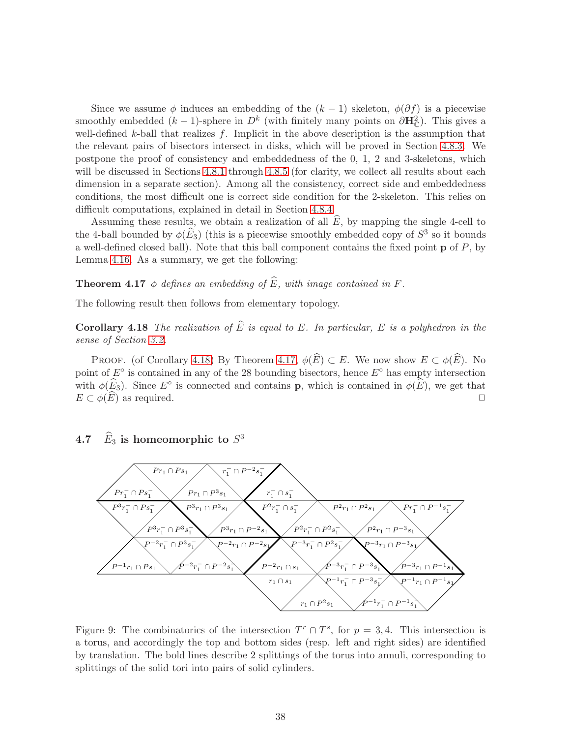Since we assume  $\phi$  induces an embedding of the  $(k-1)$  skeleton,  $\phi(\partial f)$  is a piecewise smoothly embedded  $(k-1)$ -sphere in  $D^k$  (with finitely many points on  $\partial \mathbf{H}_{\mathbb{C}}^2$ ). This gives a well-defined k-ball that realizes  $f$ . Implicit in the above description is the assumption that the relevant pairs of bisectors intersect in disks, which will be proved in Section [4.8.3.](#page-48-0) We postpone the proof of consistency and embeddedness of the 0, 1, 2 and 3-skeletons, which will be discussed in Sections [4.8.1](#page-42-0) through [4.8.5](#page-58-0) (for clarity, we collect all results about each dimension in a separate section). Among all the consistency, correct side and embeddedness conditions, the most difficult one is correct side condition for the 2-skeleton. This relies on difficult computations, explained in detail in Section [4.8.4.](#page-51-0)

Assuming these results, we obtain a realization of all  $\widehat{E}$ , by mapping the single 4-cell to the 4-ball bounded by  $\phi(\widehat{E}_3)$  (this is a piecewise smoothly embedded copy of  $S^3$  so it bounds a well-defined closed ball). Note that this ball component contains the fixed point  $\bf{p}$  of  $P$ , by Lemma [4.16.](#page-36-0) As a summary, we get the following:

<span id="page-37-1"></span>**Theorem 4.17**  $\phi$  defines an embedding of  $\widehat{E}$ , with image contained in F.

<span id="page-37-0"></span>The following result then follows from elementary topology.

**Corollary 4.18** The realization of  $\widehat{E}$  is equal to E. In particular, E is a polyhedron in the sense of Section [3.2.](#page-13-0)

PROOF. (of Corollary [4.18\)](#page-37-0) By Theorem [4.17,](#page-37-1)  $\phi(\widehat{E}) \subset E$ . We now show  $E \subset \phi(\widehat{E})$ . No point of  $E^{\circ}$  is contained in any of the 28 bounding bisectors, hence  $E^{\circ}$  has empty intersection with  $\phi(E_3)$ . Since  $E^{\circ}$  is connected and contains **p**, which is contained in  $\phi(E)$ , we get that  $E \subset \phi(\widehat{E})$  as required.

# 4.7  $\hat{E}_3$  is homeomorphic to  $S^3$



<span id="page-37-2"></span>Figure 9: The combinatorics of the intersection  $T^r \cap T^s$ , for  $p = 3, 4$ . This intersection is a torus, and accordingly the top and bottom sides (resp. left and right sides) are identified by translation. The bold lines describe 2 splittings of the torus into annuli, corresponding to splittings of the solid tori into pairs of solid cylinders.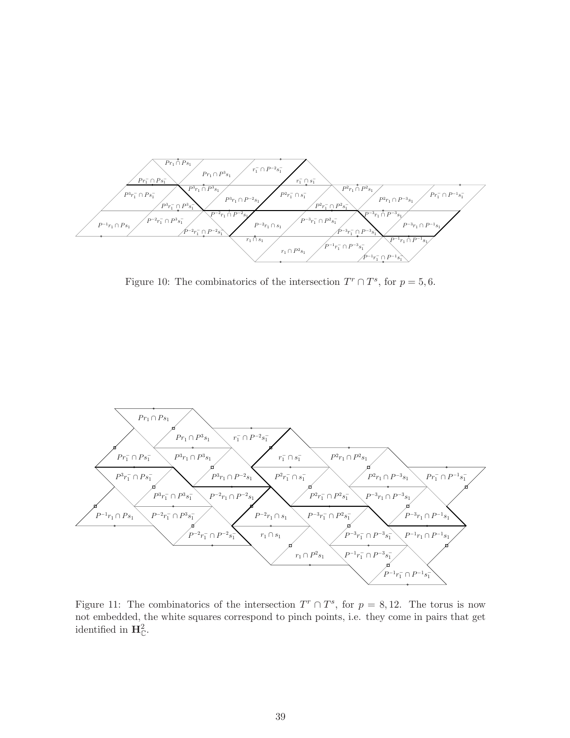

<span id="page-38-0"></span>Figure 10: The combinatorics of the intersection  $T^r \cap T^s$ , for  $p = 5, 6$ .



<span id="page-38-1"></span>Figure 11: The combinatorics of the intersection  $T^r \cap T^s$ , for  $p = 8, 12$ . The torus is now not embedded, the white squares correspond to pinch points, i.e. they come in pairs that get identified in  $\mathbf{H}_{\mathbb{C}}^2$ .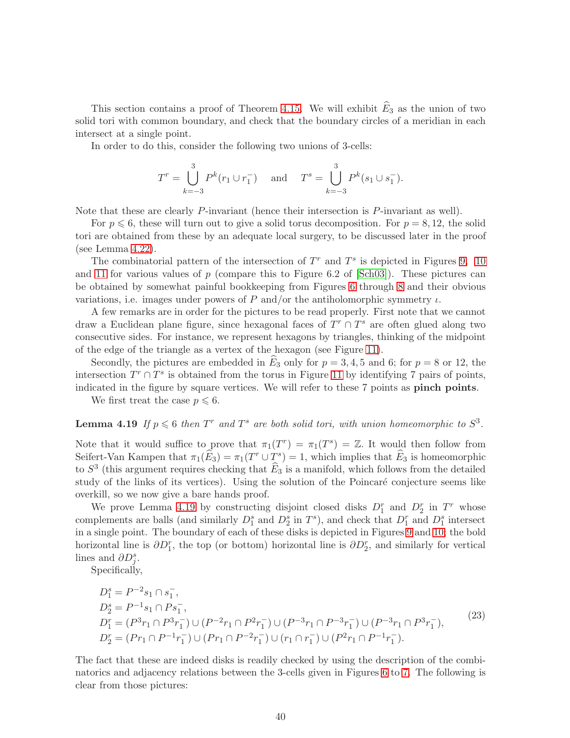This section contains a proof of Theorem [4.15.](#page-35-0) We will exhibit  $\widehat{E}_3$  as the union of two solid tori with common boundary, and check that the boundary circles of a meridian in each intersect at a single point.

In order to do this, consider the following two unions of 3-cells:

$$
T^r = \bigcup_{k=-3}^3 P^k(r_1 \cup r_1^-) \quad \text{and} \quad T^s = \bigcup_{k=-3}^3 P^k(s_1 \cup s_1^-).
$$

Note that these are clearly P-invariant (hence their intersection is P-invariant as well).

For  $p \leq 6$ , these will turn out to give a solid torus decomposition. For  $p = 8, 12$ , the solid tori are obtained from these by an adequate local surgery, to be discussed later in the proof (see Lemma [4.22\)](#page-41-0).

The combinatorial pattern of the intersection of  $T<sup>r</sup>$  and  $T<sup>s</sup>$  is depicted in Figures [9,](#page-37-2) [10](#page-38-0) and [11](#page-38-1) for various values of  $p$  (compare this to Figure 6.2 of [\[Sch03\]](#page-76-0)). These pictures can be obtained by somewhat painful bookkeeping from Figures [6](#page-32-0) through [8](#page-34-0) and their obvious variations, i.e. images under powers of P and/or the antiholomorphic symmetry  $\iota$ .

A few remarks are in order for the pictures to be read properly. First note that we cannot draw a Euclidean plane figure, since hexagonal faces of  $T^r \cap T^s$  are often glued along two consecutive sides. For instance, we represent hexagons by triangles, thinking of the midpoint of the edge of the triangle as a vertex of the hexagon (see Figure [11\)](#page-38-1).

Secondly, the pictures are embedded in  $\widehat{E}_3$  only for  $p = 3, 4, 5$  and 6; for  $p = 8$  or 12, the intersection  $T^r \cap T^s$  is obtained from the torus in Figure [11](#page-38-1) by identifying 7 pairs of points, indicated in the figure by square vertices. We will refer to these 7 points as **pinch points**.

<span id="page-39-0"></span>We first treat the case  $p \leq 6$ .

## **Lemma 4.19** If  $p \le 6$  then  $T^r$  and  $T^s$  are both solid tori, with union homeomorphic to  $S^3$ .

Note that it would suffice to prove that  $\pi_1(T^r) = \pi_1(T^s) = \mathbb{Z}$ . It would then follow from Seifert-Van Kampen that  $\pi_1(\widehat{E}_3) = \pi_1(T^r \cup T^s) = 1$ , which implies that  $\widehat{E}_3$  is homeomorphic to  $S^3$  (this argument requires checking that  $\hat{E}_3$  is a manifold, which follows from the detailed study of the links of its vertices). Using the solution of the Poincaré conjecture seems like overkill, so we now give a bare hands proof.

We prove Lemma [4.19](#page-39-0) by constructing disjoint closed disks  $D_1^r$  and  $D_2^r$  in  $T^r$  whose complements are balls (and similarly  $D_1^s$  and  $D_2^s$  in  $T^s$ ), and check that  $D_1^r$  and  $D_1^s$  intersect in a single point. The boundary of each of these disks is depicted in Figures [9](#page-37-2) and [10;](#page-38-0) the bold horizontal line is  $\partial D_1^r$ , the top (or bottom) horizontal line is  $\partial D_2^r$ , and similarly for vertical lines and  $\partial D_j^s$ .

Specifically,

<span id="page-39-1"></span>
$$
D_1^s = P^{-2}s_1 \cap s_1^-,
$$
  
\n
$$
D_2^s = P^{-1}s_1 \cap Ps_1^-,
$$
  
\n
$$
D_1^r = (P^3r_1 \cap P^3r_1^-) \cup (P^{-2}r_1 \cap P^2r_1^-) \cup (P^{-3}r_1 \cap P^{-3}r_1^-) \cup (P^{-3}r_1 \cap P^3r_1^-),
$$
  
\n
$$
D_2^r = (Pr_1 \cap P^{-1}r_1^-) \cup (Pr_1 \cap P^{-2}r_1^-) \cup (r_1 \cap r_1^-) \cup (P^2r_1 \cap P^{-1}r_1^-).
$$
\n
$$
(23)
$$

The fact that these are indeed disks is readily checked by using the description of the combinatorics and adjacency relations between the 3-cells given in Figures [6](#page-32-0) to [7.](#page-33-0) The following is clear from those pictures: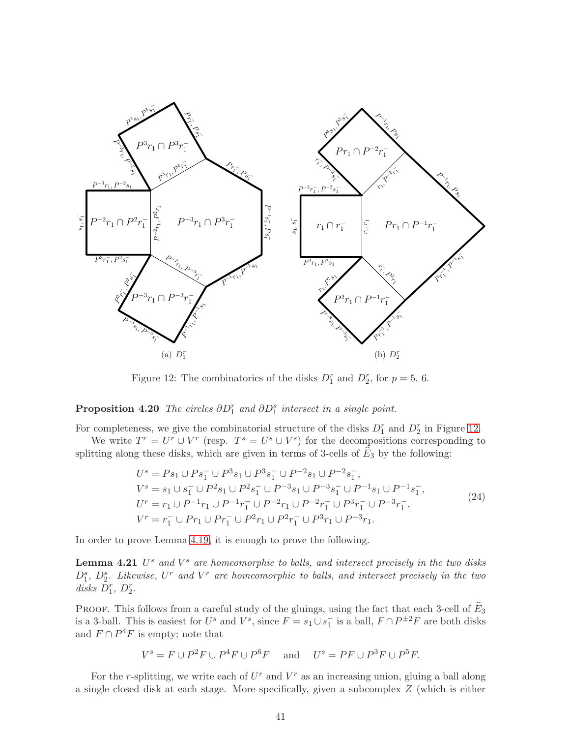

<span id="page-40-0"></span>Figure 12: The combinatorics of the disks  $D_1^r$  and  $D_2^r$ , for  $p=5, 6$ .

## **Proposition 4.20** The circles  $\partial D_1^r$  and  $\partial D_2^s$  intersect in a single point.

For completeness, we give the combinatorial structure of the disks  $D_1^r$  and  $D_2^r$  in Figure [12.](#page-40-0)

We write  $T^r = U^r \cup V^r$  (resp.  $T^s = U^s \cup V^s$ ) for the decompositions corresponding to splitting along these disks, which are given in terms of 3-cells of  $E_3$  by the following:

<span id="page-40-2"></span><span id="page-40-1"></span>
$$
U^{s} = Ps_{1} \cup Ps_{1}^{-} \cup P^{3}s_{1} \cup P^{3}s_{1}^{-} \cup P^{-2}s_{1} \cup P^{-2}s_{1}^{-},
$$
  
\n
$$
V^{s} = s_{1} \cup s_{1}^{-} \cup P^{2}s_{1} \cup P^{2}s_{1}^{-} \cup P^{-3}s_{1} \cup P^{-3}s_{1}^{-} \cup P^{-1}s_{1} \cup P^{-1}s_{1}^{-},
$$
  
\n
$$
U^{r} = r_{1} \cup P^{-1}r_{1} \cup P^{-1}r_{1}^{-} \cup P^{-2}r_{1} \cup P^{-2}r_{1}^{-} \cup P^{3}r_{1}^{-} \cup P^{-3}r_{1}^{-},
$$
  
\n
$$
V^{r} = r_{1}^{-} \cup Pr_{1} \cup Pr_{1}^{-} \cup P^{2}r_{1} \cup P^{2}r_{1}^{-} \cup P^{3}r_{1} \cup P^{-3}r_{1}.
$$
  
\n(24)

In order to prove Lemma [4.19,](#page-39-0) it is enough to prove the following.

**Lemma 4.21**  $U^s$  and  $V^s$  are homeomorphic to balls, and intersect precisely in the two disks  $D_1^s$ ,  $D_2^s$ . Likewise,  $U^r$  and  $V^r$  are homeomorphic to balls, and intersect precisely in the two disks  $D_1^r$ ,  $D_2^r$ .

PROOF. This follows from a careful study of the gluings, using the fact that each 3-cell of  $E_3$ is a 3-ball. This is easiest for  $U^s$  and  $V^s$ , since  $F = s_1 \cup s_1^-$  is a ball,  $F \cap P^{\pm 2}F$  are both disks and  $F \cap P^4F$  is empty; note that

$$
V^s = F \cup P^2 F \cup P^4 F \cup P^6 F \quad \text{and} \quad U^s = PF \cup P^3 F \cup P^5 F.
$$

For the r-splitting, we write each of  $U<sup>r</sup>$  and  $V<sup>r</sup>$  as an increasing union, gluing a ball along a single closed disk at each stage. More specifically, given a subcomplex Z (which is either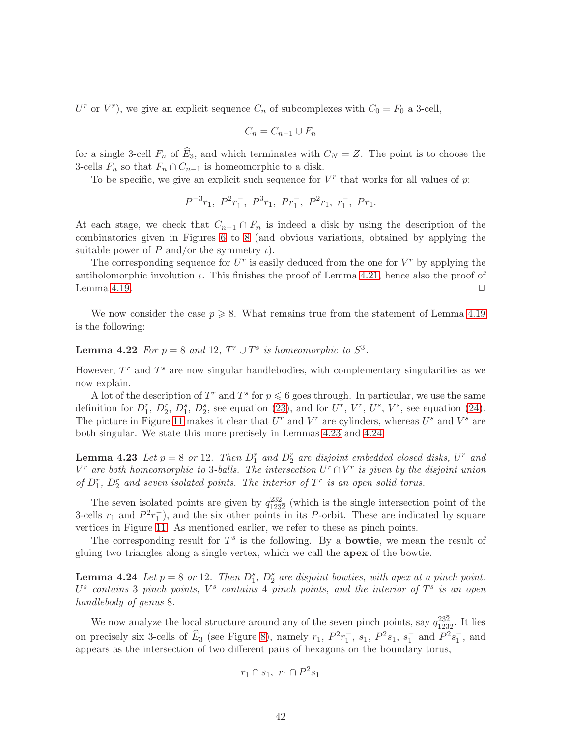U<sup>r</sup> or V<sup>r</sup>), we give an explicit sequence  $C_n$  of subcomplexes with  $C_0 = F_0$  a 3-cell,

$$
C_n = C_{n-1} \cup F_n
$$

for a single 3-cell  $F_n$  of  $\widehat{E}_3$ , and which terminates with  $C_N = Z$ . The point is to choose the 3-cells  $F_n$  so that  $F_n \cap C_{n-1}$  is homeomorphic to a disk.

To be specific, we give an explicit such sequence for  $V^r$  that works for all values of  $p$ .

$$
P^{-3}r_1
$$
,  $P^2r_1^-$ ,  $P^3r_1$ ,  $Pr_1^-$ ,  $P^2r_1$ ,  $r_1^-$ ,  $Pr_1$ .

At each stage, we check that  $C_{n-1} \cap F_n$  is indeed a disk by using the description of the combinatorics given in Figures [6](#page-32-0) to [8](#page-34-0) (and obvious variations, obtained by applying the suitable power of P and/or the symmetry  $\iota$ ).

The corresponding sequence for  $U^r$  is easily deduced from the one for  $V^r$  by applying the antiholomorphic involution  $\iota$ . This finishes the proof of Lemma [4.21,](#page-40-1) hence also the proof of Lemma [4.19.](#page-39-0)  $\Box$ 

<span id="page-41-0"></span>We now consider the case  $p \ge 8$ . What remains true from the statement of Lemma [4.19](#page-39-0) is the following:

## **Lemma 4.22** For  $p = 8$  and 12,  $T^r \cup T^s$  is homeomorphic to  $S^3$ .

However,  $T<sup>r</sup>$  and  $T<sup>s</sup>$  are now singular handlebodies, with complementary singularities as we now explain.

A lot of the description of  $T^r$  and  $T^s$  for  $p \leq 6$  goes through. In particular, we use the same definition for  $D_1^r$ ,  $D_2^r$ ,  $D_3^s$ , see equation [\(23\)](#page-39-1), and for  $U^r$ ,  $V^r$ ,  $U^s$ ,  $V^s$ , see equation [\(24\)](#page-40-2). The picture in Figure [11](#page-38-1) makes it clear that  $U^r$  and  $V^r$  are cylinders, whereas  $U^s$  and  $V^s$  are both singular. We state this more precisely in Lemmas [4.23](#page-41-1) and [4.24.](#page-41-2)

<span id="page-41-1"></span>**Lemma 4.23** Let  $p = 8$  or 12. Then  $D_1^r$  and  $D_2^r$  are disjoint embedded closed disks,  $U^r$  and  $V^r$  are both homeomorphic to 3-balls. The intersection  $U^r \cap V^r$  is given by the disjoint union of  $D_1^r$ ,  $D_2^r$  and seven isolated points. The interior of  $T^r$  is an open solid torus.

The seven isolated points are given by  $q_{123}^{23\overline{2}}$  $\frac{232}{1232}$  (which is the single intersection point of the 3-cells  $r_1$  and  $P^2r_1^-$ ), and the six other points in its P-orbit. These are indicated by square vertices in Figure [11.](#page-38-1) As mentioned earlier, we refer to these as pinch points.

The corresponding result for  $T^s$  is the following. By a **bowtie**, we mean the result of gluing two triangles along a single vertex, which we call the apex of the bowtie.

**Lemma 4.24** Let  $p = 8$  or 12. Then  $D_1^s$ ,  $D_2^s$  are disjoint bowties, with apex at a pinch point.  $U^s$  contains 3 pinch points,  $V^s$  contains 4 pinch points, and the interior of  $T^s$  is an open handlebody of genus 8.

We now analyze the local structure around any of the seven pinch points, say  $q_{123}^{23\overline{2}}$  $\frac{232}{1232}$ . It lies on precisely six 3-cells of  $\hat{E}_3$  (see Figure [8\)](#page-34-0), namely  $r_1$ ,  $P^2r_1^-, s_1$ ,  $P^2s_1$ ,  $s_1^-$  and  $P^2s_1^-$ , and appears as the intersection of two different pairs of hexagons on the boundary torus,

<span id="page-41-2"></span>
$$
r_1 \cap s_1, r_1 \cap P^2 s_1
$$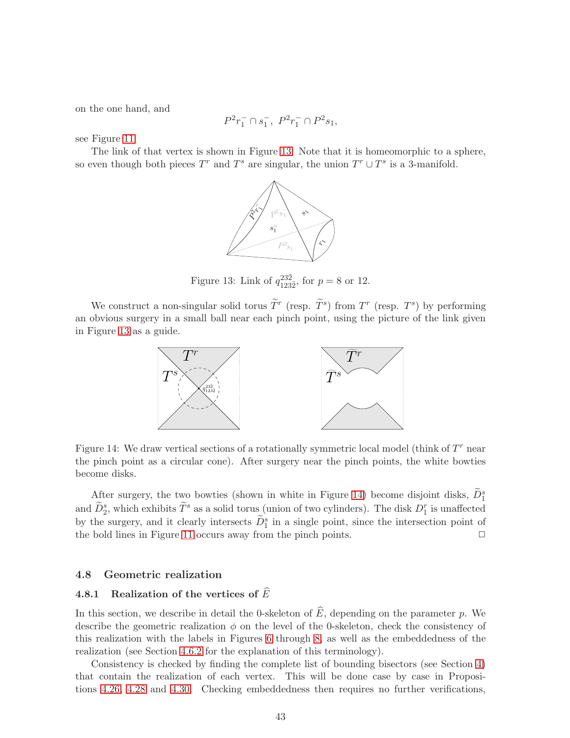on the one hand, and

$$
P^2r_1^- \cap s_1^-, \ P^2r_1^- \cap P^2s_1,
$$

see Figure [11.](#page-38-1)

The link of that vertex is shown in Figure [13.](#page-42-1) Note that it is homeomorphic to a sphere, so even though both pieces  $T^r$  and  $T^s$  are singular, the union  $T^r \cup T^s$  is a 3-manifold.



<span id="page-42-1"></span>Figure 13: Link of  $q_{123}^{23\overline{2}}$  $^{232}_{123\bar{2}}$ , for  $p = 8$  or 12.

We construct a non-singular solid torus  $\tilde{T}^r$  (resp.  $\tilde{T}^s$ ) from  $T^r$  (resp.  $T^s$ ) by performing an obvious surgery in a small ball near each pinch point, using the picture of the link given in Figure [13](#page-42-1) as a guide.



<span id="page-42-2"></span>Figure 14: We draw vertical sections of a rotationally symmetric local model (think of  $T<sup>r</sup>$  near the pinch point as a circular cone). After surgery near the pinch points, the white bowties become disks.

After surgery, the two bowties (shown in white in Figure [14\)](#page-42-2) become disjoint disks,  $\tilde{D}_1^s$ and  $\tilde{D}_2^s$ , which exhibits  $\tilde{T}^s$  as a solid torus (union of two cylinders). The disk  $D_1^r$  is unaffected by the surgery, and it clearly intersects  $\tilde{D}_1^s$  in a single point, since the intersection point of the bold lines in Figure [11](#page-38-1) occurs away from the pinch points.  $\Box$ 

#### <span id="page-42-0"></span>4.8 Geometric realization

## 4.8.1 Realization of the vertices of  $\widehat{E}$

In this section, we describe in detail the 0-skeleton of  $\widehat{E}$ , depending on the parameter p. We describe the geometric realization  $\phi$  on the level of the 0-skeleton, check the consistency of this realization with the labels in Figures [6](#page-32-0) through [8,](#page-34-0) as well as the embeddedness of the realization (see Section [4.6.2](#page-35-1) for the explanation of this terminology).

Consistency is checked by finding the complete list of bounding bisectors (see Section [4\)](#page-20-0) that contain the realization of each vertex. This will be done case by case in Propositions [4.26,](#page-43-0) [4.28](#page-44-0) and [4.30.](#page-45-1) Checking embeddedness then requires no further verifications,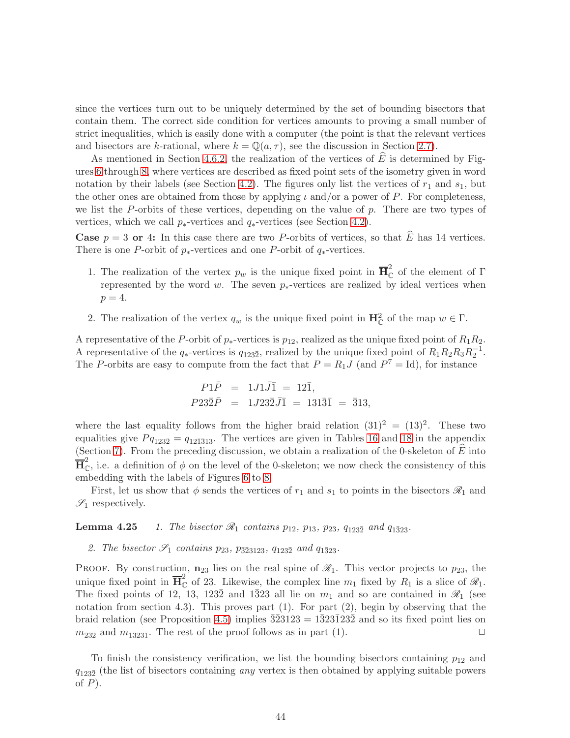since the vertices turn out to be uniquely determined by the set of bounding bisectors that contain them. The correct side condition for vertices amounts to proving a small number of strict inequalities, which is easily done with a computer (the point is that the relevant vertices and bisectors are k-rational, where  $k = \mathbb{Q}(a, \tau)$ , see the discussion in Section [2.7\)](#page-11-0).

As mentioned in Section [4.6.2,](#page-35-1) the realization of the vertices of  $\hat{E}$  is determined by Figures [6](#page-32-0) through [8,](#page-34-0) where vertices are described as fixed point sets of the isometry given in word notation by their labels (see Section [4.2\)](#page-22-0). The figures only list the vertices of  $r_1$  and  $s_1$ , but the other ones are obtained from those by applying  $\iota$  and/or a power of P. For completeness, we list the  $P$ -orbits of these vertices, depending on the value of  $p$ . There are two types of vertices, which we call  $p_*$ -vertices and  $q_*$ -vertices (see Section [4.2\)](#page-22-0).

**Case**  $p = 3$  or 4: In this case there are two P-orbits of vertices, so that  $\widehat{E}$  has 14 vertices. There is one P-orbit of  $p_*$ -vertices and one P-orbit of  $q_*$ -vertices.

- 1. The realization of the vertex  $p_w$  is the unique fixed point in  $\overline{H}_{\mathbb{C}}^2$  of the element of  $\Gamma$ represented by the word w. The seven  $p_*$ -vertices are realized by ideal vertices when  $p=4$ .
- 2. The realization of the vertex  $q_w$  is the unique fixed point in  $\mathbf{H}_{\mathbb{C}}^2$  of the map  $w \in \Gamma$ .

A representative of the P-orbit of  $p_*$ -vertices is  $p_{12}$ , realized as the unique fixed point of  $R_1R_2$ . A representative of the  $q_*$ -vertices is  $q_{123\bar{2}}$ , realized by the unique fixed point of  $R_1R_2R_3R_2^{-1}$ . The P-orbits are easy to compute from the fact that  $P = R_1 J$  (and  $P^7 = Id$ ), for instance

$$
P1\overline{P} = 1J1\overline{J}\overline{1} = 12\overline{1}, P23\overline{2}\overline{P} = 1J23\overline{2}J\overline{1} = 131\overline{3}\overline{1} = \overline{3}13,
$$

where the last equality follows from the higher braid relation  $(31)^2 = (13)^2$ . These two equalities give  $P_{q_{123\bar{2}}}=q_{12\bar{1}313}$ . The vertices are given in Tables [16](#page-73-0) and [18](#page-74-0) in the appendix (Section [7\)](#page-73-1). From the preceding discussion, we obtain a realization of the 0-skeleton of  $E$  into  $\overline{H}_{\mathbb{C}}^2$ , i.e. a definition of  $\phi$  on the level of the 0-skeleton; we now check the consistency of this embedding with the labels of Figures [6](#page-32-0) to [8.](#page-34-0)

<span id="page-43-1"></span>First, let us show that  $\phi$  sends the vertices of  $r_1$  and  $s_1$  to points in the bisectors  $\mathscr{R}_1$  and  $\mathscr{S}_1$  respectively.

**Lemma 4.25** 1. The bisector  $\mathcal{R}_1$  contains  $p_{12}$ ,  $p_{13}$ ,  $p_{23}$ ,  $q_{123\overline{2}}$  and  $q_{1\overline{3}23}$ .

2. The bisector  $\mathcal{S}_1$  contains  $p_{23}$ ,  $p_{\bar{3}23123}$ ,  $q_{123\bar{2}}$  and  $q_{1\bar{3}23}$ .

PROOF. By construction,  $n_{23}$  lies on the real spine of  $\mathcal{R}_1$ . This vector projects to  $p_{23}$ , the unique fixed point in  $\overline{\mathbf{H}}_{\mathbb{C}}^2$  of 23. Likewise, the complex line  $m_1$  fixed by  $R_1$  is a slice of  $\mathscr{R}_1$ . The fixed points of 12, 13, 1232 and 1 $\overline{3}23$  all lie on  $m_1$  and so are contained in  $\mathscr{R}_1$  (see notation from section 4.3). This proves part  $(1)$ . For part  $(2)$ , begin by observing that the braid relation (see Proposition [4.5\)](#page-24-0) implies  $\overline{32}3123 = 1\overline{3}23\overline{1}23\overline{2}$  and so its fixed point lies on  $m_{23\bar{2}}$  and  $m_{1\bar{3}23\bar{1}}$ . The rest of the proof follows as in part (1).

<span id="page-43-0"></span>To finish the consistency verification, we list the bounding bisectors containing  $p_{12}$  and  $q_{123\bar{2}}$  (the list of bisectors containing *any* vertex is then obtained by applying suitable powers of  $P$ ).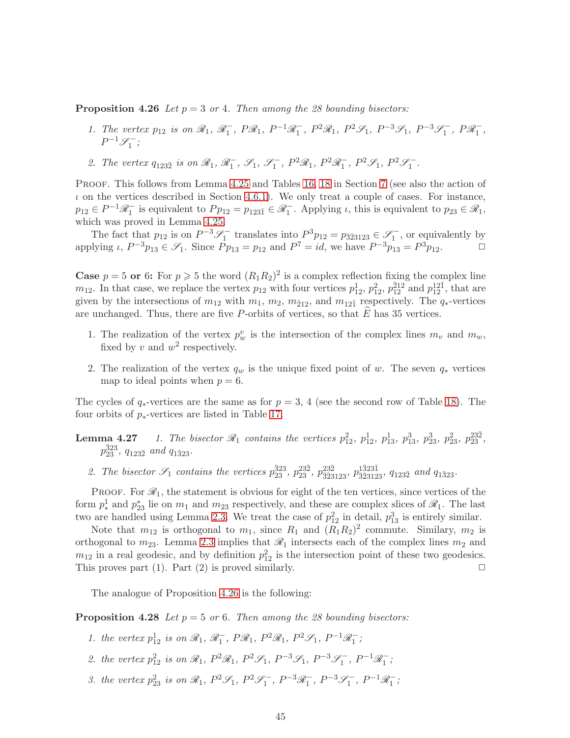**Proposition 4.26** Let  $p = 3$  or 4. Then among the 28 bounding bisectors:

- 1. The vertex  $p_{12}$  is on  $\mathcal{R}_1$ ,  $\mathcal{R}_1^-$ ,  $P\mathcal{R}_1$ ,  $P^{-1}\mathcal{R}_1^-$ ,  $P^2\mathcal{R}_1$ ,  $P^2\mathcal{S}_1$ ,  $P^{-3}\mathcal{S}_1$ ,  $P^{-3}\mathcal{S}_1^-$ ,  $P\mathcal{R}_1^-$ ,  $P^{-1}\mathscr{S}_1^-$ ;
- 2. The vertex  $q_{123\bar{2}}$  is on  $\mathcal{R}_1$ ,  $\mathcal{R}_1^-$ ,  $\mathcal{S}_1$ ,  $\mathcal{S}_1^-$ ,  $P^2\mathcal{R}_1$ ,  $P^2\mathcal{R}_1^-$ ,  $P^2\mathcal{S}_1$ ,  $P^2\mathcal{S}_1^-$ .

PROOF. This follows from Lemma [4.25](#page-43-1) and Tables [16,](#page-73-0) [18](#page-74-0) in Section [7](#page-73-1) (see also the action of  $\iota$  on the vertices described in Section [4.6.1\)](#page-32-1). We only treat a couple of cases. For instance,  $p_{12} \in P^{-1} \mathcal{R}_1^-$  is equivalent to  $P p_{12} = p_{123\bar{1}} \in \mathcal{R}_1^-$ . Applying  $\iota$ , this is equivalent to  $p_{23} \in \mathcal{R}_1$ , which was proved in Lemma [4.25.](#page-43-1)

The fact that  $p_{12}$  is on  $P^{-3}\mathscr{S}_1^-$  translates into  $P^3p_{12} = p_{\bar{3}\bar{2}3123} \in \mathscr{S}_1^-$ , or equivalently by applying  $\iota$ ,  $P^{-3}p_{13} \in \mathscr{S}_1$ . Since  $Pp_{13} = p_{12}$  and  $P^7 = id$ , we have  $P^{-3}p_{13} = P^3p_{12}$ .

**Case**  $p = 5$  or 6: For  $p \ge 5$  the word  $(R_1R_2)^2$  is a complex reflection fixing the complex line  $m_{12}$ . In that case, we replace the vertex  $p_{12}$  with four vertices  $p_{12}^1$ ,  $p_{12}^2$ ,  $p_{12}^{\bar{2}12}$  and  $p_{12}^{12\bar{1}}$ , that are given by the intersections of  $m_{12}$  with  $m_1$ ,  $m_2$ ,  $m_{\bar{2}12}$ , and  $m_{12\bar{1}}$  respectively. The  $q_*$ -vertices are unchanged. Thus, there are five P-orbits of vertices, so that  $\hat{E}$  has 35 vertices.

- 1. The realization of the vertex  $p_w^v$  is the intersection of the complex lines  $m_v$  and  $m_w$ , fixed by v and  $w^2$  respectively.
- 2. The realization of the vertex  $q_w$  is the unique fixed point of w. The seven  $q_*$  vertices map to ideal points when  $p = 6$ .

The cycles of  $q_*$ -vertices are the same as for  $p = 3, 4$  (see the second row of Table [18\)](#page-74-0). The four orbits of  $p_*$ -vertices are listed in Table [17.](#page-73-2)

- **Lemma 4.27** 1. The bisector  $\mathcal{R}_1$  contains the vertices  $p_{12}^2$ ,  $p_{12}^1$ ,  $p_{13}^1$ ,  $p_{13}^3$ ,  $p_{23}^3$ ,  $p_{23}^2$ ,  $p_{23}^{232}$ ,  $p_{23}^{\bar{3}23}$ ,  $q_{123\bar{2}}$  and  $q_{1\bar{3}23}$ .
	- 2. The bisector  $\mathcal{S}_1$  contains the vertices  $p_{23}^{\bar{3}23}$ ,  $p_{23}^{23\bar{2}}$ ,  $p_{3\bar{2}3123}^{23\bar{2}}$ ,  $q_{1\bar{2}3\bar{2}}$  and  $q_{1\bar{3}23}$ .

PROOF. For  $\mathcal{R}_1$ , the statement is obvious for eight of the ten vertices, since vertices of the form  $p_*^1$ <sup>1</sup>/<sub>23</sub> lie on  $m_1$  and  $m_{23}$  respectively, and these are complex slices of  $\mathscr{R}_1$ . The last two are handled using Lemma [2.3.](#page-8-0) We treat the case of  $p_{12}^2$  in detail,  $p_{13}^3$  is entirely similar.

Note that  $m_{12}$  is orthogonal to  $m_1$ , since  $R_1$  and  $(R_1R_2)^2$  commute. Similary,  $m_2$  is orthogonal to  $m_{23}$ . Lemma [2.3](#page-8-0) implies that  $\mathcal{R}_1$  intersects each of the complex lines  $m_2$  and  $m_{12}$  in a real geodesic, and by definition  $p_{12}^2$  is the intersection point of these two geodesics. This proves part (1). Part (2) is proved similarly.  $\square$ 

<span id="page-44-0"></span>The analogue of Proposition [4.26](#page-43-0) is the following:

**Proposition 4.28** Let  $p = 5$  or 6. Then among the 28 bounding bisectors:

- 1. the vertex  $p_{12}^1$  is on  $\mathcal{R}_1$ ,  $\mathcal{R}_1^-$ ,  $P\mathcal{R}_1$ ,  $P^2\mathcal{R}_1$ ,  $P^2\mathcal{S}_1$ ,  $P^{-1}\mathcal{R}_1^-$ ;
- 2. the vertex  $p_{12}^2$  is on  $\mathcal{R}_1$ ,  $P^2\mathcal{R}_1$ ,  $P^2\mathcal{S}_1$ ,  $P^{-3}\mathcal{S}_1$ ,  $P^{-3}\mathcal{S}_1^{-}$ ,  $P^{-1}\mathcal{R}_1^{-}$ ;
- 3. the vertex  $p_{23}^2$  is on  $\mathcal{R}_1$ ,  $P^2\mathcal{S}_1$ ,  $P^2\mathcal{S}_1^-$ ,  $P^{-3}\mathcal{R}_1^-$ ,  $P^{-3}\mathcal{S}_1^-$ ,  $P^{-1}\mathcal{R}_1^-$ ;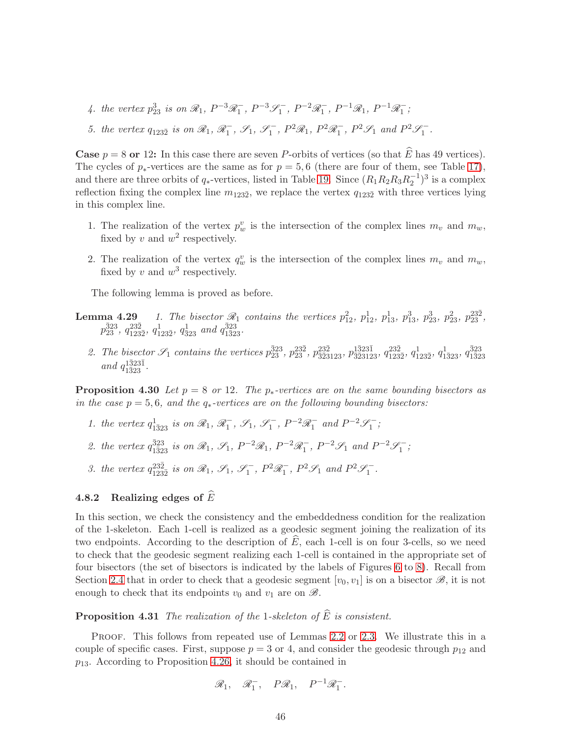- 4. the vertex  $p_{23}^3$  is on  $\mathcal{R}_1$ ,  $P^{-3}\mathcal{R}_1^-$ ,  $P^{-3}\mathcal{S}_1^-$ ,  $P^{-2}\mathcal{R}_1^-$ ,  $P^{-1}\mathcal{R}_1$ ,  $P^{-1}\mathcal{R}_1^-$ ;
- 5. the vertex  $q_{123\overline{2}}$  is on  $\mathcal{R}_1$ ,  $\mathcal{R}_1^-$ ,  $\mathcal{S}_1$ ,  $\mathcal{S}_1^-$ ,  $P^2\mathcal{R}_1$ ,  $P^2\mathcal{R}_1^-$ ,  $P^2\mathcal{S}_1$  and  $P^2\mathcal{S}_1^-$ .

**Case**  $p = 8$  or 12: In this case there are seven P-orbits of vertices (so that  $\widehat{E}$  has 49 vertices). The cycles of  $p_*$ -vertices are the same as for  $p = 5, 6$  (there are four of them, see Table [17\)](#page-73-2), and there are three orbits of  $q_*$ -vertices, listed in Table [19.](#page-74-1) Since  $(R_1R_2R_3R_2^{-1})^3$  is a complex reflection fixing the complex line  $m_{123\bar{2}}$ , we replace the vertex  $q_{123\bar{2}}$  with three vertices lying in this complex line.

- 1. The realization of the vertex  $p_w^v$  is the intersection of the complex lines  $m_v$  and  $m_w$ , fixed by v and  $w^2$  respectively.
- 2. The realization of the vertex  $q_w^v$  is the intersection of the complex lines  $m_v$  and  $m_w$ , fixed by v and  $w^3$  respectively.

The following lemma is proved as before.

- **Lemma 4.29** 1. The bisector  $\mathcal{R}_1$  contains the vertices  $p_{12}^2$ ,  $p_{12}^1$ ,  $p_{13}^1$ ,  $p_{13}^3$ ,  $p_{23}^3$ ,  $p_{23}^2$ ,  $p_{23}^{232}$ ,  $p_{23}^{\bar323}$ ,  $q_{123\bar2}^{23}$ ,  $q_{123\bar2}^{1}$ ,  $q_{\bar323}^{1}$  and  $q_{1\bar323}^{\bar323}$ .
	- 2. The bisector  $\mathcal{S}_1$  contains the vertices  $p_{23}^{323}$ ,  $p_{23}^{23\bar{2}}$ ,  $p_{3\bar{2}3123}^{23\bar{2}3}$ ,  $p_{3\bar{2}3123}^{1\bar{3}23\bar{1}}$ ,  $q_{123}^{23\bar{2}}$  $\frac{23\bar{2}}{123\bar{2}},\, q^{1}_{1\bar{2}3\bar{2}},\, q^{1}_{1\bar{3}23},\, q^{\bar{3}23}_{1\bar{3}2}$ 1¯323 and  $q_{1\bar{3}23}^{1\bar{3}23\bar{1}}$ .

<span id="page-45-1"></span>**Proposition 4.30** Let  $p = 8$  or 12. The  $p_*$ -vertices are on the same bounding bisectors as in the case  $p = 5, 6$ , and the  $q_*$ -vertices are on the following bounding bisectors:

- 1. the vertex  $q_{1\bar{3}23}^1$  is on  $\mathcal{R}_1$ ,  $\mathcal{R}_1^-$ ,  $\mathcal{S}_1$ ,  $\mathcal{S}_1^-$ ,  $P^{-2}\mathcal{R}_1^-$  and  $P^{-2}\mathcal{S}_1^-$ ;
- 2. the vertex  $q_{1\bar{3}23}^{\bar{3}23}$  is on  $\mathcal{R}_1$ ,  $\mathcal{S}_1$ ,  $P^{-2}\mathcal{R}_1$ ,  $P^{-2}\mathcal{R}_1^{-}$ ,  $P^{-2}\mathcal{S}_1$  and  $P^{-2}\mathcal{S}_1^{-}$ ;
- 3. the vertex  $q_{123\bar{2}}^{23\bar{2}}$  is on  $\mathcal{R}_1$ ,  $\mathcal{S}_1$ ,  $\mathcal{S}_1^{-}$ ,  $P^2\mathcal{R}_1^{-}$ ,  $P^2\mathcal{S}_1$  and  $P^2\mathcal{S}_1^{-}$ .

## <span id="page-45-0"></span>4.8.2 Realizing edges of  $\widehat{E}$

In this section, we check the consistency and the embeddedness condition for the realization of the 1-skeleton. Each 1-cell is realized as a geodesic segment joining the realization of its two endpoints. According to the description of  $E$ , each 1-cell is on four 3-cells, so we need to check that the geodesic segment realizing each 1-cell is contained in the appropriate set of four bisectors (the set of bisectors is indicated by the labels of Figures [6](#page-32-0) to [8\)](#page-34-0). Recall from Section [2.4](#page-8-1) that in order to check that a geodesic segment  $[v_0, v_1]$  is on a bisector  $\mathscr{B}$ , it is not enough to check that its endpoints  $v_0$  and  $v_1$  are on  $\mathscr{B}$ .

**Proposition 4.31** The realization of the 1-skeleton of  $\widehat{E}$  is consistent.

Proof. This follows from repeated use of Lemmas [2.2](#page-8-2) or [2.3.](#page-8-0) We illustrate this in a couple of specific cases. First, suppose  $p = 3$  or 4, and consider the geodesic through  $p_{12}$  and  $p_{13}$ . According to Proposition [4.26,](#page-43-0) it should be contained in

$$
\mathcal{R}_1, \quad \mathcal{R}_1^-, \quad P\mathcal{R}_1, \quad P^{-1}\mathcal{R}_1^-.
$$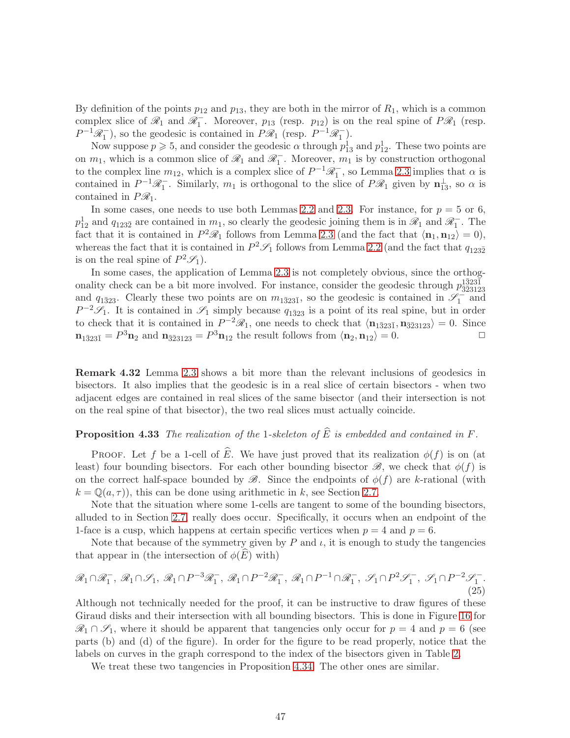By definition of the points  $p_{12}$  and  $p_{13}$ , they are both in the mirror of  $R_1$ , which is a common complex slice of  $\mathscr{R}_1$  and  $\mathscr{R}_1^-$ . Moreover,  $p_{13}$  (resp.  $p_{12}$ ) is on the real spine of  $P\mathscr{R}_1$  (resp.  $P^{-1}\mathscr{R}_1^-$ , so the geodesic is contained in  $P\mathscr{R}_1$  (resp.  $P^{-1}\mathscr{R}_1^-$ ).

Now suppose  $p \ge 5$ , and consider the geodesic  $\alpha$  through  $p_{13}^1$  and  $p_{12}^1$ . These two points are on  $m_1$ , which is a common slice of  $\mathcal{R}_1$  and  $\mathcal{R}_1^-$ . Moreover,  $m_1$  is by construction orthogonal to the complex line  $m_{12}$ , which is a complex slice of  $P^{-1}\mathscr{R}_1^-$ , so Lemma [2.3](#page-8-0) implies that  $\alpha$  is contained in  $P^{-1}\mathscr{R}_1^-$ . Similarly,  $m_1$  is orthogonal to the slice of  $P\mathscr{R}_1$  given by  $\mathbf{n}_{13}^{\perp}$ , so  $\alpha$  is contained in  $P\mathcal{R}_1$ .

In some cases, one needs to use both Lemmas [2.2](#page-8-2) and [2.3.](#page-8-0) For instance, for  $p = 5$  or 6,  $p_{12}^1$  and  $q_{123\bar{2}}$  are contained in  $m_1$ , so clearly the geodesic joining them is in  $\mathscr{R}_1$  and  $\mathscr{R}_1^-$ . The fact that it is contained in  $P^2 \mathcal{R}_1$  follows from Lemma [2.3](#page-8-0) (and the fact that  $\langle \mathbf{n}_1, \mathbf{n}_{12} \rangle = 0$ ), whereas the fact that it is contained in  $P^2\mathscr{S}_1$  follows from Lemma [2.2](#page-8-2) (and the fact that  $q_{123\overline{2}}$ is on the real spine of  $P^2\mathscr{S}_1$ .

In some cases, the application of Lemma [2.3](#page-8-0) is not completely obvious, since the orthogonality check can be a bit more involved. For instance, consider the geodesic through  $p_{\overline{3}5312}^{1\overline{3}23\overline{1}}$ ¯3¯23123 and  $q_{1\bar{3}23}$ . Clearly these two points are on  $m_{1\bar{3}23\bar{1}}$ , so the geodesic is contained in  $\mathscr{S}_1^{-}$  and  $P^{-2}\mathscr{S}_1$ . It is contained in  $\mathscr{S}_1$  simply because  $q_{1\bar{3}23}$  is a point of its real spine, but in order to check that it is contained in  $P^{-2}\mathscr{R}_1$ , one needs to check that  $\langle \mathbf{n}_{1\bar{3}23\bar{1}}, \mathbf{n}_{\bar{3}231\bar{2}3}\rangle = 0$ . Since  $\mathbf{n}_{1\bar{3}23\bar{1}} = P^3 \mathbf{n}_2$  and  $\mathbf{n}_{\bar{3}23123} = P^3 \mathbf{n}_{12}$  the result follows from  $\langle \mathbf{n}_2, \mathbf{n}_{12} \rangle = 0$ .

Remark 4.32 Lemma [2.3](#page-8-0) shows a bit more than the relevant inclusions of geodesics in bisectors. It also implies that the geodesic is in a real slice of certain bisectors - when two adjacent edges are contained in real slices of the same bisector (and their intersection is not on the real spine of that bisector), the two real slices must actually coincide.

## **Proposition 4.33** The realization of the 1-skeleton of  $\widehat{E}$  is embedded and contained in F.

PROOF. Let f be a 1-cell of  $\widehat{E}$ . We have just proved that its realization  $\phi(f)$  is on (at least) four bounding bisectors. For each other bounding bisector  $\mathscr{B}$ , we check that  $\phi(f)$  is on the correct half-space bounded by  $\mathscr{B}$ . Since the endpoints of  $\phi(f)$  are k-rational (with  $k = \mathbb{Q}(a, \tau)$ , this can be done using arithmetic in k, see Section [2.7.](#page-11-0)

Note that the situation where some 1-cells are tangent to some of the bounding bisectors, alluded to in Section [2.7,](#page-11-0) really does occur. Specifically, it occurs when an endpoint of the 1-face is a cusp, which happens at certain specific vertices when  $p = 4$  and  $p = 6$ .

Note that because of the symmetry given by P and  $\iota$ , it is enough to study the tangencies that appear in (the intersection of  $\phi(\widehat{E})$  with)

$$
\mathcal{R}_1 \cap \mathcal{R}_1^-, \mathcal{R}_1 \cap \mathcal{S}_1, \mathcal{R}_1 \cap P^{-3} \mathcal{R}_1^-, \mathcal{R}_1 \cap P^{-2} \mathcal{R}_1^-, \mathcal{R}_1 \cap P^{-1} \cap \mathcal{R}_1^-, \mathcal{S}_1 \cap P^2 \mathcal{S}_1^-, \mathcal{S}_1 \cap P^{-2} \mathcal{S}_1^-. \tag{25}
$$

Although not technically needed for the proof, it can be instructive to draw figures of these Giraud disks and their intersection with all bounding bisectors. This is done in Figure [16](#page-55-0) for  $\mathscr{R}_1 \cap \mathscr{S}_1$ , where it should be apparent that tangencies only occur for  $p = 4$  and  $p = 6$  (see parts (b) and (d) of the figure). In order for the figure to be read properly, notice that the labels on curves in the graph correspond to the index of the bisectors given in Table [2.](#page-47-0)

<span id="page-46-0"></span>We treat these two tangencies in Proposition [4.34.](#page-46-0) The other ones are similar.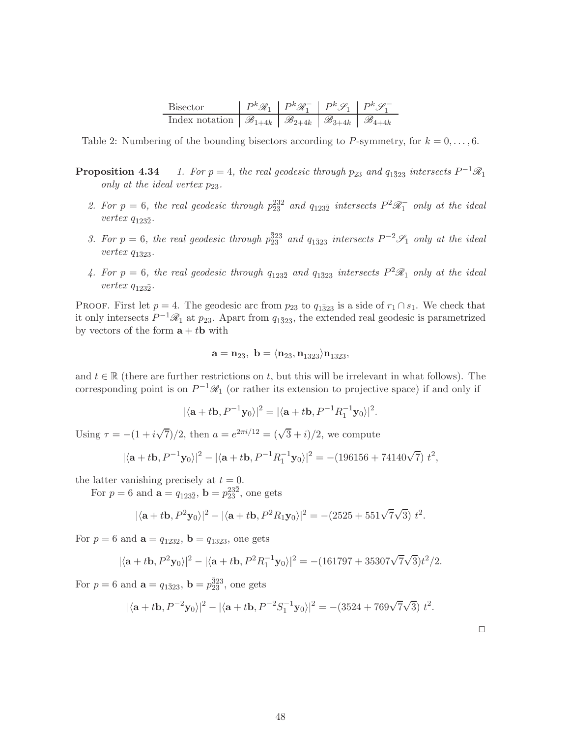| Bisector                                                                                                    | $\mid P^k \mathcal{R}_1 \mid P^k \mathcal{R}_1^- \mid P^k \mathcal{S}_1 \mid P^k \mathcal{S}_1^-$ |  |
|-------------------------------------------------------------------------------------------------------------|---------------------------------------------------------------------------------------------------|--|
| Index notation $\mathcal{B}_{1+4k} \mid \mathcal{B}_{2+4k} \mid \mathcal{B}_{3+4k} \mid \mathcal{B}_{4+4k}$ |                                                                                                   |  |

<span id="page-47-0"></span>Table 2: Numbering of the bounding bisectors according to P-symmetry, for  $k = 0, \ldots, 6$ .

- **Proposition 4.34** 1. For  $p = 4$ , the real geodesic through  $p_{23}$  and  $q_{1\bar{3}23}$  intersects  $P^{-1}R_1$ only at the ideal vertex  $p_{23}$ .
	- 2. For  $p = 6$ , the real geodesic through  $p_{23}^{23\bar{2}}$  and  $q_{123\bar{2}}$  intersects  $P^2 \mathcal{R}_1^-$  only at the ideal  $vertex q_{123\bar{2}}.$
	- 3. For  $p = 6$ , the real geodesic through  $p_{23}^{\bar{3}23}$  and  $q_{1\bar{3}23}$  intersects  $P^{-2}\mathscr{S}_1$  only at the ideal  $vertex q_{1\bar{3}23}.$
	- 4. For  $p = 6$ , the real geodesic through  $q_{123\bar{2}}$  and  $q_{1\bar{3}23}$  intersects  $P^2\mathscr{R}_1$  only at the ideal  $vertex q_{123\bar{2}}.$

PROOF. First let  $p = 4$ . The geodesic arc from  $p_{23}$  to  $q_{1\overline{3}23}$  is a side of  $r_1 \cap s_1$ . We check that it only intersects  $P^{-1}\mathscr{R}_1$  at  $p_{23}$ . Apart from  $q_{1\bar{3}23}$ , the extended real geodesic is parametrized by vectors of the form  $\mathbf{a} + t\mathbf{b}$  with

$$
\mathbf{a} = \mathbf{n}_{23}, \ \mathbf{b} = \langle \mathbf{n}_{23}, \mathbf{n}_{1\bar{3}23} \rangle \mathbf{n}_{1\bar{3}23},
$$

and  $t \in \mathbb{R}$  (there are further restrictions on t, but this will be irrelevant in what follows). The corresponding point is on  $P^{-1}\mathscr{R}_1$  (or rather its extension to projective space) if and only if

$$
|\langle \mathbf{a}+t\mathbf{b}, P^{-1}\mathbf{y}_0\rangle|^2 = |\langle \mathbf{a}+t\mathbf{b}, P^{-1}R_1^{-1}\mathbf{y}_0\rangle|^2.
$$

Using  $\tau = -(1 + i\sqrt{7})/2$ , then  $a = e^{2\pi i/12} = (\sqrt{3} + i)/2$ , we compute

$$
|\langle {\bf a}+t{\bf b},P^{-1}{\bf y}_0\rangle|^2-|\langle {\bf a}+t{\bf b},P^{-1}R_1^{-1}{\bf y}_0\rangle|^2=-\big(196156+74140\sqrt{7}\big)\;t^2,
$$

the latter vanishing precisely at  $t = 0$ .

For  $p = 6$  and  $\mathbf{a} = q_{123\bar{2}}$ ,  $\mathbf{b} = p_{23}^{23\bar{2}}$ , one gets

$$
|\langle \mathbf{a} + t\mathbf{b}, P^2\mathbf{y}_0 \rangle|^2 - |\langle \mathbf{a} + t\mathbf{b}, P^2R_1\mathbf{y}_0 \rangle|^2 = -(2525 + 551\sqrt{7}\sqrt{3}) t^2.
$$

For  $p = 6$  and  $\mathbf{a} = q_{123\bar{2}}$ ,  $\mathbf{b} = q_{1\bar{3}23}$ , one gets

$$
|\langle \mathbf{a}+t\mathbf{b}, P^2\mathbf{y}_0\rangle|^2-|\langle \mathbf{a}+t\mathbf{b}, P^2R_1^{-1}\mathbf{y}_0\rangle|^2=-(161797+35307\sqrt{7}\sqrt{3})t^2/2.
$$

For  $p = 6$  and  $\mathbf{a} = q_{1\bar{3}23}$ ,  $\mathbf{b} = p_{23}^{\bar{3}23}$ , one gets

$$
|\langle \mathbf{a} + t\mathbf{b}, P^{-2}\mathbf{y}_0 \rangle|^2 - |\langle \mathbf{a} + t\mathbf{b}, P^{-2}S_1^{-1}\mathbf{y}_0 \rangle|^2 = -(3524 + 769\sqrt{7}\sqrt{3}) t^2.
$$

 $\Box$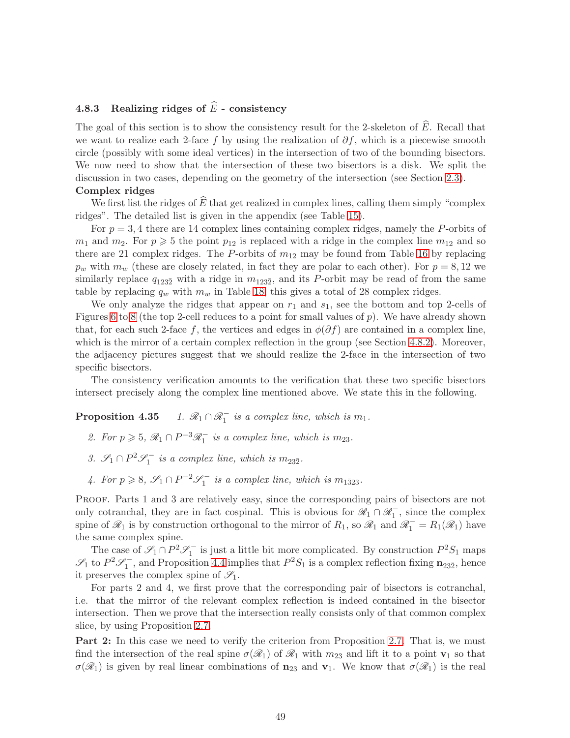# <span id="page-48-0"></span>4.8.3 Realizing ridges of  $\widehat{E}$  - consistency

The goal of this section is to show the consistency result for the 2-skeleton of  $\widehat{E}$ . Recall that we want to realize each 2-face f by using the realization of  $\partial f$ , which is a piecewise smooth circle (possibly with some ideal vertices) in the intersection of two of the bounding bisectors. We now need to show that the intersection of these two bisectors is a disk. We split the discussion in two cases, depending on the geometry of the intersection (see Section [2.3\)](#page-7-0).

#### Complex ridges

We first list the ridges of  $\widehat{E}$  that get realized in complex lines, calling them simply "complex" ridges". The detailed list is given in the appendix (see Table [15\)](#page-73-3).

For  $p = 3, 4$  there are 14 complex lines containing complex ridges, namely the P-orbits of  $m_1$  and  $m_2$ . For  $p \geqslant 5$  the point  $p_{12}$  is replaced with a ridge in the complex line  $m_{12}$  and so there are 21 complex ridges. The P-orbits of  $m_{12}$  may be found from Table [16](#page-73-0) by replacing  $p_w$  with  $m_w$  (these are closely related, in fact they are polar to each other). For  $p = 8, 12$  we similarly replace  $q_{123\bar{2}}$  with a ridge in  $m_{123\bar{2}}$ , and its P-orbit may be read of from the same table by replacing  $q_w$  with  $m_w$  in Table [18;](#page-74-0) this gives a total of 28 complex ridges.

We only analyze the ridges that appear on  $r_1$  and  $s_1$ , see the bottom and top 2-cells of Figures [6](#page-32-0) to [8](#page-34-0) (the top 2-cell reduces to a point for small values of  $p$ ). We have already shown that, for each such 2-face f, the vertices and edges in  $\phi(\partial f)$  are contained in a complex line, which is the mirror of a certain complex reflection in the group (see Section [4.8.2\)](#page-45-0). Moreover, the adjacency pictures suggest that we should realize the 2-face in the intersection of two specific bisectors.

<span id="page-48-1"></span>The consistency verification amounts to the verification that these two specific bisectors intersect precisely along the complex line mentioned above. We state this in the following.

Proposition 4.35  $i_1$  is a complex line, which is  $m_1$ .

- 2. For  $p \geqslant 5$ ,  $\mathcal{R}_1 \cap P^{-3} \mathcal{R}_1^-$  is a complex line, which is  $m_{23}$ .
- 3.  $\mathcal{S}_1 \cap P^2 \mathcal{S}_1^-$  is a complex line, which is  $m_{23\overline{2}}$ .
- 4. For  $p \ge 8$ ,  $\mathscr{S}_1 \cap P^{-2} \mathscr{S}_1^-$  is a complex line, which is  $m_{1\bar{3}23}$ .

Proof. Parts 1 and 3 are relatively easy, since the corresponding pairs of bisectors are not only cotranchal, they are in fact cospinal. This is obvious for  $\mathscr{R}_1 \cap \mathscr{R}_1^-$ , since the complex spine of  $\mathscr{R}_1$  is by construction orthogonal to the mirror of  $R_1$ , so  $\mathscr{R}_1$  and  $\mathscr{R}_1^- = R_1(\mathscr{R}_1)$  have the same complex spine.

The case of  $\mathscr{S}_1 \cap P^2 \mathscr{S}_1^-$  is just a little bit more complicated. By construction  $P^2 S_1$  maps  $\mathscr{S}_1$  to  $P^2 \mathscr{S}_1^-$ , and Proposition [4.4](#page-24-1) implies that  $P^2 S_1$  is a complex reflection fixing  $\mathbf{n}_{23\bar{2}}$ , hence it preserves the complex spine of  $\mathscr{S}_1$ .

For parts 2 and 4, we first prove that the corresponding pair of bisectors is cotranchal, i.e. that the mirror of the relevant complex reflection is indeed contained in the bisector intersection. Then we prove that the intersection really consists only of that common complex slice, by using Proposition [2.7.](#page-10-0)

Part 2: In this case we need to verify the criterion from Proposition [2.7.](#page-10-0) That is, we must find the intersection of the real spine  $\sigma(\mathscr{R}_1)$  of  $\mathscr{R}_1$  with  $m_{23}$  and lift it to a point  $\mathbf{v}_1$  so that  $\sigma(\mathcal{R}_1)$  is given by real linear combinations of  $\mathbf{n}_{23}$  and  $\mathbf{v}_1$ . We know that  $\sigma(\mathcal{R}_1)$  is the real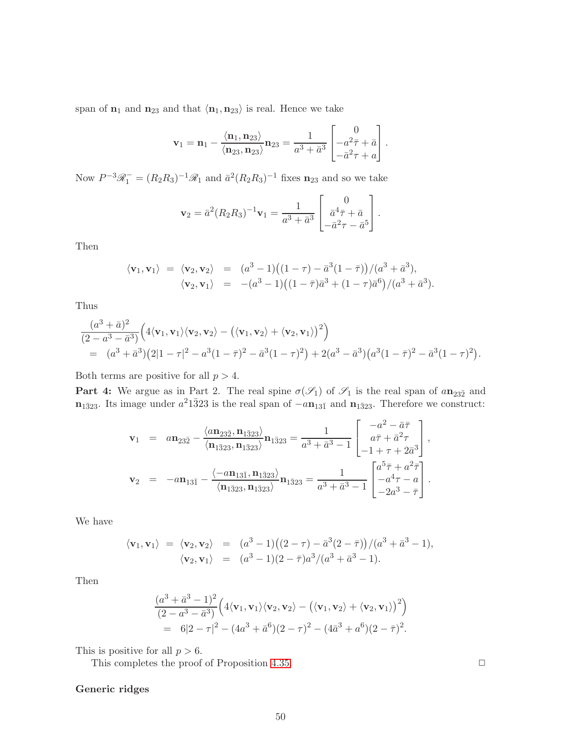span of  $n_1$  and  $n_{23}$  and that  $\langle n_1, n_{23} \rangle$  is real. Hence we take

$$
\mathbf{v}_1 = \mathbf{n}_1 - \frac{\langle \mathbf{n}_1, \mathbf{n}_{23} \rangle}{\langle \mathbf{n}_{23}, \mathbf{n}_{23} \rangle} \mathbf{n}_{23} = \frac{1}{a^3 + \bar{a}^3} \begin{bmatrix} 0 \\ -a^2 \bar{\tau} + \bar{a} \\ -\bar{a}^2 \tau + a \end{bmatrix}.
$$

Now  $P^{-3}\mathscr{R}_1^- = (R_2R_3)^{-1}\mathscr{R}_1$  and  $\bar{a}^2(R_2R_3)^{-1}$  fixes  $\mathbf{n}_{23}$  and so we take

$$
\mathbf{v}_2 = \bar{a}^2 (R_2 R_3)^{-1} \mathbf{v}_1 = \frac{1}{a^3 + \bar{a}^3} \begin{bmatrix} 0 \\ \bar{a}^4 \bar{\tau} + \bar{a} \\ -\bar{a}^2 \tau - \bar{a}^5 \end{bmatrix}.
$$

Then

$$
\langle \mathbf{v}_1, \mathbf{v}_1 \rangle = \langle \mathbf{v}_2, \mathbf{v}_2 \rangle = (a^3 - 1)((1 - \tau) - \bar{a}^3(1 - \bar{\tau}))/a^3 + \bar{a}^3), \langle \mathbf{v}_2, \mathbf{v}_1 \rangle = -(a^3 - 1)((1 - \bar{\tau})\bar{a}^3 + (1 - \tau)\bar{a}^6)/(a^3 + \bar{a}^3).
$$

Thus

$$
\frac{(a^3 + \bar{a})^2}{(2 - a^3 - \bar{a}^3)} \Big( 4\langle \mathbf{v}_1, \mathbf{v}_1 \rangle \langle \mathbf{v}_2, \mathbf{v}_2 \rangle - \big( \langle \mathbf{v}_1, \mathbf{v}_2 \rangle + \langle \mathbf{v}_2, \mathbf{v}_1 \rangle \big)^2 \Big) \n= (a^3 + \bar{a}^3)(2|1 - \tau|^2 - a^3(1 - \bar{\tau})^2 - \bar{a}^3(1 - \tau)^2) + 2(a^3 - \bar{a}^3)(a^3(1 - \bar{\tau})^2 - \bar{a}^3(1 - \tau)^2).
$$

Both terms are positive for all  $p > 4$ .

**Part 4:** We argue as in Part 2. The real spine  $\sigma(\mathscr{S}_1)$  of  $\mathscr{S}_1$  is the real span of  $a\mathbf{n}_{23\bar{2}}$  and  $n_{1\bar{3}23}$ . Its image under  $a^21\bar{3}23$  is the real span of  $-an_{13\bar{1}}$  and  $n_{1\bar{3}23}$ . Therefore we construct:

$$
\mathbf{v}_1 = a\mathbf{n}_{23\bar{2}} - \frac{\langle a\mathbf{n}_{23\bar{2}}, \mathbf{n}_{1\bar{3}23}\rangle}{\langle \mathbf{n}_{1\bar{3}23}, \mathbf{n}_{1\bar{3}23}\rangle} \mathbf{n}_{1\bar{3}23} = \frac{1}{a^3 + \bar{a}^3 - 1} \begin{bmatrix} -a^2 - \bar{a}\bar{\tau} \\ a\bar{\tau} + \bar{a}^2\tau \\ -1 + \tau + 2\bar{a}^3 \end{bmatrix},
$$
  

$$
\mathbf{v}_2 = -a\mathbf{n}_{13\bar{1}} - \frac{\langle -a\mathbf{n}_{13\bar{1}}, \mathbf{n}_{1\bar{3}23}\rangle}{\langle \mathbf{n}_{1\bar{3}23}, \mathbf{n}_{1\bar{3}23}\rangle} \mathbf{n}_{1\bar{3}23} = \frac{1}{a^3 + \bar{a}^3 - 1} \begin{bmatrix} a^5\bar{\tau} + a^2\bar{\tau} \\ -a^4\tau - a \\ -2a^3 - \bar{\tau} \end{bmatrix}.
$$

We have

$$
\langle \mathbf{v}_1, \mathbf{v}_1 \rangle = \langle \mathbf{v}_2, \mathbf{v}_2 \rangle = (a^3 - 1)((2 - \tau) - \bar{a}^3(2 - \bar{\tau}))/a^3 + \bar{a}^3 - 1),
$$
  
 $\langle \mathbf{v}_2, \mathbf{v}_1 \rangle = (a^3 - 1)(2 - \bar{\tau})a^3/(a^3 + \bar{a}^3 - 1).$ 

Then

$$
\frac{(a^3 + \bar{a}^3 - 1)^2}{(2 - a^3 - \bar{a}^3)} \Big( 4\langle \mathbf{v}_1, \mathbf{v}_1 \rangle \langle \mathbf{v}_2, \mathbf{v}_2 \rangle - \big( \langle \mathbf{v}_1, \mathbf{v}_2 \rangle + \langle \mathbf{v}_2, \mathbf{v}_1 \rangle \Big)^2 \Big) \n= 6|2 - \tau|^2 - (4a^3 + \bar{a}^6)(2 - \tau)^2 - (4\bar{a}^3 + a^6)(2 - \bar{\tau})^2.
$$

This is positive for all  $p > 6$ .

This completes the proof of Proposition [4.35.](#page-48-1)  $\Box$ 

Generic ridges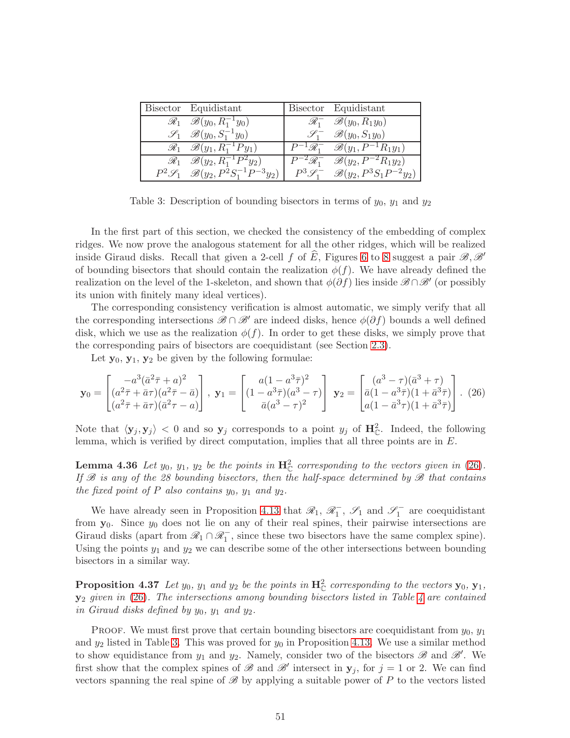| Bisector Equidistant                                                | Bisector Equidistant                                                        |
|---------------------------------------------------------------------|-----------------------------------------------------------------------------|
| $\mathscr{R}_1$ $\mathscr{B}(y_0, R_1^{-1}y_0)$                     | $\mathscr{R}_1^ \mathscr{B}(y_0, R_1y_0)$                                   |
| $\mathscr{S}_1$ $\mathscr{B}(y_0, S_1^{-1}y_0)$                     | $\mathscr{S}_1^ \mathscr{B}(y_0, S_1y_0)$                                   |
| $\mathscr{R}_1$ $\mathscr{B}(y_1, R_1^{-1}Py_1)$                    | $P^{-1}\mathscr{R}_1^ \mathscr{B}(y_1,P^{-1}R_1y_1)$                        |
| $\mathscr{R}_1$ $\mathscr{B}(y_2, R_1^{-1}P^2y_2)$                  | $\left  P^{-2}\mathcal{R}_1^- \quad \mathcal{B}(y_2, P^{-2}R_1y_2) \right $ |
| $P^2\mathscr{S}_1$ $\mathscr{B}(y_2, P^{\bar{2}}S_1^{-1}P^{-3}y_2)$ | $P^3\mathcal{S}_1^ \mathcal{B}(y_2, P^3S_1P^{-2}y_2)$                       |

<span id="page-50-1"></span>Table 3: Description of bounding bisectors in terms of  $y_0$ ,  $y_1$  and  $y_2$ 

In the first part of this section, we checked the consistency of the embedding of complex ridges. We now prove the analogous statement for all the other ridges, which will be realized inside Giraud disks. Recall that given a 2-cell f of E, Figures [6](#page-32-0) to [8](#page-34-0) suggest a pair  $\mathscr{B}, \mathscr{B}'$ of bounding bisectors that should contain the realization  $\phi(f)$ . We have already defined the realization on the level of the 1-skeleton, and shown that  $\phi(\partial f)$  lies inside  $\mathscr{B} \cap \mathscr{B}'$  (or possibly its union with finitely many ideal vertices).

The corresponding consistency verification is almost automatic, we simply verify that all the corresponding intersections  $\mathscr{B} \cap \mathscr{B}'$  are indeed disks, hence  $\phi(\partial f)$  bounds a well defined disk, which we use as the realization  $\phi(f)$ . In order to get these disks, we simply prove that the corresponding pairs of bisectors are coequidistant (see Section [2.3\)](#page-7-0).

Let  $y_0, y_1, y_2$  be given by the following formulae:

<span id="page-50-0"></span>
$$
\mathbf{y}_0 = \begin{bmatrix} -a^3(\bar{a}^2 \bar{\tau} + a)^2 \\ (a^2 \bar{\tau} + \bar{a}\tau)(a^2 \bar{\tau} - \bar{a}) \\ (a^2 \bar{\tau} + \bar{a}\tau)(\bar{a}^2 \tau - a) \end{bmatrix}, \ \mathbf{y}_1 = \begin{bmatrix} a(1 - a^3 \bar{\tau})^2 \\ (1 - a^3 \bar{\tau})(a^3 - \tau) \\ \bar{a}(a^3 - \tau)^2 \end{bmatrix} \ \mathbf{y}_2 = \begin{bmatrix} (a^3 - \tau)(\bar{a}^3 + \tau) \\ \bar{a}(1 - a^3 \bar{\tau})(1 + \bar{a}^3 \bar{\tau}) \\ a(1 - \bar{a}^3 \tau)(1 + \bar{a}^3 \bar{\tau}) \end{bmatrix} . \tag{26}
$$

<span id="page-50-2"></span>Note that  $\langle y_j, y_j \rangle < 0$  and so  $y_j$  corresponds to a point  $y_j$  of  $\mathbf{H}_{\mathbb{C}}^2$ . Indeed, the following lemma, which is verified by direct computation, implies that all three points are in E.

**Lemma 4.36** Let  $y_0$ ,  $y_1$ ,  $y_2$  be the points in  $\mathbf{H}_{\mathbb{C}}^2$  corresponding to the vectors given in [\(26\)](#page-50-0). If  $\mathscr B$  is any of the 28 bounding bisectors, then the half-space determined by  $\mathscr B$  that contains the fixed point of  $P$  also contains  $y_0$ ,  $y_1$  and  $y_2$ .

We have already seen in Proposition [4.13](#page-30-0) that  $\mathcal{R}_1$ ,  $\mathcal{R}_1^-$ ,  $\mathcal{S}_1$  and  $\mathcal{S}_1^-$  are coequidistant from  $y_0$ . Since  $y_0$  does not lie on any of their real spines, their pairwise intersections are Giraud disks (apart from  $\mathcal{R}_1 \cap \mathcal{R}_1^-$ , since these two bisectors have the same complex spine). Using the points  $y_1$  and  $y_2$  we can describe some of the other intersections between bounding bisectors in a similar way.

**Proposition 4.37** Let  $y_0$ ,  $y_1$  and  $y_2$  be the points in  $\mathbf{H}_{\mathbb{C}}^2$  corresponding to the vectors  $\mathbf{y}_0$ ,  $\mathbf{y}_1$ ,  $y_2$  given in [\(26\)](#page-50-0). The intersections among bounding bisectors listed in Table [4](#page-51-1) are contained in Giraud disks defined by  $y_0$ ,  $y_1$  and  $y_2$ .

PROOF. We must first prove that certain bounding bisectors are coequidistant from  $y_0$ ,  $y_1$ and  $y_2$  listed in Table [3.](#page-50-1) This was proved for  $y_0$  in Proposition [4.13.](#page-30-0) We use a similar method to show equidistance from  $y_1$  and  $y_2$ . Namely, consider two of the bisectors  $\mathscr{B}$  and  $\mathscr{B}'$ . We first show that the complex spines of  $\mathscr B$  and  $\mathscr B'$  intersect in  $\mathbf y_j$ , for  $j = 1$  or 2. We can find vectors spanning the real spine of  $\mathscr{B}$  by applying a suitable power of P to the vectors listed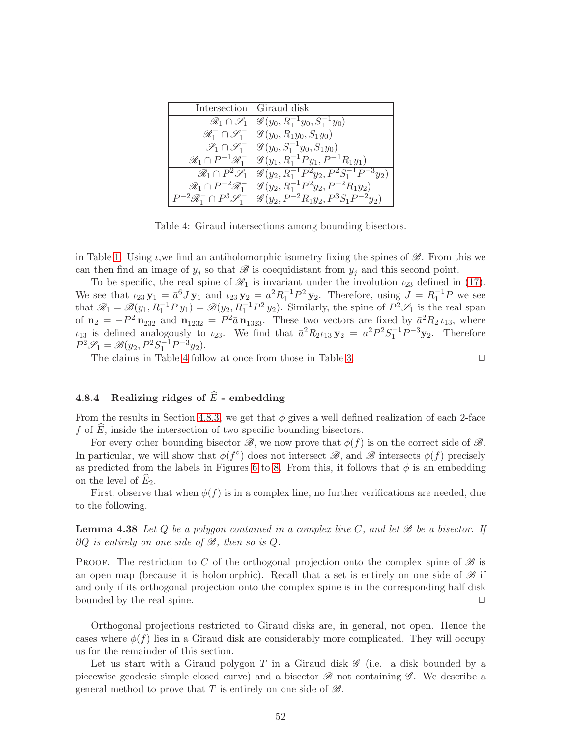|                                                 | Intersection Giraud disk                                                         |
|-------------------------------------------------|----------------------------------------------------------------------------------|
|                                                 | $\mathscr{R}_1 \cap \mathscr{S}_1$ $\mathscr{G}(y_0, R_1^{-1}y_0, S_1^{-1}y_0)$  |
|                                                 | $\mathscr{R}_1^- \cap \mathscr{S}_1^ \mathscr{G}(y_0, R_1y_0, S_1y_0)$           |
|                                                 | $\mathscr{S}_1 \cap \mathscr{S}_1^- \quad \mathscr{G}(y_0, S_1^{-1}y_0, S_1y_0)$ |
| $\mathscr{R}_1 \cap P^{-1} \mathscr{R}_1^-$     | $\mathscr{G}(y_1, R_1^{-1}Py_1, P^{-1}R_1y_1)$                                   |
| $\mathscr{R}_1 \cap P^2\mathscr{S}_1$           | $\overline{\mathscr{G}(y_2, R_1^{-1}P^2y_2}, P^2S_1^{-1}P^{-3}y_2)$              |
| $\mathscr{R}_1 \cap P^{-2} \mathscr{R}_1^-$     | $\mathscr{G}(y_2, R_1^{-1}P^2y_2, P^{-2}R_1y_2)$                                 |
| $P^{-2}\mathscr{R}_1^- \cap P^3\mathscr{S}_1^-$ | $\mathscr{G}(y_2, P^{-2}R_1y_2, P^3S_1P^{-2}y_2)$                                |

<span id="page-51-1"></span>Table 4: Giraud intersections among bounding bisectors.

in Table [1.](#page-30-1) Using  $\iota$ , we find an antiholomorphic isometry fixing the spines of  $\mathscr{B}$ . From this we can then find an image of  $y_j$  so that  $\mathscr B$  is coequidistant from  $y_j$  and this second point.

To be specific, the real spine of  $\mathcal{R}_1$  is invariant under the involution  $\iota_{23}$  defined in [\(17\)](#page-29-0). We see that  $\iota_{23} \mathbf{y}_1 = \bar{a}^6 J \mathbf{y}_1$  and  $\iota_{23} \mathbf{y}_2 = a^2 R_1^{-1} P^2 \mathbf{y}_2$ . Therefore, using  $J = R_1^{-1} P$  we see that  $\mathscr{R}_1 = \mathscr{B}(y_1, R_1^{-1} P y_1) = \mathscr{B}(y_2, R_1^{-1} P^2 y_2)$ . Similarly, the spine of  $P^2 \mathscr{S}_1$  is the real span of  $\mathbf{n}_2 = -P^2 \mathbf{n}_{23\bar{2}}$  and  $\mathbf{n}_{123\bar{2}} = P^2 \bar{a} \mathbf{n}_{1\bar{3}23}$ . These two vectors are fixed by  $\bar{a}^2 R_2 \iota_{13}$ , where  $\iota_{13}$  is defined analogously to  $\iota_{23}$ . We find that  $\bar{a}^2 R_2 \iota_{13} \mathbf{y}_2 = a^2 P^2 S_1^{-1} P^{-3} \mathbf{y}_2$ . Therefore  $P^2\mathscr{S}_1 = \mathscr{B}(y_2, P^2S_1^{-1}P^{-3}y_2).$ 

The claims in Table [4](#page-51-1) follow at once from those in Table [3.](#page-50-1)  $\Box$ 

## <span id="page-51-0"></span>4.8.4 Realizing ridges of  $\widehat{E}$  - embedding

From the results in Section [4.8.3,](#page-48-0) we get that  $\phi$  gives a well defined realization of each 2-face f of  $\overline{E}$ , inside the intersection of two specific bounding bisectors.

For every other bounding bisector  $\mathscr{B}$ , we now prove that  $\phi(f)$  is on the correct side of  $\mathscr{B}$ . In particular, we will show that  $\phi(f^{\circ})$  does not intersect  $\mathscr{B}$ , and  $\mathscr{B}$  intersects  $\phi(f)$  precisely as predicted from the labels in Figures [6](#page-32-0) to [8.](#page-34-0) From this, it follows that  $\phi$  is an embedding on the level of  $E_2$ .

First, observe that when  $\phi(f)$  is in a complex line, no further verifications are needed, due to the following.

**Lemma 4.38** Let Q be a polygon contained in a complex line C, and let  $\mathcal{B}$  be a bisector. If  $\partial Q$  is entirely on one side of  $\mathscr{B}$ , then so is  $Q$ .

PROOF. The restriction to C of the orthogonal projection onto the complex spine of  $\mathscr B$  is an open map (because it is holomorphic). Recall that a set is entirely on one side of  $\mathscr B$  if and only if its orthogonal projection onto the complex spine is in the corresponding half disk bounded by the real spine.  $\Box$ 

Orthogonal projections restricted to Giraud disks are, in general, not open. Hence the cases where  $\phi(f)$  lies in a Giraud disk are considerably more complicated. They will occupy us for the remainder of this section.

Let us start with a Giraud polygon T in a Giraud disk  $\mathscr G$  (i.e. a disk bounded by a piecewise geodesic simple closed curve) and a bisector  $\mathscr{B}$  not containing  $\mathscr{G}$ . We describe a general method to prove that T is entirely on one side of  $\mathscr{B}$ .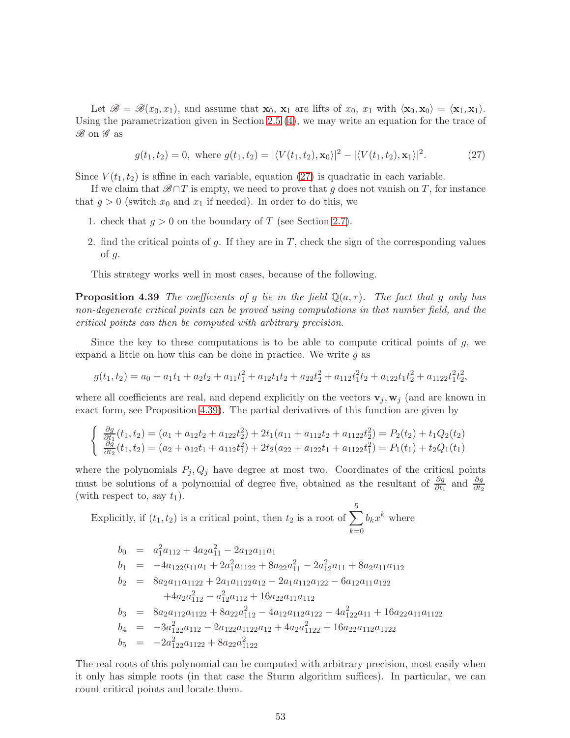Let  $\mathscr{B} = \mathscr{B}(x_0, x_1)$ , and assume that  $\mathbf{x}_0, \mathbf{x}_1$  are lifts of  $x_0, x_1$  with  $\langle \mathbf{x}_0, \mathbf{x}_0 \rangle = \langle \mathbf{x}_1, \mathbf{x}_1 \rangle$ . Using the parametrization given in Section [2.5](#page-8-3) [\(4\)](#page-9-0), we may write an equation for the trace of  $\mathscr{B}$  on  $\mathscr{G}$  as

<span id="page-52-1"></span><span id="page-52-0"></span>
$$
g(t_1, t_2) = 0, \text{ where } g(t_1, t_2) = |\langle V(t_1, t_2), \mathbf{x}_0 \rangle|^2 - |\langle V(t_1, t_2), \mathbf{x}_1 \rangle|^2. \tag{27}
$$

Since  $V(t_1, t_2)$  is affine in each variable, equation [\(27\)](#page-52-0) is quadratic in each variable.

If we claim that  $\mathscr{B}\cap T$  is empty, we need to prove that g does not vanish on T, for instance that  $g > 0$  (switch  $x_0$  and  $x_1$  if needed). In order to do this, we

- 1. check that  $q > 0$  on the boundary of T (see Section [2.7\)](#page-11-0).
- 2. find the critical points of g. If they are in  $T$ , check the sign of the corresponding values of g.

This strategy works well in most cases, because of the following.

**Proposition 4.39** The coefficients of g lie in the field  $\mathbb{Q}(a,\tau)$ . The fact that g only has non-degenerate critical points can be proved using computations in that number field, and the critical points can then be computed with arbitrary precision.

Since the key to these computations is to be able to compute critical points of  $g$ , we expand a little on how this can be done in practice. We write  $q$  as

$$
g(t_1, t_2) = a_0 + a_1t_1 + a_2t_2 + a_{11}t_1^2 + a_{12}t_1t_2 + a_{22}t_2^2 + a_{112}t_1^2t_2 + a_{122}t_1t_2^2 + a_{1122}t_1^2t_2^2,
$$

where all coefficients are real, and depend explicitly on the vectors  $\mathbf{v}_j, \mathbf{w}_j$  (and are known in exact form, see Proposition [4.39\)](#page-52-1). The partial derivatives of this function are given by

$$
\begin{cases} \frac{\partial g}{\partial t_1}(t_1, t_2) = (a_1 + a_{12}t_2 + a_{122}t_2^2) + 2t_1(a_{11} + a_{112}t_2 + a_{1122}t_2^2) = P_2(t_2) + t_1Q_2(t_2) \\ \frac{\partial g}{\partial t_2}(t_1, t_2) = (a_2 + a_{12}t_1 + a_{112}t_1^2) + 2t_2(a_{22} + a_{122}t_1 + a_{1122}t_1^2) = P_1(t_1) + t_2Q_1(t_1) \end{cases}
$$

where the polynomials  $P_j, Q_j$  have degree at most two. Coordinates of the critical points must be solutions of a polynomial of degree five, obtained as the resultant of  $\frac{\partial g}{\partial t_1}$  and  $\frac{\partial g}{\partial t_2}$ (with respect to, say  $t_1$ ).

Explicitly, if  $(t_1, t_2)$  is a critical point, then  $t_2$  is a root of  $\sum_{ }^{5}$  $k=0$  $b_k x^k$  where

$$
b_0 = a_1^2 a_{112} + 4a_2 a_{11}^2 - 2a_{12} a_{11} a_1
$$
  
\n
$$
b_1 = -4a_{122} a_{11} a_1 + 2a_1^2 a_{1122} + 8a_{22} a_{11}^2 - 2a_{12}^2 a_{11} + 8a_2 a_{11} a_{112}
$$
  
\n
$$
b_2 = 8a_2 a_{11} a_{1122} + 2a_1 a_{1122} a_{12} - 2a_1 a_{112} a_{122} - 6a_{12} a_{11} a_{122}
$$
  
\n
$$
+ 4a_2 a_{112}^2 - a_{12}^2 a_{112} + 16a_{22} a_{11} a_{112}
$$
  
\n
$$
b_3 = 8a_2 a_{112} a_{1122} + 8a_{22} a_{112}^2 - 4a_{12} a_{112} a_{122} - 4a_{122}^2 a_{11} + 16a_{22} a_{11} a_{1122}
$$
  
\n
$$
b_4 = -3a_{122}^2 a_{112} - 2a_{122} a_{1122} a_{12} + 4a_2 a_{1122}^2 + 16a_{22} a_{112} a_{1122}
$$
  
\n
$$
b_5 = -2a_{122}^2 a_{1122} + 8a_{22} a_{1122}^2
$$

The real roots of this polynomial can be computed with arbitrary precision, most easily when it only has simple roots (in that case the Sturm algorithm suffices). In particular, we can count critical points and locate them.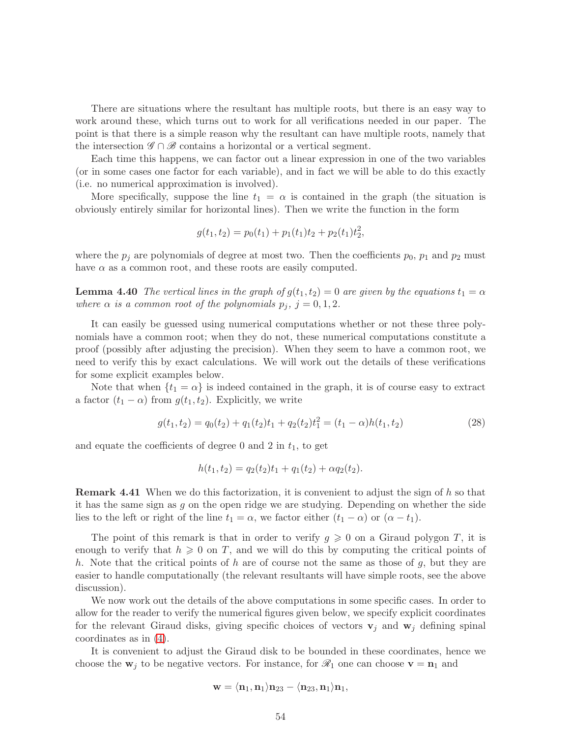There are situations where the resultant has multiple roots, but there is an easy way to work around these, which turns out to work for all verifications needed in our paper. The point is that there is a simple reason why the resultant can have multiple roots, namely that the intersection  $\mathscr{G} \cap \mathscr{B}$  contains a horizontal or a vertical segment.

Each time this happens, we can factor out a linear expression in one of the two variables (or in some cases one factor for each variable), and in fact we will be able to do this exactly (i.e. no numerical approximation is involved).

More specifically, suppose the line  $t_1 = \alpha$  is contained in the graph (the situation is obviously entirely similar for horizontal lines). Then we write the function in the form

$$
g(t_1, t_2) = p_0(t_1) + p_1(t_1)t_2 + p_2(t_1)t_2^2,
$$

where the  $p_j$  are polynomials of degree at most two. Then the coefficients  $p_0$ ,  $p_1$  and  $p_2$  must have  $\alpha$  as a common root, and these roots are easily computed.

**Lemma 4.40** The vertical lines in the graph of  $g(t_1, t_2) = 0$  are given by the equations  $t_1 = \alpha$ where  $\alpha$  is a common root of the polynomials  $p_j$ ,  $j = 0, 1, 2$ .

It can easily be guessed using numerical computations whether or not these three polynomials have a common root; when they do not, these numerical computations constitute a proof (possibly after adjusting the precision). When they seem to have a common root, we need to verify this by exact calculations. We will work out the details of these verifications for some explicit examples below.

Note that when  $\{t_1 = \alpha\}$  is indeed contained in the graph, it is of course easy to extract a factor  $(t_1 - \alpha)$  from  $g(t_1, t_2)$ . Explicitly, we write

$$
g(t_1, t_2) = q_0(t_2) + q_1(t_2)t_1 + q_2(t_2)t_1^2 = (t_1 - \alpha)h(t_1, t_2)
$$
\n(28)

and equate the coefficients of degree 0 and 2 in  $t_1$ , to get

$$
h(t_1, t_2) = q_2(t_2)t_1 + q_1(t_2) + \alpha q_2(t_2).
$$

Remark 4.41 When we do this factorization, it is convenient to adjust the sign of h so that it has the same sign as  $g$  on the open ridge we are studying. Depending on whether the side lies to the left or right of the line  $t_1 = \alpha$ , we factor either  $(t_1 - \alpha)$  or  $(\alpha - t_1)$ .

The point of this remark is that in order to verify  $g \geqslant 0$  on a Giraud polygon T, it is enough to verify that  $h \geqslant 0$  on T, and we will do this by computing the critical points of h. Note that the critical points of h are of course not the same as those of  $g$ , but they are easier to handle computationally (the relevant resultants will have simple roots, see the above discussion).

We now work out the details of the above computations in some specific cases. In order to allow for the reader to verify the numerical figures given below, we specify explicit coordinates for the relevant Giraud disks, giving specific choices of vectors  $v_j$  and  $w_j$  defining spinal coordinates as in [\(4\)](#page-9-0).

It is convenient to adjust the Giraud disk to be bounded in these coordinates, hence we choose the  $w_j$  to be negative vectors. For instance, for  $\mathcal{R}_1$  one can choose  $v = n_1$  and

$$
\mathbf{w}=\langle\mathbf{n}_1,\mathbf{n}_1\rangle\mathbf{n}_{23}-\langle\mathbf{n}_{23},\mathbf{n}_1\rangle\mathbf{n}_1,
$$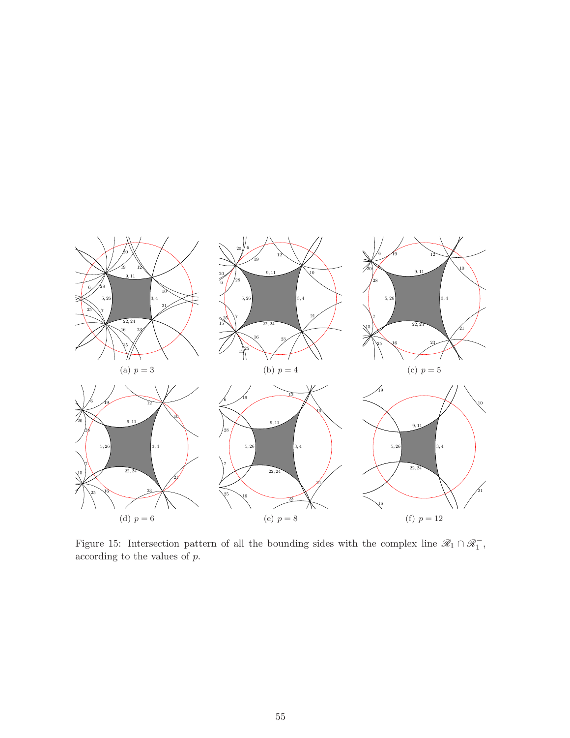

Figure 15: Intersection pattern of all the bounding sides with the complex line  $\mathscr{R}_1 \cap \mathscr{R}_1^-$ , according to the values of p.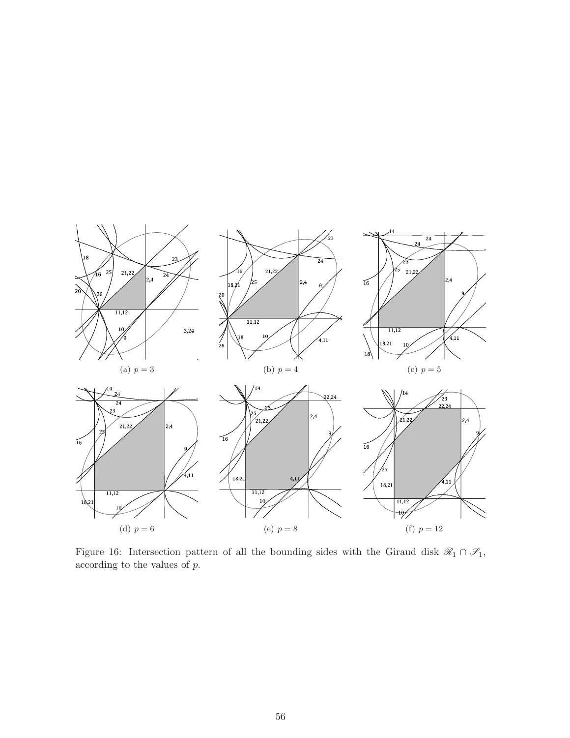

<span id="page-55-0"></span>Figure 16: Intersection pattern of all the bounding sides with the Giraud disk  $\mathscr{R}_1 \cap \mathscr{S}_1$ , according to the values of  $p.$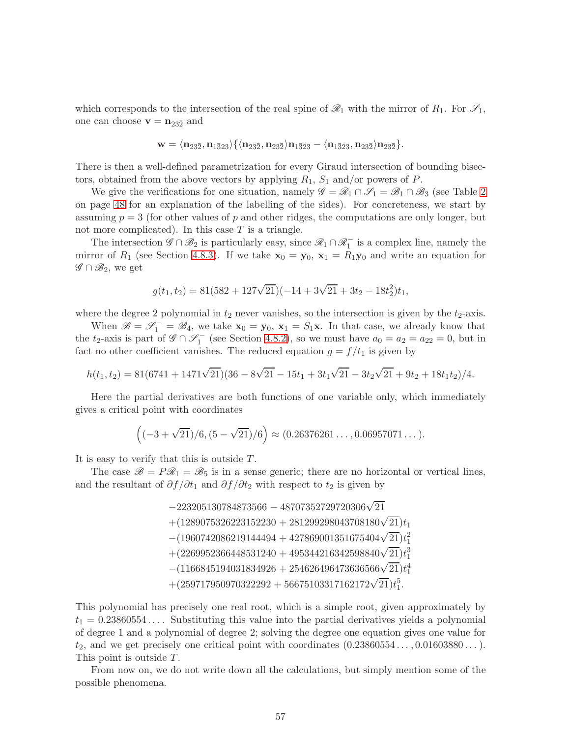which corresponds to the intersection of the real spine of  $\mathcal{R}_1$  with the mirror of  $R_1$ . For  $\mathcal{S}_1$ , one can choose  $\mathbf{v} = \mathbf{n}_{23\bar{2}}$  and

$$
\mathbf{w} = \langle \mathbf{n}_{23\bar{2}}, \mathbf{n}_{1\bar{3}23} \rangle \{ \langle \mathbf{n}_{23\bar{2}}, \mathbf{n}_{23\bar{2}} \rangle \mathbf{n}_{1\bar{3}23} - \langle \mathbf{n}_{1\bar{3}23}, \mathbf{n}_{23\bar{2}} \rangle \mathbf{n}_{23\bar{2}} \}.
$$

There is then a well-defined parametrization for every Giraud intersection of bounding bisectors, obtained from the above vectors by applying  $R_1$ ,  $S_1$  and/or powers of P.

We give the verifications for one situation, namely  $\mathscr{G} = \mathscr{R}_1 \cap \mathscr{S}_1 = \mathscr{B}_1 \cap \mathscr{B}_3$  (see Table [2](#page-47-0)) on page [48](#page-47-0) for an explanation of the labelling of the sides). For concreteness, we start by assuming  $p = 3$  (for other values of p and other ridges, the computations are only longer, but not more complicated). In this case  $T$  is a triangle.

The intersection  $\mathscr{G} \cap \mathscr{B}_2$  is particularly easy, since  $\mathscr{R}_1 \cap \mathscr{R}_1^-$  is a complex line, namely the mirror of  $R_1$  (see Section [4.8.3\)](#page-48-0). If we take  $\mathbf{x}_0 = \mathbf{y}_0$ ,  $\mathbf{x}_1 = R_1 \mathbf{y}_0$  and write an equation for  $\mathscr{G} \cap \mathscr{B}_2$ , we get

$$
g(t_1, t_2) = 81(582 + 127\sqrt{21})(-14 + 3\sqrt{21} + 3t_2 - 18t_2^2)t_1,
$$

where the degree 2 polynomial in  $t_2$  never vanishes, so the intersection is given by the  $t_2$ -axis.

When  $\mathscr{B} = \mathscr{S}_1^- = \mathscr{B}_4$ , we take  $\mathbf{x}_0 = \mathbf{y}_0$ ,  $\mathbf{x}_1 = S_1\mathbf{x}$ . In that case, we already know that the  $t_2$ -axis is part of  $\mathscr{G} \cap \mathscr{S}_1^-$  (see Section [4.8.2\)](#page-45-0), so we must have  $a_0 = a_2 = a_{22} = 0$ , but in fact no other coefficient vanishes. The reduced equation  $g = f/t_1$  is given by

$$
h(t_1, t_2) = 81(6741 + 1471\sqrt{21})(36 - 8\sqrt{21} - 15t_1 + 3t_1\sqrt{21} - 3t_2\sqrt{21} + 9t_2 + 18t_1t_2)/4.
$$

Here the partial derivatives are both functions of one variable only, which immediately gives a critical point with coordinates

$$
((-3+\sqrt{21})/6, (5-\sqrt{21})/6) \approx (0.26376261\dots, 0.06957071\dots).
$$

It is easy to verify that this is outside T.

The case  $\mathscr{B} = P\mathscr{R}_1 = \mathscr{B}_5$  is in a sense generic; there are no horizontal or vertical lines, and the resultant of  $\partial f / \partial t_1$  and  $\partial f / \partial t_2$  with respect to  $t_2$  is given by

> <sup>−</sup><sup>223205130784873566</sup> <sup>−</sup> <sup>48707352729720306</sup><sup>√</sup> 21  $+(1289075326223152230 + 281299298043708180\sqrt{21})t_1$  $-(1960742086219144494 + 427869001351675404\sqrt{21})t_1^2$  $+(2269952366448531240 + 495344216342598840\sqrt{21})t_1^3$  $-(1166845194031834926+254626496473636566\sqrt{21})t_1^4$  $+(259717950970322292+56675103317162172\sqrt{21})t_1^5.$

This polynomial has precisely one real root, which is a simple root, given approximately by  $t_1 = 0.23860554...$  Substituting this value into the partial derivatives yields a polynomial of degree 1 and a polynomial of degree 2; solving the degree one equation gives one value for  $t_2$ , and we get precisely one critical point with coordinates  $(0.23860554..., 0.01603880...)$ . This point is outside T.

From now on, we do not write down all the calculations, but simply mention some of the possible phenomena.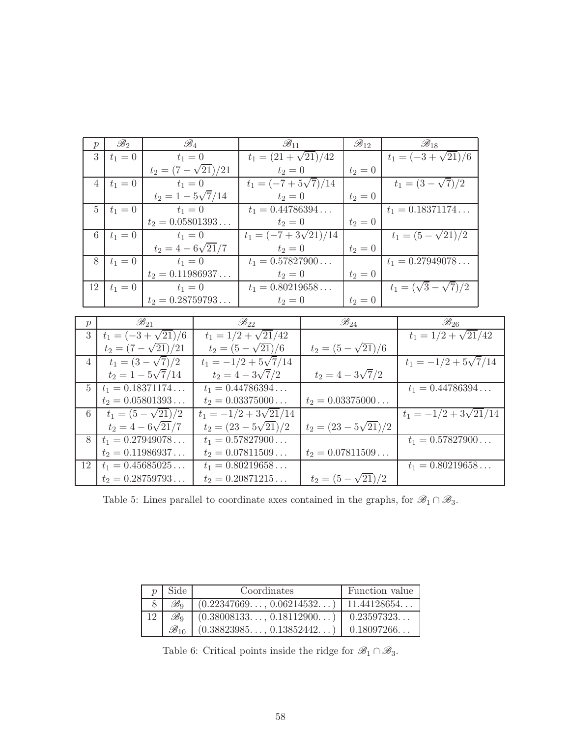| $\boldsymbol{p}$ | $\mathscr{B}_2$             | $\mathscr{B}_4$                     | $\mathscr{B}_{11}$           |                             | $\mathscr{B}_{12}$        | $\mathscr{B}_{18}$              |  |
|------------------|-----------------------------|-------------------------------------|------------------------------|-----------------------------|---------------------------|---------------------------------|--|
|                  | 3<br>$t_1 = 0$              | $t_1 = 0$                           | $t_1 = (21 + \sqrt{21})/42$  |                             |                           | $t_1 = (-3 + \sqrt{21})/6$      |  |
|                  |                             | $t_2 = (7 - \sqrt{21})/21$          | $t_2 = 0$                    |                             | $t_2 = 0$                 |                                 |  |
|                  | $t_1 = 0$<br>$\overline{4}$ | $t_1 = 0$                           | $t_1 = (-7 + 5\sqrt{7})/14$  |                             |                           | $t_1 = (3 - \sqrt{7})/2$        |  |
|                  |                             | $t_2 = 1 - 5\sqrt{7}/14$            | $t_2 = 0$                    |                             | $t_2 = 0$                 |                                 |  |
|                  | $\overline{5}$<br>$t_1 = 0$ | $t_1 = 0$                           | $t_1 = 0.44786394$           |                             |                           | $t_1 = 0.18371174$              |  |
|                  |                             | $t_2 = 0.05801393$                  | $t_2 = 0$                    |                             | $t_2 = 0$                 |                                 |  |
| 6                | $t_1 = 0$                   | $t_1 = 0$                           | $t_1 = (-7 + 3\sqrt{21})/14$ |                             |                           | $t_1 = (5 - \sqrt{21})/2$       |  |
|                  |                             | $t_2 = 4 - 6\sqrt{21}/7$            | $t_2 = 0$                    |                             | $t_2 = 0$                 |                                 |  |
| 8                | $t_1 = 0$                   | $t_1 = 0$                           | $t_1 = 0.57827900$           |                             |                           | $t_1 = 0.27949078$              |  |
|                  |                             | $t_2 = 0.11986937$                  | $t_2 = 0$                    |                             | $t_2 = 0$                 |                                 |  |
| 12               | $t_1 = 0$                   | $t_1 = 0$                           | $t_1 = 0.80219658$           |                             |                           | $t_1 = (\sqrt{3} - \sqrt{7})/2$ |  |
|                  |                             | $t_2 = 0.28759793$                  | $t_2 = 0$                    |                             | $t_2 = 0$                 |                                 |  |
| $p_{\rm}$        |                             | $\mathscr{B}_{21}$                  | $\mathscr{B}_{22}$           |                             | $\mathscr{B}_{24}$        | $\mathscr{B}_{26}$              |  |
| 3                |                             | $t_1 = (-3 + \sqrt{21})/6$          | $t_1 = 1/2 + \sqrt{21}/42$   |                             |                           | $t_1 = 1/2 + \sqrt{21}/42$      |  |
|                  |                             | $t_2 = (7 - \sqrt{21})/21$          | $t_2 = (5 - \sqrt{21})/6$    |                             | $t_2 = (5 - \sqrt{21})/6$ |                                 |  |
| $\overline{4}$   |                             | $\overline{t_1} = (3 - \sqrt{7})/2$ | $t_1 = -1/2 + 5\sqrt{7}/14$  |                             |                           | $t_1 = -1/2 + 5\sqrt{7}/14$     |  |
|                  |                             | $t_2 = 1 - 5\sqrt{7}/14$            | $t_2 = 4 - 3\sqrt{7}/2$      |                             | $t_2 = 4 - 3\sqrt{7}/2$   |                                 |  |
| $5^{\circ}$      |                             | $t_1 = 0.18371174$                  | $t_1 = 0.44786394$           |                             |                           | $t_1 = 0.44786394$              |  |
|                  |                             | $t_2 = 0.05801393$                  | $t_2 = 0.03375000$           |                             | $t_2 = 0.03375000$        |                                 |  |
| 6                |                             | $t_1 = (5 - \sqrt{21})/2$           | $t_1 = -1/2 + 3\sqrt{21/14}$ |                             |                           | $t_1 = -1/2 + 3\sqrt{21}/14$    |  |
|                  |                             | $t_2 = 4 - 6\sqrt{21}/7$            | $t_2 = (23 - 5\sqrt{21})/2$  | $t_2 = (23 - 5\sqrt{21})/2$ |                           |                                 |  |
| 8                |                             | $t_1 = 0.27949078$                  | $t_1 = 0.57827900$           |                             |                           | $t_1 = 0.57827900$              |  |
|                  |                             | $t_2 = 0.11986937$                  | $t_2 = 0.07811509$           |                             | $t_2 = 0.07811509$        |                                 |  |
| 12               |                             | $t_1 = 0.45685025$                  | $t_1 = 0.80219658$           |                             |                           | $t_1 = 0.80219658$              |  |
|                  |                             | $t_2 = 0.28759793$                  | $t_2 = 0.20871215$           |                             | $t_2 = (5 - \sqrt{21})/2$ |                                 |  |

<span id="page-57-1"></span>Table 5: Lines parallel to coordinate axes contained in the graphs, for  $\mathscr{B}_1 \cap \mathscr{B}_3$ .

|    | Side:              | Coordinates                           | Function value |
|----|--------------------|---------------------------------------|----------------|
|    | $\mathscr{B}_9$    | $(0.22347669$ , $0.06214532$          | 11.44128654    |
| 12 | $\mathscr{B}_9$    | $(0.38008133, 0.18112900)$ 0.23597323 |                |
|    | $\mathscr{B}_{10}$ | $(0.38823985$ , $0.13852442$          | 0.18097266     |

<span id="page-57-0"></span>Table 6: Critical points inside the ridge for  $\mathscr{B}_1 \cap \mathscr{B}_3$ .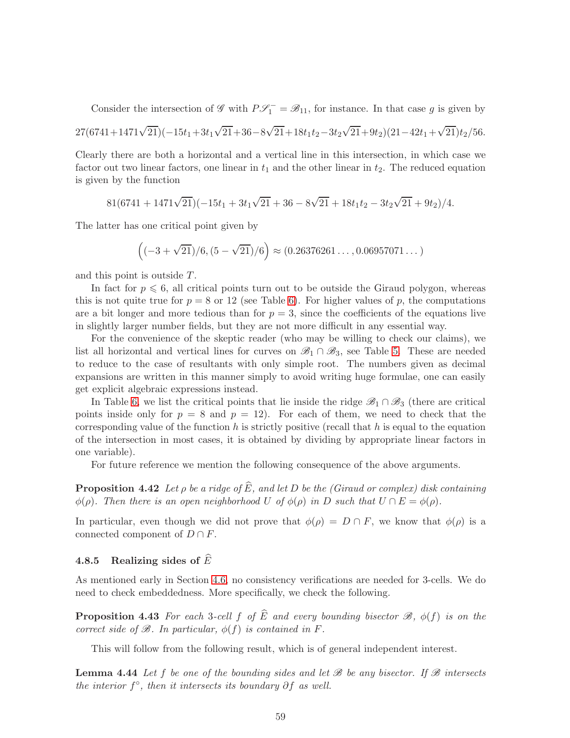Consider the intersection of  $\mathscr{G}$  with  $P\mathscr{S}_1^- = \mathscr{B}_{11}$ , for instance. In that case g is given by

$$
27(6741+1471\sqrt{21})(-15t_1+3t_1\sqrt{21}+36-8\sqrt{21}+18t_1t_2-3t_2\sqrt{21}+9t_2)(21-42t_1+\sqrt{21})t_2/56.
$$

Clearly there are both a horizontal and a vertical line in this intersection, in which case we factor out two linear factors, one linear in  $t_1$  and the other linear in  $t_2$ . The reduced equation is given by the function

$$
81(6741+1471\sqrt{21})(-15t_1+3t_1\sqrt{21}+36-8\sqrt{21}+18t_1t_2-3t_2\sqrt{21}+9t_2)/4.
$$

The latter has one critical point given by

$$
((-3+\sqrt{21})/6, (5-\sqrt{21})/6) \approx (0.26376261\dots, 0.06957071\dots)
$$

and this point is outside T.

In fact for  $p \leq 6$ , all critical points turn out to be outside the Giraud polygon, whereas this is not quite true for  $p = 8$  or 12 (see Table [6\)](#page-57-0). For higher values of p, the computations are a bit longer and more tedious than for  $p = 3$ , since the coefficients of the equations live in slightly larger number fields, but they are not more difficult in any essential way.

For the convenience of the skeptic reader (who may be willing to check our claims), we list all horizontal and vertical lines for curves on  $\mathscr{B}_1 \cap \mathscr{B}_3$ , see Table [5.](#page-57-1) These are needed to reduce to the case of resultants with only simple root. The numbers given as decimal expansions are written in this manner simply to avoid writing huge formulae, one can easily get explicit algebraic expressions instead.

In Table [6,](#page-57-0) we list the critical points that lie inside the ridge  $\mathscr{B}_1 \cap \mathscr{B}_3$  (there are critical points inside only for  $p = 8$  and  $p = 12$ ). For each of them, we need to check that the corresponding value of the function h is strictly positive (recall that h is equal to the equation of the intersection in most cases, it is obtained by dividing by appropriate linear factors in one variable).

<span id="page-58-3"></span>For future reference we mention the following consequence of the above arguments.

**Proposition 4.42** Let  $\rho$  be a ridge of  $\widehat{E}$ , and let D be the (Giraud or complex) disk containing  $\phi(\rho)$ . Then there is an open neighborhood U of  $\phi(\rho)$  in D such that  $U \cap E = \phi(\rho)$ .

In particular, even though we did not prove that  $\phi(\rho) = D \cap F$ , we know that  $\phi(\rho)$  is a connected component of  $D \cap F$ .

### <span id="page-58-0"></span>4.8.5 Realizing sides of  $\widehat{E}$

As mentioned early in Section [4.6,](#page-31-0) no consistency verifications are needed for 3-cells. We do need to check embeddedness. More specifically, we check the following.

**Proposition 4.43** For each 3-cell f of  $\widehat{E}$  and every bounding bisector  $\mathscr{B}$ ,  $\phi(f)$  is on the correct side of  $\mathcal{B}$ . In particular,  $\phi(f)$  is contained in F.

<span id="page-58-2"></span><span id="page-58-1"></span>This will follow from the following result, which is of general independent interest.

**Lemma 4.44** Let f be one of the bounding sides and let  $\mathscr B$  be any bisector. If  $\mathscr B$  intersects the interior  $f^{\circ}$ , then it intersects its boundary  $\partial f$  as well.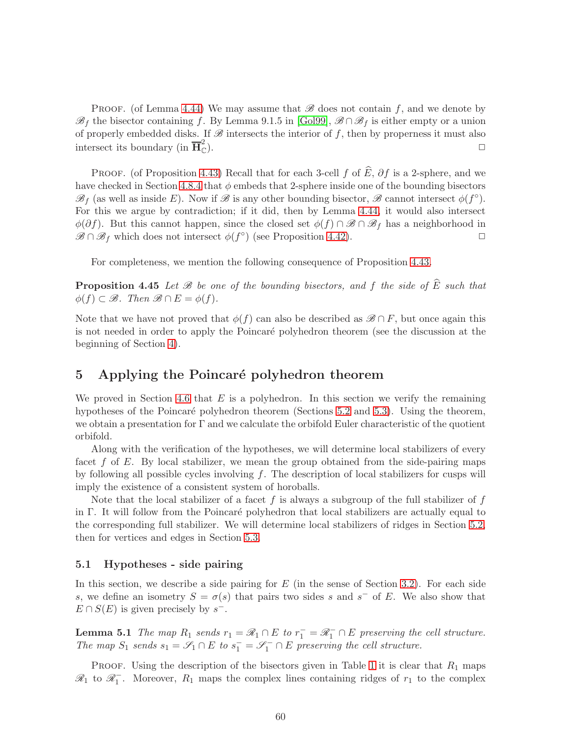PROOF. (of Lemma [4.44\)](#page-58-1) We may assume that  $\mathscr B$  does not contain f, and we denote by  $\mathscr{B}_f$  the bisector containing f. By Lemma 9.1.5 in [\[Gol99\]](#page-75-0),  $\mathscr{B} \cap \mathscr{B}_f$  is either empty or a union of properly embedded disks. If  $\mathscr B$  intersects the interior of f, then by properness it must also intersect its boundary (in  $\overline{\mathbf{H}}_{\mathbb{C}}^2$  $\mathbb{C}$ ).

PROOF. (of Proposition [4.43\)](#page-58-2) Recall that for each 3-cell f of  $\widehat{E}$ , ∂f is a 2-sphere, and we have checked in Section [4.8.4](#page-51-0) that  $\phi$  embeds that 2-sphere inside one of the bounding bisectors  $\mathscr{B}_f$  (as well as inside E). Now if  $\mathscr{B}$  is any other bounding bisector,  $\mathscr{B}$  cannot intersect  $\phi(f^{\circ})$ . For this we argue by contradiction; if it did, then by Lemma [4.44,](#page-58-1) it would also intersect  $\phi(\partial f)$ . But this cannot happen, since the closed set  $\phi(f) \cap \mathscr{B} \cap \mathscr{B}_f$  has a neighborhood in  $\mathscr{B} \cap \mathscr{B}_f$  which does not intersect  $\phi(f^{\circ})$  (see Proposition 4.42).  $\mathscr{B} \cap \mathscr{B}_f$  which does not intersect  $\phi(f^{\circ})$  (see Proposition [4.42\)](#page-58-3).

<span id="page-59-1"></span>For completeness, we mention the following consequence of Proposition [4.43.](#page-58-2)

**Proposition 4.45** Let  $\mathcal{B}$  be one of the bounding bisectors, and f the side of  $\widehat{E}$  such that  $\phi(f) \subset \mathcal{B}$ . Then  $\mathcal{B} \cap E = \phi(f)$ .

Note that we have not proved that  $\phi(f)$  can also be described as  $\mathscr{B} \cap F$ , but once again this is not needed in order to apply the Poincaré polyhedron theorem (see the discussion at the beginning of Section [4\)](#page-20-0).

## 5 Applying the Poincaré polyhedron theorem

We proved in Section [4.6](#page-31-0) that  $E$  is a polyhedron. In this section we verify the remaining hypotheses of the Poincaré polyhedron theorem (Sections [5.2](#page-60-0) and [5.3\)](#page-63-0). Using the theorem, we obtain a presentation for  $\Gamma$  and we calculate the orbifold Euler characteristic of the quotient orbifold.

Along with the verification of the hypotheses, we will determine local stabilizers of every facet f of E. By local stabilizer, we mean the group obtained from the side-pairing maps by following all possible cycles involving  $f$ . The description of local stabilizers for cusps will imply the existence of a consistent system of horoballs.

Note that the local stabilizer of a facet f is always a subgroup of the full stabilizer of f in Γ. It will follow from the Poincaré polyhedron that local stabilizers are actually equal to the corresponding full stabilizer. We will determine local stabilizers of ridges in Section [5.2,](#page-60-0) then for vertices and edges in Section [5.3.](#page-63-0)

#### 5.1 Hypotheses - side pairing

In this section, we describe a side pairing for  $E$  (in the sense of Section [3.2\)](#page-13-0). For each side s, we define an isometry  $S = \sigma(s)$  that pairs two sides s and s<sup>-</sup> of E. We also show that  $E \cap S(E)$  is given precisely by  $s^-$ .

<span id="page-59-0"></span>**Lemma 5.1** The map  $R_1$  sends  $r_1 = \mathcal{R}_1 \cap E$  to  $r_1^- = \mathcal{R}_1^- \cap E$  preserving the cell structure. The map  $S_1$  sends  $s_1 = \mathscr{S}_1 \cap E$  to  $s_1 = \mathscr{S}_1 \cap E$  preserving the cell structure.

PROOF. Using the description of the bisectors given in Table [1](#page-30-1) it is clear that  $R_1$  maps  $\mathcal{R}_1$  to  $\mathcal{R}_1^-$ . Moreover,  $R_1$  maps the complex lines containing ridges of  $r_1$  to the complex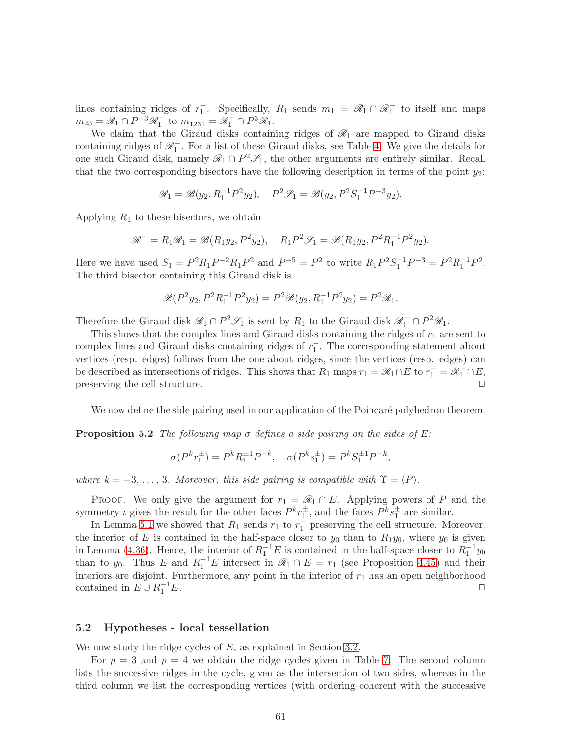lines containing ridges of  $r_1^-$ . Specifically,  $R_1$  sends  $m_1 = \mathcal{R}_1 \cap \mathcal{R}_1^-$  to itself and maps  $m_{23} = \mathcal{R}_1 \cap P^{-3} \mathcal{R}_1^-$  to  $m_{123\overline{1}} = \mathcal{R}_1^- \cap P^3 \mathcal{R}_1$ .

We claim that the Giraud disks containing ridges of  $\mathcal{R}_1$  are mapped to Giraud disks containing ridges of  $\mathscr{R}_1^-$ . For a list of these Giraud disks, see Table [4.](#page-51-1) We give the details for one such Giraud disk, namely  $\mathcal{R}_1 \cap P^2 \mathcal{S}_1$ , the other arguments are entirely similar. Recall that the two corresponding bisectors have the following description in terms of the point  $y_2$ :

$$
\mathscr{R}_1 = \mathscr{B}(y_2, R_1^{-1}P^2y_2), \quad P^2\mathscr{S}_1 = \mathscr{B}(y_2, P^2S_1^{-1}P^{-3}y_2).
$$

Applying  $R_1$  to these bisectors, we obtain

$$
\mathcal{R}_1^- = R_1 \mathcal{R}_1 = \mathcal{B}(R_1 y_2, P^2 y_2), \quad R_1 P^2 \mathcal{S}_1 = \mathcal{B}(R_1 y_2, P^2 R_1^{-1} P^2 y_2).
$$

Here we have used  $S_1 = P^2 R_1 P^{-2} R_1 P^2$  and  $P^{-5} = P^2$  to write  $R_1 P^2 S_1^{-1} P^{-3} = P^2 R_1^{-1} P^2$ . The third bisector containing this Giraud disk is

$$
\mathcal{B}(P^2y_2, P^2R_1^{-1}P^2y_2) = P^2\mathcal{B}(y_2, R_1^{-1}P^2y_2) = P^2\mathcal{R}_1.
$$

Therefore the Giraud disk  $\mathcal{R}_1 \cap P^2 \mathcal{S}_1$  is sent by  $R_1$  to the Giraud disk  $\mathcal{R}_1^- \cap P^2 \mathcal{R}_1$ .

This shows that the complex lines and Giraud disks containing the ridges of  $r_1$  are sent to complex lines and Giraud disks containing ridges of  $r_1^-$ . The corresponding statement about vertices (resp. edges) follows from the one about ridges, since the vertices (resp. edges) can be described as intersections of ridges. This shows that  $R_1$  maps  $r_1 = \mathscr{R}_1 \cap E$  to  $r_1^- = \mathscr{R}_1^- \cap E$ , preserving the cell structure.

<span id="page-60-1"></span>We now define the side pairing used in our application of the Poincaré polyhedron theorem.

**Proposition 5.2** The following map  $\sigma$  defines a side pairing on the sides of E:

$$
\sigma(P^k r_1^{\pm}) = P^k R_1^{\pm 1} P^{-k}, \quad \sigma(P^k s_1^{\pm}) = P^k S_1^{\pm 1} P^{-k},
$$

where  $k = -3, \ldots, 3$ . Moreover, this side pairing is compatible with  $\Upsilon = \langle P \rangle$ .

PROOF. We only give the argument for  $r_1 = \mathcal{R}_1 \cap E$ . Applying powers of P and the symmetry  $\iota$  gives the result for the other faces  $P^k r_1^{\pm}$ , and the faces  $P^k s_1^{\pm}$  are similar.

In Lemma [5.1](#page-59-0) we showed that  $R_1$  sends  $r_1$  to  $r_1^-$  preserving the cell structure. Moreover, the interior of E is contained in the half-space closer to  $y_0$  than to  $R_1y_0$ , where  $y_0$  is given in Lemma [\(4.36\)](#page-50-2). Hence, the interior of  $R_1^{-1}E$  is contained in the half-space closer to  $R_1^{-1}y_0$ than to y<sub>0</sub>. Thus E and  $R_1^{-1}E$  intersect in  $\mathscr{R}_1 \cap E = r_1$  (see Proposition [4.45\)](#page-59-1) and their interiors are disjoint. Furthermore, any point in the interior of  $r_1$  has an open neighborhood contained in  $E \cup R_1^{-1}$  $\frac{-1}{1}E$ .

#### <span id="page-60-0"></span>5.2 Hypotheses - local tessellation

We now study the ridge cycles of  $E$ , as explained in Section [3.2.](#page-13-0)

For  $p = 3$  and  $p = 4$  we obtain the ridge cycles given in Table [7.](#page-61-0) The second column lists the successive ridges in the cycle, given as the intersection of two sides, whereas in the third column we list the corresponding vertices (with ordering coherent with the successive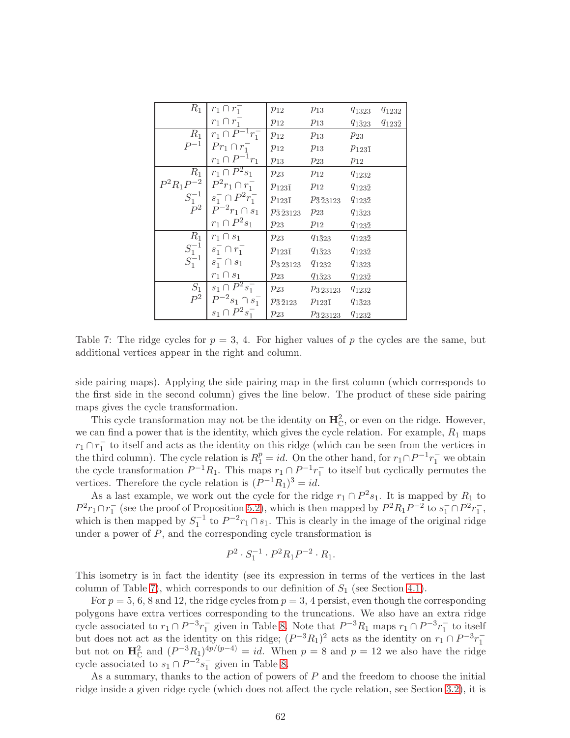| $R_1$      | $r_1 \cap r_1^-$                    | $p_{12}$                | $p_{13}$                    | $q_{1\bar{3}23}$ | $q_{123\bar{2}}$ |
|------------|-------------------------------------|-------------------------|-----------------------------|------------------|------------------|
|            | $r_1 \cap r_1^-$                    | $p_{12}$                | $p_{13}$                    | $q_{1\bar{3}23}$ | $q_{123\bar{2}}$ |
| $R_1$      | $r_1 \cap P^{-1}r_1^-$              | $p_{12}$                | $p_{13}$                    | $p_{23}$         |                  |
| $P^{-1}$   | $Pr_1 \cap r_1^-$                   | $p_{12}$                | $p_{13}$                    | $p_{123\bar{1}}$ |                  |
|            | $r_1 \cap P^{-1}r_1$                | $p_{13}$                | $p_{23}$                    | $p_{12}$         |                  |
| $R_1$      | $r_1 \cap P^2s_1$                   | $p_{23}$                | $p_{12}$                    | $q_{123\bar{2}}$ |                  |
|            | $P^2R_1P^{-2}$ $P^2r_1 \cap r_1^-$  | $p_{123\bar{1}}$        | $p_{12}$                    | $q_{123\bar{2}}$ |                  |
|            | $S_1^{-1} \mid s_1^- \cap P^2r_1^-$ | $p_{123\bar{1}}$        | $p_{\bar{3}\,23123}$        | $q_{123\bar{2}}$ |                  |
|            | $P^2 \mid P^{-2}r_1 \cap s_1$       | $p_{\bar{3}\,23123}$    | $p_{23}$                    | $q_{1\bar{3}23}$ |                  |
|            | $r_1 \cap P^2s_1$                   | $p_{23}$                | $p_{12}$                    | $q_{123\bar{2}}$ |                  |
| $R_1$      | $r_1 \cap s_1$                      | $p_{23}$                | $q_{1\bar{3}23}$            | $q_{123\bar{2}}$ |                  |
|            | $S_1^{-1}$ $s_1^ \cap$ $r_1^-$      | $p_{123\bar{1}}$        | $q_{1\bar{3}23}$            | $q_{123\bar{2}}$ |                  |
| $S_1^{-1}$ | $s_1^- \cap s_1$                    | $p_{\bar{3}\,23123}$    | $q_{123\bar{2}}$            | $q_{1\bar{3}23}$ |                  |
|            | $r_1 \cap s_1$                      | $p_{23}$                | $q_{1\bar{3}23}$            | $q_{123\bar{2}}$ |                  |
| $S_1$      | $\overline{s_1} \cap P^2 s_1^-$     | $p_{23}$                | $p_{\bar{3}\,23123}$        | $q_{123\bar{2}}$ |                  |
| $P^2$      | $P^{-2}s_1\cap s_1^-$               | $p_{\bar{3}\bar{2}123}$ | $p_{123\bar{1}}$            | $q_{1\bar{3}23}$ |                  |
|            | $s_1 \cap P^2 s_1^-$                | $p_{23}$                | $p_{\bar{3}\, \bar{2}3123}$ | $q_{123\bar{2}}$ |                  |

<span id="page-61-0"></span>Table 7: The ridge cycles for  $p = 3, 4$ . For higher values of p the cycles are the same, but additional vertices appear in the right and column.

side pairing maps). Applying the side pairing map in the first column (which corresponds to the first side in the second column) gives the line below. The product of these side pairing maps gives the cycle transformation.

This cycle transformation may not be the identity on  $\mathbf{H}_{\mathbb{C}}^2$ , or even on the ridge. However, we can find a power that is the identity, which gives the cycle relation. For example,  $R_1$  maps  $r_1 \cap r_1^-$  to itself and acts as the identity on this ridge (which can be seen from the vertices in the third column). The cycle relation is  $R_1^p = id$ . On the other hand, for  $r_1 \cap P^{-1}r_1^-$  we obtain the cycle transformation  $P^{-1}R_1$ . This maps  $r_1 \cap P^{-1}r_1^-$  to itself but cyclically permutes the vertices. Therefore the cycle relation is  $(P^{-1}R_1)^3 = id$ .

As a last example, we work out the cycle for the ridge  $r_1 \cap P^2 s_1$ . It is mapped by  $R_1$  to  $P^2 r_1 \cap r_1^-$  (see the proof of Proposition [5.2\)](#page-60-1), which is then mapped by  $P^2 R_1 P^{-2}$  to  $s_1^- \cap P^2 r_1^-$ , which is then mapped by  $S_1^{-1}$  to  $P^{-2}r_1 \cap s_1$ . This is clearly in the image of the original ridge under a power of  $P$ , and the corresponding cycle transformation is

$$
P^2 \cdot S_1^{-1} \cdot P^2 R_1 P^{-2} \cdot R_1.
$$

This isometry is in fact the identity (see its expression in terms of the vertices in the last column of Table [7\)](#page-61-0), which corresponds to our definition of  $S_1$  (see Section [4.1\)](#page-20-1).

For  $p = 5, 6, 8$  and 12, the ridge cycles from  $p = 3, 4$  persist, even though the corresponding polygons have extra vertices corresponding to the truncations. We also have an extra ridge cycle associated to  $r_1 \cap P^{-3}r_1^-$  given in Table [8.](#page-62-0) Note that  $P^{-3}R_1$  maps  $r_1 \cap P^{-3}r_1^-$  to itself but does not act as the identity on this ridge;  $(P^{-3}R_1)^2$  acts as the identity on  $r_1 \cap P^{-3}r_1^{-}$ <br>but not on  $\mathbf{H}_{\mathbb{C}}^2$  and  $(P^{-3}R_1)^{4p/(p-4)} = id$ . When  $p = 8$  and  $p = 12$  we also have the ridge cycle associated to  $s_1 \cap P^{-2}s_1^-$  given in Table [8.](#page-62-0)

As a summary, thanks to the action of powers of  $P$  and the freedom to choose the initial ridge inside a given ridge cycle (which does not affect the cycle relation, see Section [3.2\)](#page-13-0), it is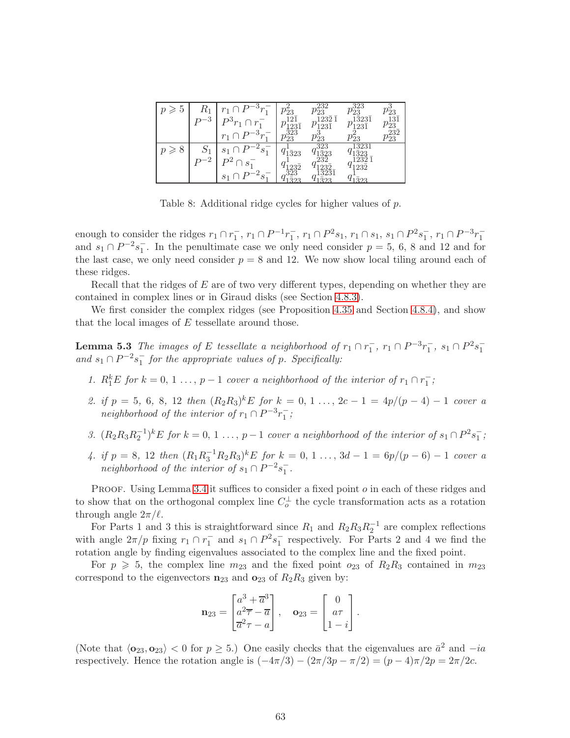| Ð | Γũ<br>3 | $_{\mathrm{D}3}$<br>$r_{1}$                             | m<br>$23\overline{1}$<br>323      | າດ<br>$\mu_{23}$<br>232<br>$123\bar{1}$<br>ິ   | 323<br>40<br>$\bar{3}23\bar{1}$<br>$23\bar{1}$               | $\nu_{23}$<br>121<br>$\mu_{23}$<br>າາາ |
|---|---------|---------------------------------------------------------|-----------------------------------|------------------------------------------------|--------------------------------------------------------------|----------------------------------------|
| δ | $-2$    | e<br>$S_1$<br>. വ<br>S <sub>1</sub><br>$\boldsymbol{s}$ | $v_{23}$<br>1323<br>$, 23\bar{2}$ | $v_{23}^{\rm o}$<br>323<br>1323<br>າາາ<br>3231 | $^{\prime}23$<br>3231<br>$32^{\circ}$<br>้าวว<br>1232<br>າາາ | $^{\prime}23$                          |

<span id="page-62-0"></span>Table 8: Additional ridge cycles for higher values of p.

enough to consider the ridges  $r_1 \cap r_1^-, r_1 \cap P^{-1}r_1^-, r_1 \cap P^2s_1, r_1 \cap s_1, s_1 \cap P^2s_1^-, r_1 \cap P^{-3}r_1^$ and  $s_1 \cap P^{-2}s_1^-$ . In the penultimate case we only need consider  $p = 5, 6, 8$  and 12 and for the last case, we only need consider  $p = 8$  and 12. We now show local tiling around each of these ridges.

Recall that the ridges of  $E$  are of two very different types, depending on whether they are contained in complex lines or in Giraud disks (see Section [4.8.3\)](#page-48-0).

We first consider the complex ridges (see Proposition [4.35](#page-48-1) and Section [4.8.4\)](#page-51-0), and show that the local images of  $E$  tessellate around those.

**Lemma 5.3** The images of E tessellate a neighborhood of  $r_1 \n\cap r_1^-$ ,  $r_1 \n\cap P^{-3}r_1^-$ ,  $s_1 \n\cap P^2s_1^$ and  $s_1 \cap P^{-2}s_1^-$  for the appropriate values of p. Specifically:

- 1.  $R_1^k E$  for  $k = 0, 1, ..., p-1$  cover a neighborhood of the interior of  $r_1 \cap r_1^-$ ;
- 2. if  $p = 5, 6, 8, 12$  then  $(R_2R_3)^kE$  for  $k = 0, 1, ..., 2c 1 = 4p/(p-4) 1$  cover a neighborhood of the interior of  $r_1 \cap P^{-3}r_1^-$ ;
- 3.  $(R_2R_3R_2^{-1})^kE$  for  $k = 0, 1, ..., p-1$  cover a neighborhood of the interior of  $s_1 \cap P^2s_1^{-}$ ;
- 4. if  $p = 8$ , 12 then  $(R_1R_3^{-1}R_2R_3)^kE$  for  $k = 0, 1 ..., 3d 1 = 6p/(p 6) 1$  cover a neighborhood of the interior of  $s_1 \cap P^{-2}s_1^-$ .

PROOF. Using Lemma [3.4](#page-19-0) it suffices to consider a fixed point  $o$  in each of these ridges and to show that on the orthogonal complex line  $C_o^{\perp}$  the cycle transformation acts as a rotation through angle  $2\pi/l$ .

For Parts 1 and 3 this is straightforward since  $R_1$  and  $R_2R_3R_2^{-1}$  are complex reflections with angle  $2\pi/p$  fixing  $r_1 \cap r_1^-$  and  $s_1 \cap P^2s_1^-$  respectively. For Parts 2 and 4 we find the rotation angle by finding eigenvalues associated to the complex line and the fixed point.

For  $p \geq 5$ , the complex line  $m_{23}$  and the fixed point  $o_{23}$  of  $R_2R_3$  contained in  $m_{23}$ correspond to the eigenvectors  $n_{23}$  and  $o_{23}$  of  $R_2R_3$  given by:

$$
\mathbf{n}_{23} = \begin{bmatrix} a^3 + \overline{a}^3 \\ a^2 \overline{\tau} - \overline{a} \\ \overline{a}^2 \tau - a \end{bmatrix}, \quad \mathbf{o}_{23} = \begin{bmatrix} 0 \\ a\tau \\ 1 - i \end{bmatrix}.
$$

(Note that  $\langle \mathbf{o}_{23}, \mathbf{o}_{23} \rangle < 0$  for  $p \ge 5$ .) One easily checks that the eigenvalues are  $\bar{a}^2$  and  $-i\alpha$ respectively. Hence the rotation angle is  $(-4\pi/3) - (2\pi/3p - \pi/2) = (p-4)\pi/2p = 2\pi/2c$ .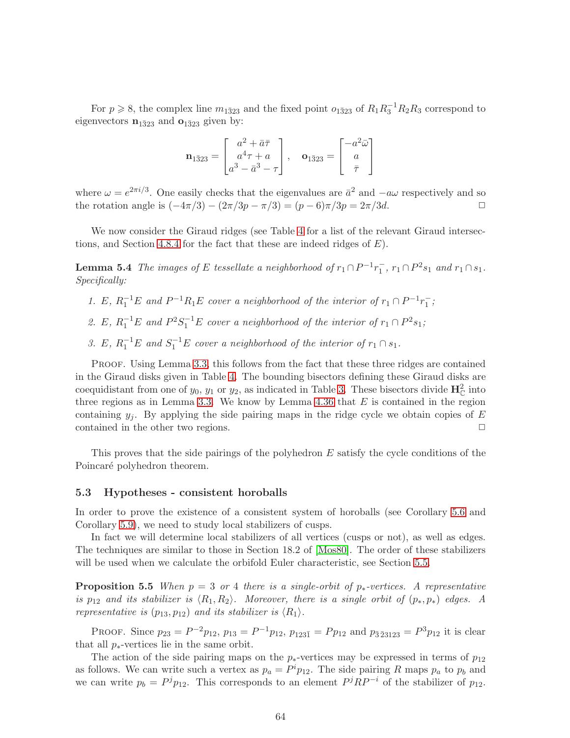For  $p \ge 8$ , the complex line  $m_{1\bar{3}23}$  and the fixed point  $o_{1\bar{3}23}$  of  $R_1R_3^{-1}R_2R_3$  correspond to eigenvectors  $\mathbf{n}_{1\bar{3}23}$  and  $\mathbf{o}_{1\bar{3}23}$  given by:

$$
\mathbf{n}_{1\bar{3}23} = \begin{bmatrix} a^2 + \bar{a}\bar{\tau} \\ a^4\tau + a \\ a^3 - \bar{a}^3 - \tau \end{bmatrix}, \quad \mathbf{o}_{1\bar{3}23} = \begin{bmatrix} -a^2\bar{\omega} \\ a \\ \bar{\tau} \end{bmatrix}
$$

where  $\omega = e^{2\pi i/3}$ . One easily checks that the eigenvalues are  $\bar{a}^2$  and  $-a\omega$  respectively and so the rotation angle is  $(-4\pi/3) - (2\pi/3p - \pi/3) = (p - 6)\pi/3p = 2\pi/3d$ .

We now consider the Giraud ridges (see Table [4](#page-51-1) for a list of the relevant Giraud intersec-tions, and Section [4.8.4](#page-51-0) for the fact that these are indeed ridges of  $E$ ).

**Lemma 5.4** The images of E tessellate a neighborhood of  $r_1 \cap P^{-1}r_1^-, r_1 \cap P^2s_1$  and  $r_1 \cap s_1$ . Specifically:

- 1. E,  $R_1^{-1}E$  and  $P^{-1}R_1E$  cover a neighborhood of the interior of  $r_1 \cap P^{-1}r_1^-$ ;
- 2. E,  $R_1^{-1}E$  and  $P^2S_1^{-1}E$  cover a neighborhood of the interior of  $r_1 \cap P^2s_1$ ;
- 3. E,  $R_1^{-1}E$  and  $S_1^{-1}E$  cover a neighborhood of the interior of  $r_1 \cap s_1$ .

PROOF. Using Lemma [3.3,](#page-18-0) this follows from the fact that these three ridges are contained in the Giraud disks given in Table [4.](#page-51-1) The bounding bisectors defining these Giraud disks are coequidistant from one of  $y_0$ ,  $y_1$  or  $y_2$ , as indicated in Table [3.](#page-50-1) These bisectors divide  $\mathbf{H}_{\mathbb{C}}^2$  into three regions as in Lemma [3.3.](#page-18-0) We know by Lemma [4.36](#page-50-2) that  $E$  is contained in the region containing  $y_i$ . By applying the side pairing maps in the ridge cycle we obtain copies of E contained in the other two regions.  $\Box$ 

This proves that the side pairings of the polyhedron E satisfy the cycle conditions of the Poincaré polyhedron theorem.

#### <span id="page-63-0"></span>5.3 Hypotheses - consistent horoballs

In order to prove the existence of a consistent system of horoballs (see Corollary [5.6](#page-64-0) and Corollary [5.9\)](#page-65-0), we need to study local stabilizers of cusps.

In fact we will determine local stabilizers of all vertices (cusps or not), as well as edges. The techniques are similar to those in Section 18.2 of [\[Mos80\]](#page-76-1). The order of these stabilizers will be used when we calculate the orbifold Euler characteristic, see Section [5.5.](#page-67-0)

**Proposition 5.5** When  $p = 3$  or 4 there is a single-orbit of  $p_*$ -vertices. A representative is  $p_{12}$  and its stabilizer is  $\langle R_1, R_2 \rangle$ . Moreover, there is a single orbit of  $(p_*, p_*)$  edges. A representative is  $(p_{13}, p_{12})$  and its stabilizer is  $\langle R_1 \rangle$ .

PROOF. Since  $p_{23} = P^{-2}p_{12}$ ,  $p_{13} = P^{-1}p_{12}$ ,  $p_{123\bar{1}} = Pp_{12}$  and  $p_{\bar{3}\bar{2}3123} = P^{3}p_{12}$  it is clear that all  $p_{*}$ -vertices lie in the same orbit.

The action of the side pairing maps on the  $p_{*}$ -vertices may be expressed in terms of  $p_{12}$ as follows. We can write such a vertex as  $p_a = P^i p_{12}$ . The side pairing R maps  $p_a$  to  $p_b$  and we can write  $p_b = P^j p_{12}$ . This corresponds to an element  $P^j R P^{-i}$  of the stabilizer of  $p_{12}$ .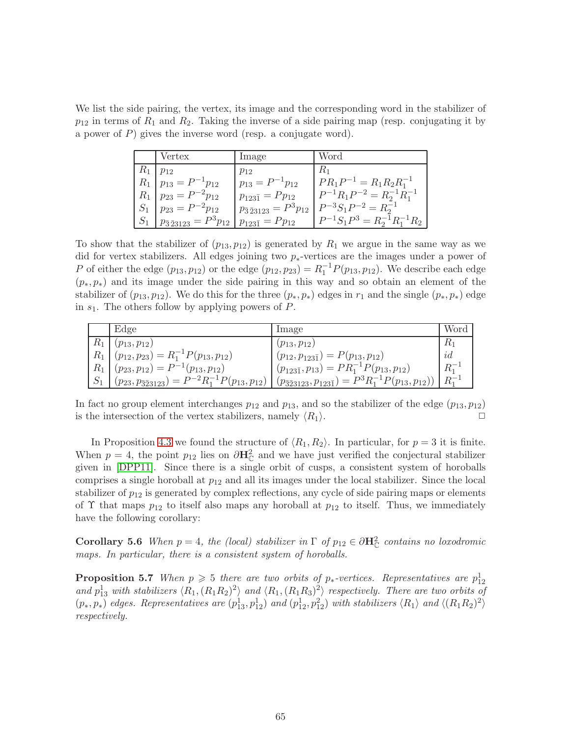We list the side pairing, the vertex, its image and the corresponding word in the stabilizer of  $p_{12}$  in terms of  $R_1$  and  $R_2$ . Taking the inverse of a side pairing map (resp. conjugating it by a power of P) gives the inverse word (resp. a conjugate word).

| Vertex                                | Image                                 | Word                                 |
|---------------------------------------|---------------------------------------|--------------------------------------|
| $R_1   p_{12}$                        | $p_{12}$                              | $R_1$                                |
| $R_1   p_{13} = P^{-1}p_{12}$         | $p_{13} = P^{-1}p_{12}$               | $PR_1P^{-1} = R_1R_2R_1^{-1}$        |
| $R_1   p_{23} = P^{-2} p_{12}$        | $p_{123\bar{1}} = P p_{12}$           | $P^{-1}R_1P^{-2} = R_2^{-1}R_1^{-1}$ |
| $S_1   p_{23} = P^{-2} p_{12}$        | $p_{\bar{3}\bar{2}3123} = P^3 p_{12}$ | $P^{-3}S_1P^{-2}=R_2^{-1}$           |
| $p_{\bar{3}\bar{2}3123} = P^3 p_{12}$ | $p_{123\bar{1}} = P p_{12}$           | $P^{-1}S_1P^3=R_2^{-1}R_1^{-1}R_2$   |

To show that the stabilizer of  $(p_{13}, p_{12})$  is generated by  $R_1$  we argue in the same way as we did for vertex stabilizers. All edges joining two p∗-vertices are the images under a power of P of either the edge  $(p_{13}, p_{12})$  or the edge  $(p_{12}, p_{23}) = R_1^{-1}P(p_{13}, p_{12})$ . We describe each edge  $(p_*, p_*)$  and its image under the side pairing in this way and so obtain an element of the stabilizer of  $(p_{13}, p_{12})$ . We do this for the three  $(p_*, p_*)$  edges in  $r_1$  and the single  $(p_*, p_*)$  edge in  $s_1$ . The others follow by applying powers of P.

|       | Edge                                                                | Image                                                                       | Word       |
|-------|---------------------------------------------------------------------|-----------------------------------------------------------------------------|------------|
| $R_1$ | $(p_{13}, p_{12})$                                                  | $(p_{13}, p_{12})$                                                          | $R_1$      |
|       | $R_1   (p_{12}, p_{23}) = R_1^{-1} P(p_{13}, p_{12})$               | $(p_{12}, p_{123\overline{1}}) = P(p_{13}, p_{12})$                         | id         |
|       | $R_1   (p_{23}, p_{12}) = P^{-1}(p_{13}, p_{12})$                   | $(p_{123\overline{1}}, p_{13}) = PR_1^{-1}P(p_{13}, p_{12})$                | $R_1^-$    |
|       | $(p_{23}, p_{\overline{32}3123}) = P^{-2}R_1^{-1}P(p_{13}, p_{12})$ | $(p_{\bar{3}\bar{2}3123}, p_{123\bar{1}}) = P^3 R_1^{-1} P(p_{13}, p_{12})$ | $R_1^{-1}$ |

In fact no group element interchanges  $p_{12}$  and  $p_{13}$ , and so the stabilizer of the edge  $(p_{13}, p_{12})$ is the intersection of the vertex stabilizers, namely  $\langle R_1 \rangle$ .

In Proposition [4.3](#page-23-0) we found the structure of  $\langle R_1, R_2 \rangle$ . In particular, for  $p = 3$  it is finite. When  $p = 4$ , the point  $p_{12}$  lies on  $\partial \mathbf{H}_{\mathbb{C}}^2$  and we have just verified the conjectural stabilizer given in [\[DPP11\]](#page-75-1). Since there is a single orbit of cusps, a consistent system of horoballs comprises a single horoball at  $p_{12}$  and all its images under the local stabilizer. Since the local stabilizer of  $p_{12}$  is generated by complex reflections, any cycle of side pairing maps or elements of  $\Upsilon$  that maps  $p_{12}$  to itself also maps any horoball at  $p_{12}$  to itself. Thus, we immediately have the following corollary:

<span id="page-64-0"></span>**Corollary 5.6** When  $p = 4$ , the (local) stabilizer in  $\Gamma$  of  $p_{12} \in \partial \mathbf{H}_{\mathbb{C}}^2$  contains no loxodromic maps. In particular, there is a consistent system of horoballs.

**Proposition 5.7** When  $p \geq 5$  there are two orbits of  $p_*$ -vertices. Representatives are  $p_{12}^1$ and  $p_{13}^1$  with stabilizers  $\langle R_1, (R_1R_2)^2 \rangle$  and  $\langle R_1, (R_1R_3)^2 \rangle$  respectively. There are two orbits of  $(p_*,p_*)$  edges. Representatives are  $(p_{13}^1,p_{12}^1)$  and  $(p_{12}^1,p_{12}^2)$  with stabilizers  $\langle R_1 \rangle$  and  $\langle (R_1R_2)^2 \rangle$ respectively.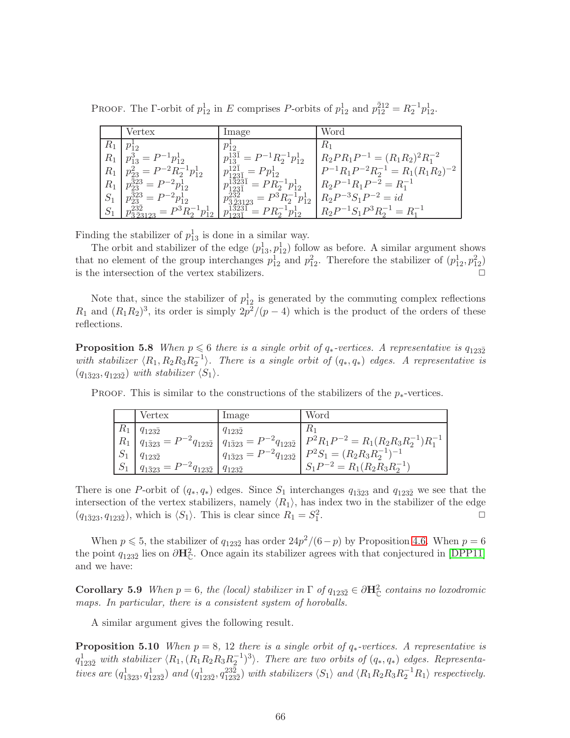PROOF. The  $\Gamma$ -orbit of  $p_{12}^1$  in E comprises P-orbits of  $p_{12}^1$  and  $p_{12}^{\bar{2}12} = R_2^{-1}p_{12}^1$ .

|         | Vertex                                                           | Image                                                                                         | Word                                         |
|---------|------------------------------------------------------------------|-----------------------------------------------------------------------------------------------|----------------------------------------------|
| $R_{1}$ | $p_{12}^*$                                                       | $p_{12}$                                                                                      | $R_{\rm 1}$                                  |
|         | $R_1   p_{13}^3 = P^{-1}p_{12}^1$                                | $p_{13}^{13\bar{1}} = P^{-1}R_2^{-1}p_{12}^1$                                                 | $R_2PR_1P^{-1} = (R_1R_2)^2R_1^{-2}$         |
| $R_1$   | $p_{23}^2 = P^{-2} R_2^{-1} p_{12}^1$                            | $p_{123\overline{1}_-}^{121}=Pp_{12}^1$                                                       | $P^{-1}R_1P^{-2}R_2^{-1} = R_1(R_1R_2)^{-2}$ |
|         | $R_1   p_{23}^{323} = P^{-2} p_{12}^1$                           | $p_{123\overline{1}}^{\overline{1}\overline{3}\overline{2}3\overline{1}} = PR_2^{-1}p_{12}^1$ | $R_2P^{-1}R_1P^{-2} = R_1^{-1}$              |
| $S_1$   | $p_{23}^{\bar{3}23} = P^{-2}p_{12}^1$                            | $p_{\bar{3}\bar{2}3123}^{23\bar{2}} = P^3 R_2^{-1} p_{12}^1$                                  | $R_2P^{-3}S_1P^{-2} = id$                    |
| $S_1$   | $p_{\overline{3}\overline{2}3123}^{232} = P^3 R_2^{-1} p_{12}^1$ | $p_{1231}^{13231} = PR_2^{-1}p_{12}^1$                                                        | $R_2P^{-1}S_1P^3R_2^{-1}=R_1^{-1}$           |

Finding the stabilizer of  $p_{13}^1$  is done in a similar way.

The orbit and stabilizer of the edge  $(p_{13}^1, p_{12}^1)$  follow as before. A similar argument shows that no element of the group interchanges  $p_{12}^1$  and  $p_{12}^2$ . Therefore the stabilizer of  $(p_{12}^1, p_{12}^2)$ is the intersection of the vertex stabilizers.

Note that, since the stabilizer of  $p_{12}^1$  is generated by the commuting complex reflections  $R_1$  and  $(R_1R_2)^3$ , its order is simply  $2p^2/(p-4)$  which is the product of the orders of these reflections.

**Proposition 5.8** When  $p \le 6$  there is a single orbit of  $q_*$ -vertices. A representative is  $q_{123\overline{2}}$ with stabilizer  $\langle R_1, R_2R_3R_2^{-1} \rangle$ . There is a single orbit of  $(q_*, q_*)$  edges. A representative is  $(q_{1\bar{3}23}, q_{123\bar{2}})$  with stabilizer  $\langle S_1 \rangle$ .

|             | Vertex                                  | Image            | Word                                                                                                                                                                                                                                                                 |
|-------------|-----------------------------------------|------------------|----------------------------------------------------------------------------------------------------------------------------------------------------------------------------------------------------------------------------------------------------------------------|
| $R_{\rm 1}$ | $q_{123\bar{2}}$                        | $q_{123\bar{2}}$ | $R_{1}$                                                                                                                                                                                                                                                              |
|             |                                         |                  |                                                                                                                                                                                                                                                                      |
|             |                                         |                  | $\begin{array}{c c c} R_1 & q_{1\bar{3}23} = P^{-2}q_{123\bar{2}} & q_{1\bar{3}23} = P^{-2}q_{123\bar{2}} & P^2R_1P^{-2} = R_1(R_2R_3R_2^{-1})R_1^{-1} \\ S_1 & q_{123\bar{2}} & q_{1\bar{3}23} = P^{-2}q_{123\bar{2}} & P^2S_1 = (R_2R_3R_2^{-1})^{-1} \end{array}$ |
|             | $q_{1\bar{3}23} = P^{-2}q_{123\bar{2}}$ | $q_{1232}$       | $S_1P^{-2} = R_1(R_2R_3R_2^{-1})$                                                                                                                                                                                                                                    |

PROOF. This is similar to the constructions of the stabilizers of the  $p_*$ -vertices.

There is one P-orbit of  $(q_*, q_*)$  edges. Since  $S_1$  interchanges  $q_{1\bar{3}23}$  and  $q_{123\bar{2}}$  we see that the intersection of the vertex stabilizers, namely  $\langle R_1 \rangle$ , has index two in the stabilizer of the edge  $(a_{1\overline{2}22}, a_{122\overline{2}})$ , which is  $\langle S_1 \rangle$ . This is clear since  $R_1 = S_1^2$ .  $(q_{1\bar{3}23}, q_{123\bar{2}})$ , which is  $\langle S_1 \rangle$ . This is clear since  $R_1 = S_1^2$ .  $\Box$ 

When  $p \le 5$ , the stabilizer of  $q_{123\overline{2}}$  has order  $24p^2/(6-p)$  by Proposition [4.6.](#page-24-2) When  $p = 6$ the point  $q_{123\bar{2}}$  lies on  $\partial \mathbf{H}_{\mathbb{C}}^2$ . Once again its stabilizer agrees with that conjectured in [\[DPP11\]](#page-75-1) and we have:

<span id="page-65-0"></span>**Corollary 5.9** When  $p = 6$ , the (local) stabilizer in  $\Gamma$  of  $q_{123\overline{2}} \in \partial \mathbf{H}_{\mathbb{C}}^2$  contains no loxodromic maps. In particular, there is a consistent system of horoballs.

A similar argument gives the following result.

**Proposition 5.10** When  $p = 8$ , 12 there is a single orbit of  $q_*$ -vertices. A representative is  $q_{123\bar{2}}^1$  with stabilizer  $\langle R_1, (R_1R_2R_3R_2^{-1})^3 \rangle$ . There are two orbits of  $(q_*, q_*)$  edges. Representatives are  $(q_{1\overline{3}23}^1, q_{123\overline{2}}^1)$  and  $(q_{123\overline{2}}^1, q_{123\overline{2}}^{23\overline{2}})$  with stabilizers  $\langle S_1 \rangle$  and  $\langle R_1R_2R_3R_2^{-1}R_1 \rangle$  respectively.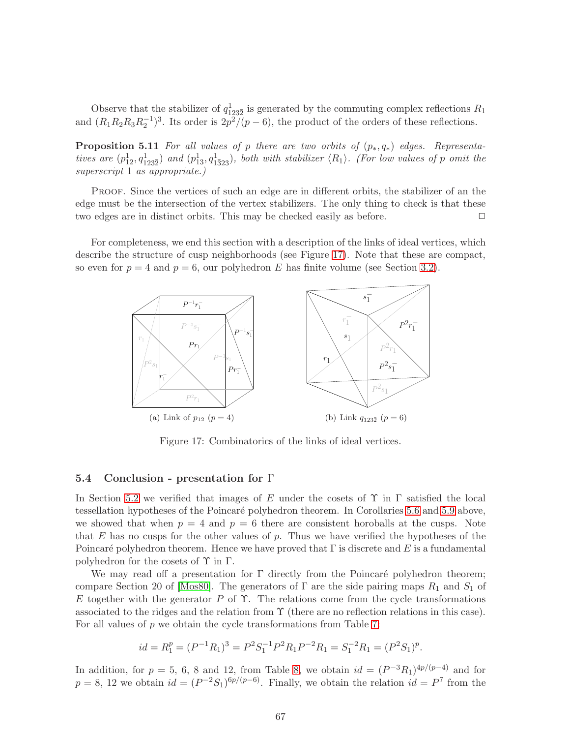Observe that the stabilizer of  $q_{123\bar{2}}^1$  is generated by the commuting complex reflections  $R_1$ and  $(R_1R_2R_3R_2^{-1})^3$ . Its order is  $2p^2/(p-6)$ , the product of the orders of these reflections.

**Proposition 5.11** For all values of p there are two orbits of  $(p_*, q_*)$  edges. Representatives are  $(p_{12}^1, q_{123\overline{2}}^1)$  and  $(p_{13}^1, q_{1323}^1)$ , both with stabilizer  $\langle R_1 \rangle$ . (For low values of p omit the superscript 1 as appropriate.)

Proof. Since the vertices of such an edge are in different orbits, the stabilizer of an the edge must be the intersection of the vertex stabilizers. The only thing to check is that these two edges are in distinct orbits. This may be checked easily as before.  $\Box$ 

For completeness, we end this section with a description of the links of ideal vertices, which describe the structure of cusp neighborhoods (see Figure [17\)](#page-66-0). Note that these are compact, so even for  $p = 4$  and  $p = 6$ , our polyhedron E has finite volume (see Section [3.2\)](#page-13-0).



<span id="page-66-0"></span>Figure 17: Combinatorics of the links of ideal vertices.

### 5.4 Conclusion - presentation for Γ

In Section [5.2](#page-60-0) we verified that images of E under the cosets of  $\Upsilon$  in  $\Gamma$  satisfied the local tessellation hypotheses of the Poincaré polyhedron theorem. In Corollaries [5.6](#page-64-0) and [5.9](#page-65-0) above, we showed that when  $p = 4$  and  $p = 6$  there are consistent horoballs at the cusps. Note that  $E$  has no cusps for the other values of  $p$ . Thus we have verified the hypotheses of the Poincaré polyhedron theorem. Hence we have proved that  $\Gamma$  is discrete and E is a fundamental polyhedron for the cosets of  $\Upsilon$  in  $\Gamma$ .

We may read off a presentation for  $\Gamma$  directly from the Poincaré polyhedron theorem; compare Section 20 of [\[Mos80\]](#page-76-1). The generators of  $\Gamma$  are the side pairing maps  $R_1$  and  $S_1$  of E together with the generator P of  $\Upsilon$ . The relations come from the cycle transformations associated to the ridges and the relation from Υ (there are no reflection relations in this case). For all values of  $p$  we obtain the cycle transformations from Table [7:](#page-61-0)

$$
id = R_1^p = (P^{-1}R_1)^3 = P^2S_1^{-1}P^2R_1P^{-2}R_1 = S_1^{-2}R_1 = (P^2S_1)^p.
$$

In addition, for  $p = 5, 6, 8$  and 12, from Table [8,](#page-62-0) we obtain  $id = (P^{-3}R_1)^{4p/(p-4)}$  and for  $p = 8$ , 12 we obtain  $id = (P^{-2}S_1)^{6p/(p-6)}$ . Finally, we obtain the relation  $id = P^7$  from the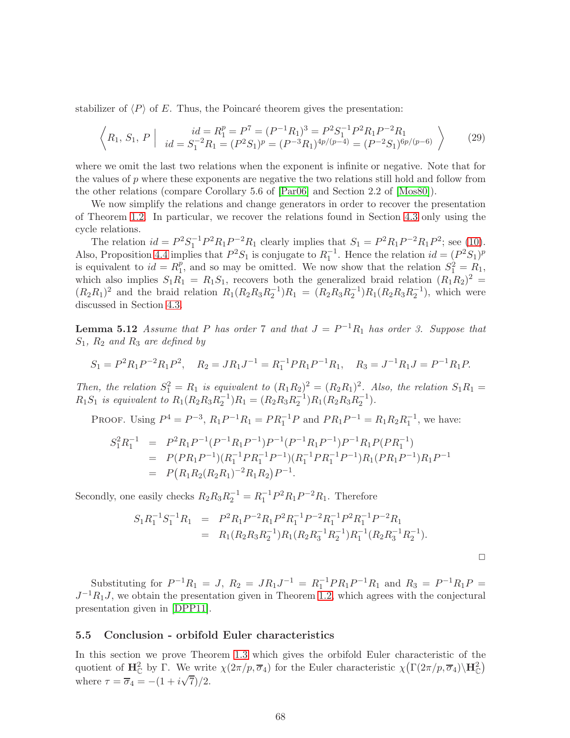stabilizer of  $\langle P \rangle$  of E. Thus, the Poincaré theorem gives the presentation:

$$
\left\langle R_1, S_1, P \mid id = R_1^p = P^7 = (P^{-1}R_1)^3 = P^2 S_1^{-1} P^2 R_1 P^{-2} R_1
$$
  
\n
$$
id = S_1^{-2} R_1 = (P^2 S_1)^p = (P^{-3} R_1)^{4p/(p-4)} = (P^{-2} S_1)^{6p/(p-6)} \right\}
$$
 (29)

where we omit the last two relations when the exponent is infinite or negative. Note that for the values of  $p$  where these exponents are negative the two relations still hold and follow from the other relations (compare Corollary 5.6 of [\[Par06\]](#page-76-2) and Section 2.2 of [\[Mos80\]](#page-76-1)).

We now simplify the relations and change generators in order to recover the presentation of Theorem [1.2.](#page-3-0) In particular, we recover the relations found in Section [4.3](#page-22-1) only using the cycle relations.

The relation  $id = P^2 S_1^{-1} P^2 R_1 P^{-2} R_1$  clearly implies that  $S_1 = P^2 R_1 P^{-2} R_1 P^2$ ; see [\(10\)](#page-21-0). Also, Proposition [4.4](#page-24-1) implies that  $P^2S_1$  is conjugate to  $R_1^{-1}$ . Hence the relation  $id = (P^2S_1)^p$ is equivalent to  $id = R_1^p$ <sup>p</sup><sub>1</sub>, and so may be omitted. We now show that the relation  $S_1^2 = R_1$ , which also implies  $S_1R_1 = R_1S_1$ , recovers both the generalized braid relation  $(R_1R_2)^2$  =  $(R_2R_1)^2$  and the braid relation  $R_1(R_2R_3R_2^{-1})R_1 = (R_2R_3R_2^{-1})R_1(R_2R_3R_2^{-1})$ , which were discussed in Section [4.3.](#page-22-1)

**Lemma 5.12** Assume that P has order 7 and that  $J = P^{-1}R_1$  has order 3. Suppose that  $S_1$ ,  $R_2$  and  $R_3$  are defined by

$$
S_1 = P^2 R_1 P^{-2} R_1 P^2
$$
,  $R_2 = J R_1 J^{-1} = R_1^{-1} P R_1 P^{-1} R_1$ ,  $R_3 = J^{-1} R_1 J = P^{-1} R_1 P$ .

Then, the relation  $S_1^2 = R_1$  is equivalent to  $(R_1R_2)^2 = (R_2R_1)^2$ . Also, the relation  $S_1R_1 =$  $R_1S_1$  is equivalent to  $R_1(R_2R_3R_2^{-1})R_1 = (R_2R_3R_2^{-1})R_1(R_2R_3R_2^{-1}).$ 

PROOF. Using  $P^4 = P^{-3}$ ,  $R_1 P^{-1} R_1 = P R_1^{-1} P$  and  $P R_1 P^{-1} = R_1 R_2 R_1^{-1}$ , we have:

$$
S_1^2 R_1^{-1} = P^2 R_1 P^{-1} (P^{-1} R_1 P^{-1}) P^{-1} (P^{-1} R_1 P^{-1}) P^{-1} R_1 P (P R_1^{-1})
$$
  
=  $P(P R_1 P^{-1}) (R_1^{-1} P R_1^{-1} P^{-1}) (R_1^{-1} P R_1^{-1} P^{-1}) R_1 (P R_1 P^{-1}) R_1 P^{-1}$   
=  $P(R_1 R_2 (R_2 R_1)^{-2} R_1 R_2) P^{-1}.$ 

Secondly, one easily checks  $R_2R_3R_2^{-1} = R_1^{-1}P^2R_1P^{-2}R_1$ . Therefore

$$
S_1 R_1^{-1} S_1^{-1} R_1 = P^2 R_1 P^{-2} R_1 P^2 R_1^{-1} P^{-2} R_1^{-1} P^2 R_1^{-1} P^{-2} R_1
$$
  
=  $R_1 (R_2 R_3 R_2^{-1}) R_1 (R_2 R_3^{-1} R_2^{-1}) R_1^{-1} (R_2 R_3^{-1} R_2^{-1}).$ 

 $\Box$ 

Substituting for  $P^{-1}R_1 = J$ ,  $R_2 = JR_1J^{-1} = R_1^{-1}PR_1P^{-1}R_1$  and  $R_3 = P^{-1}R_1P =$  $J^{-1}R_1J$ , we obtain the presentation given in Theorem [1.2,](#page-3-0) which agrees with the conjectural presentation given in [\[DPP11\]](#page-75-1).

### <span id="page-67-0"></span>5.5 Conclusion - orbifold Euler characteristics

In this section we prove Theorem [1.3](#page-4-0) which gives the orbifold Euler characteristic of the quotient of  $\mathbf{H}_{\mathbb{C}}^2$  by  $\Gamma$ . We write  $\chi(2\pi/p, \overline{\sigma}_4)$  for the Euler characteristic  $\chi(\Gamma(2\pi/p, \overline{\sigma}_4)\backslash\mathbf{H}_{\mathbb{C}}^2)$ where  $\tau = \overline{\sigma}_4 = -(1 + i\sqrt{7})/2$ .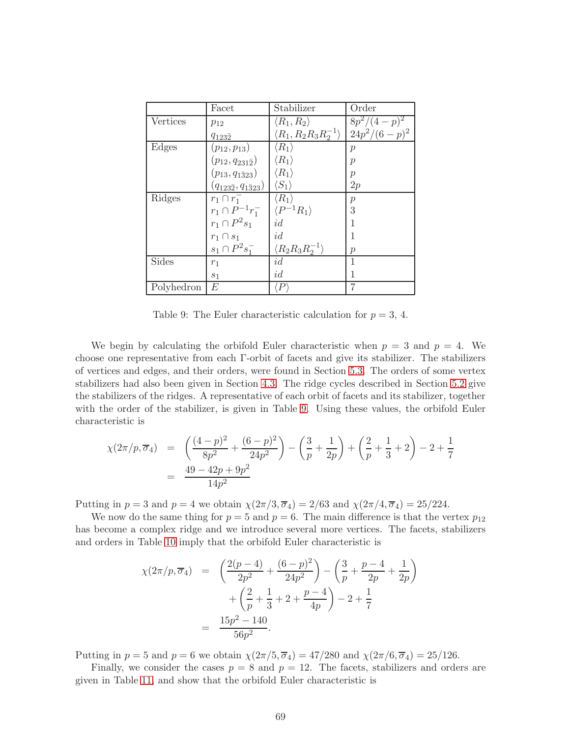|            | Facet                              | Stabilizer                              | Order           |
|------------|------------------------------------|-----------------------------------------|-----------------|
| Vertices   | $p_{12}$                           | $\langle R_1, R_2 \rangle$              | $8p^2/(4-p)^2$  |
|            | $q_{123\bar{2}}$                   | $\langle R_1, R_2 R_3 R_2^{-1} \rangle$ | $24p^2/(6-p)^2$ |
| Edges      | $(p_{12}, p_{13})$                 | $\langle R_1\rangle$                    | $\mathcal{p}$   |
|            | $(p_{12}, q_{231\bar{2}})$         | $\langle R_1\rangle$                    | р               |
|            | $(p_{13}, q_{1\bar{3}23})$         | $\langle R_1\rangle$                    | р               |
|            | $(q_{123\bar{2}}, q_{1\bar{3}23})$ | $\langle S_1\rangle$                    | 2p              |
| Ridges     | $r_1 \cap r_1^-$                   | $\langle R_1\rangle$                    | $\mathcal{p}$   |
|            | $r_1 \cap P^{-1}r_1^-$             | $\langle P^{-1}R_1\rangle$              | 3               |
|            | $r_1 \cap P^2s_1$                  | id                                      |                 |
|            | $r_1 \cap s_1$                     | id                                      |                 |
|            | $s_1 \cap P^2 s_1^-$               | $\langle R_2R_3R_2^{-1}\rangle$         | $\mathcal{p}$   |
| Sides      | $r_1$                              | id                                      |                 |
|            | $s_1$                              | id                                      |                 |
| Polyhedron | E                                  | P                                       |                 |

<span id="page-68-0"></span>Table 9: The Euler characteristic calculation for  $p = 3, 4$ .

We begin by calculating the orbifold Euler characteristic when  $p = 3$  and  $p = 4$ . We choose one representative from each Γ-orbit of facets and give its stabilizer. The stabilizers of vertices and edges, and their orders, were found in Section [5.3.](#page-63-0) The orders of some vertex stabilizers had also been given in Section [4.3.](#page-22-1) The ridge cycles described in Section [5.2](#page-60-0) give the stabilizers of the ridges. A representative of each orbit of facets and its stabilizer, together with the order of the stabilizer, is given in Table [9.](#page-68-0) Using these values, the orbifold Euler characteristic is

$$
\chi(2\pi/p, \overline{\sigma}_4) = \left(\frac{(4-p)^2}{8p^2} + \frac{(6-p)^2}{24p^2}\right) - \left(\frac{3}{p} + \frac{1}{2p}\right) + \left(\frac{2}{p} + \frac{1}{3} + 2\right) - 2 + \frac{1}{7}
$$
  
= 
$$
\frac{49 - 42p + 9p^2}{14p^2}
$$

Putting in  $p = 3$  and  $p = 4$  we obtain  $\chi(2\pi/3, \overline{\sigma}_4) = 2/63$  and  $\chi(2\pi/4, \overline{\sigma}_4) = 25/224$ .

We now do the same thing for  $p = 5$  and  $p = 6$ . The main difference is that the vertex  $p_{12}$ has become a complex ridge and we introduce several more vertices. The facets, stabilizers and orders in Table [10](#page-69-0) imply that the orbifold Euler characteristic is

$$
\chi(2\pi/p, \overline{\sigma}_4) = \left(\frac{2(p-4)}{2p^2} + \frac{(6-p)^2}{24p^2}\right) - \left(\frac{3}{p} + \frac{p-4}{2p} + \frac{1}{2p}\right) + \left(\frac{2}{p} + \frac{1}{3} + 2 + \frac{p-4}{4p}\right) - 2 + \frac{1}{7}
$$

$$
= \frac{15p^2 - 140}{56p^2}.
$$

Putting in  $p = 5$  and  $p = 6$  we obtain  $\chi(2\pi/5, \overline{\sigma}_4) = 47/280$  and  $\chi(2\pi/6, \overline{\sigma}_4) = 25/126$ .

Finally, we consider the cases  $p = 8$  and  $p = 12$ . The facets, stabilizers and orders are given in Table [11,](#page-69-1) and show that the orbifold Euler characteristic is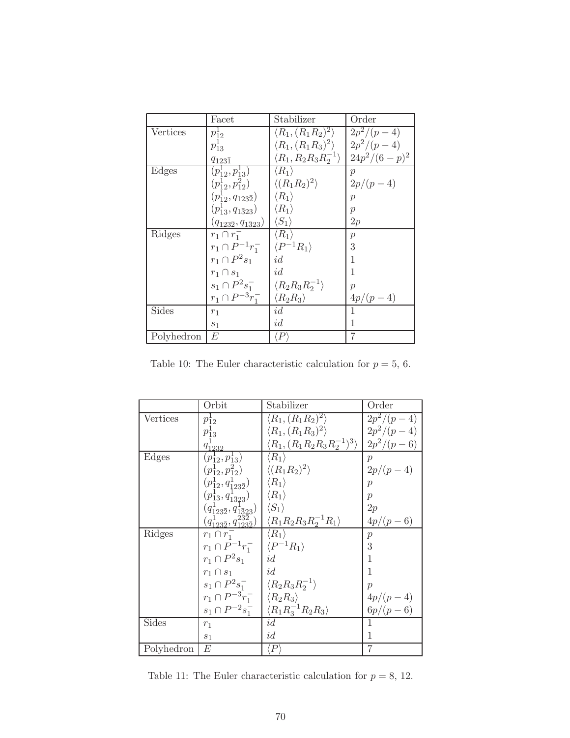|            | Facet                              | Stabilizer                              | Order                   |
|------------|------------------------------------|-----------------------------------------|-------------------------|
| Vertices   | $p_{12}^1$                         | $\langle R_1, (R_1R_2)^2 \rangle$       | $\overline{2}p^2/(p-4)$ |
|            | $p_{13}^1$                         | $\langle R_1, (R_1R_3)^2 \rangle$       | $2p^2/(p-4)$            |
|            | $q_{123\bar{1}}$                   | $\langle R_1, R_2 R_3 R_2^{-1} \rangle$ | $24p^2/(6-p)^2$         |
| Edges      | $(p_{12}^1, p_{13}^1)$             | $\langle R_1 \rangle$                   | $\mathcal{p}$           |
|            | $(p_{12}^1, p_{12}^2)$             | $\langle (R_1R_2)^2 \rangle$            | $2p/(p-4)$              |
|            | $(p_{12}^1, q_{123\bar{2}})$       | $\langle R_1 \rangle$                   | р                       |
|            | $(p_{13}^1, q_{1323})$             | $\langle R_1 \rangle$                   | p                       |
|            | $(q_{123\bar{2}}, q_{1\bar{3}23})$ | $\langle S_1 \rangle$                   | 2p                      |
| Ridges     | $r_1 \cap r_1^-$                   | $\langle R_1 \rangle$                   | $\boldsymbol{p}$        |
|            | $r_1 \cap P^{-1}r_1^-$             | $\langle P^{-1}R_1\rangle$              | 3                       |
|            | $r_1 \cap P^2s_1$                  | id                                      | 1                       |
|            | $r_1 \cap s_1$                     | id                                      | 1                       |
|            | $s_1 \cap P^2 s_1^-$               | $\langle R_2R_3R_2^{-1}\rangle$         | $\mathcal{p}$           |
|            | $r_1 \cap P^{-3}r_1^-$             | $\langle R_2R_3\rangle$                 | $4p/(p-4)$              |
| Sides      | $r_1$                              | id                                      |                         |
|            | $s_1$                              | id                                      | 1                       |
| Polyhedron | E                                  | $\,P$                                   | 7                       |

<span id="page-69-0"></span>Table 10: The Euler characteristic calculation for  $p=5,\,6.$ 

|            | Orbit                                                                                                                   | Stabilizer                                   | Order            |
|------------|-------------------------------------------------------------------------------------------------------------------------|----------------------------------------------|------------------|
| Vertices   | $p_{12}^{\perp}$                                                                                                        | $\langle R_1, (R_1R_2)^2 \rangle$            | $2p^2/(p-4)$     |
|            | $p_{13}^1$                                                                                                              | $\langle R_1, (R_1R_3)^2 \rangle$            | $2p^2/(p-4)$     |
|            | $q_{123\bar{2}}^1$                                                                                                      | $\langle R_1, (R_1R_2R_3R_2^{-1})^3 \rangle$ | $2p^2/(p-6)$     |
| Edges      | $(p_{12}^1, p_{13}^1)$                                                                                                  | $\langle R_1 \rangle$                        | $\mathcal{p}$    |
|            | $(p_{12}^1, p_{12}^2)$                                                                                                  | $\langle (R_1R_2)^2 \rangle$                 | $2p/(p-4)$       |
|            | $(p_{12}^1, q_{123\bar{2}}^1)$                                                                                          | $\langle R_1 \rangle$                        | $\mathcal{p}$    |
|            | $(p^1_{13},q^1_{1\bar{3}23})$                                                                                           | $\langle R_1 \rangle$                        | $\mathcal{p}$    |
|            |                                                                                                                         | $\langle S_1 \rangle$                        | 2p               |
|            | $\begin{array}{c} (q_{123\bar{2}}^{1},q_{1\bar{3}23}^{1})\\(q_{123\bar{2}}^{1},q_{123\bar{2}}^{23\bar{2}}) \end{array}$ | $\langle R_1R_2R_3R_2^{-1}R_1\rangle$        | $4p/(p-6)$       |
| Ridges     | $r_1 \cap r_1^-$                                                                                                        | $\langle R_1 \rangle$                        | $\boldsymbol{p}$ |
|            | $r_1 \cap P^{-1}r_1^ \langle P^{-1}R_1 \rangle$                                                                         |                                              | 3                |
|            | $r_1 \cap P^2s_1$                                                                                                       | id                                           | 1                |
|            | $r_1 \cap s_1$                                                                                                          | id                                           | 1                |
|            | $s_1 \cap P^2 s_1^-$                                                                                                    | $\langle R_2R_3R_2^{-1} \rangle$             | $\mathcal{D}$    |
|            | $r_1 \cap P^{-3}r_1^-$                                                                                                  | $\langle R_2R_3\rangle$                      | $4p/(p-4)$       |
|            | $s_1 \cap P^{-2}s_1^-$                                                                                                  | $\langle R_1 R_3^{-1} R_2 R_3 \rangle$       | $6p/(p-6)$       |
| Sides      | $r_1$                                                                                                                   | id                                           |                  |
|            | $s_1$                                                                                                                   | id                                           |                  |
| Polyhedron | E                                                                                                                       | $\langle P \rangle$                          | 7                |

<span id="page-69-1"></span>Table 11: The Euler characteristic calculation for  $p=8,\,12.$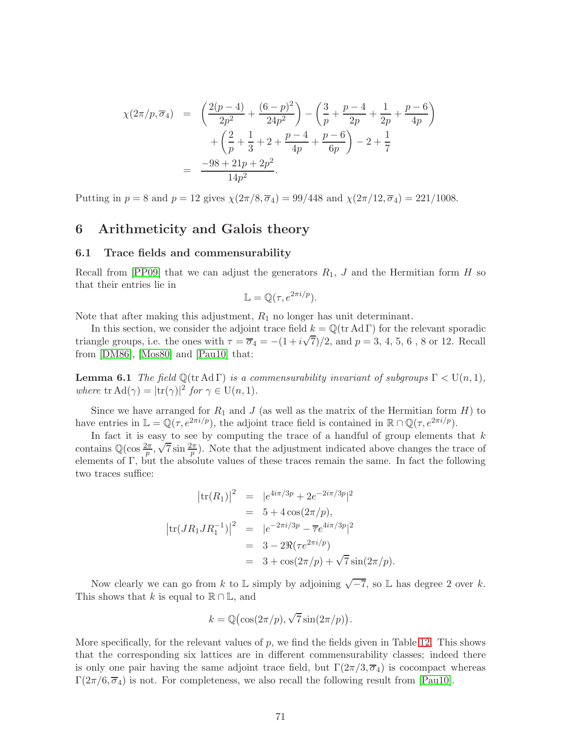$$
\chi(2\pi/p, \overline{\sigma}_4) = \left(\frac{2(p-4)}{2p^2} + \frac{(6-p)^2}{24p^2}\right) - \left(\frac{3}{p} + \frac{p-4}{2p} + \frac{1}{2p} + \frac{p-6}{4p}\right) + \left(\frac{2}{p} + \frac{1}{3} + 2 + \frac{p-4}{4p} + \frac{p-6}{6p}\right) - 2 + \frac{1}{7} = \frac{-98 + 21p + 2p^2}{14p^2}.
$$

Putting in  $p = 8$  and  $p = 12$  gives  $\chi(2\pi/8, \overline{\sigma}_4) = 99/448$  and  $\chi(2\pi/12, \overline{\sigma}_4) = 221/1008$ .

## 6 Arithmeticity and Galois theory

#### 6.1 Trace fields and commensurability

Recall from [\[PP09\]](#page-76-3) that we can adjust the generators  $R_1$ , J and the Hermitian form H so that their entries lie in

$$
\mathbb{L} = \mathbb{Q}(\tau, e^{2\pi i/p}).
$$

Note that after making this adjustment,  $R_1$  no longer has unit determinant.

In this section, we consider the adjoint trace field  $k = \mathbb{Q}(\text{tr} \text{Ad} \Gamma)$  for the relevant sporadic triangle groups, i.e. the ones with  $\tau = \overline{\sigma}_4 = -(1 + i\sqrt{7})/2$ , and  $p = 3, 4, 5, 6, 8$  or 12. Recall from [\[DM86\]](#page-74-2), [\[Mos80\]](#page-76-1) and [\[Pau10\]](#page-76-4) that:

**Lemma 6.1** The field  $\mathbb{Q}(\text{tr} \text{Ad} \Gamma)$  is a commensurability invariant of subgroups  $\Gamma < U(n, 1)$ , where  $\text{tr}\,\text{Ad}(\gamma) = |\text{tr}(\gamma)|^2 \text{ for } \gamma \in \text{U}(n,1).$ 

Since we have arranged for  $R_1$  and J (as well as the matrix of the Hermitian form H) to have entries in  $\mathbb{L} = \mathbb{Q}(\tau, e^{2\pi i/p})$ , the adjoint trace field is contained in  $\mathbb{R} \cap \mathbb{Q}(\tau, e^{2\pi i/p})$ .

In fact it is easy to see by computing the trace of a handful of group elements that  $k$ contains  $\mathbb{Q}(\cos\frac{2\pi}{p}, \sqrt{7}\sin\frac{2\pi}{p})$ . Note that the adjustment indicated above changes the trace of elements of Γ, but the absolute values of these traces remain the same. In fact the following two traces suffice:

$$
|\text{tr}(R_1)|^2 = |e^{4i\pi/3p} + 2e^{-2i\pi/3p}|^2
$$
  
= 5 + 4 cos(2\pi/p),  

$$
|\text{tr}(JR_1JR_1^{-1})|^2 = |e^{-2\pi i/3p} - \overline{\tau}e^{4i\pi/3p}|^2
$$
  
= 3 - 2\Re(\tau e^{2\pi i/p})  
= 3 + cos(2\pi/p) + \sqrt{7} sin(2\pi/p).

Now clearly we can go from k to  $\mathbb L$  simply by adjoining  $\sqrt{-7}$ , so  $\mathbb L$  has degree 2 over k. This shows that k is equal to  $\mathbb{R} \cap \mathbb{L}$ , and

<span id="page-70-0"></span>
$$
k = \mathbb{Q}(\cos(2\pi/p), \sqrt{7}\sin(2\pi/p)).
$$

More specifically, for the relevant values of  $p$ , we find the fields given in Table [12.](#page-71-0) This shows that the corresponding six lattices are in different commensurability classes; indeed there is only one pair having the same adjoint trace field, but  $\Gamma(2\pi/3, \overline{\sigma}_4)$  is cocompact whereas  $\Gamma(2\pi/6, \overline{\sigma}_4)$  is not. For completeness, we also recall the following result from [\[Pau10\]](#page-76-4).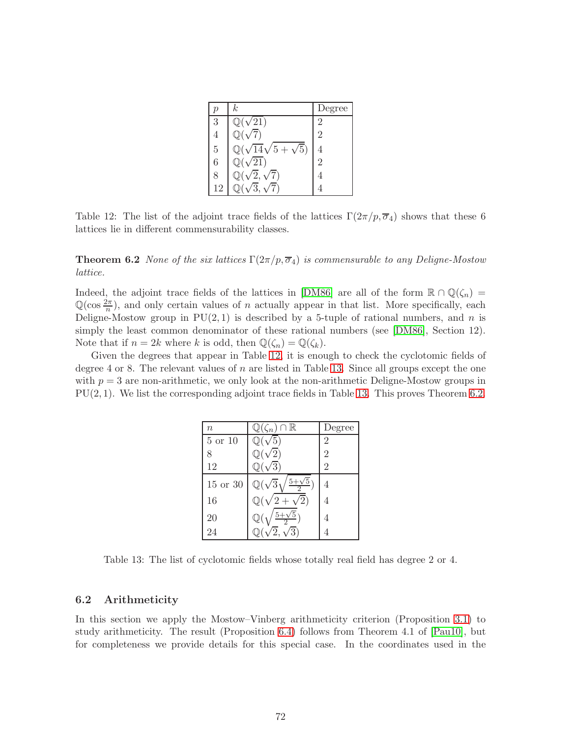|    | $\boldsymbol{k}$                         | Degree         |
|----|------------------------------------------|----------------|
| 3  | $\mathbb{Q}(\sqrt{21})$                  | 2              |
| 4  |                                          | $\overline{2}$ |
| 5  | $\mathbb{Q}(\sqrt{14}\sqrt{5}+\sqrt{5})$ |                |
| 6  | $\mathbb{Q}(\sqrt{21})$                  | $\overline{2}$ |
| 8  | $\mathbb{Q}(\sqrt{2},\sqrt{7})$          |                |
| 12 | $\sqrt{3}$                               |                |

<span id="page-71-0"></span>Table 12: The list of the adjoint trace fields of the lattices  $\Gamma(2\pi/p, \overline{\sigma}_4)$  shows that these 6 lattices lie in different commensurability classes.

**Theorem 6.2** None of the six lattices  $\Gamma(2\pi/p, \overline{\sigma}_4)$  is commensurable to any Deligne-Mostow lattice.

Indeed, the adjoint trace fields of the lattices in [\[DM86\]](#page-74-2) are all of the form  $\mathbb{R} \cap \mathbb{Q}(\zeta_n) =$  $\mathbb{Q}(\cos \frac{2\pi}{n})$ , and only certain values of *n* actually appear in that list. More specifically, each Deligne-Mostow group in  $PU(2, 1)$  is described by a 5-tuple of rational numbers, and n is simply the least common denominator of these rational numbers (see [\[DM86\]](#page-74-2), Section 12). Note that if  $n = 2k$  where k is odd, then  $\mathbb{Q}(\zeta_n) = \mathbb{Q}(\zeta_k)$ .

Given the degrees that appear in Table [12,](#page-71-0) it is enough to check the cyclotomic fields of degree 4 or 8. The relevant values of  $n$  are listed in Table [13.](#page-71-1) Since all groups except the one with  $p = 3$  are non-arithmetic, we only look at the non-arithmetic Deligne-Mostow groups in PU(2, 1). We list the corresponding adjoint trace fields in Table [13.](#page-71-1) This proves Theorem [6.2.](#page-70-0)

| $\boldsymbol{n}$ | $\mathbb{Q}(\zeta_n)\cap\mathbb{R}$                                | Degree         |
|------------------|--------------------------------------------------------------------|----------------|
| 5 or 10          | $\sqrt{5}$<br>$\mathbb{Q}(\cdot)$                                  | 2              |
| 8                | $\mathbb{Q}(\sqrt{2})$                                             | $\overline{2}$ |
| 12               | $\sqrt{3}$<br>$\mathbb{Q}(\sqrt{ }$                                | 2              |
| 15 or 30         | $5+$<br>5<br>$\mathbb{Q}(\sqrt{3})$<br>$\mathcal{D}_{\mathcal{L}}$ | 4              |
| 16               | $\mathbb{Q}(\sqrt{2}+\sqrt{2})$                                    | 4              |
| 20               | $\frac{75}{5}$<br>5-<br>Q                                          | 4              |
| 24               | $\sqrt{3}$<br>$\overline{2}$                                       |                |

<span id="page-71-1"></span>Table 13: The list of cyclotomic fields whose totally real field has degree 2 or 4.

### 6.2 Arithmeticity

In this section we apply the Mostow–Vinberg arithmeticity criterion (Proposition [3.1\)](#page-13-1) to study arithmeticity. The result (Proposition [6.4\)](#page-72-0) follows from Theorem 4.1 of [\[Pau10\]](#page-76-4), but for completeness we provide details for this special case. In the coordinates used in the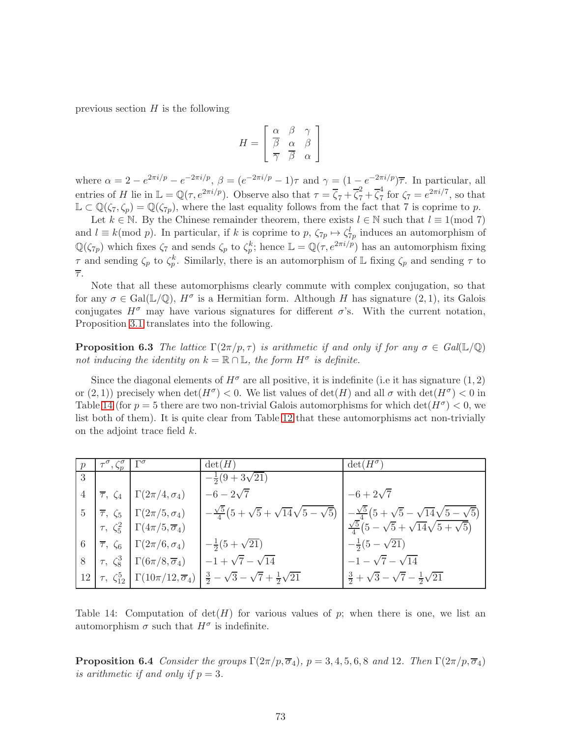previous section  $H$  is the following

$$
H = \left[ \begin{array}{ccc} \alpha & \beta & \gamma \\ \overline{\beta} & \alpha & \beta \\ \overline{\gamma} & \overline{\beta} & \alpha \end{array} \right]
$$

where  $\alpha = 2 - e^{2\pi i/p} - e^{-2\pi i/p}, \ \beta = (e^{-2\pi i/p} - 1)\tau$  and  $\gamma = (1 - e^{-2\pi i/p})\overline{\tau}$ . In particular, all entries of H lie in  $\mathbb{L} = \mathbb{Q}(\tau, e^{2\pi i/p})$ . Observe also that  $\tau = \overline{\zeta}_7 + \overline{\zeta}_7^2 + \overline{\zeta}_7^4$  $\frac{4}{7}$  for  $\zeta_7 = e^{2\pi i/7}$ , so that  $\mathbb{L} \subset \mathbb{Q}(\zeta_7, \zeta_p) = \mathbb{Q}(\zeta_{7p})$ , where the last equality follows from the fact that 7 is coprime to p.

Let  $k \in \mathbb{N}$ . By the Chinese remainder theorem, there exists  $l \in \mathbb{N}$  such that  $l \equiv 1 \pmod{7}$ and  $l \equiv k \pmod{p}$ . In particular, if k is coprime to p,  $\zeta_{7p} \mapsto \zeta_{7p}^l$  induces an automorphism of  $\mathbb{Q}(\zeta_{7p})$  which fixes  $\zeta_7$  and sends  $\zeta_p$  to  $\zeta_p^k$ ; hence  $\mathbb{L} = \mathbb{Q}(\tau, e^{2\pi i/p})$  has an automorphism fixing  $\tau$  and sending  $\zeta_p$  to  $\zeta_p^k$ . Similarly, there is an automorphism of L fixing  $\zeta_p$  and sending  $\tau$  to  $\overline{\tau}$ .

Note that all these automorphisms clearly commute with complex conjugation, so that for any  $\sigma \in \text{Gal}(\mathbb{L}/\mathbb{Q})$ ,  $H^{\sigma}$  is a Hermitian form. Although H has signature  $(2,1)$ , its Galois conjugates  $H^{\sigma}$  may have various signatures for different  $\sigma$ 's. With the current notation, Proposition [3.1](#page-13-0) translates into the following.

**Proposition 6.3** The lattice  $\Gamma(2\pi/p, \tau)$  is arithmetic if and only if for any  $\sigma \in Gal(\mathbb{L}/\mathbb{Q})$ not inducing the identity on  $k = \mathbb{R} \cap \mathbb{L}$ , the form  $H^{\sigma}$  is definite.

Since the diagonal elements of  $H^{\sigma}$  are all positive, it is indefinite (i.e it has signature (1, 2) or  $(2, 1)$ ) precisely when  $\det(H^{\sigma}) < 0$ . We list values of  $\det(H)$  and all  $\sigma$  with  $\det(H^{\sigma}) < 0$  in Table [14](#page-72-0) (for  $p = 5$  there are two non-trivial Galois automorphisms for which  $\det(H^{\sigma}) < 0$ , we list both of them). It is quite clear from Table [12](#page-71-0) that these automorphisms act non-trivially on the adjoint trace field k.

| $\overline{p}$  | $\tau^{\sigma}, \zeta^{\sigma}_{p} \mid \Gamma^{\sigma}$ |                                                                         | $\det(H)$                                                                                                                     | $\det(H^{\sigma})$                                          |
|-----------------|----------------------------------------------------------|-------------------------------------------------------------------------|-------------------------------------------------------------------------------------------------------------------------------|-------------------------------------------------------------|
| $\mathbf{3}$    |                                                          |                                                                         | $-\frac{1}{2}(9+3\sqrt{21})$                                                                                                  |                                                             |
|                 |                                                          | $\overline{\tau}$ , $\zeta_4$ $\Gamma(2\pi/4, \sigma_4)$                | $-6 - 2\sqrt{7}$                                                                                                              | $-6 + 2\sqrt{7}$                                            |
|                 |                                                          | $\overline{5}$ $\overline{\tau}$ , $\zeta_5$ $\Gamma(2\pi/5, \sigma_4)$ | $-\frac{\sqrt{5}}{4}(5+\sqrt{5}+\sqrt{14}\sqrt{5-\sqrt{5}})-\frac{\sqrt{5}}{4}(5+\sqrt{5}-\sqrt{14}\sqrt{5-\sqrt{5}})$        |                                                             |
|                 |                                                          | $\tau$ , $\zeta_5^2$ $\Gamma(4\pi/5, \overline{\sigma}_4)$              |                                                                                                                               | $\frac{\sqrt{5}}{4}(5-\sqrt{5}+\sqrt{14}\sqrt{5+\sqrt{5}})$ |
| $6\phantom{.}6$ |                                                          | $ \overline{\tau}, \zeta_6  \Gamma(2\pi/6, \sigma_4)$                   | $-\frac{1}{2}(5+\sqrt{21})$                                                                                                   | $-\frac{1}{2}(5-\sqrt{21})$                                 |
| 8               |                                                          | $\tau$ , $\zeta_8^3$ $\Gamma(6\pi/8, \overline{\sigma}_4)$              | $-1+\sqrt{7}-\sqrt{14}$                                                                                                       | $-1 - \sqrt{7} - \sqrt{14}$                                 |
|                 |                                                          |                                                                         | 12 $\tau$ , $\zeta_{12}^5$ $\Gamma(10\pi/12, \overline{\sigma}_4)$ $\frac{3}{2} - \sqrt{3} - \sqrt{7} + \frac{1}{2}\sqrt{21}$ | $\frac{3}{2} + \sqrt{3} - \sqrt{7} - \frac{1}{2}\sqrt{21}$  |

<span id="page-72-0"></span>Table 14: Computation of  $\det(H)$  for various values of p; when there is one, we list an automorphism  $\sigma$  such that  $H^{\sigma}$  is indefinite.

**Proposition 6.4** Consider the groups  $\Gamma(2\pi/p, \overline{\sigma}_4)$ ,  $p = 3, 4, 5, 6, 8$  and 12. Then  $\Gamma(2\pi/p, \overline{\sigma}_4)$ is arithmetic if and only if  $p = 3$ .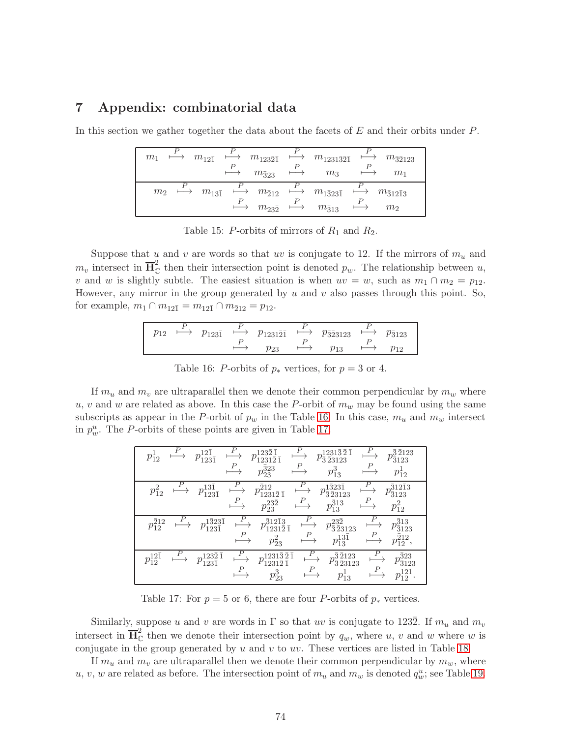## 7 Appendix: combinatorial data

In this section we gather together the data about the facets of E and their orbits under P.

| $\mapsto m_{12\overline{1}} \mapsto m_{123\overline{2}\overline{1}} \mapsto m_{1231\overline{3}\overline{2}\overline{1}} \mapsto m_{\overline{3}\overline{2}123}$<br>m <sub>1</sub> | $m_{\bar{3}23}$                                         | $m_3$ | m <sub>1</sub>              |
|-------------------------------------------------------------------------------------------------------------------------------------------------------------------------------------|---------------------------------------------------------|-------|-----------------------------|
| $m_2 \longrightarrow m_{13\bar{1}} \longrightarrow m_{\bar{2}12} \longrightarrow m_{\bar{1}323\bar{1}} \longrightarrow m_{\bar{3}12\bar{1}3}$                                       | $\mapsto m_{23\overline{2}} \mapsto m_{\overline{3}13}$ |       | $\mapsto$<br>m <sub>2</sub> |

Table 15: P-orbits of mirrors of  $R_1$  and  $R_2$ .

Suppose that u and v are words so that uv is conjugate to 12. If the mirrors of  $m_u$  and  $m_v$  intersect in  $\overline{H}_{\mathbb{C}}^2$  then their intersection point is denoted  $p_w$ . The relationship between u, v and w is slightly subtle. The easiest situation is when  $uv = w$ , such as  $m_1 \cap m_2 = p_{12}$ . However, any mirror in the group generated by  $u$  and  $v$  also passes through this point. So, for example,  $m_1 \cap m_{12\overline{1}} = m_{12\overline{1}} \cap m_{\overline{2}12} = p_{12}$ .

$$
p_{12} \xrightarrow{P} p_{123\overline{1}} \xrightarrow{P} p_{1231\overline{2}\overline{1}} \xrightarrow{P} p_{\overline{3}\overline{2}3123} \xrightarrow{P} p_{\overline{3}123}
$$
  

$$
\xrightarrow{P} p_{23} \xrightarrow{P} p_{13} \xrightarrow{P} p_{12}
$$

<span id="page-73-0"></span>Table 16: P-orbits of  $p_*$  vertices, for  $p = 3$  or 4.

If  $m_u$  and  $m_v$  are ultraparallel then we denote their common perpendicular by  $m_w$  where u, v and w are related as above. In this case the P-orbit of  $m_w$  may be found using the same subscripts as appear in the P-orbit of  $p_w$  in the Table [16.](#page-73-0) In this case,  $m_u$  and  $m_w$  intersect in  $p_w^u$ . The P-orbits of these points are given in Table [17.](#page-73-1)

| Р                         | 21<br>$p_{123\bar{1}}^{12.5}$<br>$\overline{P}$               | 232<br>$\overline{2}$<br>ī<br>$p_{23}^{\bar323}$                                              | Р<br>$1231\bar{3}\bar{2}\bar{1}$<br>$\sqrt{3}\,231$<br>Р<br>$p_{13}^3$                             | P<br>$\bar{3}\,\bar{2}123$<br>3123<br>23<br>P<br>$p_{12}^{\ast}$                             |
|---------------------------|---------------------------------------------------------------|-----------------------------------------------------------------------------------------------|----------------------------------------------------------------------------------------------------|----------------------------------------------------------------------------------------------|
| Р<br>$p_{12}^{\prime}$    | $13\overline{1}$<br>$p_{123\bar{1}}$                          | $\overline{P}$<br>212<br>$1231\bar{2}3\bar{1}$<br>Р<br>$p_{23}^{23\bar{2}}$                   | $\boldsymbol{P}$<br>$\overline{3}23\overline{1}$<br>$p_{\bar{3}\bar{2}3123}$<br>$p_{13}^{\bar313}$ | Р<br>$\bar{3}12\bar{1}3$<br>$p_{\bar{3}123}$<br>$p_{\bar{1}2}$                               |
| P<br>$p_{12}^{\bar{2}12}$ | $\begin{array}{c} 1\bar{3}23\bar{1}\\ 123\bar{1} \end{array}$ | $\bar{3}12\bar{1}3$<br>$\overline{2}$ $\overline{1}$<br>231<br>$\boldsymbol{P}$<br>$p_{23}^2$ | P<br>$p_{13}^{13\bar{1}}$                                                                          | $p_{\bar{3}\, \bar{2}3123}^{23\bar{2}}$<br>$\bar{3}13$<br>$\frac{2}{3}$ 123<br>Р<br>$J_{12}$ |
| $p_{12}^{12\bar{1}}$      | l232 I<br>l231                                                | $231\bar{3}\bar{2}\bar{1}$<br>р<br>$\overline{1}$<br>$\overline{2}$<br>231<br>P<br>$p_{23}^3$ | Р                                                                                                  | $\bar{3}23$<br>$\bar{3}\,2123$<br>$\bar{2}3123$<br>3123<br>Р<br>$p_{13}$                     |

<span id="page-73-1"></span>Table 17: For  $p = 5$  or 6, there are four P-orbits of  $p_*$  vertices.

Similarly, suppose u and v are words in  $\Gamma$  so that uv is conjugate to 1232. If  $m_u$  and  $m_v$ intersect in  $\overline{\mathbf{H}}_{\mathbb{C}}^2$  then we denote their intersection point by  $q_w$ , where u, v and w where w is conjugate in the group generated by  $u$  and  $v$  to  $uv$ . These vertices are listed in Table [18.](#page-74-0)

If  $m_u$  and  $m_v$  are ultraparallel then we denote their common perpendicular by  $m_w$ , where u, v, w are related as before. The intersection point of  $m_u$  and  $m_w$  is denoted  $q_w^u$ ; see Table [19.](#page-74-1)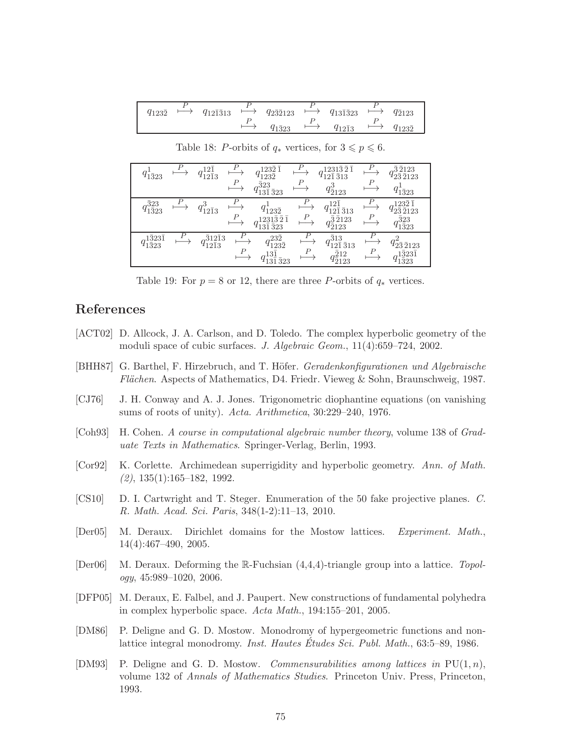| $q_{123\bar{2}}$ | $q_{12\bar{1}\bar{3}13}$ | $q_{2\bar{3}\bar{2}123}$ | $q_{13\bar{1}\bar{3}23}$ | $q_{\bar{2}123}$ |
|------------------|--------------------------|--------------------------|--------------------------|------------------|
|                  |                          | $q_{1\bar{3}23}$         | $q_{12\bar{1}3}$         | 41232            |

 $q_{1\bar{3}23}^1$ P  $\mapsto q_{12\overline{1}}^{12\overline{1}}$  $12\overline{1}3$ P  $\mapsto$   $q_{123\overline{2}}^{1232}$  $123\overline{2}$ P  $\mapsto$   $q_{12\overline{1}}^{12313\overline{2}}$  $1231\bar{3}\,\bar{2}$   $\bar{2}$ P  $\mapsto$   $q_{2\bar{3}\bar{2}123}^{3\,2123}$  $\bar{3}\,2123$ P  $\mapsto q_{13\overline{1}}^{323}$  $13\bar{1}$   $\bar{3}23$ P  $\mapsto$   $q_{\bar{2}123}^3$ P  $\mapsto q_{1\bar{3}23}^1$  $q_{1\bar{3}2}^{\bar{3}23}$ 1¯323 P  $\mapsto q_{12\bar{1}3}^3$ P  $\mapsto$   $q_{123\bar{2}}^1$  $\mapsto q$  $12\overline{1}$  $12\bar{1}$   $\bar{3}13$  $\mapsto q$  $123\bar{2}$   $\bar{1}$  $q_{2\bar{3}\,2123}^{-1}$ P  $\stackrel{P}{\longrightarrow} q_{13\bar{1}}^{1231\bar{3}\bar{2}\bar{1}}_{323}$ P  $\mapsto q_{\bar{2}123}^{\bar{3}\bar{2}123}$ P  $\mapsto q_{1\bar{3}23}^{323}$  $q_{1\bar{3}23}^{1323}$  $1\bar{3}23\bar{1}$ P  $\mapsto q_{12\overline{1}3}^{312\overline{1}3}$  $12\bar{1}3$ P  $\mapsto$   $q_{123}^{23\overline{2}}$  $123\bar{2}$ P  $\mapsto q_{12\overline{1}}^{313}$ <sub>313</sub>  $\bar{3}13$ P  $\mapsto q_{2\bar{3}\bar{2}123}^2$ P  $\mapsto$   $q_{13\overline{1}\, \bar{3}23}^{13\overline{1}}$ P  $\mapsto q_{\bar{2}123}^{\bar{2}12}$ P  $\mapsto q_{1\bar{3}23}^{1\bar{3}23\bar{1}}$ 

<span id="page-74-0"></span>Table 18: P-orbits of  $q_*$  vertices, for  $3 \leq p \leq 6$ .

<span id="page-74-1"></span>Table 19: For  $p = 8$  or 12, there are three P-orbits of  $q_*$  vertices.

## References

- [ACT02] D. Allcock, J. A. Carlson, and D. Toledo. The complex hyperbolic geometry of the moduli space of cubic surfaces. J. Algebraic Geom., 11(4):659–724, 2002.
- [BHH87] G. Barthel, F. Hirzebruch, and T. Höfer. *Geradenkonfigurationen und Algebraische* Flächen. Aspects of Mathematics, D4. Friedr. Vieweg & Sohn, Braunschweig, 1987.
- [CJ76] J. H. Conway and A. J. Jones. Trigonometric diophantine equations (on vanishing sums of roots of unity). Acta. Arithmetica, 30:229-240, 1976.
- [Coh93] H. Cohen. A course in computational algebraic number theory, volume 138 of Graduate Texts in Mathematics. Springer-Verlag, Berlin, 1993.
- [Cor92] K. Corlette. Archimedean superrigidity and hyperbolic geometry. Ann. of Math.  $(2), 135(1):165-182, 1992.$
- [CS10] D. I. Cartwright and T. Steger. Enumeration of the 50 fake projective planes. C. R. Math. Acad. Sci. Paris, 348(1-2):11–13, 2010.
- [Der05] M. Deraux. Dirichlet domains for the Mostow lattices. Experiment. Math., 14(4):467–490, 2005.
- [Der06] M. Deraux. Deforming the  $\mathbb{R}$ -Fuchsian  $(4,4,4)$ -triangle group into a lattice. Topology, 45:989–1020, 2006.
- [DFP05] M. Deraux, E. Falbel, and J. Paupert. New constructions of fundamental polyhedra in complex hyperbolic space. Acta Math., 194:155–201, 2005.
- [DM86] P. Deligne and G. D. Mostow. Monodromy of hypergeometric functions and nonlattice integral monodromy. *Inst. Hautes Études Sci. Publ. Math.*,  $63:5-89, 1986$ .
- [DM93] P. Deligne and G. D. Mostow. *Commensurabilities among lattices in*  $PU(1, n)$ , volume 132 of Annals of Mathematics Studies. Princeton Univ. Press, Princeton, 1993.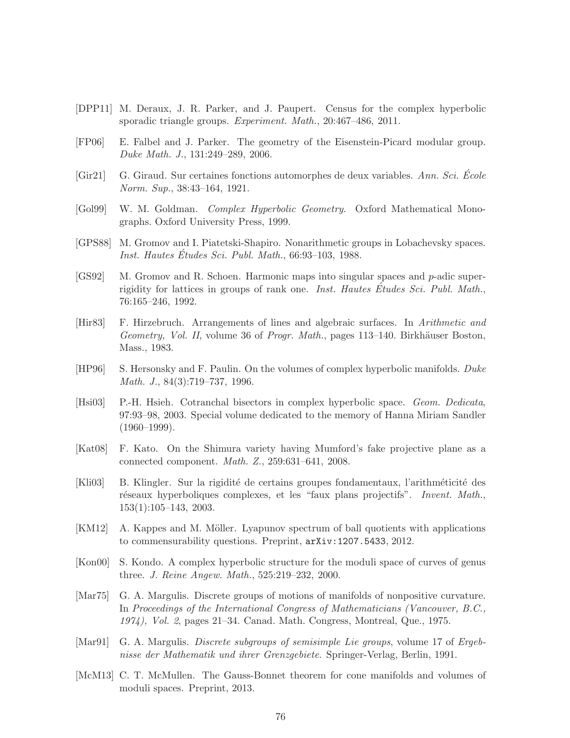- [DPP11] M. Deraux, J. R. Parker, and J. Paupert. Census for the complex hyperbolic sporadic triangle groups. *Experiment. Math.*, 20:467-486, 2011.
- [FP06] E. Falbel and J. Parker. The geometry of the Eisenstein-Picard modular group. Duke Math. J., 131:249–289, 2006.
- $[Gir21]$  G. Giraud. Sur certaines fonctions automorphes de deux variables. Ann. Sci. Ecole Norm. Sup., 38:43–164, 1921.
- [Gol99] W. M. Goldman. Complex Hyperbolic Geometry. Oxford Mathematical Monographs. Oxford University Press, 1999.
- [GPS88] M. Gromov and I. Piatetski-Shapiro. Nonarithmetic groups in Lobachevsky spaces. Inst. Hautes Études Sci. Publ. Math.,  $66:93-103$ , 1988.
- [GS92] M. Gromov and R. Schoen. Harmonic maps into singular spaces and p-adic superrigidity for lattices in groups of rank one. *Inst. Hautes Études Sci. Publ. Math.*, 76:165–246, 1992.
- [Hir83] F. Hirzebruch. Arrangements of lines and algebraic surfaces. In Arithmetic and Geometry, Vol. II, volume 36 of Progr. Math., pages 113–140. Birkhäuser Boston, Mass., 1983.
- [HP96] S. Hersonsky and F. Paulin. On the volumes of complex hyperbolic manifolds. Duke Math. J., 84(3):719–737, 1996.
- [Hsi03] P.-H. Hsieh. Cotranchal bisectors in complex hyperbolic space. Geom. Dedicata, 97:93–98, 2003. Special volume dedicated to the memory of Hanna Miriam Sandler  $(1960-1999)$ .
- [Kat08] F. Kato. On the Shimura variety having Mumford's fake projective plane as a connected component. Math. Z., 259:631–641, 2008.
- [Kli03] B. Klingler. Sur la rigidit´e de certains groupes fondamentaux, l'arithm´eticit´e des réseaux hyperboliques complexes, et les "faux plans projectifs". *Invent. Math.*, 153(1):105–143, 2003.
- [KM12] A. Kappes and M. Möller. Lyapunov spectrum of ball quotients with applications to commensurability questions. Preprint, arXiv:1207.5433, 2012.
- [Kon00] S. Kondo. A complex hyperbolic structure for the moduli space of curves of genus three. J. Reine Angew. Math., 525:219–232, 2000.
- [Mar75] G. A. Margulis. Discrete groups of motions of manifolds of nonpositive curvature. In Proceedings of the International Congress of Mathematicians (Vancouver, B.C., 1974), Vol. 2, pages 21–34. Canad. Math. Congress, Montreal, Que., 1975.
- [Mar91] G. A. Margulis. *Discrete subgroups of semisimple Lie groups*, volume 17 of *Ergeb*nisse der Mathematik und ihrer Grenzgebiete. Springer-Verlag, Berlin, 1991.
- [McM13] C. T. McMullen. The Gauss-Bonnet theorem for cone manifolds and volumes of moduli spaces. Preprint, 2013.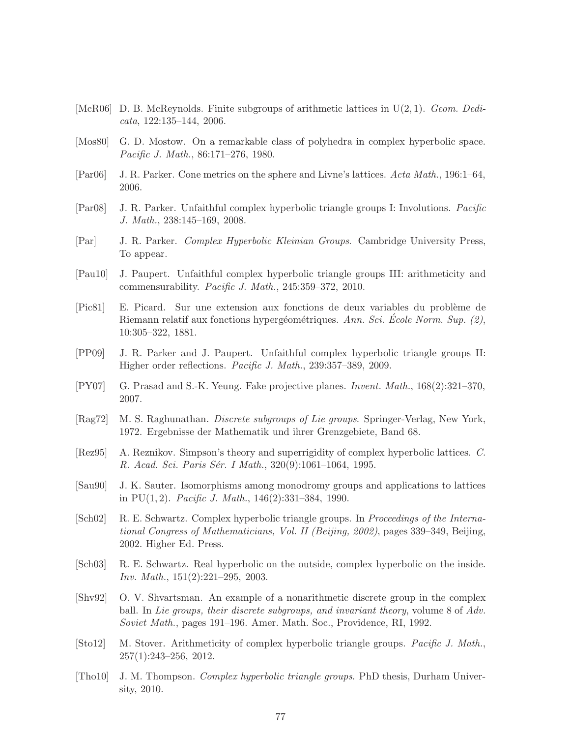- [McR06] D. B. McReynolds. Finite subgroups of arithmetic lattices in  $U(2, 1)$ . Geom. Dedicata, 122:135–144, 2006.
- [Mos80] G. D. Mostow. On a remarkable class of polyhedra in complex hyperbolic space. Pacific J. Math., 86:171–276, 1980.
- [Par06] J. R. Parker. Cone metrics on the sphere and Livne's lattices. Acta Math., 196:1–64, 2006.
- [Par08] J. R. Parker. Unfaithful complex hyperbolic triangle groups I: Involutions. Pacific J. Math., 238:145–169, 2008.
- [Par] J. R. Parker. Complex Hyperbolic Kleinian Groups. Cambridge University Press, To appear.
- [Pau10] J. Paupert. Unfaithful complex hyperbolic triangle groups III: arithmeticity and commensurability. Pacific J. Math., 245:359–372, 2010.
- [Pic81] E. Picard. Sur une extension aux fonctions de deux variables du probl`eme de Riemann relatif aux fonctions hypergéométriques. Ann. Sci. École Norm. Sup.  $(2)$ , 10:305–322, 1881.
- [PP09] J. R. Parker and J. Paupert. Unfaithful complex hyperbolic triangle groups II: Higher order reflections. Pacific J. Math., 239:357–389, 2009.
- [PY07] G. Prasad and S.-K. Yeung. Fake projective planes. Invent. Math., 168(2):321–370, 2007.
- [Rag72] M. S. Raghunathan. *Discrete subgroups of Lie groups*. Springer-Verlag, New York, 1972. Ergebnisse der Mathematik und ihrer Grenzgebiete, Band 68.
- [Rez95] A. Reznikov. Simpson's theory and superrigidity of complex hyperbolic lattices. C. R. Acad. Sci. Paris Sér. I Math., 320(9):1061–1064, 1995.
- [Sau90] J. K. Sauter. Isomorphisms among monodromy groups and applications to lattices in PU $(1, 2)$ . *Pacific J. Math.*, 146 $(2)$ :331–384, 1990.
- [Sch02] R. E. Schwartz. Complex hyperbolic triangle groups. In Proceedings of the International Congress of Mathematicians, Vol. II (Beijing, 2002), pages 339–349, Beijing, 2002. Higher Ed. Press.
- [Sch03] R. E. Schwartz. Real hyperbolic on the outside, complex hyperbolic on the inside. Inv. Math., 151(2):221–295, 2003.
- [Shv92] O. V. Shvartsman. An example of a nonarithmetic discrete group in the complex ball. In Lie groups, their discrete subgroups, and invariant theory, volume 8 of Adv. Soviet Math., pages 191–196. Amer. Math. Soc., Providence, RI, 1992.
- [Sto12] M. Stover. Arithmeticity of complex hyperbolic triangle groups. Pacific J. Math., 257(1):243–256, 2012.
- [Tho10] J. M. Thompson. Complex hyperbolic triangle groups. PhD thesis, Durham University, 2010.